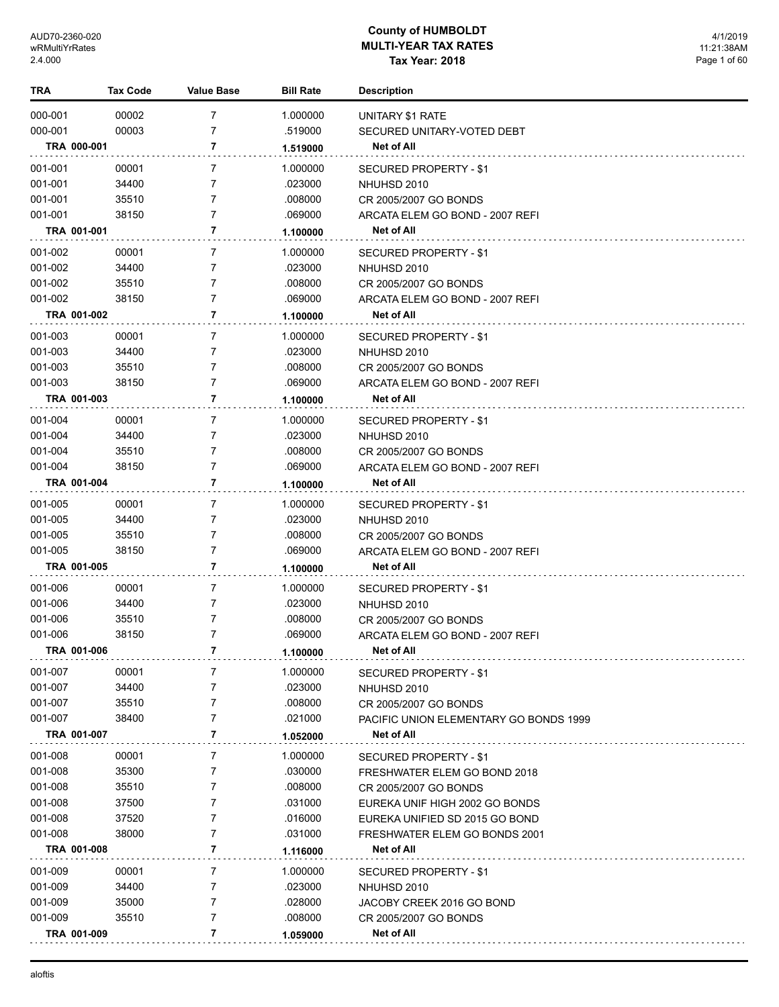| TRA         | <b>Tax Code</b> | <b>Value Base</b> | <b>Bill Rate</b>    | <b>Description</b>                                       |
|-------------|-----------------|-------------------|---------------------|----------------------------------------------------------|
| 000-001     | 00002           | 7                 | 1.000000            | UNITARY \$1 RATE                                         |
| 000-001     | 00003           | 7                 | .519000             | SECURED UNITARY-VOTED DEBT                               |
| TRA 000-001 |                 | 7                 | 1.519000            | Net of All                                               |
| 001-001     | 00001           | 7                 | 1.000000            |                                                          |
| 001-001     | 34400           | 7                 | .023000             | SECURED PROPERTY - \$1<br>NHUHSD 2010                    |
| 001-001     | 35510           | 7                 | .008000             | CR 2005/2007 GO BONDS                                    |
| 001-001     | 38150           | 7                 | .069000             | ARCATA ELEM GO BOND - 2007 REFI                          |
| TRA 001-001 |                 | 7                 | 1.100000            | Net of All                                               |
| 001-002     | 00001           | 7                 | 1.000000            | SECURED PROPERTY - \$1                                   |
| 001-002     | 34400           | 7                 | .023000             | NHUHSD 2010                                              |
| 001-002     | 35510           | 7                 | .008000             | CR 2005/2007 GO BONDS                                    |
| 001-002     | 38150           | 7                 | .069000             | ARCATA ELEM GO BOND - 2007 REFI                          |
| TRA 001-002 |                 | 7                 | 1.100000            | Net of All                                               |
| 001-003     |                 | 7                 |                     |                                                          |
| 001-003     | 00001<br>34400  | 7                 | 1.000000<br>.023000 | SECURED PROPERTY - \$1                                   |
| 001-003     | 35510           | 7                 | .008000             | NHUHSD 2010                                              |
| 001-003     | 38150           | 7                 | .069000             | CR 2005/2007 GO BONDS<br>ARCATA ELEM GO BOND - 2007 REFI |
| TRA 001-003 |                 | 7                 | 1.100000            | Net of All                                               |
|             |                 |                   |                     |                                                          |
| 001-004     | 00001           | 7                 | 1.000000            | SECURED PROPERTY - \$1                                   |
| 001-004     | 34400           | 7                 | .023000             | NHUHSD 2010                                              |
| 001-004     | 35510           | 7                 | .008000             | CR 2005/2007 GO BONDS                                    |
| 001-004     | 38150           | 7                 | .069000             | ARCATA ELEM GO BOND - 2007 REFI                          |
| TRA 001-004 |                 | 7                 | 1.100000            | Net of All                                               |
| 001-005     | 00001           | 7                 | 1.000000            | SECURED PROPERTY - \$1                                   |
| 001-005     | 34400           | 7                 | .023000             | NHUHSD 2010                                              |
| 001-005     | 35510           | 7                 | .008000             | CR 2005/2007 GO BONDS                                    |
| 001-005     | 38150           | 7                 | .069000             | ARCATA ELEM GO BOND - 2007 REFI                          |
| TRA 001-005 |                 | 7                 | 1.100000            | Net of All                                               |
| 001-006     | 00001           | 7                 | 1.000000            | SECURED PROPERTY - \$1                                   |
| 001-006     | 34400           | 7                 | .023000             | NHUHSD 2010                                              |
| 001-006     | 35510           | 7                 | .008000             | CR 2005/2007 GO BONDS                                    |
| 001-006     | 38150           | 7                 | .069000             | ARCATA ELEM GO BOND - 2007 REFI                          |
| TRA 001-006 |                 | 7                 | 1.100000            | Net of All                                               |
| 001-007     | 00001           | 7                 | 1.000000            | SECURED PROPERTY - \$1                                   |
| 001-007     | 34400           | 7                 | .023000             | NHUHSD 2010                                              |
| 001-007     | 35510           | 7                 | .008000             | CR 2005/2007 GO BONDS                                    |
| 001-007     | 38400           | 7                 | .021000             | PACIFIC UNION ELEMENTARY GO BONDS 1999                   |
| TRA 001-007 |                 | 7                 | 1.052000            | Net of All                                               |
| 001-008     | 00001           | 7                 | 1.000000            | <b>SECURED PROPERTY - \$1</b>                            |
| 001-008     | 35300           | 7                 | .030000             | FRESHWATER ELEM GO BOND 2018                             |
| 001-008     | 35510           | 7                 | .008000             | CR 2005/2007 GO BONDS                                    |
| 001-008     | 37500           | 7                 | .031000             | EUREKA UNIF HIGH 2002 GO BONDS                           |
| 001-008     | 37520           | 7                 | .016000             | EUREKA UNIFIED SD 2015 GO BOND                           |
| 001-008     | 38000           | 7                 | .031000             | FRESHWATER ELEM GO BONDS 2001                            |
| TRA 001-008 |                 | 7                 | 1.116000            | Net of All                                               |
| 001-009     | 00001           | 7                 | 1.000000            | SECURED PROPERTY - \$1                                   |
| 001-009     | 34400           | 7                 | .023000             | NHUHSD 2010                                              |
| 001-009     | 35000           | 7                 | .028000             | JACOBY CREEK 2016 GO BOND                                |
| 001-009     | 35510           | 7                 | .008000             | CR 2005/2007 GO BONDS                                    |
| TRA 001-009 |                 | 7                 | 1.059000            | Net of All                                               |
|             |                 |                   |                     |                                                          |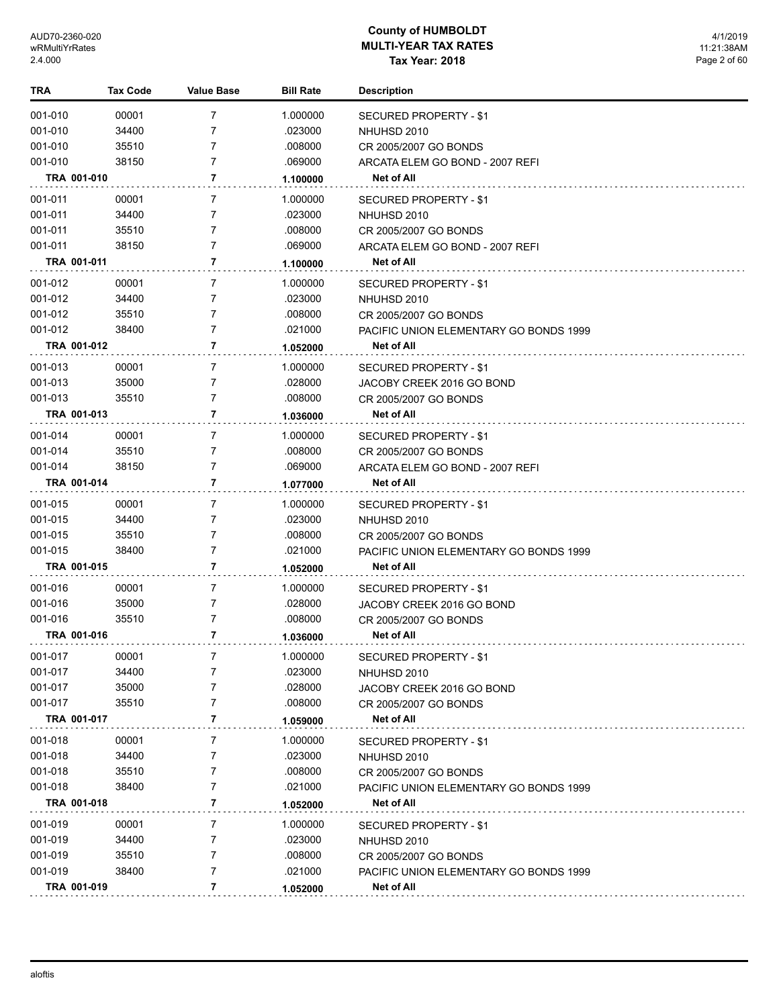| TRA         | <b>Tax Code</b> | <b>Value Base</b> | <b>Bill Rate</b> | <b>Description</b>                     |
|-------------|-----------------|-------------------|------------------|----------------------------------------|
| 001-010     | 00001           | 7                 | 1.000000         | <b>SECURED PROPERTY - \$1</b>          |
| 001-010     | 34400           | 7                 | .023000          | NHUHSD 2010                            |
| 001-010     | 35510           | 7                 | .008000          | CR 2005/2007 GO BONDS                  |
| 001-010     | 38150           | 7                 | .069000          | ARCATA ELEM GO BOND - 2007 REFI        |
| TRA 001-010 |                 | 7                 | 1.100000         | Net of All                             |
| 001-011     | 00001           | 7                 | 1.000000         | SECURED PROPERTY - \$1                 |
| 001-011     | 34400           | 7                 | .023000          | NHUHSD 2010                            |
| 001-011     | 35510           | 7                 | .008000          | CR 2005/2007 GO BONDS                  |
| 001-011     | 38150           | 7                 | .069000          | ARCATA ELEM GO BOND - 2007 REFI        |
| TRA 001-011 |                 | 7                 | 1.100000         | Net of All                             |
| 001-012     | 00001           | 7                 | 1.000000         | SECURED PROPERTY - \$1                 |
| 001-012     | 34400           | 7                 | .023000          | NHUHSD 2010                            |
| 001-012     | 35510           | 7                 | .008000          | CR 2005/2007 GO BONDS                  |
| 001-012     | 38400           | 7                 | .021000          | PACIFIC UNION ELEMENTARY GO BONDS 1999 |
| TRA 001-012 |                 | 7                 | 1.052000         | Net of All                             |
| 001-013     | 00001           | 7                 | 1.000000         | SECURED PROPERTY - \$1                 |
| 001-013     | 35000           | 7                 | .028000          | JACOBY CREEK 2016 GO BOND              |
| 001-013     | 35510           | 7                 | .008000          | CR 2005/2007 GO BONDS                  |
| TRA 001-013 |                 | 7                 | 1.036000         | Net of All                             |
| 001-014     | 00001           | 7                 | 1.000000         | SECURED PROPERTY - \$1                 |
| 001-014     | 35510           | 7                 | .008000          | CR 2005/2007 GO BONDS                  |
| 001-014     | 38150           | 7                 | .069000          | ARCATA ELEM GO BOND - 2007 REFI        |
| TRA 001-014 |                 | 7                 | 1.077000         | Net of All                             |
| 001-015     | 00001           | 7                 | 1.000000         | SECURED PROPERTY - \$1                 |
| 001-015     | 34400           | 7                 | .023000          | NHUHSD 2010                            |
| 001-015     | 35510           | 7                 | .008000          | CR 2005/2007 GO BONDS                  |
| 001-015     | 38400           | 7                 | .021000          | PACIFIC UNION ELEMENTARY GO BONDS 1999 |
| TRA 001-015 |                 | 7                 | 1.052000         | Net of All                             |
| 001-016     | 00001           | 7                 | 1.000000         | SECURED PROPERTY - \$1                 |
| 001-016     | 35000           | 7                 | .028000          | JACOBY CREEK 2016 GO BOND              |
| 001-016     | 35510           | 7                 | .008000          | CR 2005/2007 GO BONDS                  |
| TRA 001-016 |                 | 7                 | 1.036000         | <b>Net of All</b>                      |
| 001-017     | 00001           | 7                 | 1.000000         | <b>SECURED PROPERTY - \$1</b>          |
| 001-017     | 34400           | 7                 | .023000          | NHUHSD 2010                            |
| 001-017     | 35000           | 7                 | .028000          | JACOBY CREEK 2016 GO BOND              |
| 001-017     | 35510           | 7                 | .008000          | CR 2005/2007 GO BONDS                  |
| TRA 001-017 |                 | 7                 | 1.059000         | Net of All                             |
| 001-018     | 00001           | 7                 | 1.000000         | <b>SECURED PROPERTY - \$1</b>          |
| 001-018     | 34400           | 7                 | .023000          | NHUHSD 2010                            |
| 001-018     | 35510           | 7                 | .008000          | CR 2005/2007 GO BONDS                  |
| 001-018     | 38400           | 7                 | .021000          | PACIFIC UNION ELEMENTARY GO BONDS 1999 |
| TRA 001-018 |                 | 7                 | 1.052000         | Net of All                             |
| 001-019     | 00001           | 7                 | 1.000000         | SECURED PROPERTY - \$1                 |
| 001-019     | 34400           | 7                 | .023000          | NHUHSD 2010                            |
| 001-019     | 35510           | 7                 | .008000          | CR 2005/2007 GO BONDS                  |
| 001-019     | 38400           | 7                 | .021000          | PACIFIC UNION ELEMENTARY GO BONDS 1999 |
| TRA 001-019 |                 | $\overline{7}$    | 1.052000         | Net of All                             |
|             |                 |                   |                  |                                        |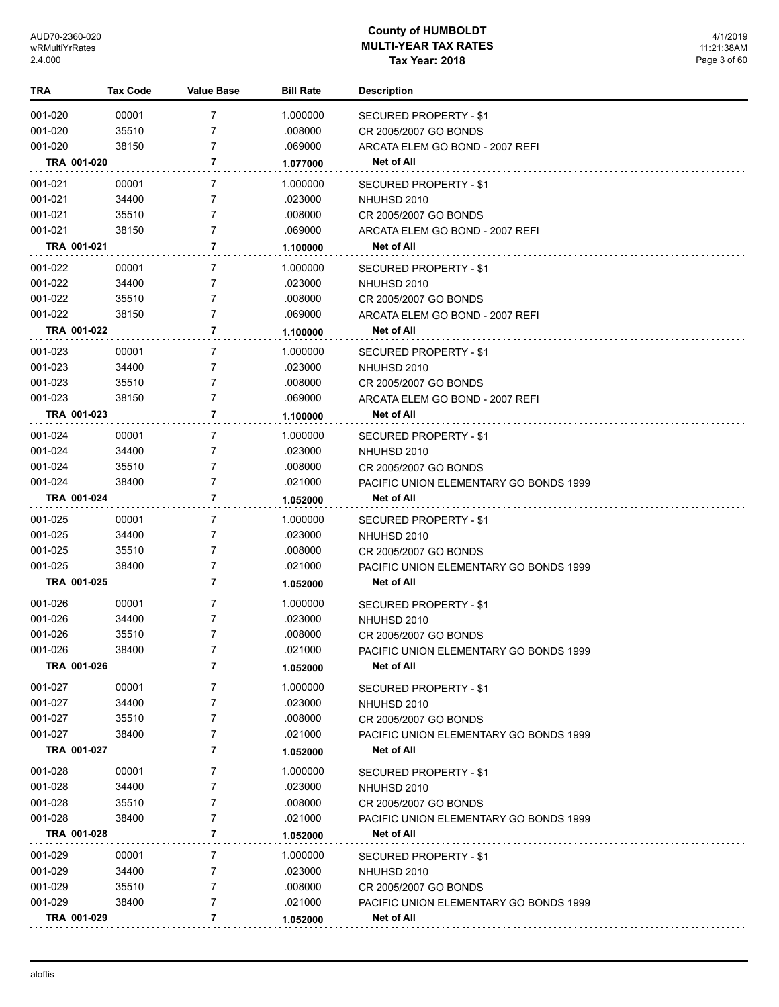| TRA         | <b>Tax Code</b> | <b>Value Base</b> | <b>Bill Rate</b> | <b>Description</b>                     |
|-------------|-----------------|-------------------|------------------|----------------------------------------|
| 001-020     | 00001           | 7                 | 1.000000         | <b>SECURED PROPERTY - \$1</b>          |
| 001-020     | 35510           | 7                 | .008000          | CR 2005/2007 GO BONDS                  |
| 001-020     | 38150           | 7                 | .069000          | ARCATA ELEM GO BOND - 2007 REFI        |
| TRA 001-020 |                 | 7                 | 1.077000         | Net of All                             |
| 001-021     | 00001           | 7                 | 1.000000         | <b>SECURED PROPERTY - \$1</b>          |
| 001-021     | 34400           | 7                 | .023000          | NHUHSD 2010                            |
| 001-021     | 35510           | 7                 | .008000          | CR 2005/2007 GO BONDS                  |
| 001-021     | 38150           | 7                 | .069000          | ARCATA ELEM GO BOND - 2007 REFI        |
| TRA 001-021 |                 | 7                 | 1.100000         | <b>Net of All</b>                      |
| 001-022     | 00001           | 7                 | 1.000000         | <b>SECURED PROPERTY - \$1</b>          |
| 001-022     | 34400           | 7                 | .023000          | NHUHSD 2010                            |
| 001-022     | 35510           | 7                 | .008000          | CR 2005/2007 GO BONDS                  |
| 001-022     | 38150           | 7                 | .069000          | ARCATA ELEM GO BOND - 2007 REFI        |
| TRA 001-022 |                 | 7                 | 1.100000         | Net of All                             |
| 001-023     | 00001           | 7                 | 1.000000         | <b>SECURED PROPERTY - \$1</b>          |
| 001-023     | 34400           | 7                 | .023000          | NHUHSD 2010                            |
| 001-023     | 35510           | 7                 | .008000          | CR 2005/2007 GO BONDS                  |
| 001-023     | 38150           | 7                 | .069000          | ARCATA ELEM GO BOND - 2007 REFI        |
| TRA 001-023 |                 | 7                 | 1.100000         | Net of All                             |
| 001-024     | 00001           | 7                 | 1.000000         | <b>SECURED PROPERTY - \$1</b>          |
| 001-024     | 34400           | 7                 | .023000          | NHUHSD 2010                            |
| 001-024     | 35510           | 7                 | .008000          | CR 2005/2007 GO BONDS                  |
| 001-024     | 38400           | 7                 | .021000          | PACIFIC UNION ELEMENTARY GO BONDS 1999 |
| TRA 001-024 |                 | 7                 | 1.052000         | Net of All                             |
| 001-025     | 00001           | 7                 | 1.000000         | SECURED PROPERTY - \$1                 |
| 001-025     | 34400           | 7                 | .023000          | NHUHSD 2010                            |
| 001-025     | 35510           | 7                 | .008000          | CR 2005/2007 GO BONDS                  |
| 001-025     | 38400           | 7                 | .021000          | PACIFIC UNION ELEMENTARY GO BONDS 1999 |
| TRA 001-025 |                 | 7                 | 1.052000         | Net of All                             |
| 001-026     | 00001           | 7                 | 1.000000         | <b>SECURED PROPERTY - \$1</b>          |
| 001-026     | 34400           | 7                 | .023000          | NHUHSD 2010                            |
| 001-026     | 35510           | 7                 | .008000          | CR 2005/2007 GO BONDS                  |
| 001-026     | 38400           | 7                 | .021000          | PACIFIC UNION ELEMENTARY GO BONDS 1999 |
| TRA 001-026 |                 | 7                 | 1.052000         | Net of All                             |
| 001-027     | 00001           | 7                 | 1.000000         | <b>SECURED PROPERTY - \$1</b>          |
| 001-027     | 34400           | 7                 | .023000          | NHUHSD 2010                            |
| 001-027     | 35510           | 7                 | .008000          | CR 2005/2007 GO BONDS                  |
| 001-027     | 38400           | 7                 | .021000          | PACIFIC UNION ELEMENTARY GO BONDS 1999 |
| TRA 001-027 |                 | 7                 | 1.052000         | Net of All                             |
| 001-028     | 00001           | 7                 | 1.000000         | <b>SECURED PROPERTY - \$1</b>          |
| 001-028     | 34400           | 7                 | .023000          | NHUHSD 2010                            |
| 001-028     | 35510           | 7                 | .008000          | CR 2005/2007 GO BONDS                  |
| 001-028     | 38400           | 7                 | .021000          | PACIFIC UNION ELEMENTARY GO BONDS 1999 |
| TRA 001-028 |                 | 7                 | 1.052000         | Net of All                             |
| 001-029     | 00001           | 7                 | 1.000000         | SECURED PROPERTY - \$1                 |
| 001-029     | 34400           | 7                 | .023000          | NHUHSD 2010                            |
| 001-029     | 35510           | 7                 | .008000          | CR 2005/2007 GO BONDS                  |
| 001-029     | 38400           | 7                 | .021000          | PACIFIC UNION ELEMENTARY GO BONDS 1999 |
| TRA 001-029 |                 | 7                 | 1.052000         | Net of All                             |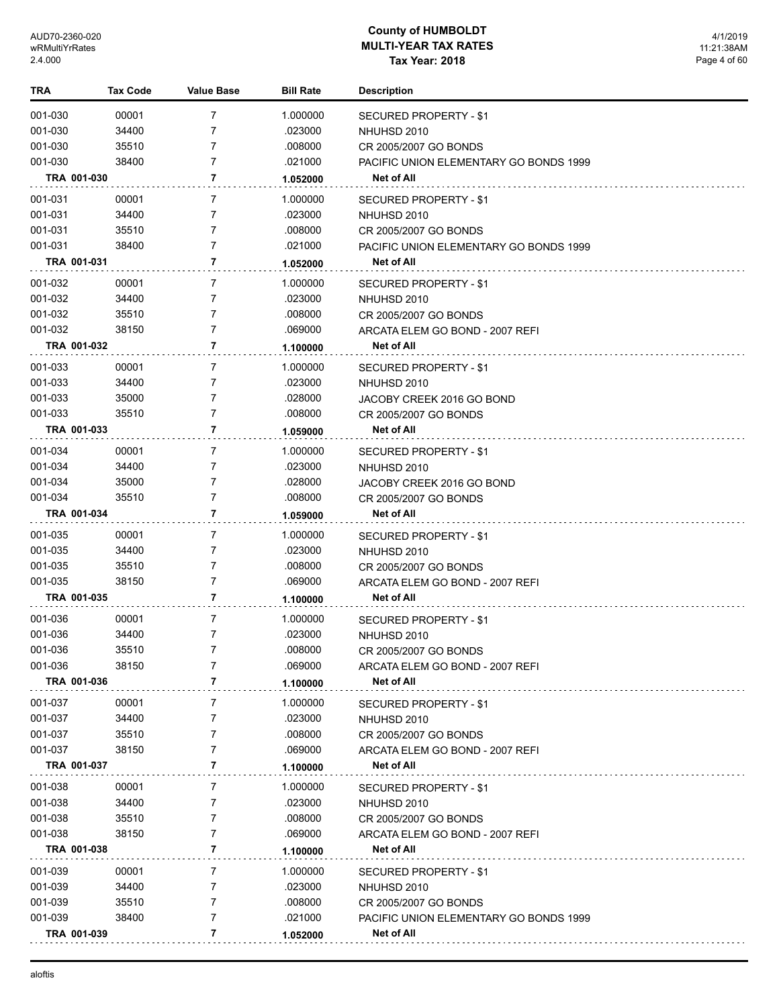| TRA                | <b>Tax Code</b> | Value Base | <b>Bill Rate</b>    | <b>Description</b>                                 |
|--------------------|-----------------|------------|---------------------|----------------------------------------------------|
| 001-030            | 00001           | 7          | 1.000000            | SECURED PROPERTY - \$1                             |
| 001-030            | 34400           | 7          | .023000             | NHUHSD 2010                                        |
| 001-030            | 35510           | 7          | .008000             | CR 2005/2007 GO BONDS                              |
| 001-030            | 38400           | 7          | .021000             | PACIFIC UNION ELEMENTARY GO BONDS 1999             |
| TRA 001-030        |                 | 7          | 1.052000            | Net of All                                         |
| 001-031            |                 | 7          | 1.000000            |                                                    |
| 001-031            | 00001<br>34400  | 7          | .023000             | SECURED PROPERTY - \$1<br>NHUHSD 2010              |
| 001-031            | 35510           | 7          | .008000             | CR 2005/2007 GO BONDS                              |
| 001-031            | 38400           | 7          | .021000             | PACIFIC UNION ELEMENTARY GO BONDS 1999             |
| TRA 001-031        |                 | 7          | 1.052000            | <b>Net of All</b>                                  |
| 001-032            | 00001           | 7          |                     |                                                    |
| 001-032            | 34400           | 7          | 1.000000<br>.023000 | SECURED PROPERTY - \$1<br>NHUHSD 2010              |
| 001-032            | 35510           | 7          | .008000             | CR 2005/2007 GO BONDS                              |
| 001-032            | 38150           | 7          | .069000             | ARCATA ELEM GO BOND - 2007 REFI                    |
| TRA 001-032        |                 | 7          | 1.100000            | <b>Net of All</b>                                  |
|                    |                 |            |                     |                                                    |
| 001-033<br>001-033 | 00001           | 7<br>7     | 1.000000<br>.023000 | SECURED PROPERTY - \$1                             |
|                    | 34400           | 7          |                     | NHUHSD 2010                                        |
| 001-033<br>001-033 | 35000<br>35510  | 7          | .028000<br>.008000  | JACOBY CREEK 2016 GO BOND<br>CR 2005/2007 GO BONDS |
| TRA 001-033        |                 | 7          |                     | Net of All                                         |
|                    |                 |            | 1.059000            |                                                    |
| 001-034            | 00001           | 7          | 1.000000            | SECURED PROPERTY - \$1                             |
| 001-034            | 34400           | 7          | .023000             | NHUHSD 2010                                        |
| 001-034            | 35000           | 7          | .028000             | JACOBY CREEK 2016 GO BOND                          |
| 001-034            | 35510           | 7          | .008000             | CR 2005/2007 GO BONDS                              |
| TRA 001-034        |                 | 7          | 1.059000            | <b>Net of All</b>                                  |
| 001-035            | 00001           | 7          | 1.000000            | SECURED PROPERTY - \$1                             |
| 001-035            | 34400           | 7          | .023000             | NHUHSD 2010                                        |
| 001-035            | 35510           | 7          | .008000             | CR 2005/2007 GO BONDS                              |
| 001-035            | 38150           | 7          | .069000             | ARCATA ELEM GO BOND - 2007 REFI                    |
| TRA 001-035        |                 | 7          | 1.100000            | <b>Net of All</b>                                  |
| 001-036            | 00001           | 7          | 1.000000            | SECURED PROPERTY - \$1                             |
| 001-036            | 34400           | 7          | .023000             | NHUHSD 2010                                        |
| 001-036            | 35510           | 7          | .008000             | CR 2005/2007 GO BONDS                              |
| 001-036            | 38150           | 7          | .069000             | ARCATA ELEM GO BOND - 2007 REFI                    |
| TRA 001-036        |                 | 7          | 1.100000            | Net of All                                         |
| 001-037            | 00001           | 7          | 1.000000            | SECURED PROPERTY - \$1                             |
| 001-037            | 34400           | 7          | .023000             | NHUHSD 2010                                        |
| 001-037            | 35510           | 7          | .008000             | CR 2005/2007 GO BONDS                              |
| 001-037            | 38150           | 7          | .069000             | ARCATA ELEM GO BOND - 2007 REFI                    |
| TRA 001-037        |                 | 7          | 1.100000            | Net of All                                         |
| 001-038            | 00001           | 7          | 1.000000            | SECURED PROPERTY - \$1                             |
| 001-038            | 34400           | 7          | .023000             | NHUHSD 2010                                        |
| 001-038            | 35510           | 7          | .008000             | CR 2005/2007 GO BONDS                              |
| 001-038            | 38150           | 7          | .069000             | ARCATA ELEM GO BOND - 2007 REFI                    |
| TRA 001-038        |                 | 7          | 1.100000            | Net of All                                         |
| 001-039            | 00001           | 7          | 1.000000            | SECURED PROPERTY - \$1                             |
| 001-039            | 34400           | 7          | .023000             | NHUHSD 2010                                        |
| 001-039            | 35510           | 7          | .008000             | CR 2005/2007 GO BONDS                              |
| 001-039            | 38400           | 7          | .021000             | PACIFIC UNION ELEMENTARY GO BONDS 1999             |
| TRA 001-039        |                 | 7          | 1.052000            | Net of All                                         |
|                    |                 |            |                     |                                                    |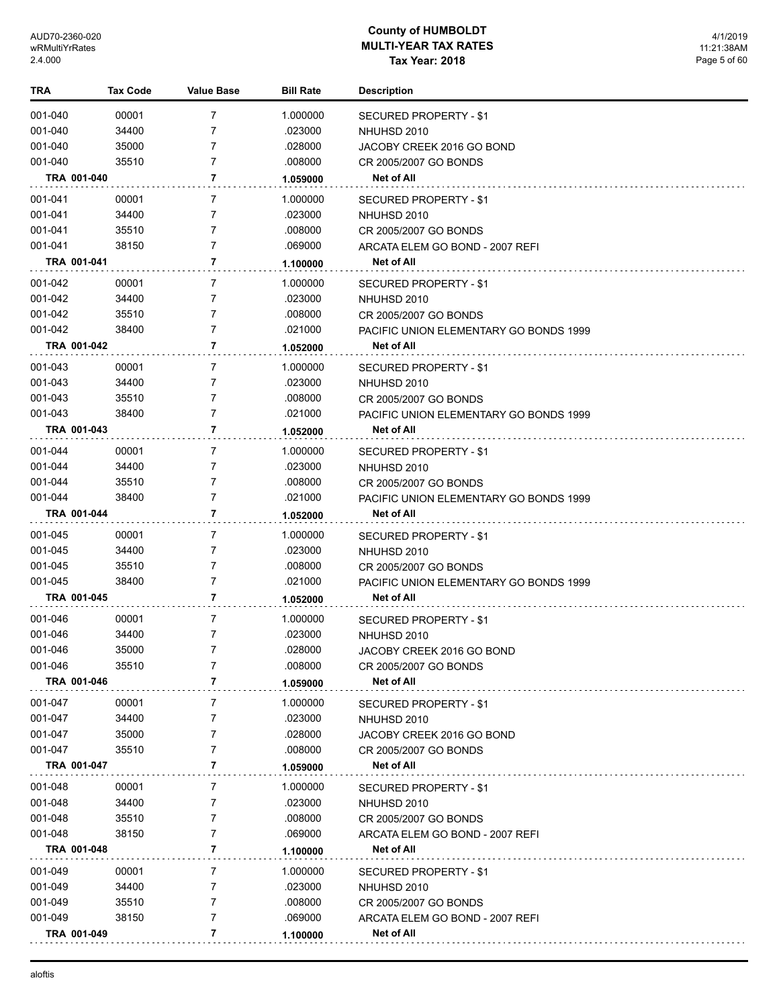| TRA         | Tax Code | Value Base     | <b>Bill Rate</b> | <b>Description</b>                            |
|-------------|----------|----------------|------------------|-----------------------------------------------|
| 001-040     | 00001    | 7              | 1.000000         | <b>SECURED PROPERTY - \$1</b>                 |
| 001-040     | 34400    | 7              | .023000          | NHUHSD 2010                                   |
| 001-040     | 35000    | 7              | .028000          | JACOBY CREEK 2016 GO BOND                     |
| 001-040     | 35510    | 7              | .008000          | CR 2005/2007 GO BONDS                         |
| TRA 001-040 |          | 7              | 1.059000         | Net of All                                    |
| 001-041     | 00001    | 7              | 1.000000         | SECURED PROPERTY - \$1                        |
| 001-041     | 34400    | 7              | .023000          | NHUHSD 2010                                   |
| 001-041     | 35510    | 7              | .008000          | CR 2005/2007 GO BONDS                         |
| 001-041     | 38150    | 7              | .069000          | ARCATA ELEM GO BOND - 2007 REFI               |
| TRA 001-041 |          | 7              | 1.100000         | Net of All                                    |
| 001-042     | 00001    | 7              | 1.000000         | SECURED PROPERTY - \$1                        |
| 001-042     | 34400    | 7              | .023000          | NHUHSD 2010                                   |
| 001-042     | 35510    | 7              | .008000          | CR 2005/2007 GO BONDS                         |
| 001-042     | 38400    | 7              | .021000          | PACIFIC UNION ELEMENTARY GO BONDS 1999        |
| TRA 001-042 |          | $\overline{7}$ | 1.052000         | <b>Net of All</b>                             |
| 001-043     | 00001    | 7              | 1.000000         | SECURED PROPERTY - \$1                        |
| 001-043     | 34400    | 7              | .023000          | NHUHSD 2010                                   |
| 001-043     | 35510    | 7              | .008000          | CR 2005/2007 GO BONDS                         |
| 001-043     | 38400    | 7              | .021000          | <b>PACIFIC UNION ELEMENTARY GO BONDS 1999</b> |
| TRA 001-043 |          | 7              | 1.052000         | Net of All                                    |
| 001-044     | 00001    | 7              | 1.000000         | SECURED PROPERTY - \$1                        |
| 001-044     | 34400    | 7              | .023000          | NHUHSD 2010                                   |
| 001-044     | 35510    | 7              | .008000          | CR 2005/2007 GO BONDS                         |
| 001-044     | 38400    | 7              | .021000          | PACIFIC UNION ELEMENTARY GO BONDS 1999        |
| TRA 001-044 |          | 7              | 1.052000         | <b>Net of All</b>                             |
| 001-045     | 00001    | 7              | 1.000000         | SECURED PROPERTY - \$1                        |
| 001-045     | 34400    | 7              | .023000          | NHUHSD 2010                                   |
| 001-045     | 35510    | 7              | .008000          | CR 2005/2007 GO BONDS                         |
| 001-045     | 38400    | 7              | .021000          | PACIFIC UNION ELEMENTARY GO BONDS 1999        |
| TRA 001-045 |          | 7              | 1.052000         | Net of All                                    |
| 001-046     | 00001    | 7              | 1.000000         | SECURED PROPERTY - \$1                        |
| 001-046     | 34400    | 7              | .023000          | NHUHSD 2010                                   |
| 001-046     | 35000    | 7              | .028000          | JACOBY CREEK 2016 GO BOND                     |
| 001-046     | 35510    | 7              | .008000          | CR 2005/2007 GO BONDS                         |
| TRA 001-046 |          | 7              | 1.059000         | Net of All                                    |
| 001-047     | 00001    | 7              | 1.000000         | SECURED PROPERTY - \$1                        |
| 001-047     | 34400    | 7              | .023000          | NHUHSD 2010                                   |
| 001-047     | 35000    | 7              | .028000          | JACOBY CREEK 2016 GO BOND                     |
| 001-047     | 35510    | 7              | .008000          | CR 2005/2007 GO BONDS                         |
| TRA 001-047 |          | 7              | 1.059000         | Net of All                                    |
| 001-048     | 00001    | 7              | 1.000000         | <b>SECURED PROPERTY - \$1</b>                 |
| 001-048     | 34400    | 7              | .023000          | NHUHSD 2010                                   |
| 001-048     | 35510    | 7              | .008000          | CR 2005/2007 GO BONDS                         |
| 001-048     | 38150    | 7              | .069000          | ARCATA ELEM GO BOND - 2007 REFI               |
| TRA 001-048 |          | 7              | 1.100000         | Net of All                                    |
| 001-049     | 00001    | 7              | 1.000000         | SECURED PROPERTY - \$1                        |
| 001-049     | 34400    | 7              | .023000          | NHUHSD 2010                                   |
| 001-049     | 35510    | 7              | .008000          | CR 2005/2007 GO BONDS                         |
| 001-049     | 38150    | 7              | .069000          | ARCATA ELEM GO BOND - 2007 REFI               |
| TRA 001-049 |          | 7              | 1.100000         | Net of All                                    |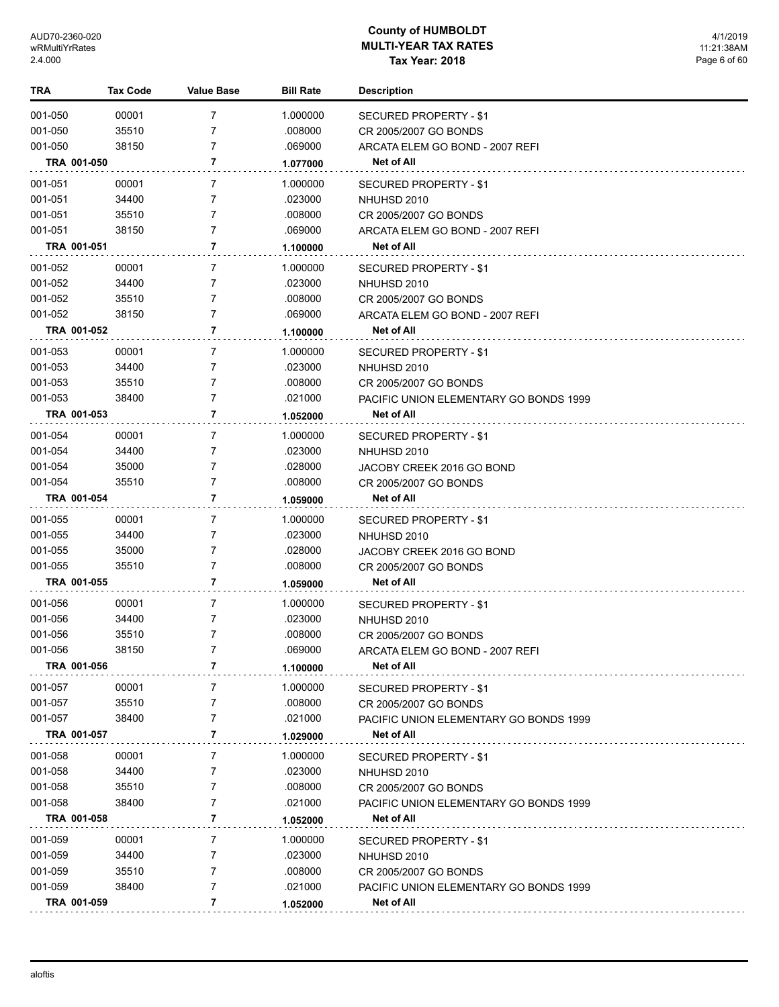| TRA         | <b>Tax Code</b> | <b>Value Base</b> | <b>Bill Rate</b> | <b>Description</b>                     |
|-------------|-----------------|-------------------|------------------|----------------------------------------|
| 001-050     | 00001           | 7                 | 1.000000         | SECURED PROPERTY - \$1                 |
| 001-050     | 35510           | 7                 | .008000          | CR 2005/2007 GO BONDS                  |
| 001-050     | 38150           | 7                 | .069000          | ARCATA ELEM GO BOND - 2007 REFI        |
| TRA 001-050 |                 | 7                 | 1.077000         | <b>Net of All</b>                      |
| 001-051     | 00001           | 7                 | 1.000000         | SECURED PROPERTY - \$1                 |
| 001-051     | 34400           | 7                 | .023000          | NHUHSD 2010                            |
| 001-051     | 35510           | 7                 | .008000          | CR 2005/2007 GO BONDS                  |
| 001-051     | 38150           | 7                 | .069000          | ARCATA ELEM GO BOND - 2007 REFI        |
| TRA 001-051 |                 | 7                 | 1.100000         | Net of All                             |
| 001-052     | 00001           | 7                 | 1.000000         | SECURED PROPERTY - \$1                 |
| 001-052     | 34400           | 7                 | .023000          | NHUHSD 2010                            |
| 001-052     | 35510           | 7                 | .008000          | CR 2005/2007 GO BONDS                  |
| 001-052     | 38150           | 7                 | .069000          | ARCATA ELEM GO BOND - 2007 REFI        |
| TRA 001-052 |                 | 7                 | 1.100000         | Net of All                             |
|             |                 |                   |                  |                                        |
| 001-053     | 00001           | 7                 | 1.000000         | <b>SECURED PROPERTY - \$1</b>          |
| 001-053     | 34400           | 7                 | .023000          | NHUHSD 2010                            |
| 001-053     | 35510           | 7                 | .008000          | CR 2005/2007 GO BONDS                  |
| 001-053     | 38400           | 7                 | .021000          | PACIFIC UNION ELEMENTARY GO BONDS 1999 |
| TRA 001-053 |                 | 7                 | 1.052000         | Net of All                             |
| 001-054     | 00001           | 7                 | 1.000000         | SECURED PROPERTY - \$1                 |
| 001-054     | 34400           | 7                 | .023000          | NHUHSD 2010                            |
| 001-054     | 35000           | 7                 | .028000          | JACOBY CREEK 2016 GO BOND              |
| 001-054     | 35510           | 7                 | .008000          | CR 2005/2007 GO BONDS                  |
| TRA 001-054 |                 | 7                 | 1.059000         | Net of All                             |
| 001-055     | 00001           | 7                 | 1.000000         | SECURED PROPERTY - \$1                 |
| 001-055     | 34400           | 7                 | .023000          | NHUHSD 2010                            |
| 001-055     | 35000           | 7                 | .028000          | JACOBY CREEK 2016 GO BOND              |
| 001-055     | 35510           | 7                 | .008000          | CR 2005/2007 GO BONDS                  |
| TRA 001-055 |                 | 7                 | 1.059000         | Net of All                             |
| 001-056     | 00001           | 7                 | 1.000000         | SECURED PROPERTY - \$1                 |
| 001-056     | 34400           | 7                 | .023000          | NHUHSD 2010                            |
| 001-056     | 35510           | 7                 | .008000          | CR 2005/2007 GO BONDS                  |
| 001-056     | 38150           | 7                 | .069000          | ARCATA ELEM GO BOND - 2007 REFI        |
| TRA 001-056 |                 | 7                 | 1.100000         | Net of All                             |
| 001-057     | 00001           | 7                 | 1.000000         | SECURED PROPERTY - \$1                 |
| 001-057     | 35510           | 7                 | .008000          | CR 2005/2007 GO BONDS                  |
| 001-057     | 38400           | 7                 | .021000          | PACIFIC UNION ELEMENTARY GO BONDS 1999 |
| TRA 001-057 |                 | 7                 | 1.029000         | Net of All                             |
| 001-058     | 00001           | 7                 | 1.000000         | <b>SECURED PROPERTY - \$1</b>          |
| 001-058     | 34400           | 7                 | .023000          | NHUHSD 2010                            |
| 001-058     | 35510           | 7                 | .008000          | CR 2005/2007 GO BONDS                  |
| 001-058     | 38400           | 7                 | .021000          | PACIFIC UNION ELEMENTARY GO BONDS 1999 |
| TRA 001-058 |                 | 7                 | 1.052000         | Net of All                             |
| 001-059     | 00001           | 7                 | 1.000000         | <b>SECURED PROPERTY - \$1</b>          |
| 001-059     | 34400           | 7                 | .023000          | NHUHSD 2010                            |
| 001-059     | 35510           | 7                 | .008000          | CR 2005/2007 GO BONDS                  |
| 001-059     | 38400           | 7                 | .021000          | PACIFIC UNION ELEMENTARY GO BONDS 1999 |
| TRA 001-059 |                 | 7                 | 1.052000         | Net of All                             |
|             |                 |                   |                  |                                        |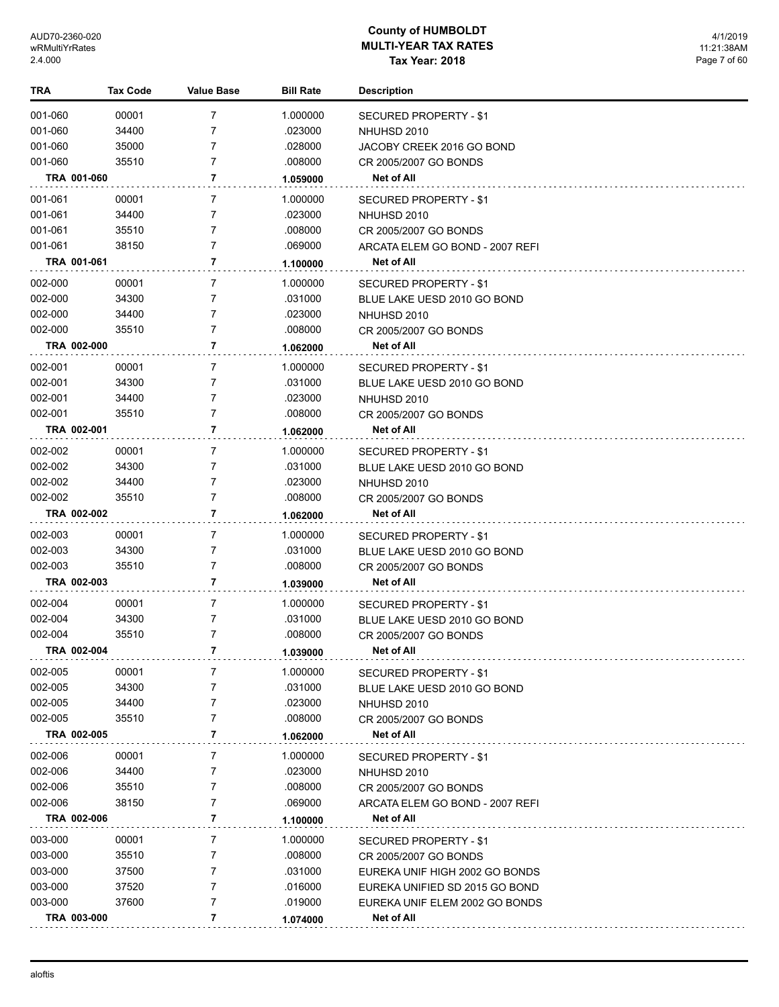| TRA         | <b>Tax Code</b> | <b>Value Base</b> | <b>Bill Rate</b> | <b>Description</b>              |
|-------------|-----------------|-------------------|------------------|---------------------------------|
| 001-060     | 00001           | 7                 | 1.000000         | SECURED PROPERTY - \$1          |
| 001-060     | 34400           | 7                 | .023000          | NHUHSD 2010                     |
| 001-060     | 35000           | 7                 | .028000          | JACOBY CREEK 2016 GO BOND       |
| 001-060     | 35510           | 7                 | .008000          | CR 2005/2007 GO BONDS           |
| TRA 001-060 |                 | 7                 | 1.059000         | Net of All                      |
| 001-061     | 00001           | 7                 | 1.000000         | SECURED PROPERTY - \$1          |
| 001-061     | 34400           | 7                 | .023000          | NHUHSD 2010                     |
| 001-061     | 35510           | 7                 | .008000          | CR 2005/2007 GO BONDS           |
| 001-061     | 38150           | 7                 | .069000          | ARCATA ELEM GO BOND - 2007 REFI |
| TRA 001-061 |                 | 7                 | 1.100000         | <b>Net of All</b>               |
| 002-000     | 00001           | 7                 | 1.000000         | SECURED PROPERTY - \$1          |
| 002-000     | 34300           | 7                 | .031000          | BLUE LAKE UESD 2010 GO BOND     |
| 002-000     | 34400           | 7                 | .023000          | NHUHSD 2010                     |
| 002-000     | 35510           | 7                 | .008000          | CR 2005/2007 GO BONDS           |
| TRA 002-000 |                 | 7                 | 1.062000         | Net of All                      |
| 002-001     | 00001           | 7                 | 1.000000         | SECURED PROPERTY - \$1          |
| 002-001     | 34300           | 7                 | .031000          | BLUE LAKE UESD 2010 GO BOND     |
| 002-001     | 34400           | 7                 | .023000          | NHUHSD 2010                     |
| 002-001     | 35510           | 7                 | .008000          | CR 2005/2007 GO BONDS           |
| TRA 002-001 |                 | 7                 | 1.062000         | <b>Net of All</b>               |
| 002-002     | 00001           | 7                 | 1.000000         | SECURED PROPERTY - \$1          |
| 002-002     | 34300           | 7                 | .031000          | BLUE LAKE UESD 2010 GO BOND     |
| 002-002     | 34400           | 7                 | .023000          | NHUHSD 2010                     |
| 002-002     | 35510           | 7                 | .008000          | CR 2005/2007 GO BONDS           |
| TRA 002-002 |                 | 7                 | 1.062000         | Net of All                      |
| 002-003     | 00001           | 7                 | 1.000000         | SECURED PROPERTY - \$1          |
| 002-003     | 34300           | 7                 | .031000          | BLUE LAKE UESD 2010 GO BOND     |
| 002-003     | 35510           | 7                 | .008000          | CR 2005/2007 GO BONDS           |
| TRA 002-003 |                 | 7                 | 1.039000         | Net of All                      |
| 002-004     | 00001           | 7                 | 1.000000         | SECURED PROPERTY - \$1          |
| 002-004     | 34300           | 7                 | .031000          | BLUE LAKE UESD 2010 GO BOND     |
| 002-004     | 35510           | 7                 | .008000          | CR 2005/2007 GO BONDS           |
| TRA 002-004 |                 | 7                 | 1.039000         | Net of All                      |
| 002-005     | 00001           | 7                 | 1.000000         | SECURED PROPERTY - \$1          |
| 002-005     | 34300           | 7                 | .031000          | BLUE LAKE UESD 2010 GO BOND     |
| 002-005     | 34400           | 7                 | .023000          | NHUHSD 2010                     |
| 002-005     | 35510           | 7                 | .008000          | CR 2005/2007 GO BONDS           |
| TRA 002-005 |                 | 7                 | 1.062000         | Net of All                      |
| 002-006     | 00001           | 7                 | 1.000000         | <b>SECURED PROPERTY - \$1</b>   |
| 002-006     | 34400           | 7                 | .023000          | NHUHSD 2010                     |
| 002-006     | 35510           | 7                 | .008000          | CR 2005/2007 GO BONDS           |
| 002-006     | 38150           | 7                 | .069000          | ARCATA ELEM GO BOND - 2007 REFI |
| TRA 002-006 |                 | 7                 | 1.100000         | Net of All                      |
| 003-000     | 00001           | 7                 | 1.000000         | SECURED PROPERTY - \$1          |
| 003-000     | 35510           | 7                 | .008000          | CR 2005/2007 GO BONDS           |
| 003-000     | 37500           | 7                 | .031000          | EUREKA UNIF HIGH 2002 GO BONDS  |
| 003-000     | 37520           | 7                 | .016000          | EUREKA UNIFIED SD 2015 GO BOND  |
| 003-000     | 37600           | 7                 | .019000          | EUREKA UNIF ELEM 2002 GO BONDS  |
| TRA 003-000 |                 | 7                 | 1.074000         | Net of All                      |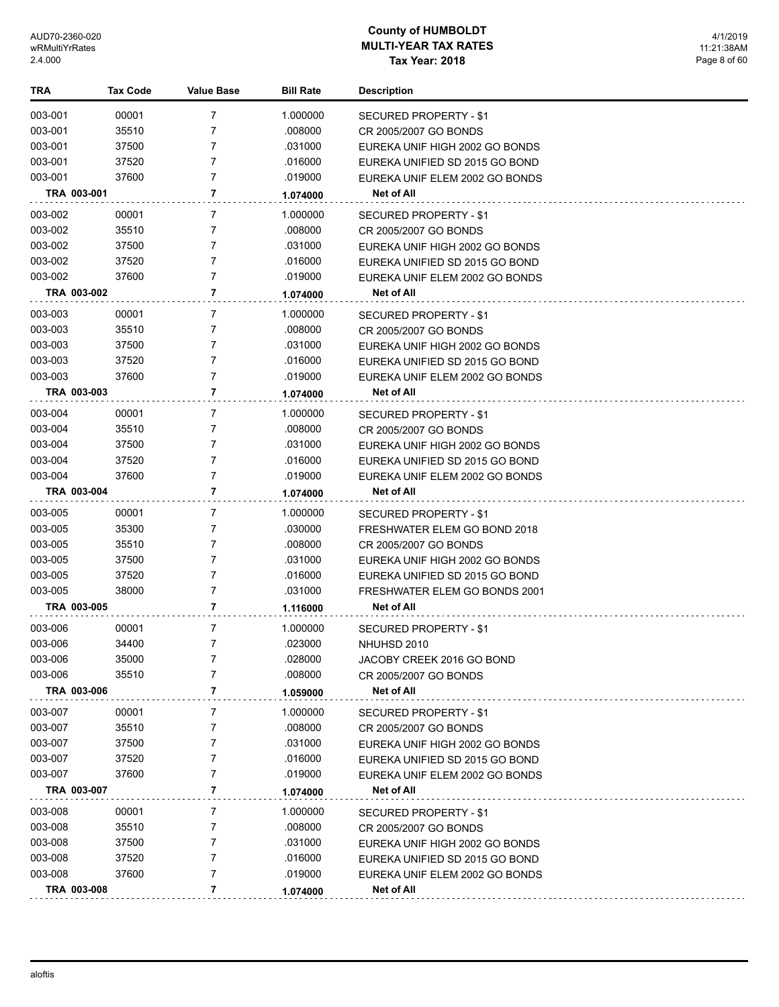4/1/2019 11:21:38AM Page 8 of 60

| TRA         | <b>Tax Code</b> | Value Base     | <b>Bill Rate</b> | <b>Description</b>             |
|-------------|-----------------|----------------|------------------|--------------------------------|
| 003-001     | 00001           | 7              | 1.000000         | SECURED PROPERTY - \$1         |
| 003-001     | 35510           | 7              | .008000          | CR 2005/2007 GO BONDS          |
| 003-001     | 37500           | 7              | .031000          | EUREKA UNIF HIGH 2002 GO BONDS |
| 003-001     | 37520           | 7              | .016000          | EUREKA UNIFIED SD 2015 GO BOND |
| 003-001     | 37600           | 7              | .019000          | EUREKA UNIF ELEM 2002 GO BONDS |
| TRA 003-001 |                 | 7              | 1.074000         | Net of All                     |
| 003-002     | 00001           | 7              | 1.000000         | SECURED PROPERTY - \$1         |
| 003-002     | 35510           | 7              | .008000          | CR 2005/2007 GO BONDS          |
| 003-002     | 37500           | 7              | .031000          | EUREKA UNIF HIGH 2002 GO BONDS |
| 003-002     | 37520           | 7              | .016000          | EUREKA UNIFIED SD 2015 GO BOND |
| 003-002     | 37600           | 7              | .019000          | EUREKA UNIF ELEM 2002 GO BONDS |
| TRA 003-002 |                 | 7              | 1.074000         | Net of All                     |
| 003-003     | 00001           | 7              | 1.000000         | SECURED PROPERTY - \$1         |
| 003-003     | 35510           | 7              | .008000          | CR 2005/2007 GO BONDS          |
| 003-003     | 37500           | 7              | .031000          | EUREKA UNIF HIGH 2002 GO BONDS |
| 003-003     | 37520           | 7              | .016000          | EUREKA UNIFIED SD 2015 GO BOND |
| 003-003     | 37600           | 7              | .019000          | EUREKA UNIF ELEM 2002 GO BONDS |
| TRA 003-003 |                 | 7              | 1.074000         | Net of All                     |
| 003-004     | 00001           | 7              | 1.000000         | SECURED PROPERTY - \$1         |
| 003-004     | 35510           | 7              | .008000          | CR 2005/2007 GO BONDS          |
| 003-004     | 37500           | 7              | .031000          | EUREKA UNIF HIGH 2002 GO BONDS |
| 003-004     | 37520           | 7              | .016000          | EUREKA UNIFIED SD 2015 GO BOND |
| 003-004     | 37600           | 7              | .019000          | EUREKA UNIF ELEM 2002 GO BONDS |
| TRA 003-004 |                 | 7              | 1.074000         | Net of All                     |
| 003-005     | 00001           | 7              | 1.000000         | SECURED PROPERTY - \$1         |
| 003-005     | 35300           | 7              | .030000          | FRESHWATER ELEM GO BOND 2018   |
| 003-005     | 35510           | 7              | .008000          | CR 2005/2007 GO BONDS          |
| 003-005     | 37500           | 7              | .031000          | EUREKA UNIF HIGH 2002 GO BONDS |
| 003-005     | 37520           | 7              | .016000          | EUREKA UNIFIED SD 2015 GO BOND |
| 003-005     | 38000           | 7              | .031000          | FRESHWATER ELEM GO BONDS 2001  |
| TRA 003-005 |                 | 7              | 1.116000         | <b>Net of All</b>              |
| 003-006     | 00001           | 7              | 1.000000         | SECURED PROPERTY - \$1         |
| 003-006     | 34400           | 7              | .023000          | NHUHSD 2010                    |
| 003-006     | 35000           | 7              | .028000          | JACOBY CREEK 2016 GO BOND      |
| 003-006     | 35510           | 7              | .008000          | CR 2005/2007 GO BONDS          |
| TRA 003-006 |                 | 7              | 1.059000         | <b>Net of All</b>              |
| 003-007     | 00001           | 7              | 1.000000         | <b>SECURED PROPERTY - \$1</b>  |
| 003-007     | 35510           | 7              | .008000          | CR 2005/2007 GO BONDS          |
| 003-007     | 37500           | 7              | .031000          | EUREKA UNIF HIGH 2002 GO BONDS |
| 003-007     | 37520           | 7              | .016000          | EUREKA UNIFIED SD 2015 GO BOND |
| 003-007     | 37600           | 7              | .019000          | EUREKA UNIF ELEM 2002 GO BONDS |
| TRA 003-007 |                 | 7              | 1.074000         | Net of All                     |
| 003-008     | 00001           | 7              | 1.000000         | <b>SECURED PROPERTY - \$1</b>  |
| 003-008     | 35510           | 7              | .008000          | CR 2005/2007 GO BONDS          |
| 003-008     | 37500           | 7              | .031000          | EUREKA UNIF HIGH 2002 GO BONDS |
| 003-008     | 37520           | 7              | .016000          | EUREKA UNIFIED SD 2015 GO BOND |
| 003-008     | 37600           | $\overline{7}$ | .019000          | EUREKA UNIF ELEM 2002 GO BONDS |
| TRA 003-008 |                 | 7              | 1.074000         | <b>Net of All</b>              |
|             |                 |                |                  |                                |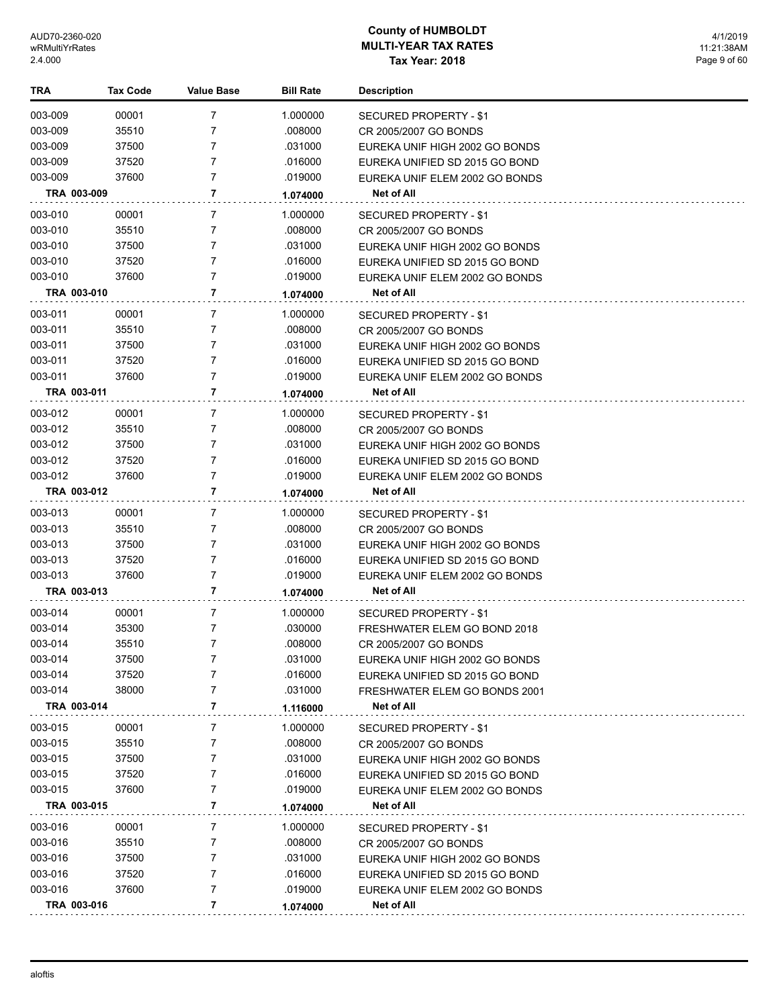4/1/2019 11:21:38AM Page 9 of 60

| TRA         | <b>Tax Code</b> | Value Base     | <b>Bill Rate</b> | <b>Description</b>             |
|-------------|-----------------|----------------|------------------|--------------------------------|
| 003-009     | 00001           | 7              | 1.000000         | SECURED PROPERTY - \$1         |
| 003-009     | 35510           | 7              | .008000          | CR 2005/2007 GO BONDS          |
| 003-009     | 37500           | 7              | .031000          | EUREKA UNIF HIGH 2002 GO BONDS |
| 003-009     | 37520           | 7              | .016000          | EUREKA UNIFIED SD 2015 GO BOND |
| 003-009     | 37600           | 7              | .019000          | EUREKA UNIF ELEM 2002 GO BONDS |
| TRA 003-009 |                 | 7              | 1.074000         | Net of All                     |
| 003-010     | 00001           | 7              | 1.000000         | <b>SECURED PROPERTY - \$1</b>  |
| 003-010     | 35510           | 7              | .008000          | CR 2005/2007 GO BONDS          |
| 003-010     | 37500           | 7              | .031000          | EUREKA UNIF HIGH 2002 GO BONDS |
| 003-010     | 37520           | 7              | .016000          | EUREKA UNIFIED SD 2015 GO BOND |
| 003-010     | 37600           | 7              | .019000          | EUREKA UNIF ELEM 2002 GO BONDS |
| TRA 003-010 |                 | 7              | 1.074000         | Net of All                     |
| 003-011     | 00001           | 7              | 1.000000         | SECURED PROPERTY - \$1         |
| 003-011     | 35510           | 7              | .008000          | CR 2005/2007 GO BONDS          |
| 003-011     | 37500           | 7              | .031000          | EUREKA UNIF HIGH 2002 GO BONDS |
| 003-011     | 37520           | 7              | .016000          | EUREKA UNIFIED SD 2015 GO BOND |
| 003-011     | 37600           | 7              | .019000          | EUREKA UNIF ELEM 2002 GO BONDS |
| TRA 003-011 |                 | 7              | 1.074000         | Net of All                     |
| 003-012     | 00001           | 7              | 1.000000         | SECURED PROPERTY - \$1         |
| 003-012     | 35510           | 7              | .008000          | CR 2005/2007 GO BONDS          |
| 003-012     | 37500           | 7              | .031000          | EUREKA UNIF HIGH 2002 GO BONDS |
| 003-012     | 37520           | 7              | .016000          | EUREKA UNIFIED SD 2015 GO BOND |
| 003-012     | 37600           | $\overline{7}$ | .019000          | EUREKA UNIF ELEM 2002 GO BONDS |
| TRA 003-012 |                 | $\overline{7}$ | 1.074000         | Net of All                     |
| 003-013     | 00001           | 7              | 1.000000         | SECURED PROPERTY - \$1         |
| 003-013     | 35510           | 7              | .008000          | CR 2005/2007 GO BONDS          |
| 003-013     | 37500           | 7              | .031000          | EUREKA UNIF HIGH 2002 GO BONDS |
| 003-013     | 37520           | $\overline{7}$ | .016000          | EUREKA UNIFIED SD 2015 GO BOND |
| 003-013     | 37600           | 7              | .019000          | EUREKA UNIF ELEM 2002 GO BONDS |
| TRA 003-013 |                 | $\overline{7}$ | 1.074000         | Net of All                     |
| 003-014     | 00001           | 7              | 1.000000         | SECURED PROPERTY - \$1         |
| 003-014     | 35300           | 7              | .030000          | FRESHWATER ELEM GO BOND 2018   |
| 003-014     | 35510           | $\overline{7}$ | .008000          | CR 2005/2007 GO BONDS          |
| 003-014     | 37500           | 7              | .031000          | EUREKA UNIF HIGH 2002 GO BONDS |
| 003-014     | 37520           | 7              | .016000          | EUREKA UNIFIED SD 2015 GO BOND |
| 003-014     | 38000           | $\overline{7}$ | .031000          | FRESHWATER ELEM GO BONDS 2001  |
| TRA 003-014 |                 | 7              | 1.116000         | Net of All                     |
| 003-015     | 00001           | 7              | 1.000000         | SECURED PROPERTY - \$1         |
| 003-015     | 35510           | 7              | .008000          | CR 2005/2007 GO BONDS          |
| 003-015     | 37500           | 7              | .031000          | EUREKA UNIF HIGH 2002 GO BONDS |
| 003-015     | 37520           | 7              | .016000          | EUREKA UNIFIED SD 2015 GO BOND |
| 003-015     | 37600           | 7              | .019000          | EUREKA UNIF ELEM 2002 GO BONDS |
| TRA 003-015 |                 | 7              | 1.074000         | Net of All                     |
| 003-016     | 00001           | $\overline{7}$ | 1.000000         | SECURED PROPERTY - \$1         |
| 003-016     | 35510           | 7              | .008000          | CR 2005/2007 GO BONDS          |
| 003-016     | 37500           | 7              | .031000          | EUREKA UNIF HIGH 2002 GO BONDS |
| 003-016     | 37520           | 7              | .016000          | EUREKA UNIFIED SD 2015 GO BOND |
| 003-016     | 37600           | 7              | .019000          | EUREKA UNIF ELEM 2002 GO BONDS |
| TRA 003-016 |                 | 7              | 1.074000         | Net of All                     |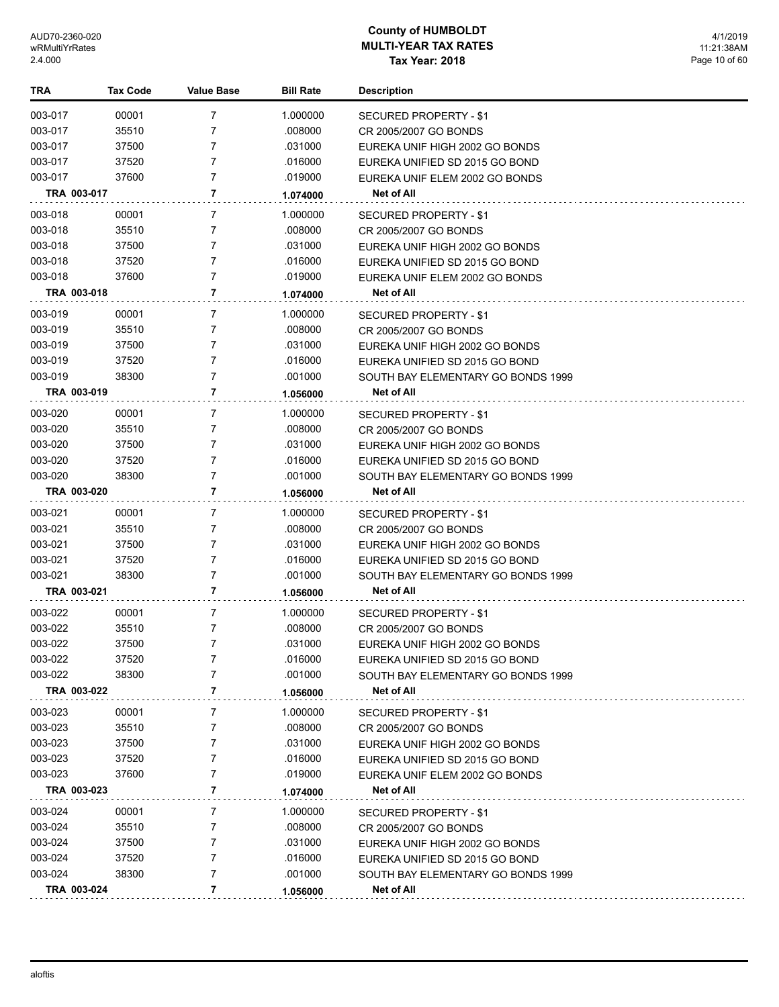| <b>TRA</b>  | <b>Tax Code</b> | <b>Value Base</b> | <b>Bill Rate</b> | <b>Description</b>                 |
|-------------|-----------------|-------------------|------------------|------------------------------------|
| 003-017     | 00001           | 7                 | 1.000000         | SECURED PROPERTY - \$1             |
| 003-017     | 35510           | 7                 | .008000          | CR 2005/2007 GO BONDS              |
| 003-017     | 37500           | 7                 | .031000          | EUREKA UNIF HIGH 2002 GO BONDS     |
| 003-017     | 37520           | 7                 | .016000          | EUREKA UNIFIED SD 2015 GO BOND     |
| 003-017     | 37600           | $\overline{7}$    | .019000          | EUREKA UNIF ELEM 2002 GO BONDS     |
| TRA 003-017 |                 | 7                 | 1.074000         | Net of All                         |
| 003-018     | 00001           | 7                 | 1.000000         | <b>SECURED PROPERTY - \$1</b>      |
| 003-018     | 35510           | $\overline{7}$    | .008000          | CR 2005/2007 GO BONDS              |
| 003-018     | 37500           | 7                 | .031000          | EUREKA UNIF HIGH 2002 GO BONDS     |
| 003-018     | 37520           | 7                 | .016000          | EUREKA UNIFIED SD 2015 GO BOND     |
| 003-018     | 37600           | 7                 | .019000          | EUREKA UNIF ELEM 2002 GO BONDS     |
| TRA 003-018 |                 | 7                 | 1.074000         | Net of All                         |
| 003-019     | 00001           | 7                 | 1.000000         | SECURED PROPERTY - \$1             |
| 003-019     | 35510           | 7                 | .008000          | CR 2005/2007 GO BONDS              |
| 003-019     | 37500           | 7                 | .031000          | EUREKA UNIF HIGH 2002 GO BONDS     |
| 003-019     | 37520           | 7                 | .016000          | EUREKA UNIFIED SD 2015 GO BOND     |
| 003-019     | 38300           | $\overline{7}$    | .001000          | SOUTH BAY ELEMENTARY GO BONDS 1999 |
| TRA 003-019 |                 | 7                 | 1.056000         | Net of All                         |
| 003-020     | 00001           | 7                 | 1.000000         | SECURED PROPERTY - \$1             |
| 003-020     | 35510           | 7                 | .008000          | CR 2005/2007 GO BONDS              |
| 003-020     | 37500           | 7                 | .031000          | EUREKA UNIF HIGH 2002 GO BONDS     |
| 003-020     | 37520           | 7                 | .016000          | EUREKA UNIFIED SD 2015 GO BOND     |
| 003-020     | 38300           | 7                 | .001000          | SOUTH BAY ELEMENTARY GO BONDS 1999 |
| TRA 003-020 |                 | 7                 | 1.056000         | Net of All                         |
| 003-021     | 00001           | 7                 | 1.000000         | SECURED PROPERTY - \$1             |
| 003-021     | 35510           | 7                 | .008000          | CR 2005/2007 GO BONDS              |
| 003-021     | 37500           | 7                 | .031000          | EUREKA UNIF HIGH 2002 GO BONDS     |
| 003-021     | 37520           | 7                 | .016000          | EUREKA UNIFIED SD 2015 GO BOND     |
| 003-021     | 38300           | 7                 | .001000          | SOUTH BAY ELEMENTARY GO BONDS 1999 |
| TRA 003-021 |                 | 7                 | 1.056000         | Net of All                         |
| 003-022     | 00001           | 7                 | 1.000000         | <b>SECURED PROPERTY - \$1</b>      |
| 003-022     | 35510           | 7                 | .008000          | CR 2005/2007 GO BONDS              |
| 003-022     | 37500           | 7                 | .031000          | EUREKA UNIF HIGH 2002 GO BONDS     |
| 003-022     | 37520           |                   | .016000          | EUREKA UNIFIED SD 2015 GO BOND     |
| 003-022     | 38300           | 7                 | .001000          | SOUTH BAY ELEMENTARY GO BONDS 1999 |
| TRA 003-022 |                 | 7                 | 1.056000         | Net of All                         |
| 003-023     | 00001           | 7                 | 1.000000         | <b>SECURED PROPERTY - \$1</b>      |
| 003-023     | 35510           | 7                 | .008000          | CR 2005/2007 GO BONDS              |
| 003-023     | 37500           | 7                 | .031000          | EUREKA UNIF HIGH 2002 GO BONDS     |
| 003-023     | 37520           | 7                 | .016000          | EUREKA UNIFIED SD 2015 GO BOND     |
| 003-023     | 37600           | 7                 | .019000          | EUREKA UNIF ELEM 2002 GO BONDS     |
| TRA 003-023 |                 | 7                 | 1.074000         | Net of All                         |
| 003-024     | 00001           | 7                 | 1.000000         | SECURED PROPERTY - \$1             |
| 003-024     | 35510           | 7                 | .008000          | CR 2005/2007 GO BONDS              |
| 003-024     | 37500           | 7                 | .031000          | EUREKA UNIF HIGH 2002 GO BONDS     |
| 003-024     | 37520           | 7                 | .016000          | EUREKA UNIFIED SD 2015 GO BOND     |
| 003-024     | 38300           | 7                 | .001000          | SOUTH BAY ELEMENTARY GO BONDS 1999 |
| TRA 003-024 |                 | 7                 | 1.056000         | <b>Net of All</b>                  |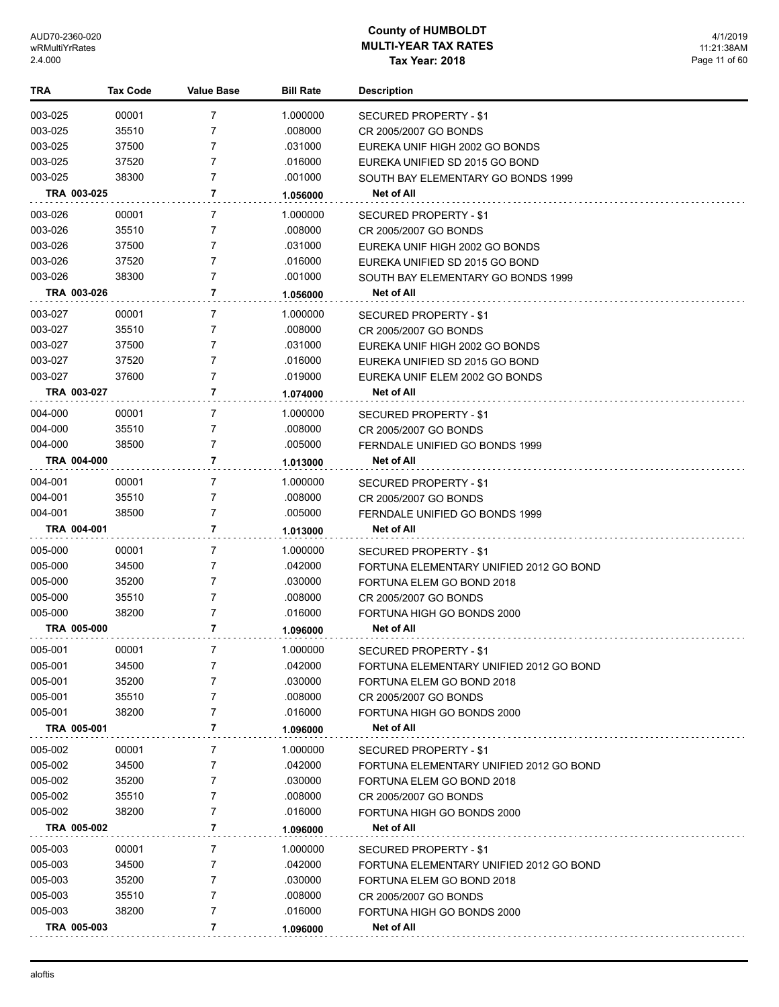4/1/2019 11:21:38AM Page 11 of 60

| TRA                | <b>Tax Code</b> | <b>Value Base</b> | <b>Bill Rate</b> | <b>Description</b>                      |
|--------------------|-----------------|-------------------|------------------|-----------------------------------------|
| 003-025            | 00001           | 7                 | 1.000000         | SECURED PROPERTY - \$1                  |
| 003-025            | 35510           | 7                 | .008000          | CR 2005/2007 GO BONDS                   |
| 003-025            | 37500           | 7                 | .031000          | EUREKA UNIF HIGH 2002 GO BONDS          |
| 003-025            | 37520           | 7                 | .016000          | EUREKA UNIFIED SD 2015 GO BOND          |
| 003-025            | 38300           | 7                 | .001000          | SOUTH BAY ELEMENTARY GO BONDS 1999      |
| TRA 003-025        |                 | 7                 | 1.056000         | Net of All                              |
| 003-026            | 00001           | $\overline{7}$    | 1.000000         | SECURED PROPERTY - \$1                  |
| 003-026            | 35510           | 7                 | .008000          | CR 2005/2007 GO BONDS                   |
| 003-026            | 37500           | 7                 | .031000          | EUREKA UNIF HIGH 2002 GO BONDS          |
| 003-026            | 37520           | 7                 | .016000          | EUREKA UNIFIED SD 2015 GO BOND          |
| 003-026            | 38300           | 7                 | .001000          | SOUTH BAY ELEMENTARY GO BONDS 1999      |
| TRA 003-026        |                 | 7                 | 1.056000         | Net of All                              |
| 003-027            | 00001           | 7                 | 1.000000         | SECURED PROPERTY - \$1                  |
| 003-027            | 35510           | 7                 | .008000          | CR 2005/2007 GO BONDS                   |
| 003-027            | 37500           | 7                 | .031000          | EUREKA UNIF HIGH 2002 GO BONDS          |
| 003-027            | 37520           | 7                 | .016000          | EUREKA UNIFIED SD 2015 GO BOND          |
| 003-027            | 37600           | 7                 | .019000          | EUREKA UNIF ELEM 2002 GO BONDS          |
| TRA 003-027        |                 | $\overline{7}$    | 1.074000         | Net of All                              |
| 004-000            | 00001           | 7                 | 1.000000         |                                         |
| 004-000            | 35510           | 7                 | .008000          | <b>SECURED PROPERTY - \$1</b>           |
| 004-000            | 38500           | 7                 | .005000          | CR 2005/2007 GO BONDS                   |
|                    |                 | 7                 |                  | FERNDALE UNIFIED GO BONDS 1999          |
| TRA 004-000        |                 |                   | 1.013000         | Net of All                              |
| 004-001            | 00001           | 7                 | 1.000000         | SECURED PROPERTY - \$1                  |
| 004-001            | 35510           | 7                 | .008000          | CR 2005/2007 GO BONDS                   |
| 004-001            | 38500           | 7                 | .005000          | FERNDALE UNIFIED GO BONDS 1999          |
| TRA 004-001        |                 | 7                 | 1.013000         | Net of All                              |
| 005-000            | 00001           | 7                 | 1.000000         | SECURED PROPERTY - \$1                  |
| 005-000            | 34500           | 7                 | .042000          | FORTUNA ELEMENTARY UNIFIED 2012 GO BOND |
| 005-000            | 35200           | 7                 | .030000          | FORTUNA ELEM GO BOND 2018               |
| 005-000            | 35510           | 7                 | .008000          | CR 2005/2007 GO BONDS                   |
| 005-000            | 38200           | 7                 | .016000          | FORTUNA HIGH GO BONDS 2000              |
| <b>TRA 005-000</b> |                 | 7                 | 1.096000         | Net of All                              |
| 005-001            | 00001           | 7                 | 1.000000         | SECURED PROPERTY - \$1                  |
| 005-001            | 34500           | 7                 | .042000          | FORTUNA ELEMENTARY UNIFIED 2012 GO BOND |
| 005-001            | 35200           | 7                 | .030000          | FORTUNA ELEM GO BOND 2018               |
| 005-001            | 35510           | 7                 | .008000          | CR 2005/2007 GO BONDS                   |
| 005-001            | 38200           | 7                 | .016000          | FORTUNA HIGH GO BONDS 2000              |
| TRA 005-001        |                 | $\overline{7}$    | 1.096000         | Net of All                              |
| 005-002            | 00001           | 7                 | 1.000000         | SECURED PROPERTY - \$1                  |
| 005-002            | 34500           | 7                 | .042000          | FORTUNA ELEMENTARY UNIFIED 2012 GO BOND |
| 005-002            | 35200           | 7                 | .030000          | FORTUNA ELEM GO BOND 2018               |
| 005-002            | 35510           | 7                 | .008000          | CR 2005/2007 GO BONDS                   |
| 005-002            | 38200           | 7                 | .016000          | FORTUNA HIGH GO BONDS 2000              |
| TRA 005-002        |                 | $\overline{7}$    | 1.096000         | Net of All                              |
| 005-003            | 00001           | 7                 | 1.000000         | SECURED PROPERTY - \$1                  |
| 005-003            | 34500           | 7                 | .042000          | FORTUNA ELEMENTARY UNIFIED 2012 GO BOND |
| 005-003            | 35200           | 7                 | .030000          | FORTUNA ELEM GO BOND 2018               |
| 005-003            | 35510           | 7                 | .008000          | CR 2005/2007 GO BONDS                   |
| 005-003            | 38200           | 7                 | .016000          | FORTUNA HIGH GO BONDS 2000              |
| TRA 005-003        |                 | 7                 | 1.096000         | <b>Net of All</b>                       |
|                    |                 |                   |                  |                                         |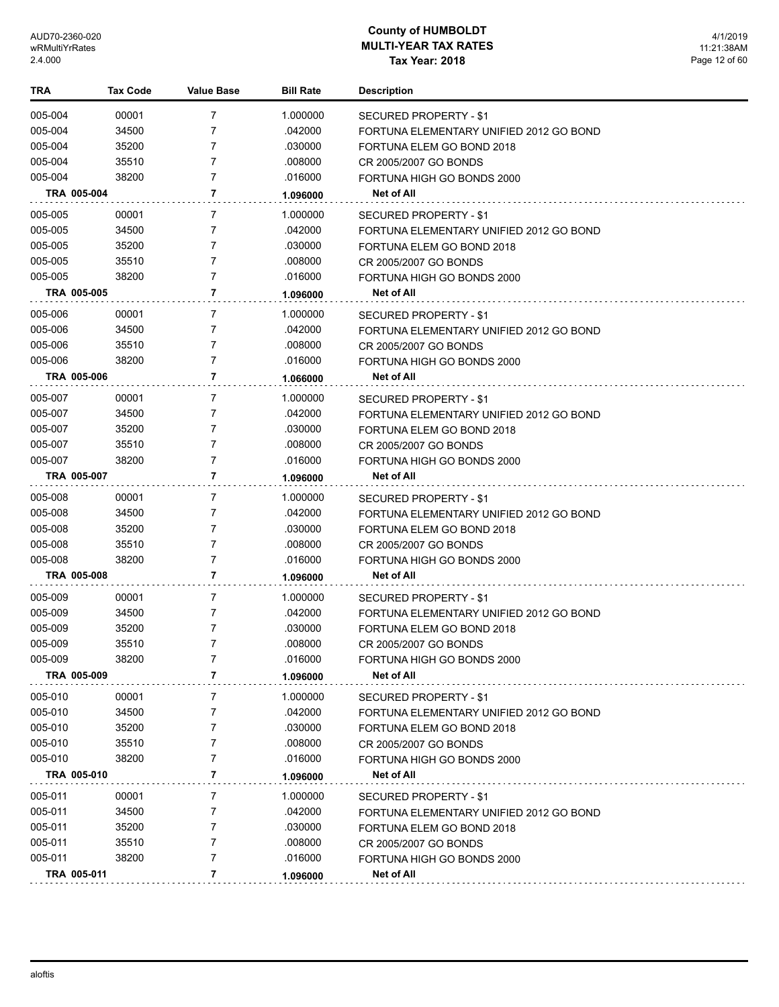| TRA                | Tax Code | <b>Value Base</b> | <b>Bill Rate</b> | <b>Description</b>                      |
|--------------------|----------|-------------------|------------------|-----------------------------------------|
| 005-004            | 00001    | 7                 | 1.000000         | SECURED PROPERTY - \$1                  |
| 005-004            | 34500    | 7                 | .042000          | FORTUNA ELEMENTARY UNIFIED 2012 GO BOND |
| 005-004            | 35200    | 7                 | .030000          | FORTUNA ELEM GO BOND 2018               |
| 005-004            | 35510    | 7                 | .008000          | CR 2005/2007 GO BONDS                   |
| 005-004            | 38200    | 7                 | .016000          | FORTUNA HIGH GO BONDS 2000              |
| TRA 005-004        |          | $\overline{7}$    | 1.096000         | Net of All                              |
| 005-005            | 00001    | 7                 | 1.000000         | <b>SECURED PROPERTY - \$1</b>           |
| 005-005            | 34500    | 7                 | .042000          | FORTUNA ELEMENTARY UNIFIED 2012 GO BOND |
| 005-005            | 35200    | 7                 | .030000          | FORTUNA ELEM GO BOND 2018               |
| 005-005            | 35510    | 7                 | .008000          | CR 2005/2007 GO BONDS                   |
| 005-005            | 38200    | 7                 | .016000          | FORTUNA HIGH GO BONDS 2000              |
| TRA 005-005        |          | 7                 | 1.096000         | Net of All                              |
| 005-006            | 00001    | 7                 | 1.000000         | SECURED PROPERTY - \$1                  |
| 005-006            | 34500    | 7                 | .042000          | FORTUNA ELEMENTARY UNIFIED 2012 GO BOND |
| 005-006            | 35510    | 7                 | .008000          | CR 2005/2007 GO BONDS                   |
| 005-006            | 38200    | 7                 | .016000          | FORTUNA HIGH GO BONDS 2000              |
| <b>TRA 005-006</b> |          | 7                 | 1.066000         | Net of All                              |
| 005-007            | 00001    | 7                 | 1.000000         | SECURED PROPERTY - \$1                  |
| 005-007            | 34500    | 7                 | .042000          | FORTUNA ELEMENTARY UNIFIED 2012 GO BOND |
| 005-007            | 35200    | 7                 | .030000          | FORTUNA ELEM GO BOND 2018               |
| 005-007            | 35510    | 7                 | .008000          | CR 2005/2007 GO BONDS                   |
| 005-007            | 38200    | 7                 | .016000          | FORTUNA HIGH GO BONDS 2000              |
| TRA 005-007        |          | 7                 | 1.096000         | Net of All                              |
| 005-008            | 00001    | 7                 | 1.000000         | SECURED PROPERTY - \$1                  |
| 005-008            | 34500    | 7                 | .042000          | FORTUNA ELEMENTARY UNIFIED 2012 GO BOND |
| 005-008            | 35200    | 7                 | .030000          | FORTUNA ELEM GO BOND 2018               |
| 005-008            | 35510    | 7                 | .008000          | CR 2005/2007 GO BONDS                   |
| 005-008            | 38200    | 7                 | .016000          | FORTUNA HIGH GO BONDS 2000              |
| TRA 005-008        |          | 7                 | 1.096000         | Net of All                              |
| 005-009            | 00001    | 7                 | 1.000000         | SECURED PROPERTY - \$1                  |
| 005-009            | 34500    | 7                 | .042000          | FORTUNA ELEMENTARY UNIFIED 2012 GO BOND |
| 005-009            | 35200    | 7                 | .030000          | FORTUNA ELEM GO BOND 2018               |
| 005-009            | 35510    | 7                 | .008000          | CR 2005/2007 GO BONDS                   |
| 005-009            | 38200    | 7                 | .016000          | FORTUNA HIGH GO BONDS 2000              |
| TRA 005-009        |          | 7                 | 1.096000         | Net of All                              |
| 005-010            | 00001    | 7                 | 1.000000         | SECURED PROPERTY - \$1                  |
| 005-010            | 34500    | 7                 | .042000          | FORTUNA ELEMENTARY UNIFIED 2012 GO BOND |
| 005-010            | 35200    | 7                 | .030000          | FORTUNA ELEM GO BOND 2018               |
| 005-010            | 35510    | 7                 | .008000          | CR 2005/2007 GO BONDS                   |
| 005-010            | 38200    | 7                 | .016000          | FORTUNA HIGH GO BONDS 2000              |
| TRA 005-010        |          | 7                 | 1.096000         | Net of All                              |
| 005-011            | 00001    | 7                 | 1.000000         | <b>SECURED PROPERTY - \$1</b>           |
| 005-011            | 34500    | 7                 | .042000          | FORTUNA ELEMENTARY UNIFIED 2012 GO BOND |
| 005-011            | 35200    | 7                 | .030000          | FORTUNA ELEM GO BOND 2018               |
| 005-011            | 35510    | 7                 | .008000          | CR 2005/2007 GO BONDS                   |
| 005-011            | 38200    | 7                 | .016000          | FORTUNA HIGH GO BONDS 2000              |
| TRA 005-011        |          | 7                 | 1.096000         | Net of All                              |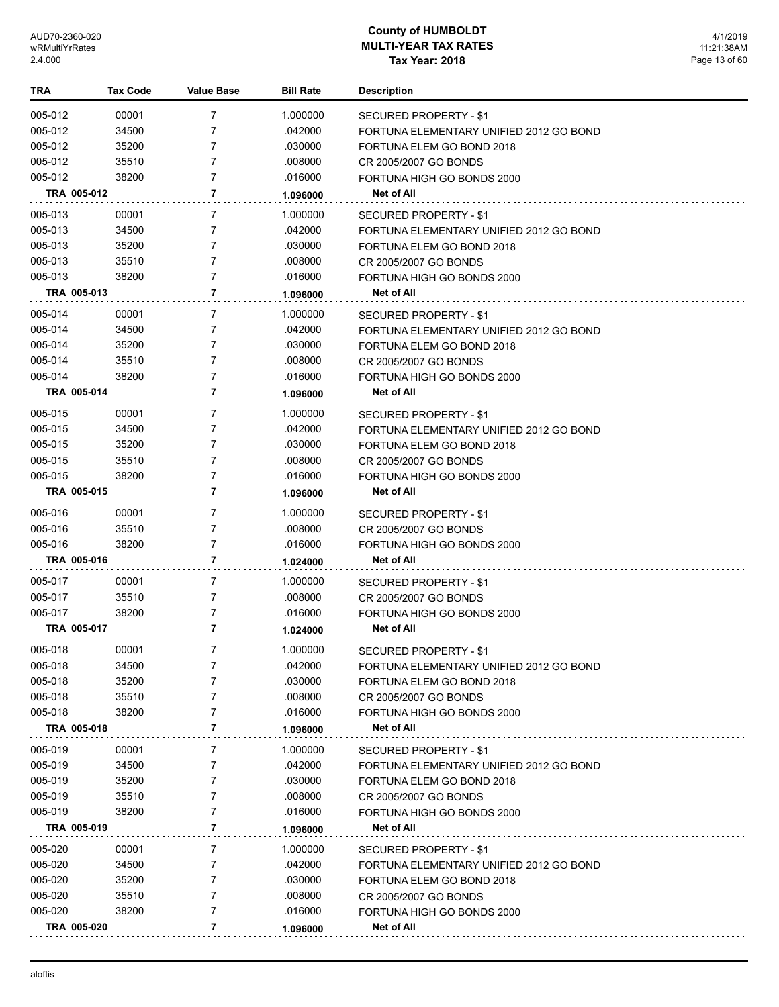| TRA     | Tax Code    | Value Base     | <b>Bill Rate</b> | <b>Description</b>                      |
|---------|-------------|----------------|------------------|-----------------------------------------|
| 005-012 | 00001       | $\overline{7}$ | 1.000000         | SECURED PROPERTY - \$1                  |
| 005-012 | 34500       | 7              | .042000          | FORTUNA ELEMENTARY UNIFIED 2012 GO BOND |
| 005-012 | 35200       | 7              | .030000          | FORTUNA ELEM GO BOND 2018               |
| 005-012 | 35510       | 7              | .008000          | CR 2005/2007 GO BONDS                   |
| 005-012 | 38200       | 7              | .016000          | FORTUNA HIGH GO BONDS 2000              |
|         | TRA 005-012 | 7              | 1.096000         | Net of All                              |
| 005-013 | 00001       | 7              | 1.000000         | <b>SECURED PROPERTY - \$1</b>           |
| 005-013 | 34500       | 7              | .042000          | FORTUNA ELEMENTARY UNIFIED 2012 GO BOND |
| 005-013 | 35200       | 7              | .030000          | FORTUNA ELEM GO BOND 2018               |
| 005-013 | 35510       | 7              | .008000          | CR 2005/2007 GO BONDS                   |
| 005-013 | 38200       | 7              | .016000          | FORTUNA HIGH GO BONDS 2000              |
|         | TRA 005-013 | 7              | 1.096000         | Net of All                              |
| 005-014 | 00001       | 7              | 1.000000         | SECURED PROPERTY - \$1                  |
| 005-014 | 34500       | 7              | .042000          | FORTUNA ELEMENTARY UNIFIED 2012 GO BOND |
| 005-014 | 35200       | 7              | .030000          | FORTUNA ELEM GO BOND 2018               |
| 005-014 | 35510       | 7              | .008000          | CR 2005/2007 GO BONDS                   |
| 005-014 | 38200       | 7              | .016000          | FORTUNA HIGH GO BONDS 2000              |
|         | TRA 005-014 | 7              | 1.096000         | Net of All                              |
| 005-015 | 00001       | 7              | 1.000000         | SECURED PROPERTY - \$1                  |
| 005-015 | 34500       | 7              | .042000          | FORTUNA ELEMENTARY UNIFIED 2012 GO BOND |
| 005-015 | 35200       | 7              | .030000          | FORTUNA ELEM GO BOND 2018               |
| 005-015 | 35510       | 7              | .008000          | CR 2005/2007 GO BONDS                   |
| 005-015 | 38200       | 7              | .016000          | FORTUNA HIGH GO BONDS 2000              |
|         | TRA 005-015 | 7              | 1.096000         | Net of All                              |
| 005-016 | 00001       | 7              | 1.000000         | SECURED PROPERTY - \$1                  |
| 005-016 | 35510       | 7              | .008000          | CR 2005/2007 GO BONDS                   |
| 005-016 | 38200       | 7              | .016000          | FORTUNA HIGH GO BONDS 2000              |
|         | TRA 005-016 | 7              | 1.024000         | Net of All                              |
| 005-017 | 00001       | 7              | 1.000000         | SECURED PROPERTY - \$1                  |
| 005-017 | 35510       | 7              | .008000          | CR 2005/2007 GO BONDS                   |
| 005-017 | 38200       | 7              | .016000          | FORTUNA HIGH GO BONDS 2000              |
|         | TRA 005-017 | 7              | 1.024000         | Net of All                              |
| 005-018 | 00001       | 7              | 1.000000         | SECURED PROPERTY - \$1                  |
| 005-018 | 34500       | 7              | .042000          | FORTUNA ELEMENTARY UNIFIED 2012 GO BOND |
| 005-018 | 35200       | 7              | .030000          | FORTUNA ELEM GO BOND 2018               |
| 005-018 | 35510       | 7              | .008000          | CR 2005/2007 GO BONDS                   |
| 005-018 | 38200       | 7              | .016000          | FORTUNA HIGH GO BONDS 2000              |
|         | TRA 005-018 | 7              | 1.096000         | Net of All                              |
| 005-019 | 00001       | 7              | 1.000000         | SECURED PROPERTY - \$1                  |
| 005-019 | 34500       | 7              | .042000          | FORTUNA ELEMENTARY UNIFIED 2012 GO BOND |
| 005-019 | 35200       | 7              | .030000          | FORTUNA ELEM GO BOND 2018               |
| 005-019 | 35510       | 7              | .008000          | CR 2005/2007 GO BONDS                   |
| 005-019 | 38200       | 7              | .016000          | FORTUNA HIGH GO BONDS 2000              |
|         | TRA 005-019 | 7              | 1.096000         | Net of All                              |
| 005-020 | 00001       | 7              | 1.000000         | SECURED PROPERTY - \$1                  |
| 005-020 | 34500       | 7              | .042000          | FORTUNA ELEMENTARY UNIFIED 2012 GO BOND |
| 005-020 | 35200       | 7              | .030000          | FORTUNA ELEM GO BOND 2018               |
| 005-020 | 35510       | 7              | .008000          | CR 2005/2007 GO BONDS                   |
| 005-020 | 38200       | 7              | .016000          | FORTUNA HIGH GO BONDS 2000              |
|         | TRA 005-020 | 7              | 1.096000         | Net of All                              |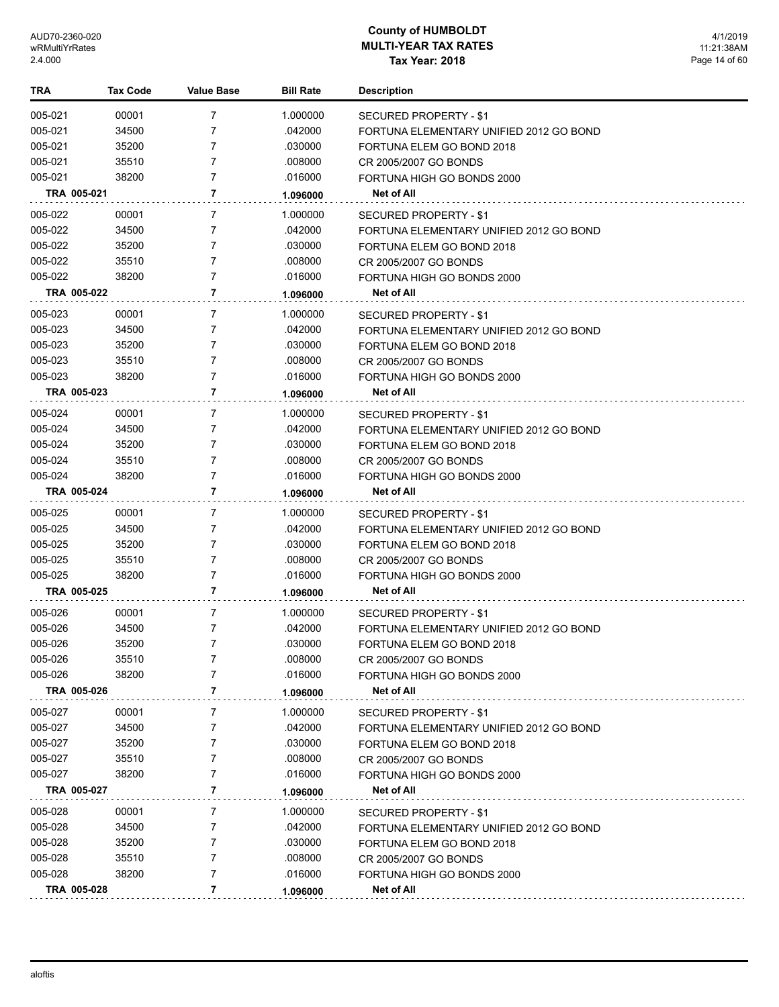| TRA         | Tax Code | <b>Value Base</b> | <b>Bill Rate</b> | <b>Description</b>                      |
|-------------|----------|-------------------|------------------|-----------------------------------------|
| 005-021     | 00001    | 7                 | 1.000000         | SECURED PROPERTY - \$1                  |
| 005-021     | 34500    | 7                 | .042000          | FORTUNA ELEMENTARY UNIFIED 2012 GO BOND |
| 005-021     | 35200    | 7                 | .030000          | FORTUNA ELEM GO BOND 2018               |
| 005-021     | 35510    | 7                 | .008000          | CR 2005/2007 GO BONDS                   |
| 005-021     | 38200    | 7                 | .016000          | FORTUNA HIGH GO BONDS 2000              |
| TRA 005-021 |          | 7                 | 1.096000         | Net of All                              |
| 005-022     | 00001    | 7                 | 1.000000         | <b>SECURED PROPERTY - \$1</b>           |
| 005-022     | 34500    | 7                 | .042000          | FORTUNA ELEMENTARY UNIFIED 2012 GO BOND |
| 005-022     | 35200    | 7                 | .030000          | FORTUNA ELEM GO BOND 2018               |
| 005-022     | 35510    | 7                 | .008000          | CR 2005/2007 GO BONDS                   |
| 005-022     | 38200    | 7                 | .016000          | FORTUNA HIGH GO BONDS 2000              |
| TRA 005-022 |          | 7                 | 1.096000         | Net of All                              |
| 005-023     | 00001    | 7                 | 1.000000         | SECURED PROPERTY - \$1                  |
| 005-023     | 34500    | 7                 | .042000          | FORTUNA ELEMENTARY UNIFIED 2012 GO BOND |
| 005-023     | 35200    | 7                 | .030000          | FORTUNA ELEM GO BOND 2018               |
| 005-023     | 35510    | 7                 | .008000          | CR 2005/2007 GO BONDS                   |
| 005-023     | 38200    | 7                 | .016000          | FORTUNA HIGH GO BONDS 2000              |
| TRA 005-023 |          | 7                 | 1.096000         | Net of All                              |
| 005-024     | 00001    | 7                 | 1.000000         | SECURED PROPERTY - \$1                  |
| 005-024     | 34500    | 7                 | .042000          | FORTUNA ELEMENTARY UNIFIED 2012 GO BOND |
| 005-024     | 35200    | 7                 | .030000          | FORTUNA ELEM GO BOND 2018               |
| 005-024     | 35510    | 7                 | .008000          | CR 2005/2007 GO BONDS                   |
| 005-024     | 38200    | 7                 | .016000          | FORTUNA HIGH GO BONDS 2000              |
| TRA 005-024 |          | 7                 | 1.096000         | Net of All                              |
| 005-025     | 00001    | 7                 | 1.000000         | SECURED PROPERTY - \$1                  |
| 005-025     | 34500    | 7                 | .042000          | FORTUNA ELEMENTARY UNIFIED 2012 GO BOND |
| 005-025     | 35200    | 7                 | .030000          | FORTUNA ELEM GO BOND 2018               |
| 005-025     | 35510    | 7                 | .008000          | CR 2005/2007 GO BONDS                   |
| 005-025     | 38200    | 7                 | .016000          | FORTUNA HIGH GO BONDS 2000              |
| TRA 005-025 |          | 7                 | 1.096000         | Net of All                              |
| 005-026     | 00001    | 7                 | 1.000000         | SECURED PROPERTY - \$1                  |
| 005-026     | 34500    | 7                 | .042000          | FORTUNA ELEMENTARY UNIFIED 2012 GO BOND |
| 005-026     | 35200    | 7                 | .030000          | FORTUNA ELEM GO BOND 2018               |
| 005-026     | 35510    | 7                 | .008000          | CR 2005/2007 GO BONDS                   |
| 005-026     | 38200    | 7                 | .016000          | FORTUNA HIGH GO BONDS 2000              |
| TRA 005-026 |          | 7                 | 1.096000         | Net of All                              |
| 005-027     | 00001    | 7                 | 1.000000         | SECURED PROPERTY - \$1                  |
| 005-027     | 34500    | 7                 | .042000          | FORTUNA ELEMENTARY UNIFIED 2012 GO BOND |
| 005-027     | 35200    | 7                 | .030000          | FORTUNA ELEM GO BOND 2018               |
| 005-027     | 35510    | 7                 | .008000          | CR 2005/2007 GO BONDS                   |
| 005-027     | 38200    | 7                 | .016000          | FORTUNA HIGH GO BONDS 2000              |
| TRA 005-027 |          | 7                 | 1.096000         | Net of All                              |
| 005-028     | 00001    | 7                 | 1.000000         | SECURED PROPERTY - \$1                  |
| 005-028     | 34500    | 7                 | .042000          | FORTUNA ELEMENTARY UNIFIED 2012 GO BOND |
| 005-028     | 35200    | 7                 | .030000          | FORTUNA ELEM GO BOND 2018               |
| 005-028     | 35510    | 7                 | .008000          | CR 2005/2007 GO BONDS                   |
| 005-028     | 38200    | 7                 | .016000          | FORTUNA HIGH GO BONDS 2000              |
| TRA 005-028 |          | 7                 | 1.096000         | Net of All                              |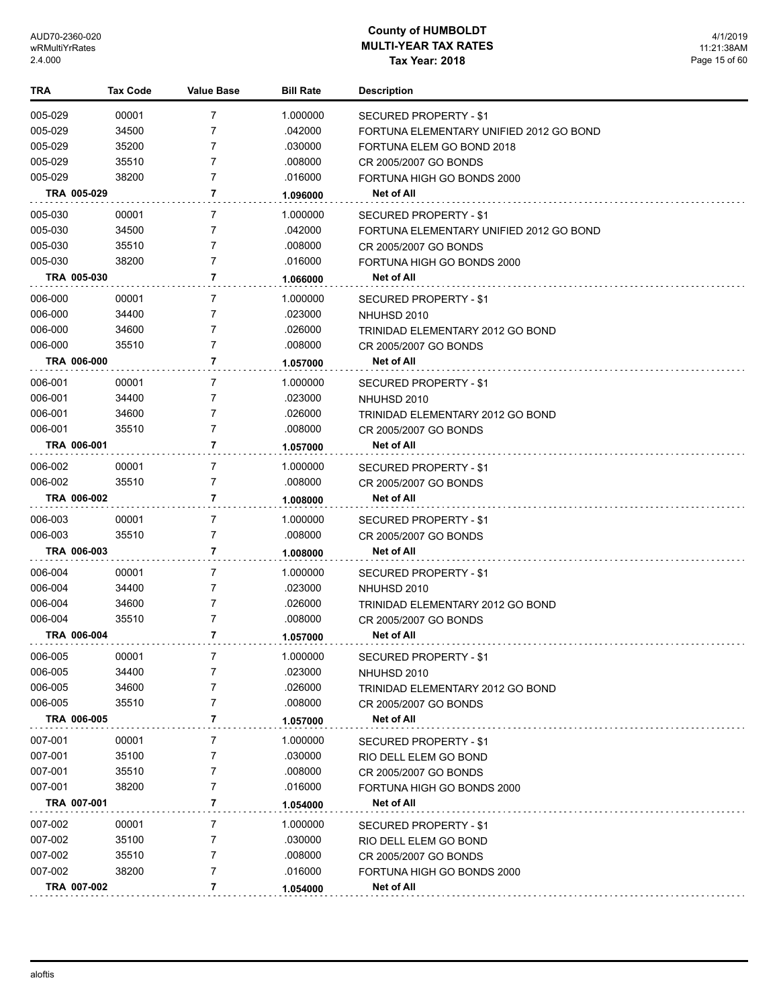| TRA         | <b>Tax Code</b> | Value Base     | <b>Bill Rate</b> | <b>Description</b>                      |
|-------------|-----------------|----------------|------------------|-----------------------------------------|
| 005-029     | 00001           | 7              | 1.000000         | SECURED PROPERTY - \$1                  |
| 005-029     | 34500           | 7              | .042000          | FORTUNA ELEMENTARY UNIFIED 2012 GO BOND |
| 005-029     | 35200           | 7              | .030000          | FORTUNA ELEM GO BOND 2018               |
| 005-029     | 35510           | 7              | .008000          | CR 2005/2007 GO BONDS                   |
| 005-029     | 38200           | 7              | .016000          | FORTUNA HIGH GO BONDS 2000              |
|             | TRA 005-029     | 7              | 1.096000         | <b>Net of All</b>                       |
| 005-030     | 00001           | 7              | 1.000000         | <b>SECURED PROPERTY - \$1</b>           |
| 005-030     | 34500           | 7              | .042000          | FORTUNA ELEMENTARY UNIFIED 2012 GO BOND |
| 005-030     | 35510           | 7              | .008000          | CR 2005/2007 GO BONDS                   |
| 005-030     | 38200           | 7              | .016000          | FORTUNA HIGH GO BONDS 2000              |
|             | TRA 005-030     | 7              | 1.066000         | <b>Net of All</b>                       |
| 006-000     | 00001           | 7              | 1.000000         | SECURED PROPERTY - \$1                  |
| 006-000     | 34400           | $\overline{7}$ | .023000          | NHUHSD 2010                             |
| 006-000     | 34600           | 7              | .026000          | TRINIDAD ELEMENTARY 2012 GO BOND        |
| 006-000     | 35510           | 7              | .008000          | CR 2005/2007 GO BONDS                   |
|             | TRA 006-000     | 7              | 1.057000         | Net of All                              |
| 006-001     | 00001           | 7              | 1.000000         | SECURED PROPERTY - \$1                  |
| 006-001     | 34400           | 7              | .023000          | NHUHSD 2010                             |
| 006-001     | 34600           | 7              | .026000          | TRINIDAD ELEMENTARY 2012 GO BOND        |
| 006-001     | 35510           | 7              | .008000          | CR 2005/2007 GO BONDS                   |
|             | TRA 006-001     | 7              | 1.057000         | <b>Net of All</b>                       |
| 006-002     | 00001           | $\overline{7}$ | 1.000000         | SECURED PROPERTY - \$1                  |
| 006-002     | 35510           | $\overline{7}$ | .008000          | CR 2005/2007 GO BONDS                   |
|             | TRA 006-002     | 7              | 1.008000         | <b>Net of All</b>                       |
| 006-003     | 00001           | 7              | 1.000000         | <b>SECURED PROPERTY - \$1</b>           |
| 006-003     | 35510           | 7              | .008000          | CR 2005/2007 GO BONDS                   |
|             | TRA 006-003     | 7              | 1.008000         | Net of All                              |
| 006-004     | 00001           | 7              | 1.000000         | SECURED PROPERTY - \$1                  |
| 006-004     | 34400           | 7              | .023000          | NHUHSD 2010                             |
| 006-004     | 34600           | 7              | .026000          | TRINIDAD ELEMENTARY 2012 GO BOND        |
| 006-004     | 35510           | 7              | .008000          | CR 2005/2007 GO BONDS                   |
|             | TRA 006-004     | 7              | 1.057000         | <b>Net of All</b>                       |
| 006-005     | 00001           |                | 1.000000         | <b>SECURED PROPERTY - \$1</b>           |
| 006-005     | 34400           | 7              | .023000          | NHUHSD 2010                             |
| 006-005     | 34600           | 7              | .026000          | TRINIDAD ELEMENTARY 2012 GO BOND        |
| 006-005     | 35510           | 7              | .008000          | CR 2005/2007 GO BONDS                   |
|             | TRA 006-005     | 7              | 1.057000         | Net of All                              |
| 007-001     | 00001           | 7              | 1.000000         | <b>SECURED PROPERTY - \$1</b>           |
| 007-001     | 35100           | 7              | .030000          | RIO DELL ELEM GO BOND                   |
| 007-001     | 35510           | 7              | .008000          | CR 2005/2007 GO BONDS                   |
| 007-001     | 38200           | 7              | .016000          | FORTUNA HIGH GO BONDS 2000              |
| TRA 007-001 |                 | 7              | 1.054000         | <b>Net of All</b>                       |
| 007-002     | 00001           | 7              | 1.000000         | SECURED PROPERTY - \$1                  |
| 007-002     | 35100           | 7              | .030000          | RIO DELL ELEM GO BOND                   |
| 007-002     | 35510           | 7              | .008000          | CR 2005/2007 GO BONDS                   |
| 007-002     | 38200           | $\overline{7}$ | .016000          | FORTUNA HIGH GO BONDS 2000              |
|             | TRA 007-002     | 7              | 1.054000         | Net of All                              |
|             |                 |                |                  |                                         |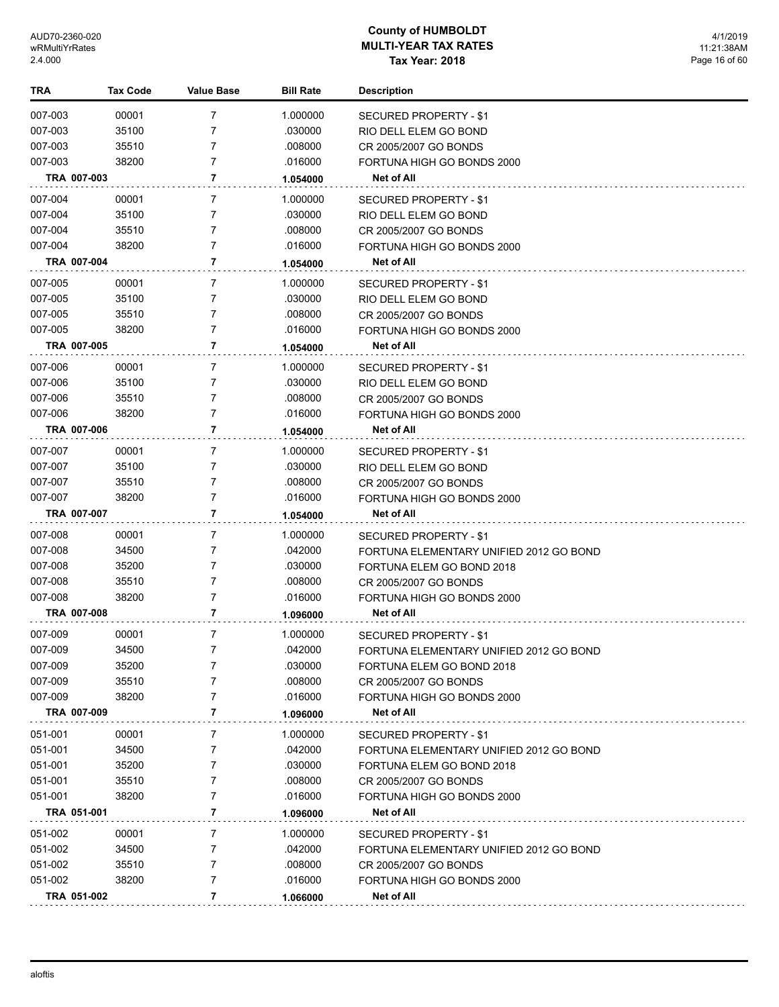| TRA         | <b>Tax Code</b> | <b>Value Base</b> | <b>Bill Rate</b> | <b>Description</b>                      |
|-------------|-----------------|-------------------|------------------|-----------------------------------------|
| 007-003     | 00001           | 7                 | 1.000000         | SECURED PROPERTY - \$1                  |
| 007-003     | 35100           | 7                 | .030000          | RIO DELL ELEM GO BOND                   |
| 007-003     | 35510           | 7                 | .008000          | CR 2005/2007 GO BONDS                   |
| 007-003     | 38200           | 7                 | .016000          | FORTUNA HIGH GO BONDS 2000              |
| TRA 007-003 |                 | 7                 | 1.054000         | Net of All                              |
| 007-004     | 00001           | 7                 | 1.000000         | SECURED PROPERTY - \$1                  |
| 007-004     | 35100           | 7                 | .030000          | RIO DELL ELEM GO BOND                   |
| 007-004     | 35510           | 7                 | .008000          | CR 2005/2007 GO BONDS                   |
| 007-004     | 38200           | 7                 | .016000          | FORTUNA HIGH GO BONDS 2000              |
| TRA 007-004 |                 | 7                 | 1.054000         | <b>Net of All</b>                       |
| 007-005     | 00001           | 7                 | 1.000000         | SECURED PROPERTY - \$1                  |
| 007-005     | 35100           | 7                 | .030000          | RIO DELL ELEM GO BOND                   |
| 007-005     | 35510           | 7                 | .008000          | CR 2005/2007 GO BONDS                   |
| 007-005     | 38200           | $\overline{7}$    | .016000          | FORTUNA HIGH GO BONDS 2000              |
| TRA 007-005 |                 | 7                 | 1.054000         | <b>Net of All</b>                       |
| 007-006     | 00001           | 7                 | 1.000000         | SECURED PROPERTY - \$1                  |
| 007-006     | 35100           | 7                 | .030000          | RIO DELL ELEM GO BOND                   |
| 007-006     | 35510           | 7                 | .008000          | CR 2005/2007 GO BONDS                   |
| 007-006     | 38200           | 7                 | .016000          | FORTUNA HIGH GO BONDS 2000              |
| TRA 007-006 |                 | 7                 | 1.054000         | Net of All                              |
| 007-007     | 00001           | 7                 | 1.000000         | SECURED PROPERTY - \$1                  |
| 007-007     | 35100           | 7                 | .030000          | RIO DELL ELEM GO BOND                   |
| 007-007     | 35510           | 7                 | .008000          | CR 2005/2007 GO BONDS                   |
| 007-007     | 38200           | $\overline{7}$    | .016000          | FORTUNA HIGH GO BONDS 2000              |
| TRA 007-007 |                 | 7                 | 1.054000         | Net of All                              |
| 007-008     | 00001           | 7                 | 1.000000         | SECURED PROPERTY - \$1                  |
| 007-008     | 34500           | 7                 | .042000          | FORTUNA ELEMENTARY UNIFIED 2012 GO BOND |
| 007-008     | 35200           | 7                 | .030000          | FORTUNA ELEM GO BOND 2018               |
| 007-008     | 35510           | $\overline{7}$    | .008000          | CR 2005/2007 GO BONDS                   |
| 007-008     | 38200           | $\overline{7}$    | .016000          | FORTUNA HIGH GO BONDS 2000              |
| TRA 007-008 |                 | 7                 | 1.096000         | Net of All                              |
| 007-009     | 00001           | 7                 | 1.000000         | SECURED PROPERTY - \$1                  |
| 007-009     | 34500           | 7                 | .042000          | FORTUNA ELEMENTARY UNIFIED 2012 GO BOND |
| 007-009     | 35200           | 7                 | .030000          | FORTUNA ELEM GO BOND 2018               |
| 007-009     | 35510           | 7                 | .008000          | CR 2005/2007 GO BONDS                   |
| 007-009     | 38200           | 7                 | .016000          | FORTUNA HIGH GO BONDS 2000              |
| TRA 007-009 |                 | 7                 | 1.096000         | Net of All                              |
| 051-001     | 00001           | 7                 | 1.000000         | <b>SECURED PROPERTY - \$1</b>           |
| 051-001     | 34500           | 7                 | .042000          | FORTUNA ELEMENTARY UNIFIED 2012 GO BOND |
| 051-001     | 35200           | 7                 | .030000          | FORTUNA ELEM GO BOND 2018               |
| 051-001     | 35510           | 7                 | .008000          | CR 2005/2007 GO BONDS                   |
| 051-001     | 38200           | 7                 | .016000          | FORTUNA HIGH GO BONDS 2000              |
| TRA 051-001 |                 | 7                 | 1.096000         | <b>Net of All</b>                       |
| 051-002     | 00001           | 7                 | 1.000000         | SECURED PROPERTY - \$1                  |
| 051-002     | 34500           | 7                 | .042000          | FORTUNA ELEMENTARY UNIFIED 2012 GO BOND |
| 051-002     | 35510           | 7                 | .008000          | CR 2005/2007 GO BONDS                   |
| 051-002     | 38200           | 7                 | .016000          | FORTUNA HIGH GO BONDS 2000              |
| TRA 051-002 |                 | 7                 | 1.066000         | Net of All                              |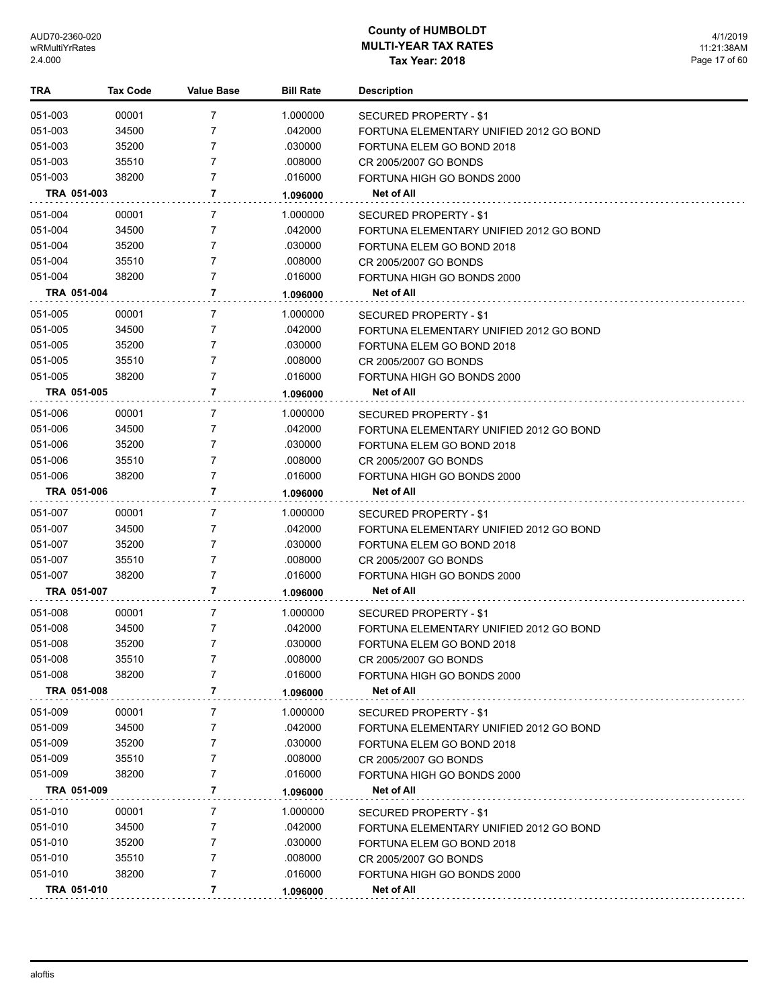| 051-003<br>00001<br>7<br>1.000000<br>SECURED PROPERTY - \$1<br>7<br>051-003<br>34500<br>.042000<br>FORTUNA ELEMENTARY UNIFIED 2012 GO BOND<br>051-003<br>35200<br>7<br>.030000<br>FORTUNA ELEM GO BOND 2018<br>051-003<br>7<br>35510<br>.008000<br>CR 2005/2007 GO BONDS<br>38200<br>7<br>051-003<br>.016000<br>FORTUNA HIGH GO BONDS 2000<br>7<br>TRA 051-003<br>Net of All<br>1.096000<br>051-004<br>00001<br>7<br>1.000000<br><b>SECURED PROPERTY - \$1</b><br>051-004<br>34500<br>7<br>.042000<br>FORTUNA ELEMENTARY UNIFIED 2012 GO BOND<br>7<br>051-004<br>35200<br>.030000<br>FORTUNA ELEM GO BOND 2018<br>051-004<br>35510<br>7<br>.008000<br>CR 2005/2007 GO BONDS<br>051-004<br>38200<br>7<br>.016000<br>FORTUNA HIGH GO BONDS 2000<br>7<br><b>Net of All</b><br>TRA 051-004<br>1.096000<br>051-005<br>00001<br>7<br>1.000000<br>SECURED PROPERTY - \$1<br>051-005<br>34500<br>7<br>.042000<br>FORTUNA ELEMENTARY UNIFIED 2012 GO BOND<br>051-005<br>35200<br>7<br>.030000<br>FORTUNA ELEM GO BOND 2018<br>051-005<br>35510<br>7<br>.008000<br>CR 2005/2007 GO BONDS<br>7<br>051-005<br>38200<br>.016000<br>FORTUNA HIGH GO BONDS 2000<br>7<br>TRA 051-005<br>Net of All<br>1.096000<br>051-006<br>00001<br>7<br>1.000000<br><b>SECURED PROPERTY - \$1</b><br>34500<br>051-006<br>7<br>.042000<br>FORTUNA ELEMENTARY UNIFIED 2012 GO BOND<br>051-006<br>35200<br>7<br>.030000<br>FORTUNA ELEM GO BOND 2018<br>051-006<br>35510<br>7<br>.008000<br>CR 2005/2007 GO BONDS<br>051-006<br>38200<br>7<br>.016000<br>FORTUNA HIGH GO BONDS 2000<br>TRA 051-006<br>7<br>Net of All<br>1.096000<br>051-007<br>00001<br>7<br>1.000000<br>SECURED PROPERTY - \$1<br>051-007<br>34500<br>7<br>.042000<br>FORTUNA ELEMENTARY UNIFIED 2012 GO BOND<br>051-007<br>35200<br>7<br>.030000<br>FORTUNA ELEM GO BOND 2018<br>051-007<br>35510<br>7<br>.008000<br>CR 2005/2007 GO BONDS<br>7<br>051-007<br>38200<br>.016000<br>FORTUNA HIGH GO BONDS 2000<br>7<br>TRA 051-007<br>Net of All<br>1.096000<br>051-008<br>00001<br>7<br>1.000000<br>SECURED PROPERTY - \$1<br>051-008<br>34500<br>7<br>.042000<br>FORTUNA ELEMENTARY UNIFIED 2012 GO BOND<br>7<br>051-008<br>35200<br>.030000<br>FORTUNA ELEM GO BOND 2018<br>051-008<br>.008000<br>35510<br>7<br>CR 2005/2007 GO BONDS<br>051-008<br>38200<br>7<br>.016000<br>FORTUNA HIGH GO BONDS 2000<br>7<br>TRA 051-008<br>Net of All<br>1.096000<br>051-009<br>00001<br>1.000000<br>7<br>SECURED PROPERTY - \$1<br>051-009<br>34500<br>.042000<br>7<br>FORTUNA ELEMENTARY UNIFIED 2012 GO BOND<br>051-009<br>35200<br>7<br>.030000<br>FORTUNA ELEM GO BOND 2018<br>051-009<br>35510<br>7<br>.008000<br>CR 2005/2007 GO BONDS<br>051-009<br>38200<br>.016000<br>7<br>FORTUNA HIGH GO BONDS 2000<br>7<br>TRA 051-009<br><b>Net of All</b><br>1.096000<br>051-010<br>00001<br>7<br>1.000000<br>SECURED PROPERTY - \$1<br>051-010<br>34500<br>.042000<br>7<br>FORTUNA ELEMENTARY UNIFIED 2012 GO BOND<br>051-010<br>35200<br>7<br>.030000<br>FORTUNA ELEM GO BOND 2018<br>051-010<br>35510<br>.008000<br>7<br>CR 2005/2007 GO BONDS<br>051-010<br>38200<br>7<br>.016000<br>FORTUNA HIGH GO BONDS 2000<br>7<br>Net of All<br>TRA 051-010<br>1.096000 | TRA | Tax Code | <b>Value Base</b> | <b>Bill Rate</b> | <b>Description</b> |
|------------------------------------------------------------------------------------------------------------------------------------------------------------------------------------------------------------------------------------------------------------------------------------------------------------------------------------------------------------------------------------------------------------------------------------------------------------------------------------------------------------------------------------------------------------------------------------------------------------------------------------------------------------------------------------------------------------------------------------------------------------------------------------------------------------------------------------------------------------------------------------------------------------------------------------------------------------------------------------------------------------------------------------------------------------------------------------------------------------------------------------------------------------------------------------------------------------------------------------------------------------------------------------------------------------------------------------------------------------------------------------------------------------------------------------------------------------------------------------------------------------------------------------------------------------------------------------------------------------------------------------------------------------------------------------------------------------------------------------------------------------------------------------------------------------------------------------------------------------------------------------------------------------------------------------------------------------------------------------------------------------------------------------------------------------------------------------------------------------------------------------------------------------------------------------------------------------------------------------------------------------------------------------------------------------------------------------------------------------------------------------------------------------------------------------------------------------------------------------------------------------------------------------------------------------------------------------------------------------------------------------------------------------------------------------------------------------------------------------------------------------------------------------------------------------------------------------------------------------------------------------------------------------------------------------------------------------------------------------------------------------------------------------------------------------------------------------------------------------------------------------------------------------------------------------------|-----|----------|-------------------|------------------|--------------------|
|                                                                                                                                                                                                                                                                                                                                                                                                                                                                                                                                                                                                                                                                                                                                                                                                                                                                                                                                                                                                                                                                                                                                                                                                                                                                                                                                                                                                                                                                                                                                                                                                                                                                                                                                                                                                                                                                                                                                                                                                                                                                                                                                                                                                                                                                                                                                                                                                                                                                                                                                                                                                                                                                                                                                                                                                                                                                                                                                                                                                                                                                                                                                                                                          |     |          |                   |                  |                    |
|                                                                                                                                                                                                                                                                                                                                                                                                                                                                                                                                                                                                                                                                                                                                                                                                                                                                                                                                                                                                                                                                                                                                                                                                                                                                                                                                                                                                                                                                                                                                                                                                                                                                                                                                                                                                                                                                                                                                                                                                                                                                                                                                                                                                                                                                                                                                                                                                                                                                                                                                                                                                                                                                                                                                                                                                                                                                                                                                                                                                                                                                                                                                                                                          |     |          |                   |                  |                    |
|                                                                                                                                                                                                                                                                                                                                                                                                                                                                                                                                                                                                                                                                                                                                                                                                                                                                                                                                                                                                                                                                                                                                                                                                                                                                                                                                                                                                                                                                                                                                                                                                                                                                                                                                                                                                                                                                                                                                                                                                                                                                                                                                                                                                                                                                                                                                                                                                                                                                                                                                                                                                                                                                                                                                                                                                                                                                                                                                                                                                                                                                                                                                                                                          |     |          |                   |                  |                    |
|                                                                                                                                                                                                                                                                                                                                                                                                                                                                                                                                                                                                                                                                                                                                                                                                                                                                                                                                                                                                                                                                                                                                                                                                                                                                                                                                                                                                                                                                                                                                                                                                                                                                                                                                                                                                                                                                                                                                                                                                                                                                                                                                                                                                                                                                                                                                                                                                                                                                                                                                                                                                                                                                                                                                                                                                                                                                                                                                                                                                                                                                                                                                                                                          |     |          |                   |                  |                    |
|                                                                                                                                                                                                                                                                                                                                                                                                                                                                                                                                                                                                                                                                                                                                                                                                                                                                                                                                                                                                                                                                                                                                                                                                                                                                                                                                                                                                                                                                                                                                                                                                                                                                                                                                                                                                                                                                                                                                                                                                                                                                                                                                                                                                                                                                                                                                                                                                                                                                                                                                                                                                                                                                                                                                                                                                                                                                                                                                                                                                                                                                                                                                                                                          |     |          |                   |                  |                    |
|                                                                                                                                                                                                                                                                                                                                                                                                                                                                                                                                                                                                                                                                                                                                                                                                                                                                                                                                                                                                                                                                                                                                                                                                                                                                                                                                                                                                                                                                                                                                                                                                                                                                                                                                                                                                                                                                                                                                                                                                                                                                                                                                                                                                                                                                                                                                                                                                                                                                                                                                                                                                                                                                                                                                                                                                                                                                                                                                                                                                                                                                                                                                                                                          |     |          |                   |                  |                    |
|                                                                                                                                                                                                                                                                                                                                                                                                                                                                                                                                                                                                                                                                                                                                                                                                                                                                                                                                                                                                                                                                                                                                                                                                                                                                                                                                                                                                                                                                                                                                                                                                                                                                                                                                                                                                                                                                                                                                                                                                                                                                                                                                                                                                                                                                                                                                                                                                                                                                                                                                                                                                                                                                                                                                                                                                                                                                                                                                                                                                                                                                                                                                                                                          |     |          |                   |                  |                    |
|                                                                                                                                                                                                                                                                                                                                                                                                                                                                                                                                                                                                                                                                                                                                                                                                                                                                                                                                                                                                                                                                                                                                                                                                                                                                                                                                                                                                                                                                                                                                                                                                                                                                                                                                                                                                                                                                                                                                                                                                                                                                                                                                                                                                                                                                                                                                                                                                                                                                                                                                                                                                                                                                                                                                                                                                                                                                                                                                                                                                                                                                                                                                                                                          |     |          |                   |                  |                    |
|                                                                                                                                                                                                                                                                                                                                                                                                                                                                                                                                                                                                                                                                                                                                                                                                                                                                                                                                                                                                                                                                                                                                                                                                                                                                                                                                                                                                                                                                                                                                                                                                                                                                                                                                                                                                                                                                                                                                                                                                                                                                                                                                                                                                                                                                                                                                                                                                                                                                                                                                                                                                                                                                                                                                                                                                                                                                                                                                                                                                                                                                                                                                                                                          |     |          |                   |                  |                    |
|                                                                                                                                                                                                                                                                                                                                                                                                                                                                                                                                                                                                                                                                                                                                                                                                                                                                                                                                                                                                                                                                                                                                                                                                                                                                                                                                                                                                                                                                                                                                                                                                                                                                                                                                                                                                                                                                                                                                                                                                                                                                                                                                                                                                                                                                                                                                                                                                                                                                                                                                                                                                                                                                                                                                                                                                                                                                                                                                                                                                                                                                                                                                                                                          |     |          |                   |                  |                    |
|                                                                                                                                                                                                                                                                                                                                                                                                                                                                                                                                                                                                                                                                                                                                                                                                                                                                                                                                                                                                                                                                                                                                                                                                                                                                                                                                                                                                                                                                                                                                                                                                                                                                                                                                                                                                                                                                                                                                                                                                                                                                                                                                                                                                                                                                                                                                                                                                                                                                                                                                                                                                                                                                                                                                                                                                                                                                                                                                                                                                                                                                                                                                                                                          |     |          |                   |                  |                    |
|                                                                                                                                                                                                                                                                                                                                                                                                                                                                                                                                                                                                                                                                                                                                                                                                                                                                                                                                                                                                                                                                                                                                                                                                                                                                                                                                                                                                                                                                                                                                                                                                                                                                                                                                                                                                                                                                                                                                                                                                                                                                                                                                                                                                                                                                                                                                                                                                                                                                                                                                                                                                                                                                                                                                                                                                                                                                                                                                                                                                                                                                                                                                                                                          |     |          |                   |                  |                    |
|                                                                                                                                                                                                                                                                                                                                                                                                                                                                                                                                                                                                                                                                                                                                                                                                                                                                                                                                                                                                                                                                                                                                                                                                                                                                                                                                                                                                                                                                                                                                                                                                                                                                                                                                                                                                                                                                                                                                                                                                                                                                                                                                                                                                                                                                                                                                                                                                                                                                                                                                                                                                                                                                                                                                                                                                                                                                                                                                                                                                                                                                                                                                                                                          |     |          |                   |                  |                    |
|                                                                                                                                                                                                                                                                                                                                                                                                                                                                                                                                                                                                                                                                                                                                                                                                                                                                                                                                                                                                                                                                                                                                                                                                                                                                                                                                                                                                                                                                                                                                                                                                                                                                                                                                                                                                                                                                                                                                                                                                                                                                                                                                                                                                                                                                                                                                                                                                                                                                                                                                                                                                                                                                                                                                                                                                                                                                                                                                                                                                                                                                                                                                                                                          |     |          |                   |                  |                    |
|                                                                                                                                                                                                                                                                                                                                                                                                                                                                                                                                                                                                                                                                                                                                                                                                                                                                                                                                                                                                                                                                                                                                                                                                                                                                                                                                                                                                                                                                                                                                                                                                                                                                                                                                                                                                                                                                                                                                                                                                                                                                                                                                                                                                                                                                                                                                                                                                                                                                                                                                                                                                                                                                                                                                                                                                                                                                                                                                                                                                                                                                                                                                                                                          |     |          |                   |                  |                    |
|                                                                                                                                                                                                                                                                                                                                                                                                                                                                                                                                                                                                                                                                                                                                                                                                                                                                                                                                                                                                                                                                                                                                                                                                                                                                                                                                                                                                                                                                                                                                                                                                                                                                                                                                                                                                                                                                                                                                                                                                                                                                                                                                                                                                                                                                                                                                                                                                                                                                                                                                                                                                                                                                                                                                                                                                                                                                                                                                                                                                                                                                                                                                                                                          |     |          |                   |                  |                    |
|                                                                                                                                                                                                                                                                                                                                                                                                                                                                                                                                                                                                                                                                                                                                                                                                                                                                                                                                                                                                                                                                                                                                                                                                                                                                                                                                                                                                                                                                                                                                                                                                                                                                                                                                                                                                                                                                                                                                                                                                                                                                                                                                                                                                                                                                                                                                                                                                                                                                                                                                                                                                                                                                                                                                                                                                                                                                                                                                                                                                                                                                                                                                                                                          |     |          |                   |                  |                    |
|                                                                                                                                                                                                                                                                                                                                                                                                                                                                                                                                                                                                                                                                                                                                                                                                                                                                                                                                                                                                                                                                                                                                                                                                                                                                                                                                                                                                                                                                                                                                                                                                                                                                                                                                                                                                                                                                                                                                                                                                                                                                                                                                                                                                                                                                                                                                                                                                                                                                                                                                                                                                                                                                                                                                                                                                                                                                                                                                                                                                                                                                                                                                                                                          |     |          |                   |                  |                    |
|                                                                                                                                                                                                                                                                                                                                                                                                                                                                                                                                                                                                                                                                                                                                                                                                                                                                                                                                                                                                                                                                                                                                                                                                                                                                                                                                                                                                                                                                                                                                                                                                                                                                                                                                                                                                                                                                                                                                                                                                                                                                                                                                                                                                                                                                                                                                                                                                                                                                                                                                                                                                                                                                                                                                                                                                                                                                                                                                                                                                                                                                                                                                                                                          |     |          |                   |                  |                    |
|                                                                                                                                                                                                                                                                                                                                                                                                                                                                                                                                                                                                                                                                                                                                                                                                                                                                                                                                                                                                                                                                                                                                                                                                                                                                                                                                                                                                                                                                                                                                                                                                                                                                                                                                                                                                                                                                                                                                                                                                                                                                                                                                                                                                                                                                                                                                                                                                                                                                                                                                                                                                                                                                                                                                                                                                                                                                                                                                                                                                                                                                                                                                                                                          |     |          |                   |                  |                    |
|                                                                                                                                                                                                                                                                                                                                                                                                                                                                                                                                                                                                                                                                                                                                                                                                                                                                                                                                                                                                                                                                                                                                                                                                                                                                                                                                                                                                                                                                                                                                                                                                                                                                                                                                                                                                                                                                                                                                                                                                                                                                                                                                                                                                                                                                                                                                                                                                                                                                                                                                                                                                                                                                                                                                                                                                                                                                                                                                                                                                                                                                                                                                                                                          |     |          |                   |                  |                    |
|                                                                                                                                                                                                                                                                                                                                                                                                                                                                                                                                                                                                                                                                                                                                                                                                                                                                                                                                                                                                                                                                                                                                                                                                                                                                                                                                                                                                                                                                                                                                                                                                                                                                                                                                                                                                                                                                                                                                                                                                                                                                                                                                                                                                                                                                                                                                                                                                                                                                                                                                                                                                                                                                                                                                                                                                                                                                                                                                                                                                                                                                                                                                                                                          |     |          |                   |                  |                    |
|                                                                                                                                                                                                                                                                                                                                                                                                                                                                                                                                                                                                                                                                                                                                                                                                                                                                                                                                                                                                                                                                                                                                                                                                                                                                                                                                                                                                                                                                                                                                                                                                                                                                                                                                                                                                                                                                                                                                                                                                                                                                                                                                                                                                                                                                                                                                                                                                                                                                                                                                                                                                                                                                                                                                                                                                                                                                                                                                                                                                                                                                                                                                                                                          |     |          |                   |                  |                    |
|                                                                                                                                                                                                                                                                                                                                                                                                                                                                                                                                                                                                                                                                                                                                                                                                                                                                                                                                                                                                                                                                                                                                                                                                                                                                                                                                                                                                                                                                                                                                                                                                                                                                                                                                                                                                                                                                                                                                                                                                                                                                                                                                                                                                                                                                                                                                                                                                                                                                                                                                                                                                                                                                                                                                                                                                                                                                                                                                                                                                                                                                                                                                                                                          |     |          |                   |                  |                    |
|                                                                                                                                                                                                                                                                                                                                                                                                                                                                                                                                                                                                                                                                                                                                                                                                                                                                                                                                                                                                                                                                                                                                                                                                                                                                                                                                                                                                                                                                                                                                                                                                                                                                                                                                                                                                                                                                                                                                                                                                                                                                                                                                                                                                                                                                                                                                                                                                                                                                                                                                                                                                                                                                                                                                                                                                                                                                                                                                                                                                                                                                                                                                                                                          |     |          |                   |                  |                    |
|                                                                                                                                                                                                                                                                                                                                                                                                                                                                                                                                                                                                                                                                                                                                                                                                                                                                                                                                                                                                                                                                                                                                                                                                                                                                                                                                                                                                                                                                                                                                                                                                                                                                                                                                                                                                                                                                                                                                                                                                                                                                                                                                                                                                                                                                                                                                                                                                                                                                                                                                                                                                                                                                                                                                                                                                                                                                                                                                                                                                                                                                                                                                                                                          |     |          |                   |                  |                    |
|                                                                                                                                                                                                                                                                                                                                                                                                                                                                                                                                                                                                                                                                                                                                                                                                                                                                                                                                                                                                                                                                                                                                                                                                                                                                                                                                                                                                                                                                                                                                                                                                                                                                                                                                                                                                                                                                                                                                                                                                                                                                                                                                                                                                                                                                                                                                                                                                                                                                                                                                                                                                                                                                                                                                                                                                                                                                                                                                                                                                                                                                                                                                                                                          |     |          |                   |                  |                    |
|                                                                                                                                                                                                                                                                                                                                                                                                                                                                                                                                                                                                                                                                                                                                                                                                                                                                                                                                                                                                                                                                                                                                                                                                                                                                                                                                                                                                                                                                                                                                                                                                                                                                                                                                                                                                                                                                                                                                                                                                                                                                                                                                                                                                                                                                                                                                                                                                                                                                                                                                                                                                                                                                                                                                                                                                                                                                                                                                                                                                                                                                                                                                                                                          |     |          |                   |                  |                    |
|                                                                                                                                                                                                                                                                                                                                                                                                                                                                                                                                                                                                                                                                                                                                                                                                                                                                                                                                                                                                                                                                                                                                                                                                                                                                                                                                                                                                                                                                                                                                                                                                                                                                                                                                                                                                                                                                                                                                                                                                                                                                                                                                                                                                                                                                                                                                                                                                                                                                                                                                                                                                                                                                                                                                                                                                                                                                                                                                                                                                                                                                                                                                                                                          |     |          |                   |                  |                    |
|                                                                                                                                                                                                                                                                                                                                                                                                                                                                                                                                                                                                                                                                                                                                                                                                                                                                                                                                                                                                                                                                                                                                                                                                                                                                                                                                                                                                                                                                                                                                                                                                                                                                                                                                                                                                                                                                                                                                                                                                                                                                                                                                                                                                                                                                                                                                                                                                                                                                                                                                                                                                                                                                                                                                                                                                                                                                                                                                                                                                                                                                                                                                                                                          |     |          |                   |                  |                    |
|                                                                                                                                                                                                                                                                                                                                                                                                                                                                                                                                                                                                                                                                                                                                                                                                                                                                                                                                                                                                                                                                                                                                                                                                                                                                                                                                                                                                                                                                                                                                                                                                                                                                                                                                                                                                                                                                                                                                                                                                                                                                                                                                                                                                                                                                                                                                                                                                                                                                                                                                                                                                                                                                                                                                                                                                                                                                                                                                                                                                                                                                                                                                                                                          |     |          |                   |                  |                    |
|                                                                                                                                                                                                                                                                                                                                                                                                                                                                                                                                                                                                                                                                                                                                                                                                                                                                                                                                                                                                                                                                                                                                                                                                                                                                                                                                                                                                                                                                                                                                                                                                                                                                                                                                                                                                                                                                                                                                                                                                                                                                                                                                                                                                                                                                                                                                                                                                                                                                                                                                                                                                                                                                                                                                                                                                                                                                                                                                                                                                                                                                                                                                                                                          |     |          |                   |                  |                    |
|                                                                                                                                                                                                                                                                                                                                                                                                                                                                                                                                                                                                                                                                                                                                                                                                                                                                                                                                                                                                                                                                                                                                                                                                                                                                                                                                                                                                                                                                                                                                                                                                                                                                                                                                                                                                                                                                                                                                                                                                                                                                                                                                                                                                                                                                                                                                                                                                                                                                                                                                                                                                                                                                                                                                                                                                                                                                                                                                                                                                                                                                                                                                                                                          |     |          |                   |                  |                    |
|                                                                                                                                                                                                                                                                                                                                                                                                                                                                                                                                                                                                                                                                                                                                                                                                                                                                                                                                                                                                                                                                                                                                                                                                                                                                                                                                                                                                                                                                                                                                                                                                                                                                                                                                                                                                                                                                                                                                                                                                                                                                                                                                                                                                                                                                                                                                                                                                                                                                                                                                                                                                                                                                                                                                                                                                                                                                                                                                                                                                                                                                                                                                                                                          |     |          |                   |                  |                    |
|                                                                                                                                                                                                                                                                                                                                                                                                                                                                                                                                                                                                                                                                                                                                                                                                                                                                                                                                                                                                                                                                                                                                                                                                                                                                                                                                                                                                                                                                                                                                                                                                                                                                                                                                                                                                                                                                                                                                                                                                                                                                                                                                                                                                                                                                                                                                                                                                                                                                                                                                                                                                                                                                                                                                                                                                                                                                                                                                                                                                                                                                                                                                                                                          |     |          |                   |                  |                    |
|                                                                                                                                                                                                                                                                                                                                                                                                                                                                                                                                                                                                                                                                                                                                                                                                                                                                                                                                                                                                                                                                                                                                                                                                                                                                                                                                                                                                                                                                                                                                                                                                                                                                                                                                                                                                                                                                                                                                                                                                                                                                                                                                                                                                                                                                                                                                                                                                                                                                                                                                                                                                                                                                                                                                                                                                                                                                                                                                                                                                                                                                                                                                                                                          |     |          |                   |                  |                    |
|                                                                                                                                                                                                                                                                                                                                                                                                                                                                                                                                                                                                                                                                                                                                                                                                                                                                                                                                                                                                                                                                                                                                                                                                                                                                                                                                                                                                                                                                                                                                                                                                                                                                                                                                                                                                                                                                                                                                                                                                                                                                                                                                                                                                                                                                                                                                                                                                                                                                                                                                                                                                                                                                                                                                                                                                                                                                                                                                                                                                                                                                                                                                                                                          |     |          |                   |                  |                    |
|                                                                                                                                                                                                                                                                                                                                                                                                                                                                                                                                                                                                                                                                                                                                                                                                                                                                                                                                                                                                                                                                                                                                                                                                                                                                                                                                                                                                                                                                                                                                                                                                                                                                                                                                                                                                                                                                                                                                                                                                                                                                                                                                                                                                                                                                                                                                                                                                                                                                                                                                                                                                                                                                                                                                                                                                                                                                                                                                                                                                                                                                                                                                                                                          |     |          |                   |                  |                    |
|                                                                                                                                                                                                                                                                                                                                                                                                                                                                                                                                                                                                                                                                                                                                                                                                                                                                                                                                                                                                                                                                                                                                                                                                                                                                                                                                                                                                                                                                                                                                                                                                                                                                                                                                                                                                                                                                                                                                                                                                                                                                                                                                                                                                                                                                                                                                                                                                                                                                                                                                                                                                                                                                                                                                                                                                                                                                                                                                                                                                                                                                                                                                                                                          |     |          |                   |                  |                    |
|                                                                                                                                                                                                                                                                                                                                                                                                                                                                                                                                                                                                                                                                                                                                                                                                                                                                                                                                                                                                                                                                                                                                                                                                                                                                                                                                                                                                                                                                                                                                                                                                                                                                                                                                                                                                                                                                                                                                                                                                                                                                                                                                                                                                                                                                                                                                                                                                                                                                                                                                                                                                                                                                                                                                                                                                                                                                                                                                                                                                                                                                                                                                                                                          |     |          |                   |                  |                    |
|                                                                                                                                                                                                                                                                                                                                                                                                                                                                                                                                                                                                                                                                                                                                                                                                                                                                                                                                                                                                                                                                                                                                                                                                                                                                                                                                                                                                                                                                                                                                                                                                                                                                                                                                                                                                                                                                                                                                                                                                                                                                                                                                                                                                                                                                                                                                                                                                                                                                                                                                                                                                                                                                                                                                                                                                                                                                                                                                                                                                                                                                                                                                                                                          |     |          |                   |                  |                    |
|                                                                                                                                                                                                                                                                                                                                                                                                                                                                                                                                                                                                                                                                                                                                                                                                                                                                                                                                                                                                                                                                                                                                                                                                                                                                                                                                                                                                                                                                                                                                                                                                                                                                                                                                                                                                                                                                                                                                                                                                                                                                                                                                                                                                                                                                                                                                                                                                                                                                                                                                                                                                                                                                                                                                                                                                                                                                                                                                                                                                                                                                                                                                                                                          |     |          |                   |                  |                    |
|                                                                                                                                                                                                                                                                                                                                                                                                                                                                                                                                                                                                                                                                                                                                                                                                                                                                                                                                                                                                                                                                                                                                                                                                                                                                                                                                                                                                                                                                                                                                                                                                                                                                                                                                                                                                                                                                                                                                                                                                                                                                                                                                                                                                                                                                                                                                                                                                                                                                                                                                                                                                                                                                                                                                                                                                                                                                                                                                                                                                                                                                                                                                                                                          |     |          |                   |                  |                    |
|                                                                                                                                                                                                                                                                                                                                                                                                                                                                                                                                                                                                                                                                                                                                                                                                                                                                                                                                                                                                                                                                                                                                                                                                                                                                                                                                                                                                                                                                                                                                                                                                                                                                                                                                                                                                                                                                                                                                                                                                                                                                                                                                                                                                                                                                                                                                                                                                                                                                                                                                                                                                                                                                                                                                                                                                                                                                                                                                                                                                                                                                                                                                                                                          |     |          |                   |                  |                    |
|                                                                                                                                                                                                                                                                                                                                                                                                                                                                                                                                                                                                                                                                                                                                                                                                                                                                                                                                                                                                                                                                                                                                                                                                                                                                                                                                                                                                                                                                                                                                                                                                                                                                                                                                                                                                                                                                                                                                                                                                                                                                                                                                                                                                                                                                                                                                                                                                                                                                                                                                                                                                                                                                                                                                                                                                                                                                                                                                                                                                                                                                                                                                                                                          |     |          |                   |                  |                    |
|                                                                                                                                                                                                                                                                                                                                                                                                                                                                                                                                                                                                                                                                                                                                                                                                                                                                                                                                                                                                                                                                                                                                                                                                                                                                                                                                                                                                                                                                                                                                                                                                                                                                                                                                                                                                                                                                                                                                                                                                                                                                                                                                                                                                                                                                                                                                                                                                                                                                                                                                                                                                                                                                                                                                                                                                                                                                                                                                                                                                                                                                                                                                                                                          |     |          |                   |                  |                    |
|                                                                                                                                                                                                                                                                                                                                                                                                                                                                                                                                                                                                                                                                                                                                                                                                                                                                                                                                                                                                                                                                                                                                                                                                                                                                                                                                                                                                                                                                                                                                                                                                                                                                                                                                                                                                                                                                                                                                                                                                                                                                                                                                                                                                                                                                                                                                                                                                                                                                                                                                                                                                                                                                                                                                                                                                                                                                                                                                                                                                                                                                                                                                                                                          |     |          |                   |                  |                    |
|                                                                                                                                                                                                                                                                                                                                                                                                                                                                                                                                                                                                                                                                                                                                                                                                                                                                                                                                                                                                                                                                                                                                                                                                                                                                                                                                                                                                                                                                                                                                                                                                                                                                                                                                                                                                                                                                                                                                                                                                                                                                                                                                                                                                                                                                                                                                                                                                                                                                                                                                                                                                                                                                                                                                                                                                                                                                                                                                                                                                                                                                                                                                                                                          |     |          |                   |                  |                    |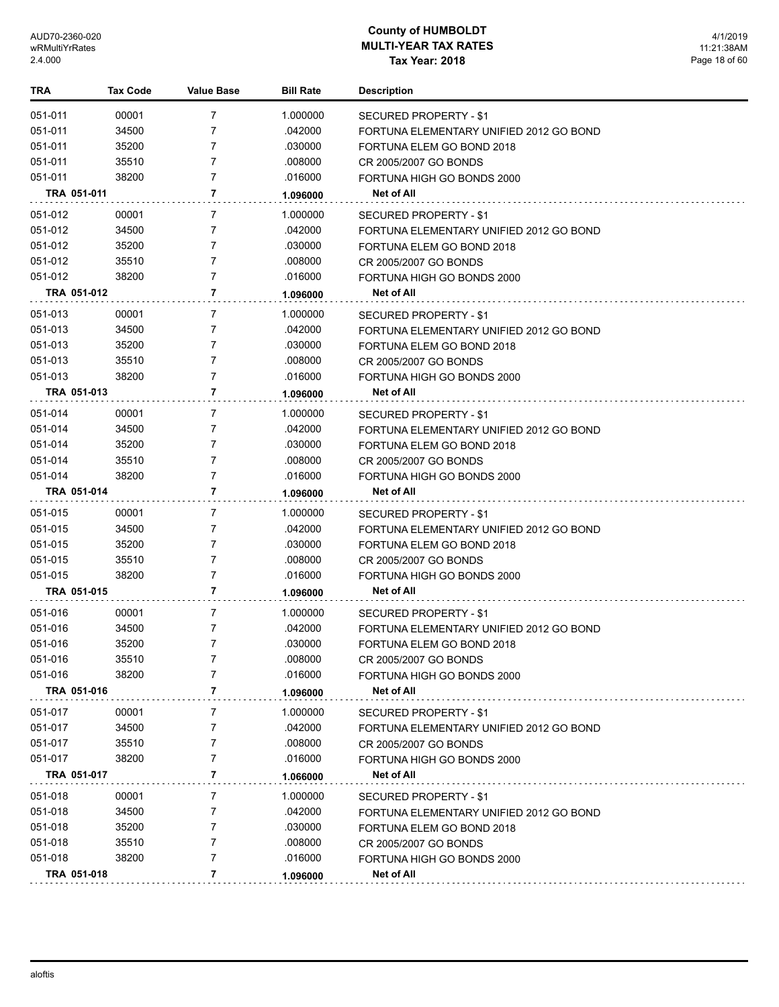| TRA         | <b>Tax Code</b> | <b>Value Base</b> | <b>Bill Rate</b> | <b>Description</b>                      |
|-------------|-----------------|-------------------|------------------|-----------------------------------------|
| 051-011     | 00001           | 7                 | 1.000000         | SECURED PROPERTY - \$1                  |
| 051-011     | 34500           | $\overline{7}$    | .042000          | FORTUNA ELEMENTARY UNIFIED 2012 GO BOND |
| 051-011     | 35200           | $\overline{7}$    | .030000          | FORTUNA ELEM GO BOND 2018               |
| 051-011     | 35510           | $\overline{7}$    | .008000          | CR 2005/2007 GO BONDS                   |
| 051-011     | 38200           | $\overline{7}$    | .016000          | FORTUNA HIGH GO BONDS 2000              |
| TRA 051-011 |                 | 7                 | 1.096000         | Net of All                              |
| 051-012     | 00001           | 7                 | 1.000000         | SECURED PROPERTY - \$1                  |
| 051-012     | 34500           | 7                 | .042000          | FORTUNA ELEMENTARY UNIFIED 2012 GO BOND |
| 051-012     | 35200           | 7                 | .030000          | FORTUNA ELEM GO BOND 2018               |
| 051-012     | 35510           | $\overline{7}$    | .008000          | CR 2005/2007 GO BONDS                   |
| 051-012     | 38200           | $\overline{7}$    | .016000          | FORTUNA HIGH GO BONDS 2000              |
| TRA 051-012 |                 | 7                 | 1.096000         | Net of All                              |
| 051-013     | 00001           | 7                 | 1.000000         | SECURED PROPERTY - \$1                  |
| 051-013     | 34500           | 7                 | .042000          | FORTUNA ELEMENTARY UNIFIED 2012 GO BOND |
| 051-013     | 35200           | $\overline{7}$    | .030000          | FORTUNA ELEM GO BOND 2018               |
| 051-013     | 35510           | $\overline{7}$    | .008000          | CR 2005/2007 GO BONDS                   |
| 051-013     | 38200           | $\overline{7}$    | .016000          | FORTUNA HIGH GO BONDS 2000              |
| TRA 051-013 |                 | 7                 | 1.096000         | Net of All                              |
| 051-014     | 00001           | 7                 | 1.000000         | SECURED PROPERTY - \$1                  |
| 051-014     | 34500           | $\overline{7}$    | .042000          | FORTUNA ELEMENTARY UNIFIED 2012 GO BOND |
| 051-014     | 35200           | 7                 | .030000          | FORTUNA ELEM GO BOND 2018               |
| 051-014     | 35510           | 7                 | .008000          | CR 2005/2007 GO BONDS                   |
| 051-014     | 38200           | 7                 | .016000          | FORTUNA HIGH GO BONDS 2000              |
| TRA 051-014 |                 | 7                 | 1.096000         | Net of All                              |
| 051-015     | 00001           | 7                 | 1.000000         | SECURED PROPERTY - \$1                  |
| 051-015     | 34500           | 7                 | .042000          | FORTUNA ELEMENTARY UNIFIED 2012 GO BOND |
| 051-015     | 35200           | 7                 | .030000          | FORTUNA ELEM GO BOND 2018               |
| 051-015     | 35510           | 7                 | .008000          | CR 2005/2007 GO BONDS                   |
| 051-015     | 38200           | 7                 | .016000          | FORTUNA HIGH GO BONDS 2000              |
| TRA 051-015 |                 | 7                 | 1.096000         | Net of All                              |
| 051-016     | 00001           | 7                 | 1.000000         | SECURED PROPERTY - \$1                  |
| 051-016     | 34500           | 7                 | .042000          | FORTUNA ELEMENTARY UNIFIED 2012 GO BOND |
| 051-016     | 35200           | $\overline{7}$    | .030000          | FORTUNA ELEM GO BOND 2018               |
| 051-016     | 35510           | 7                 | .008000          | CR 2005/2007 GO BONDS                   |
| 051-016     | 38200           | 7                 | .016000          | FORTUNA HIGH GO BONDS 2000              |
| TRA 051-016 |                 | 7                 | 1.096000         | Net of All                              |
| 051-017     | 00001           | 7                 | 1.000000         | SECURED PROPERTY - \$1                  |
| 051-017     | 34500           | 7                 | .042000          | FORTUNA ELEMENTARY UNIFIED 2012 GO BOND |
| 051-017     | 35510           | 7                 | .008000          | CR 2005/2007 GO BONDS                   |
| 051-017     | 38200           | 7                 | .016000          | FORTUNA HIGH GO BONDS 2000              |
| TRA 051-017 |                 | 7                 | 1.066000         | Net of All                              |
| 051-018     | 00001           | 7                 | 1.000000         | SECURED PROPERTY - \$1                  |
| 051-018     | 34500           | 7                 | .042000          | FORTUNA ELEMENTARY UNIFIED 2012 GO BOND |
| 051-018     | 35200           | 7                 | .030000          | FORTUNA ELEM GO BOND 2018               |
| 051-018     | 35510           | 7                 | .008000          | CR 2005/2007 GO BONDS                   |
| 051-018     | 38200           | 7                 | .016000          | FORTUNA HIGH GO BONDS 2000              |
| TRA 051-018 |                 | 7                 | 1.096000         | Net of All                              |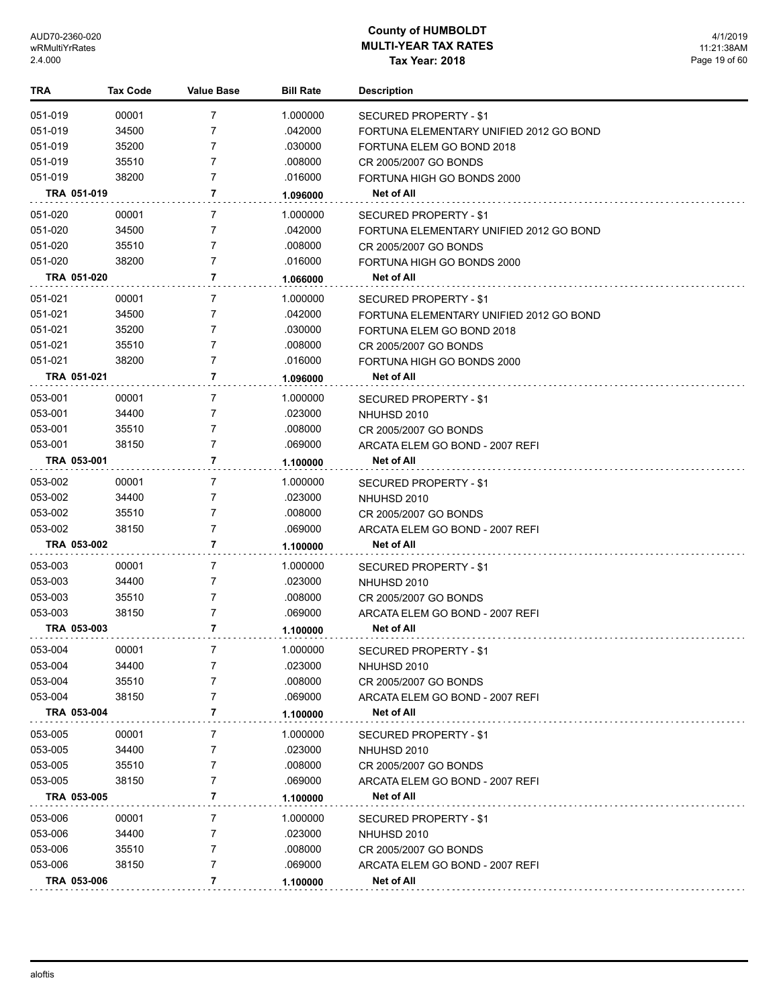| TRA                | <b>Tax Code</b> | <b>Value Base</b> | <b>Bill Rate</b>   | <b>Description</b>                                                   |
|--------------------|-----------------|-------------------|--------------------|----------------------------------------------------------------------|
| 051-019            | 00001           | 7                 | 1.000000           | SECURED PROPERTY - \$1                                               |
| 051-019            | 34500           | 7                 | .042000            | FORTUNA ELEMENTARY UNIFIED 2012 GO BOND                              |
| 051-019            | 35200           | 7                 | .030000            | FORTUNA ELEM GO BOND 2018                                            |
| 051-019            | 35510           | 7                 | .008000            | CR 2005/2007 GO BONDS                                                |
| 051-019            | 38200           | 7                 | .016000            | FORTUNA HIGH GO BONDS 2000                                           |
| TRA 051-019        |                 | 7                 | 1.096000           | Net of All                                                           |
| 051-020            | 00001           | 7                 | 1.000000           | SECURED PROPERTY - \$1                                               |
| 051-020            | 34500           | 7                 | .042000            | FORTUNA ELEMENTARY UNIFIED 2012 GO BOND                              |
| 051-020            | 35510           | 7                 | .008000            | CR 2005/2007 GO BONDS                                                |
| 051-020            | 38200           | 7                 | .016000            | FORTUNA HIGH GO BONDS 2000                                           |
| TRA 051-020        |                 | 7                 | 1.066000           | Net of All                                                           |
| 051-021            | 00001           | 7                 | 1.000000           | SECURED PROPERTY - \$1                                               |
| 051-021            | 34500           | 7                 | .042000            |                                                                      |
| 051-021            | 35200           | 7                 | .030000            | FORTUNA ELEMENTARY UNIFIED 2012 GO BOND<br>FORTUNA ELEM GO BOND 2018 |
| 051-021            | 35510           | 7                 | .008000            |                                                                      |
| 051-021            | 38200           | 7                 | .016000            | CR 2005/2007 GO BONDS<br>FORTUNA HIGH GO BONDS 2000                  |
|                    |                 | 7                 |                    |                                                                      |
| TRA 051-021        |                 |                   | 1.096000           | Net of All                                                           |
| 053-001            | 00001           | 7                 | 1.000000           | SECURED PROPERTY - \$1                                               |
| 053-001            | 34400           | 7                 | .023000            | NHUHSD 2010                                                          |
| 053-001            | 35510           | 7                 | .008000            | CR 2005/2007 GO BONDS                                                |
| 053-001            | 38150           | $\overline{7}$    | .069000            | ARCATA ELEM GO BOND - 2007 REFI                                      |
| TRA 053-001        |                 | 7                 | 1.100000           | Net of All                                                           |
| 053-002            | 00001           | 7                 | 1.000000           | SECURED PROPERTY - \$1                                               |
| 053-002            | 34400           | 7                 | .023000            | NHUHSD 2010                                                          |
| 053-002            | 35510           | 7                 | .008000            | CR 2005/2007 GO BONDS                                                |
| 053-002            | 38150           | $\overline{7}$    | .069000            | ARCATA ELEM GO BOND - 2007 REFI                                      |
| TRA 053-002        |                 | 7                 | 1.100000           | Net of All                                                           |
| 053-003            | 00001           | 7                 | 1.000000           | SECURED PROPERTY - \$1                                               |
| 053-003            | 34400           | 7                 | .023000            | NHUHSD 2010                                                          |
| 053-003            | 35510           | 7                 | .008000            | CR 2005/2007 GO BONDS                                                |
| 053-003            | 38150           | $\overline{7}$    | .069000            | ARCATA ELEM GO BOND - 2007 REFI                                      |
| TRA 053-003        |                 | 7                 | 1.100000           | Net of All                                                           |
| 053-004            | 00001           | 7                 | 1.000000           |                                                                      |
|                    |                 |                   |                    | SECURED PROPERTY - \$1                                               |
| 053-004<br>053-004 | 34400<br>35510  | 7<br>7            | .023000<br>.008000 | NHUHSD 2010                                                          |
| 053-004            |                 | 7                 |                    | CR 2005/2007 GO BONDS                                                |
| TRA 053-004        | 38150           | 7                 | .069000            | ARCATA ELEM GO BOND - 2007 REFI<br>Net of All                        |
|                    |                 |                   | 1.100000           |                                                                      |
| 053-005            | 00001           | 7                 | 1.000000           | SECURED PROPERTY - \$1                                               |
| 053-005            | 34400           | 7                 | .023000            | NHUHSD 2010                                                          |
| 053-005            | 35510           | 7                 | .008000            | CR 2005/2007 GO BONDS                                                |
| 053-005            | 38150           | 7                 | .069000            | ARCATA ELEM GO BOND - 2007 REFI                                      |
| TRA 053-005        |                 | 7                 | 1.100000           | Net of All                                                           |
| 053-006            | 00001           | 7                 | 1.000000           | SECURED PROPERTY - \$1                                               |
| 053-006            | 34400           | 7                 | .023000            | NHUHSD 2010                                                          |
| 053-006            | 35510           | 7                 | .008000            | CR 2005/2007 GO BONDS                                                |
| 053-006            | 38150           | 7                 | .069000            | ARCATA ELEM GO BOND - 2007 REFI                                      |
| TRA 053-006        |                 | 7                 | 1.100000           | Net of All                                                           |
|                    |                 |                   |                    |                                                                      |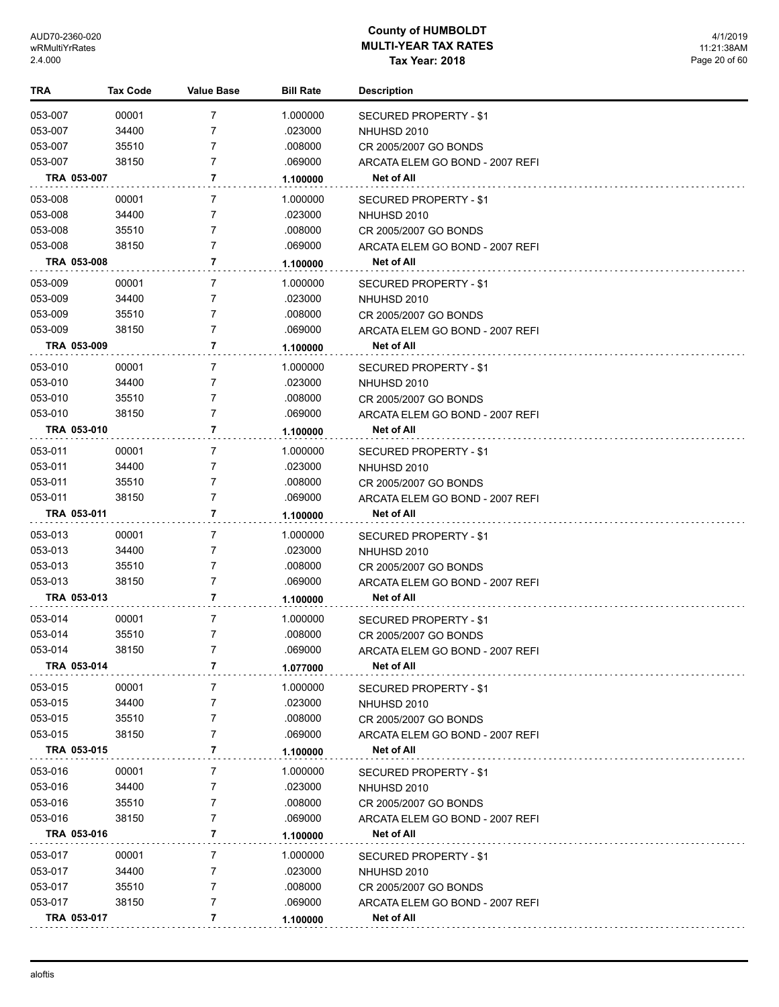| TRA         | <b>Tax Code</b> | <b>Value Base</b>   | <b>Bill Rate</b> | <b>Description</b>              |
|-------------|-----------------|---------------------|------------------|---------------------------------|
| 053-007     | 00001           | 7                   | 1.000000         | SECURED PROPERTY - \$1          |
| 053-007     | 34400           | 7                   | .023000          | NHUHSD 2010                     |
| 053-007     | 35510           | 7                   | .008000          | CR 2005/2007 GO BONDS           |
| 053-007     | 38150           | $\overline{7}$      | .069000          | ARCATA ELEM GO BOND - 2007 REFI |
| TRA 053-007 |                 | 7                   | 1.100000         | Net of All                      |
| 053-008     | 00001           | 7                   | 1.000000         | SECURED PROPERTY - \$1          |
| 053-008     | 34400           | 7                   | .023000          | NHUHSD 2010                     |
| 053-008     | 35510           | 7                   | .008000          | CR 2005/2007 GO BONDS           |
| 053-008     | 38150           | $\overline{7}$      | .069000          | ARCATA ELEM GO BOND - 2007 REFI |
| TRA 053-008 |                 | 7                   | 1.100000         | Net of All                      |
| 053-009     | 00001           | 7                   | 1.000000         | SECURED PROPERTY - \$1          |
| 053-009     | 34400           | 7                   | .023000          | NHUHSD 2010                     |
| 053-009     | 35510           | 7                   | .008000          | CR 2005/2007 GO BONDS           |
| 053-009     | 38150           | $\overline{7}$      | .069000          | ARCATA ELEM GO BOND - 2007 REFI |
| TRA 053-009 |                 | 7                   | 1.100000         | Net of All                      |
| 053-010     | 00001           | 7                   | 1.000000         | SECURED PROPERTY - \$1          |
| 053-010     | 34400           | 7                   | .023000          | NHUHSD 2010                     |
| 053-010     | 35510           | 7                   | .008000          | CR 2005/2007 GO BONDS           |
| 053-010     | 38150           | $\overline{7}$      | .069000          | ARCATA ELEM GO BOND - 2007 REFI |
| TRA 053-010 |                 | 7                   | 1.100000         | Net of All                      |
| 053-011     | 00001           | 7                   | 1.000000         | SECURED PROPERTY - \$1          |
| 053-011     | 34400           | 7                   | .023000          | NHUHSD 2010                     |
| 053-011     | 35510           | 7                   | .008000          | CR 2005/2007 GO BONDS           |
| 053-011     | 38150           | $\overline{7}$      | .069000          | ARCATA ELEM GO BOND - 2007 REFI |
| TRA 053-011 |                 | 7                   | 1.100000         | Net of All                      |
| 053-013     | 00001           | 7                   | 1.000000         | SECURED PROPERTY - \$1          |
| 053-013     | 34400           | 7                   | .023000          | NHUHSD 2010                     |
| 053-013     | 35510           | 7                   | .008000          | CR 2005/2007 GO BONDS           |
| 053-013     | 38150           | $\overline{7}$      | .069000          | ARCATA ELEM GO BOND - 2007 REFI |
| TRA 053-013 |                 | 7                   | 1.100000         | Net of All                      |
| 053-014     | 00001           | 7                   | 1.000000         | <b>SECURED PROPERTY - \$1</b>   |
| 053-014     | 35510           | 7                   | .008000          | CR 2005/2007 GO BONDS           |
| 053-014     | 38150           | 7                   | .069000          | ARCATA ELEM GO BOND - 2007 REFI |
| TRA 053-014 |                 | 7                   | 1.077000         | Net of All                      |
| 053-015     | 00001           | 7                   | 1.000000         | <b>SECURED PROPERTY - \$1</b>   |
| 053-015     | 34400           | 7                   | .023000          | NHUHSD 2010                     |
| 053-015     | 35510           | 7                   | .008000          | CR 2005/2007 GO BONDS           |
| 053-015     | 38150           | 7                   | .069000          | ARCATA ELEM GO BOND - 2007 REFI |
| TRA 053-015 |                 | 7                   | 1.100000         | Net of All                      |
| 053-016     | 00001           | 7                   | 1.000000         | SECURED PROPERTY - \$1          |
| 053-016     | 34400           | 7                   | .023000          | NHUHSD 2010                     |
| 053-016     | 35510           | 7                   | .008000          | CR 2005/2007 GO BONDS           |
| 053-016     | 38150           | 7                   | .069000          | ARCATA ELEM GO BOND - 2007 REFI |
| TRA 053-016 |                 | 7                   | 1.100000         | Net of All                      |
| 053-017     | 00001           | 7                   | 1.000000         | SECURED PROPERTY - \$1          |
| 053-017     | 34400           | 7                   | .023000          | NHUHSD 2010                     |
| 053-017     | 35510           | 7                   | .008000          | CR 2005/2007 GO BONDS           |
| 053-017     | 38150           | $\overline{7}$<br>7 | .069000          | ARCATA ELEM GO BOND - 2007 REFI |
| TRA 053-017 |                 |                     | 1.100000         | Net of All                      |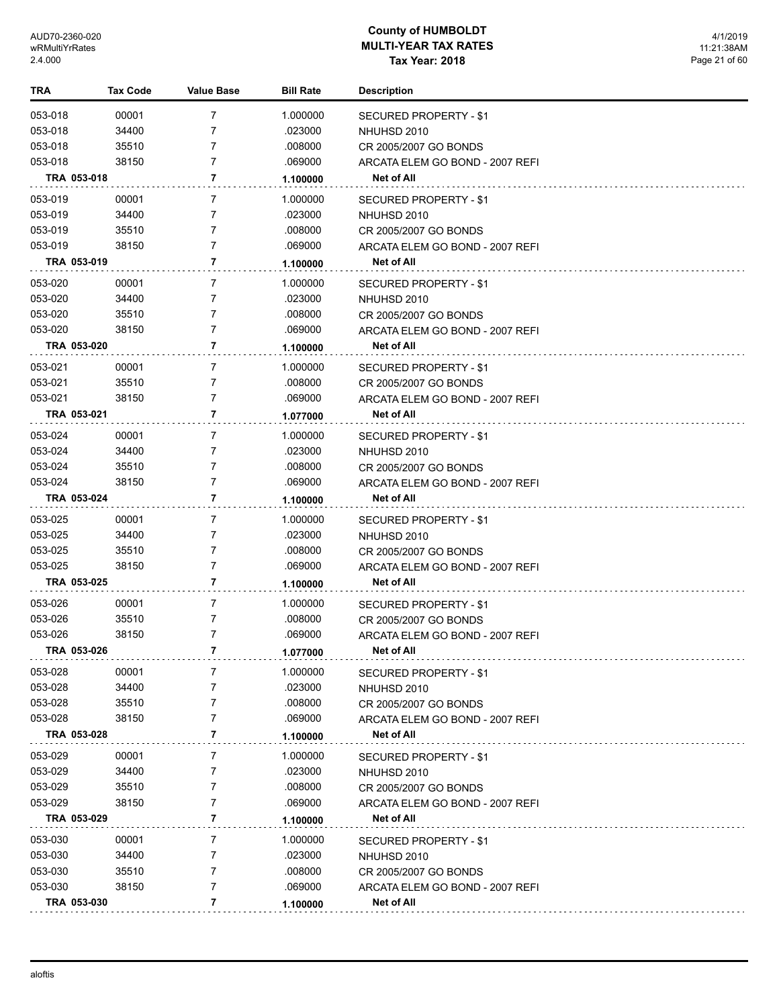| TRA                | Tax Code       | <b>Value Base</b> | <b>Bill Rate</b>   | <b>Description</b>                                       |
|--------------------|----------------|-------------------|--------------------|----------------------------------------------------------|
| 053-018            | 00001          | 7                 | 1.000000           | <b>SECURED PROPERTY - \$1</b>                            |
| 053-018            | 34400          | 7                 | .023000            | NHUHSD 2010                                              |
| 053-018            | 35510          | 7                 | .008000            | CR 2005/2007 GO BONDS                                    |
| 053-018            | 38150          | $\overline{7}$    | .069000            | ARCATA ELEM GO BOND - 2007 REFI                          |
| TRA 053-018        |                | 7                 | 1.100000           | Net of All                                               |
| 053-019            | 00001          | 7                 | 1.000000           | SECURED PROPERTY - \$1                                   |
| 053-019            | 34400          | 7                 | .023000            | NHUHSD 2010                                              |
| 053-019            | 35510          | $\overline{7}$    | .008000            | CR 2005/2007 GO BONDS                                    |
| 053-019            | 38150          | $\overline{7}$    | .069000            | ARCATA ELEM GO BOND - 2007 REFI                          |
| TRA 053-019        |                | 7                 | 1.100000           | Net of All                                               |
| 053-020            | 00001          | 7                 | 1.000000           | SECURED PROPERTY - \$1                                   |
| 053-020            | 34400          | 7                 | .023000            | NHUHSD 2010                                              |
| 053-020            | 35510          | $\overline{7}$    | .008000            | CR 2005/2007 GO BONDS                                    |
| 053-020            | 38150          | $\overline{7}$    | .069000            | ARCATA ELEM GO BOND - 2007 REFI                          |
| TRA 053-020        |                | 7                 | 1.100000           | Net of All                                               |
| 053-021            | 00001          | 7                 | 1.000000           | SECURED PROPERTY - \$1                                   |
| 053-021            | 35510          | 7                 | .008000            | CR 2005/2007 GO BONDS                                    |
| 053-021            | 38150          | $\overline{7}$    | .069000            | ARCATA ELEM GO BOND - 2007 REFI                          |
| TRA 053-021        |                | 7                 | 1.077000           | Net of All                                               |
|                    |                | 7                 |                    |                                                          |
| 053-024<br>053-024 | 00001          | 7                 | 1.000000           | SECURED PROPERTY - \$1                                   |
| 053-024            | 34400<br>35510 | $\overline{7}$    | .023000<br>.008000 | NHUHSD 2010                                              |
| 053-024            | 38150          | $\overline{7}$    | .069000            | CR 2005/2007 GO BONDS<br>ARCATA ELEM GO BOND - 2007 REFI |
| TRA 053-024        |                | 7                 | 1.100000           | Net of All                                               |
| 053-025            | 00001          | 7                 | 1.000000           |                                                          |
| 053-025            | 34400          | 7                 | .023000            | SECURED PROPERTY - \$1<br>NHUHSD 2010                    |
| 053-025            | 35510          | $\overline{7}$    | .008000            | CR 2005/2007 GO BONDS                                    |
| 053-025            | 38150          | $\overline{7}$    | .069000            | ARCATA ELEM GO BOND - 2007 REFI                          |
| TRA 053-025        |                | 7                 | 1.100000           | Net of All                                               |
| 053-026            | 00001          | 7                 | 1.000000           |                                                          |
| 053-026            | 35510          | 7                 | .008000            | SECURED PROPERTY - \$1<br>CR 2005/2007 GO BONDS          |
| 053-026            | 38150          | $\overline{7}$    | .069000            | ARCATA ELEM GO BOND - 2007 REFI                          |
| TRA 053-026        |                | 7                 | 1.077000           | Net of All                                               |
| 053-028            | 00001          | 7                 | 1.000000           |                                                          |
| 053-028            | 34400          | 7                 | .023000            | <b>SECURED PROPERTY - \$1</b><br>NHUHSD 2010             |
| 053-028            | 35510          | 7                 | .008000            | CR 2005/2007 GO BONDS                                    |
| 053-028            | 38150          | 7                 | .069000            | ARCATA ELEM GO BOND - 2007 REFI                          |
| TRA 053-028        |                | 7                 | 1.100000           | Net of All                                               |
| 053-029            | 00001          | 7                 | 1.000000           |                                                          |
| 053-029            | 34400          | 7                 | .023000            | SECURED PROPERTY - \$1<br>NHUHSD 2010                    |
| 053-029            | 35510          | 7                 | .008000            | CR 2005/2007 GO BONDS                                    |
| 053-029            | 38150          | 7                 | .069000            | ARCATA ELEM GO BOND - 2007 REFI                          |
| TRA 053-029        |                | 7                 | 1.100000           | Net of All                                               |
| 053-030            | 00001          | 7                 | 1.000000           | SECURED PROPERTY - \$1                                   |
| 053-030            | 34400          | 7                 | .023000            | NHUHSD 2010                                              |
| 053-030            | 35510          | 7                 | .008000            | CR 2005/2007 GO BONDS                                    |
| 053-030            | 38150          | 7                 | .069000            | ARCATA ELEM GO BOND - 2007 REFI                          |
| TRA 053-030        |                | 7                 | 1.100000           | Net of All                                               |
|                    |                |                   |                    |                                                          |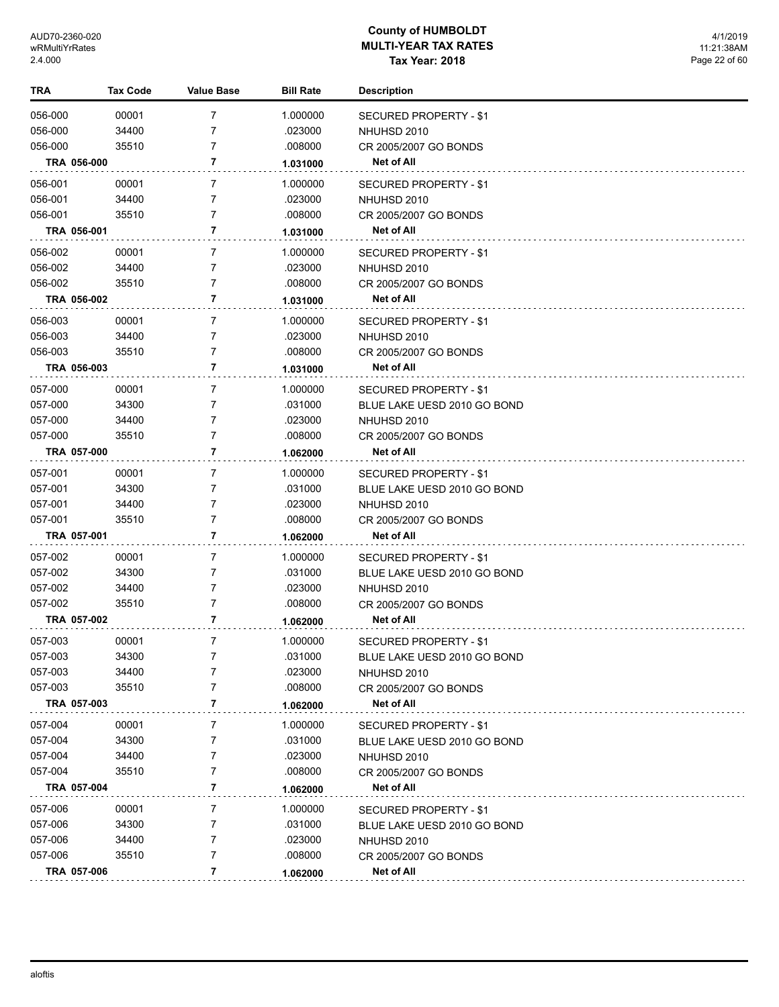| 00001<br>7<br>056-000<br>1.000000<br>SECURED PROPERTY - \$1<br>056-000<br>34400<br>7<br>.023000<br>NHUHSD 2010<br>7<br>.008000<br>056-000<br>35510<br>CR 2005/2007 GO BONDS<br>7<br>TRA 056-000<br>Net of All<br>1.031000<br>056-001<br>00001<br>7<br>1.000000<br>SECURED PROPERTY - \$1<br>056-001<br>34400<br>7<br>.023000<br>NHUHSD 2010<br>056-001<br>35510<br>7<br>.008000<br>CR 2005/2007 GO BONDS<br>7<br>TRA 056-001<br>Net of All<br>1.031000<br>056-002<br>00001<br>7<br>1.000000<br>SECURED PROPERTY - \$1<br>7<br>056-002<br>34400<br>.023000<br>NHUHSD 2010<br>056-002<br>7<br>35510<br>.008000<br>CR 2005/2007 GO BONDS<br>7<br>TRA 056-002<br>Net of All<br>1.031000<br>7<br>056-003<br>00001<br>1.000000<br>SECURED PROPERTY - \$1<br>056-003<br>34400<br>7<br>.023000<br>NHUHSD 2010<br>7<br>056-003<br>35510<br>.008000<br>CR 2005/2007 GO BONDS<br>TRA 056-003<br>7<br>Net of All<br>1.031000<br>057-000<br>00001<br>7<br>1.000000<br>SECURED PROPERTY - \$1<br>7<br>057-000<br>34300<br>.031000<br>BLUE LAKE UESD 2010 GO BOND<br>7<br>057-000<br>34400<br>.023000<br>NHUHSD 2010<br>7<br>057-000<br>35510<br>.008000<br>CR 2005/2007 GO BONDS<br>7<br>TRA 057-000<br>Net of All<br>1.062000<br>7<br>057-001<br>00001<br>1.000000<br>SECURED PROPERTY - \$1<br>057-001<br>34300<br>7<br>.031000<br>BLUE LAKE UESD 2010 GO BOND<br>7<br>057-001<br>34400<br>.023000<br>NHUHSD 2010<br>7<br>057-001<br>35510<br>.008000<br>CR 2005/2007 GO BONDS<br>7<br>TRA 057-001<br>Net of All<br>1.062000<br>057-002<br>7<br>00001<br>1.000000<br>SECURED PROPERTY - \$1<br>7<br>057-002<br>34300<br>.031000<br>BLUE LAKE UESD 2010 GO BOND<br>7<br>057-002<br>34400<br>.023000<br>NHUHSD 2010<br>7<br>057-002<br>35510<br>.008000<br>CR 2005/2007 GO BONDS<br>7<br>TRA 057-002<br>Net of All<br>1.062000<br>7<br>057-003<br>00001<br>1.000000<br>SECURED PROPERTY - \$1<br>34300<br>.031000<br>BLUE LAKE UESD 2010 GO BOND<br>057-003<br>34400<br>7<br>.023000<br>NHUHSD 2010<br>057-003<br>35510<br>7<br>.008000<br>CR 2005/2007 GO BONDS<br>7<br>TRA 057-003<br>Net of All<br>1.062000<br>057-004<br>00001<br>7<br>1.000000<br>SECURED PROPERTY - \$1<br>34300<br>057-004<br>7<br>.031000<br>BLUE LAKE UESD 2010 GO BOND<br>057-004<br>34400<br>7<br>.023000<br>NHUHSD 2010<br>057-004<br>.008000<br>35510<br>7<br>CR 2005/2007 GO BONDS<br>7<br>TRA 057-004<br><b>Net of All</b><br>1.062000<br>057-006<br>00001<br>7<br>1.000000<br>SECURED PROPERTY - \$1<br>34300<br>057-006<br>7<br>.031000<br>BLUE LAKE UESD 2010 GO BOND<br>057-006<br>.023000<br>34400<br>7<br>NHUHSD 2010<br>057-006<br>7<br>.008000<br>35510<br>CR 2005/2007 GO BONDS<br>7<br>TRA 057-006<br>Net of All<br>1.062000 | <b>TRA</b> | <b>Tax Code</b> | <b>Value Base</b> | <b>Bill Rate</b> | <b>Description</b> |
|---------------------------------------------------------------------------------------------------------------------------------------------------------------------------------------------------------------------------------------------------------------------------------------------------------------------------------------------------------------------------------------------------------------------------------------------------------------------------------------------------------------------------------------------------------------------------------------------------------------------------------------------------------------------------------------------------------------------------------------------------------------------------------------------------------------------------------------------------------------------------------------------------------------------------------------------------------------------------------------------------------------------------------------------------------------------------------------------------------------------------------------------------------------------------------------------------------------------------------------------------------------------------------------------------------------------------------------------------------------------------------------------------------------------------------------------------------------------------------------------------------------------------------------------------------------------------------------------------------------------------------------------------------------------------------------------------------------------------------------------------------------------------------------------------------------------------------------------------------------------------------------------------------------------------------------------------------------------------------------------------------------------------------------------------------------------------------------------------------------------------------------------------------------------------------------------------------------------------------------------------------------------------------------------------------------------------------------------------------------------------------------------------------------------------------------------------------------------------------------------------------------------------------------------------------------------------------------------------------------------------------------------------------------------------------------------------------|------------|-----------------|-------------------|------------------|--------------------|
|                                                                                                                                                                                                                                                                                                                                                                                                                                                                                                                                                                                                                                                                                                                                                                                                                                                                                                                                                                                                                                                                                                                                                                                                                                                                                                                                                                                                                                                                                                                                                                                                                                                                                                                                                                                                                                                                                                                                                                                                                                                                                                                                                                                                                                                                                                                                                                                                                                                                                                                                                                                                                                                                                                         |            |                 |                   |                  |                    |
|                                                                                                                                                                                                                                                                                                                                                                                                                                                                                                                                                                                                                                                                                                                                                                                                                                                                                                                                                                                                                                                                                                                                                                                                                                                                                                                                                                                                                                                                                                                                                                                                                                                                                                                                                                                                                                                                                                                                                                                                                                                                                                                                                                                                                                                                                                                                                                                                                                                                                                                                                                                                                                                                                                         |            |                 |                   |                  |                    |
|                                                                                                                                                                                                                                                                                                                                                                                                                                                                                                                                                                                                                                                                                                                                                                                                                                                                                                                                                                                                                                                                                                                                                                                                                                                                                                                                                                                                                                                                                                                                                                                                                                                                                                                                                                                                                                                                                                                                                                                                                                                                                                                                                                                                                                                                                                                                                                                                                                                                                                                                                                                                                                                                                                         |            |                 |                   |                  |                    |
|                                                                                                                                                                                                                                                                                                                                                                                                                                                                                                                                                                                                                                                                                                                                                                                                                                                                                                                                                                                                                                                                                                                                                                                                                                                                                                                                                                                                                                                                                                                                                                                                                                                                                                                                                                                                                                                                                                                                                                                                                                                                                                                                                                                                                                                                                                                                                                                                                                                                                                                                                                                                                                                                                                         |            |                 |                   |                  |                    |
|                                                                                                                                                                                                                                                                                                                                                                                                                                                                                                                                                                                                                                                                                                                                                                                                                                                                                                                                                                                                                                                                                                                                                                                                                                                                                                                                                                                                                                                                                                                                                                                                                                                                                                                                                                                                                                                                                                                                                                                                                                                                                                                                                                                                                                                                                                                                                                                                                                                                                                                                                                                                                                                                                                         |            |                 |                   |                  |                    |
|                                                                                                                                                                                                                                                                                                                                                                                                                                                                                                                                                                                                                                                                                                                                                                                                                                                                                                                                                                                                                                                                                                                                                                                                                                                                                                                                                                                                                                                                                                                                                                                                                                                                                                                                                                                                                                                                                                                                                                                                                                                                                                                                                                                                                                                                                                                                                                                                                                                                                                                                                                                                                                                                                                         |            |                 |                   |                  |                    |
|                                                                                                                                                                                                                                                                                                                                                                                                                                                                                                                                                                                                                                                                                                                                                                                                                                                                                                                                                                                                                                                                                                                                                                                                                                                                                                                                                                                                                                                                                                                                                                                                                                                                                                                                                                                                                                                                                                                                                                                                                                                                                                                                                                                                                                                                                                                                                                                                                                                                                                                                                                                                                                                                                                         |            |                 |                   |                  |                    |
|                                                                                                                                                                                                                                                                                                                                                                                                                                                                                                                                                                                                                                                                                                                                                                                                                                                                                                                                                                                                                                                                                                                                                                                                                                                                                                                                                                                                                                                                                                                                                                                                                                                                                                                                                                                                                                                                                                                                                                                                                                                                                                                                                                                                                                                                                                                                                                                                                                                                                                                                                                                                                                                                                                         |            |                 |                   |                  |                    |
|                                                                                                                                                                                                                                                                                                                                                                                                                                                                                                                                                                                                                                                                                                                                                                                                                                                                                                                                                                                                                                                                                                                                                                                                                                                                                                                                                                                                                                                                                                                                                                                                                                                                                                                                                                                                                                                                                                                                                                                                                                                                                                                                                                                                                                                                                                                                                                                                                                                                                                                                                                                                                                                                                                         |            |                 |                   |                  |                    |
|                                                                                                                                                                                                                                                                                                                                                                                                                                                                                                                                                                                                                                                                                                                                                                                                                                                                                                                                                                                                                                                                                                                                                                                                                                                                                                                                                                                                                                                                                                                                                                                                                                                                                                                                                                                                                                                                                                                                                                                                                                                                                                                                                                                                                                                                                                                                                                                                                                                                                                                                                                                                                                                                                                         |            |                 |                   |                  |                    |
|                                                                                                                                                                                                                                                                                                                                                                                                                                                                                                                                                                                                                                                                                                                                                                                                                                                                                                                                                                                                                                                                                                                                                                                                                                                                                                                                                                                                                                                                                                                                                                                                                                                                                                                                                                                                                                                                                                                                                                                                                                                                                                                                                                                                                                                                                                                                                                                                                                                                                                                                                                                                                                                                                                         |            |                 |                   |                  |                    |
|                                                                                                                                                                                                                                                                                                                                                                                                                                                                                                                                                                                                                                                                                                                                                                                                                                                                                                                                                                                                                                                                                                                                                                                                                                                                                                                                                                                                                                                                                                                                                                                                                                                                                                                                                                                                                                                                                                                                                                                                                                                                                                                                                                                                                                                                                                                                                                                                                                                                                                                                                                                                                                                                                                         |            |                 |                   |                  |                    |
|                                                                                                                                                                                                                                                                                                                                                                                                                                                                                                                                                                                                                                                                                                                                                                                                                                                                                                                                                                                                                                                                                                                                                                                                                                                                                                                                                                                                                                                                                                                                                                                                                                                                                                                                                                                                                                                                                                                                                                                                                                                                                                                                                                                                                                                                                                                                                                                                                                                                                                                                                                                                                                                                                                         |            |                 |                   |                  |                    |
|                                                                                                                                                                                                                                                                                                                                                                                                                                                                                                                                                                                                                                                                                                                                                                                                                                                                                                                                                                                                                                                                                                                                                                                                                                                                                                                                                                                                                                                                                                                                                                                                                                                                                                                                                                                                                                                                                                                                                                                                                                                                                                                                                                                                                                                                                                                                                                                                                                                                                                                                                                                                                                                                                                         |            |                 |                   |                  |                    |
|                                                                                                                                                                                                                                                                                                                                                                                                                                                                                                                                                                                                                                                                                                                                                                                                                                                                                                                                                                                                                                                                                                                                                                                                                                                                                                                                                                                                                                                                                                                                                                                                                                                                                                                                                                                                                                                                                                                                                                                                                                                                                                                                                                                                                                                                                                                                                                                                                                                                                                                                                                                                                                                                                                         |            |                 |                   |                  |                    |
|                                                                                                                                                                                                                                                                                                                                                                                                                                                                                                                                                                                                                                                                                                                                                                                                                                                                                                                                                                                                                                                                                                                                                                                                                                                                                                                                                                                                                                                                                                                                                                                                                                                                                                                                                                                                                                                                                                                                                                                                                                                                                                                                                                                                                                                                                                                                                                                                                                                                                                                                                                                                                                                                                                         |            |                 |                   |                  |                    |
|                                                                                                                                                                                                                                                                                                                                                                                                                                                                                                                                                                                                                                                                                                                                                                                                                                                                                                                                                                                                                                                                                                                                                                                                                                                                                                                                                                                                                                                                                                                                                                                                                                                                                                                                                                                                                                                                                                                                                                                                                                                                                                                                                                                                                                                                                                                                                                                                                                                                                                                                                                                                                                                                                                         |            |                 |                   |                  |                    |
|                                                                                                                                                                                                                                                                                                                                                                                                                                                                                                                                                                                                                                                                                                                                                                                                                                                                                                                                                                                                                                                                                                                                                                                                                                                                                                                                                                                                                                                                                                                                                                                                                                                                                                                                                                                                                                                                                                                                                                                                                                                                                                                                                                                                                                                                                                                                                                                                                                                                                                                                                                                                                                                                                                         |            |                 |                   |                  |                    |
|                                                                                                                                                                                                                                                                                                                                                                                                                                                                                                                                                                                                                                                                                                                                                                                                                                                                                                                                                                                                                                                                                                                                                                                                                                                                                                                                                                                                                                                                                                                                                                                                                                                                                                                                                                                                                                                                                                                                                                                                                                                                                                                                                                                                                                                                                                                                                                                                                                                                                                                                                                                                                                                                                                         |            |                 |                   |                  |                    |
|                                                                                                                                                                                                                                                                                                                                                                                                                                                                                                                                                                                                                                                                                                                                                                                                                                                                                                                                                                                                                                                                                                                                                                                                                                                                                                                                                                                                                                                                                                                                                                                                                                                                                                                                                                                                                                                                                                                                                                                                                                                                                                                                                                                                                                                                                                                                                                                                                                                                                                                                                                                                                                                                                                         |            |                 |                   |                  |                    |
|                                                                                                                                                                                                                                                                                                                                                                                                                                                                                                                                                                                                                                                                                                                                                                                                                                                                                                                                                                                                                                                                                                                                                                                                                                                                                                                                                                                                                                                                                                                                                                                                                                                                                                                                                                                                                                                                                                                                                                                                                                                                                                                                                                                                                                                                                                                                                                                                                                                                                                                                                                                                                                                                                                         |            |                 |                   |                  |                    |
|                                                                                                                                                                                                                                                                                                                                                                                                                                                                                                                                                                                                                                                                                                                                                                                                                                                                                                                                                                                                                                                                                                                                                                                                                                                                                                                                                                                                                                                                                                                                                                                                                                                                                                                                                                                                                                                                                                                                                                                                                                                                                                                                                                                                                                                                                                                                                                                                                                                                                                                                                                                                                                                                                                         |            |                 |                   |                  |                    |
|                                                                                                                                                                                                                                                                                                                                                                                                                                                                                                                                                                                                                                                                                                                                                                                                                                                                                                                                                                                                                                                                                                                                                                                                                                                                                                                                                                                                                                                                                                                                                                                                                                                                                                                                                                                                                                                                                                                                                                                                                                                                                                                                                                                                                                                                                                                                                                                                                                                                                                                                                                                                                                                                                                         |            |                 |                   |                  |                    |
|                                                                                                                                                                                                                                                                                                                                                                                                                                                                                                                                                                                                                                                                                                                                                                                                                                                                                                                                                                                                                                                                                                                                                                                                                                                                                                                                                                                                                                                                                                                                                                                                                                                                                                                                                                                                                                                                                                                                                                                                                                                                                                                                                                                                                                                                                                                                                                                                                                                                                                                                                                                                                                                                                                         |            |                 |                   |                  |                    |
|                                                                                                                                                                                                                                                                                                                                                                                                                                                                                                                                                                                                                                                                                                                                                                                                                                                                                                                                                                                                                                                                                                                                                                                                                                                                                                                                                                                                                                                                                                                                                                                                                                                                                                                                                                                                                                                                                                                                                                                                                                                                                                                                                                                                                                                                                                                                                                                                                                                                                                                                                                                                                                                                                                         |            |                 |                   |                  |                    |
|                                                                                                                                                                                                                                                                                                                                                                                                                                                                                                                                                                                                                                                                                                                                                                                                                                                                                                                                                                                                                                                                                                                                                                                                                                                                                                                                                                                                                                                                                                                                                                                                                                                                                                                                                                                                                                                                                                                                                                                                                                                                                                                                                                                                                                                                                                                                                                                                                                                                                                                                                                                                                                                                                                         |            |                 |                   |                  |                    |
|                                                                                                                                                                                                                                                                                                                                                                                                                                                                                                                                                                                                                                                                                                                                                                                                                                                                                                                                                                                                                                                                                                                                                                                                                                                                                                                                                                                                                                                                                                                                                                                                                                                                                                                                                                                                                                                                                                                                                                                                                                                                                                                                                                                                                                                                                                                                                                                                                                                                                                                                                                                                                                                                                                         |            |                 |                   |                  |                    |
|                                                                                                                                                                                                                                                                                                                                                                                                                                                                                                                                                                                                                                                                                                                                                                                                                                                                                                                                                                                                                                                                                                                                                                                                                                                                                                                                                                                                                                                                                                                                                                                                                                                                                                                                                                                                                                                                                                                                                                                                                                                                                                                                                                                                                                                                                                                                                                                                                                                                                                                                                                                                                                                                                                         |            |                 |                   |                  |                    |
|                                                                                                                                                                                                                                                                                                                                                                                                                                                                                                                                                                                                                                                                                                                                                                                                                                                                                                                                                                                                                                                                                                                                                                                                                                                                                                                                                                                                                                                                                                                                                                                                                                                                                                                                                                                                                                                                                                                                                                                                                                                                                                                                                                                                                                                                                                                                                                                                                                                                                                                                                                                                                                                                                                         |            |                 |                   |                  |                    |
|                                                                                                                                                                                                                                                                                                                                                                                                                                                                                                                                                                                                                                                                                                                                                                                                                                                                                                                                                                                                                                                                                                                                                                                                                                                                                                                                                                                                                                                                                                                                                                                                                                                                                                                                                                                                                                                                                                                                                                                                                                                                                                                                                                                                                                                                                                                                                                                                                                                                                                                                                                                                                                                                                                         |            |                 |                   |                  |                    |
|                                                                                                                                                                                                                                                                                                                                                                                                                                                                                                                                                                                                                                                                                                                                                                                                                                                                                                                                                                                                                                                                                                                                                                                                                                                                                                                                                                                                                                                                                                                                                                                                                                                                                                                                                                                                                                                                                                                                                                                                                                                                                                                                                                                                                                                                                                                                                                                                                                                                                                                                                                                                                                                                                                         |            |                 |                   |                  |                    |
|                                                                                                                                                                                                                                                                                                                                                                                                                                                                                                                                                                                                                                                                                                                                                                                                                                                                                                                                                                                                                                                                                                                                                                                                                                                                                                                                                                                                                                                                                                                                                                                                                                                                                                                                                                                                                                                                                                                                                                                                                                                                                                                                                                                                                                                                                                                                                                                                                                                                                                                                                                                                                                                                                                         |            |                 |                   |                  |                    |
|                                                                                                                                                                                                                                                                                                                                                                                                                                                                                                                                                                                                                                                                                                                                                                                                                                                                                                                                                                                                                                                                                                                                                                                                                                                                                                                                                                                                                                                                                                                                                                                                                                                                                                                                                                                                                                                                                                                                                                                                                                                                                                                                                                                                                                                                                                                                                                                                                                                                                                                                                                                                                                                                                                         |            |                 |                   |                  |                    |
|                                                                                                                                                                                                                                                                                                                                                                                                                                                                                                                                                                                                                                                                                                                                                                                                                                                                                                                                                                                                                                                                                                                                                                                                                                                                                                                                                                                                                                                                                                                                                                                                                                                                                                                                                                                                                                                                                                                                                                                                                                                                                                                                                                                                                                                                                                                                                                                                                                                                                                                                                                                                                                                                                                         | 057-003    |                 |                   |                  |                    |
|                                                                                                                                                                                                                                                                                                                                                                                                                                                                                                                                                                                                                                                                                                                                                                                                                                                                                                                                                                                                                                                                                                                                                                                                                                                                                                                                                                                                                                                                                                                                                                                                                                                                                                                                                                                                                                                                                                                                                                                                                                                                                                                                                                                                                                                                                                                                                                                                                                                                                                                                                                                                                                                                                                         |            |                 |                   |                  |                    |
|                                                                                                                                                                                                                                                                                                                                                                                                                                                                                                                                                                                                                                                                                                                                                                                                                                                                                                                                                                                                                                                                                                                                                                                                                                                                                                                                                                                                                                                                                                                                                                                                                                                                                                                                                                                                                                                                                                                                                                                                                                                                                                                                                                                                                                                                                                                                                                                                                                                                                                                                                                                                                                                                                                         |            |                 |                   |                  |                    |
|                                                                                                                                                                                                                                                                                                                                                                                                                                                                                                                                                                                                                                                                                                                                                                                                                                                                                                                                                                                                                                                                                                                                                                                                                                                                                                                                                                                                                                                                                                                                                                                                                                                                                                                                                                                                                                                                                                                                                                                                                                                                                                                                                                                                                                                                                                                                                                                                                                                                                                                                                                                                                                                                                                         |            |                 |                   |                  |                    |
|                                                                                                                                                                                                                                                                                                                                                                                                                                                                                                                                                                                                                                                                                                                                                                                                                                                                                                                                                                                                                                                                                                                                                                                                                                                                                                                                                                                                                                                                                                                                                                                                                                                                                                                                                                                                                                                                                                                                                                                                                                                                                                                                                                                                                                                                                                                                                                                                                                                                                                                                                                                                                                                                                                         |            |                 |                   |                  |                    |
|                                                                                                                                                                                                                                                                                                                                                                                                                                                                                                                                                                                                                                                                                                                                                                                                                                                                                                                                                                                                                                                                                                                                                                                                                                                                                                                                                                                                                                                                                                                                                                                                                                                                                                                                                                                                                                                                                                                                                                                                                                                                                                                                                                                                                                                                                                                                                                                                                                                                                                                                                                                                                                                                                                         |            |                 |                   |                  |                    |
|                                                                                                                                                                                                                                                                                                                                                                                                                                                                                                                                                                                                                                                                                                                                                                                                                                                                                                                                                                                                                                                                                                                                                                                                                                                                                                                                                                                                                                                                                                                                                                                                                                                                                                                                                                                                                                                                                                                                                                                                                                                                                                                                                                                                                                                                                                                                                                                                                                                                                                                                                                                                                                                                                                         |            |                 |                   |                  |                    |
|                                                                                                                                                                                                                                                                                                                                                                                                                                                                                                                                                                                                                                                                                                                                                                                                                                                                                                                                                                                                                                                                                                                                                                                                                                                                                                                                                                                                                                                                                                                                                                                                                                                                                                                                                                                                                                                                                                                                                                                                                                                                                                                                                                                                                                                                                                                                                                                                                                                                                                                                                                                                                                                                                                         |            |                 |                   |                  |                    |
|                                                                                                                                                                                                                                                                                                                                                                                                                                                                                                                                                                                                                                                                                                                                                                                                                                                                                                                                                                                                                                                                                                                                                                                                                                                                                                                                                                                                                                                                                                                                                                                                                                                                                                                                                                                                                                                                                                                                                                                                                                                                                                                                                                                                                                                                                                                                                                                                                                                                                                                                                                                                                                                                                                         |            |                 |                   |                  |                    |
|                                                                                                                                                                                                                                                                                                                                                                                                                                                                                                                                                                                                                                                                                                                                                                                                                                                                                                                                                                                                                                                                                                                                                                                                                                                                                                                                                                                                                                                                                                                                                                                                                                                                                                                                                                                                                                                                                                                                                                                                                                                                                                                                                                                                                                                                                                                                                                                                                                                                                                                                                                                                                                                                                                         |            |                 |                   |                  |                    |
|                                                                                                                                                                                                                                                                                                                                                                                                                                                                                                                                                                                                                                                                                                                                                                                                                                                                                                                                                                                                                                                                                                                                                                                                                                                                                                                                                                                                                                                                                                                                                                                                                                                                                                                                                                                                                                                                                                                                                                                                                                                                                                                                                                                                                                                                                                                                                                                                                                                                                                                                                                                                                                                                                                         |            |                 |                   |                  |                    |
|                                                                                                                                                                                                                                                                                                                                                                                                                                                                                                                                                                                                                                                                                                                                                                                                                                                                                                                                                                                                                                                                                                                                                                                                                                                                                                                                                                                                                                                                                                                                                                                                                                                                                                                                                                                                                                                                                                                                                                                                                                                                                                                                                                                                                                                                                                                                                                                                                                                                                                                                                                                                                                                                                                         |            |                 |                   |                  |                    |
|                                                                                                                                                                                                                                                                                                                                                                                                                                                                                                                                                                                                                                                                                                                                                                                                                                                                                                                                                                                                                                                                                                                                                                                                                                                                                                                                                                                                                                                                                                                                                                                                                                                                                                                                                                                                                                                                                                                                                                                                                                                                                                                                                                                                                                                                                                                                                                                                                                                                                                                                                                                                                                                                                                         |            |                 |                   |                  |                    |
|                                                                                                                                                                                                                                                                                                                                                                                                                                                                                                                                                                                                                                                                                                                                                                                                                                                                                                                                                                                                                                                                                                                                                                                                                                                                                                                                                                                                                                                                                                                                                                                                                                                                                                                                                                                                                                                                                                                                                                                                                                                                                                                                                                                                                                                                                                                                                                                                                                                                                                                                                                                                                                                                                                         |            |                 |                   |                  |                    |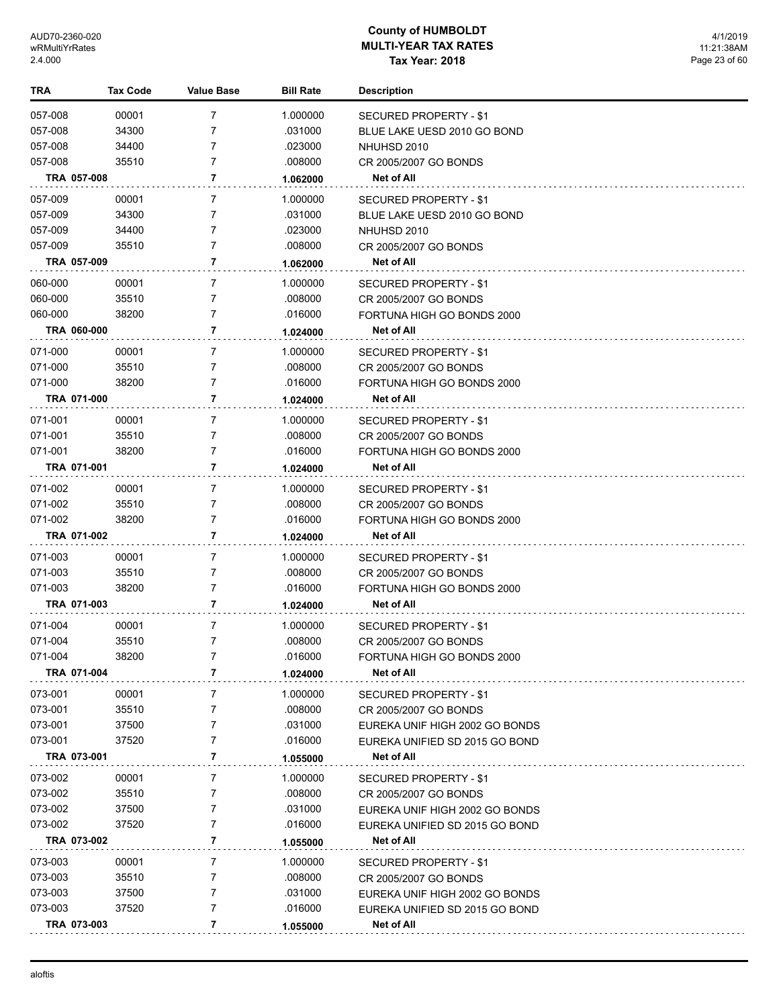| TRA     |             | Tax Code | <b>Value Base</b> | <b>Bill Rate</b> | <b>Description</b>             |
|---------|-------------|----------|-------------------|------------------|--------------------------------|
| 057-008 |             | 00001    | 7                 | 1.000000         | SECURED PROPERTY - \$1         |
| 057-008 |             | 34300    | 7                 | .031000          | BLUE LAKE UESD 2010 GO BOND    |
| 057-008 |             | 34400    | 7                 | .023000          | NHUHSD 2010                    |
| 057-008 |             | 35510    | 7                 | .008000          | CR 2005/2007 GO BONDS          |
|         | TRA 057-008 |          | 7                 | 1.062000         | Net of All                     |
| 057-009 |             | 00001    | 7                 | 1.000000         | SECURED PROPERTY - \$1         |
| 057-009 |             | 34300    | 7                 | .031000          | BLUE LAKE UESD 2010 GO BOND    |
| 057-009 |             | 34400    | 7                 | .023000          | NHUHSD 2010                    |
| 057-009 |             | 35510    | 7                 | .008000          | CR 2005/2007 GO BONDS          |
|         | TRA 057-009 |          | 7                 | 1.062000         | Net of All                     |
| 060-000 |             | 00001    | 7                 | 1.000000         | SECURED PROPERTY - \$1         |
| 060-000 |             | 35510    | 7                 | .008000          | CR 2005/2007 GO BONDS          |
| 060-000 |             | 38200    | 7                 | .016000          | FORTUNA HIGH GO BONDS 2000     |
|         | TRA 060-000 |          | 7                 | 1.024000         | <b>Net of All</b>              |
| 071-000 |             | 00001    | 7                 | 1.000000         | SECURED PROPERTY - \$1         |
| 071-000 |             | 35510    | 7                 | .008000          | CR 2005/2007 GO BONDS          |
| 071-000 |             | 38200    | 7                 | .016000          | FORTUNA HIGH GO BONDS 2000     |
|         | TRA 071-000 |          | 7                 | 1.024000         | Net of All                     |
| 071-001 |             | 00001    | 7                 | 1.000000         | SECURED PROPERTY - \$1         |
| 071-001 |             | 35510    | 7                 | .008000          | CR 2005/2007 GO BONDS          |
| 071-001 |             | 38200    | 7                 | .016000          | FORTUNA HIGH GO BONDS 2000     |
|         | TRA 071-001 |          | 7                 | 1.024000         | Net of All                     |
| 071-002 |             | 00001    | 7                 | 1.000000         | SECURED PROPERTY - \$1         |
| 071-002 |             | 35510    | 7                 | .008000          | CR 2005/2007 GO BONDS          |
| 071-002 |             | 38200    | 7                 | .016000          | FORTUNA HIGH GO BONDS 2000     |
|         | TRA 071-002 |          | 7                 | 1.024000         | Net of All                     |
| 071-003 |             | 00001    | 7                 | 1.000000         | SECURED PROPERTY - \$1         |
| 071-003 |             | 35510    | 7                 | .008000          | CR 2005/2007 GO BONDS          |
| 071-003 |             | 38200    | 7                 | .016000          | FORTUNA HIGH GO BONDS 2000     |
|         | TRA 071-003 |          | 7                 | 1.024000         | Net of All                     |
| 071-004 |             | 00001    | 7                 | 1.000000         | SECURED PROPERTY - \$1         |
| 071-004 |             | 35510    | 7                 | .008000          | CR 2005/2007 GO BONDS          |
| 071-004 |             | 38200    |                   | .016000          | FORTUNA HIGH GO BONDS 2000     |
|         | TRA 071-004 |          | 7                 | 1.024000         | Net of All                     |
| 073-001 |             | 00001    | 7                 | 1.000000         | <b>SECURED PROPERTY - \$1</b>  |
| 073-001 |             | 35510    | 7                 | .008000          | CR 2005/2007 GO BONDS          |
| 073-001 |             | 37500    | 7                 | .031000          | EUREKA UNIF HIGH 2002 GO BONDS |
| 073-001 |             | 37520    | 7                 | .016000          | EUREKA UNIFIED SD 2015 GO BOND |
|         | TRA 073-001 |          | 7                 | 1.055000         | Net of All                     |
| 073-002 |             | 00001    | 7                 | 1.000000         | SECURED PROPERTY - \$1         |
| 073-002 |             | 35510    | 7                 | .008000          | CR 2005/2007 GO BONDS          |
| 073-002 |             | 37500    | 7                 | .031000          | EUREKA UNIF HIGH 2002 GO BONDS |
| 073-002 |             | 37520    | 7                 | .016000          | EUREKA UNIFIED SD 2015 GO BOND |
|         | TRA 073-002 |          | 7                 | 1.055000         | Net of All                     |
| 073-003 |             | 00001    | 7                 | 1.000000         | SECURED PROPERTY - \$1         |
| 073-003 |             | 35510    | 7                 | .008000          | CR 2005/2007 GO BONDS          |
| 073-003 |             | 37500    | 7                 | .031000          | EUREKA UNIF HIGH 2002 GO BONDS |
| 073-003 |             | 37520    | 7                 | .016000          | EUREKA UNIFIED SD 2015 GO BOND |
|         | TRA 073-003 |          | 7                 | 1.055000         | <b>Net of All</b>              |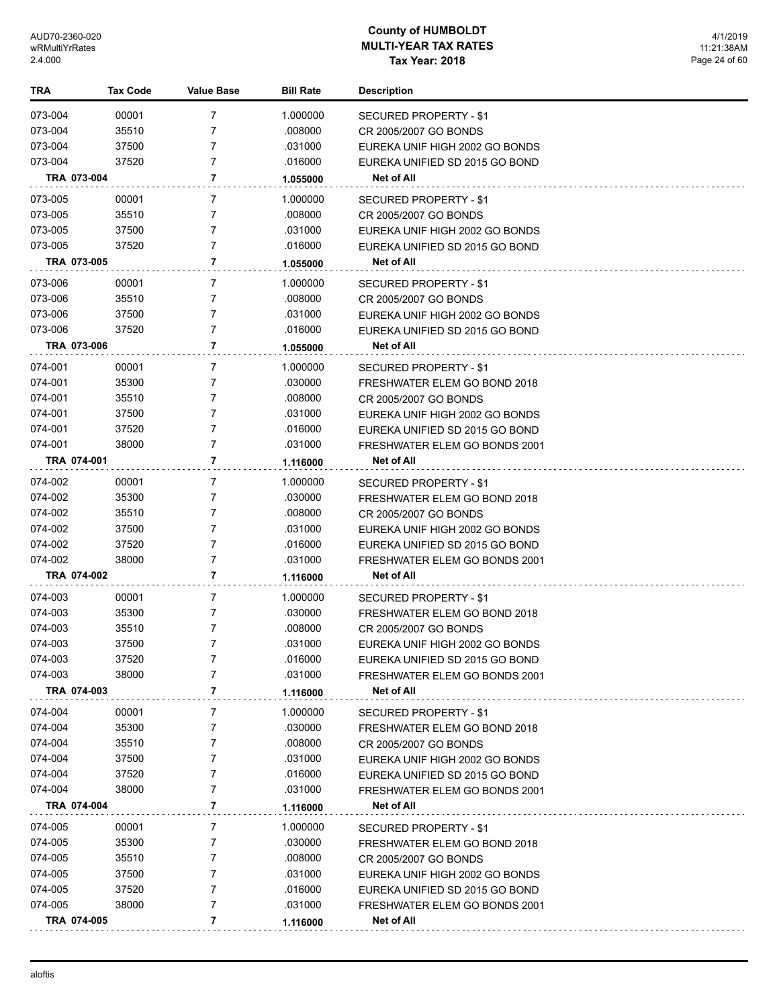| TRA     | <b>Tax Code</b> | Value Base          | <b>Bill Rate</b> | <b>Description</b>             |
|---------|-----------------|---------------------|------------------|--------------------------------|
| 073-004 | 00001           | $\overline{7}$      | 1.000000         | SECURED PROPERTY - \$1         |
| 073-004 | 35510           | 7                   | .008000          | CR 2005/2007 GO BONDS          |
| 073-004 | 37500           | 7                   | .031000          | EUREKA UNIF HIGH 2002 GO BONDS |
| 073-004 | 37520           | 7                   | .016000          | EUREKA UNIFIED SD 2015 GO BOND |
|         | TRA 073-004     | 7                   | 1.055000         | Net of All                     |
| 073-005 | 00001           | 7                   | 1.000000         | SECURED PROPERTY - \$1         |
| 073-005 | 35510           | 7                   | .008000          | CR 2005/2007 GO BONDS          |
| 073-005 | 37500           | 7                   | .031000          | EUREKA UNIF HIGH 2002 GO BONDS |
| 073-005 | 37520           | 7                   | .016000          | EUREKA UNIFIED SD 2015 GO BOND |
|         | TRA 073-005     | $\overline{7}$      | 1.055000         | Net of All                     |
| 073-006 | 00001           | 7                   | 1.000000         | SECURED PROPERTY - \$1         |
| 073-006 | 35510           | 7                   | .008000          | CR 2005/2007 GO BONDS          |
| 073-006 | 37500           | 7                   | .031000          | EUREKA UNIF HIGH 2002 GO BONDS |
| 073-006 | 37520           | 7                   | .016000          | EUREKA UNIFIED SD 2015 GO BOND |
|         | TRA 073-006     | 7                   | 1.055000         | Net of All                     |
| 074-001 | 00001           | 7                   | 1.000000         | SECURED PROPERTY - \$1         |
| 074-001 | 35300           | $\overline{7}$      | .030000          | FRESHWATER ELEM GO BOND 2018   |
| 074-001 | 35510           | 7                   | .008000          | CR 2005/2007 GO BONDS          |
| 074-001 | 37500           | 7                   | .031000          | EUREKA UNIF HIGH 2002 GO BONDS |
| 074-001 | 37520           | 7                   | .016000          | EUREKA UNIFIED SD 2015 GO BOND |
| 074-001 | 38000           | 7                   | .031000          | FRESHWATER ELEM GO BONDS 2001  |
|         | TRA 074-001     | 7                   | 1.116000         | Net of All                     |
| 074-002 | 00001           | 7                   | 1.000000         | SECURED PROPERTY - \$1         |
| 074-002 | 35300           | 7                   | .030000          | FRESHWATER ELEM GO BOND 2018   |
| 074-002 | 35510           | 7                   | .008000          | CR 2005/2007 GO BONDS          |
| 074-002 | 37500           | 7                   | .031000          | EUREKA UNIF HIGH 2002 GO BONDS |
| 074-002 | 37520           | 7                   | .016000          | EUREKA UNIFIED SD 2015 GO BOND |
| 074-002 | 38000           | 7                   | .031000          | FRESHWATER ELEM GO BONDS 2001  |
|         | TRA 074-002     | 7                   | 1.116000         | <b>Net of All</b>              |
| 074-003 | 00001           | 7                   | 1.000000         | SECURED PROPERTY - \$1         |
| 074-003 | 35300           | 7                   | .030000          | FRESHWATER ELEM GO BOND 2018   |
| 074-003 | 35510           | 7                   | .008000          | CR 2005/2007 GO BONDS          |
| 074-003 | 37500           | 7                   | .031000          | EUREKA UNIF HIGH 2002 GO BONDS |
| 074-003 | 37520           | 7                   | .016000          | EUREKA UNIFIED SD 2015 GO BOND |
| 074-003 | 38000           | 7                   | .031000          | FRESHWATER ELEM GO BONDS 2001  |
|         | TRA 074-003     | 7                   | 1.116000         | Net of All                     |
| 074-004 | 00001           | 7                   | 1.000000         | SECURED PROPERTY - \$1         |
| 074-004 | 35300           | 7                   | .030000          | FRESHWATER ELEM GO BOND 2018   |
| 074-004 | 35510           | 7                   | .008000          | CR 2005/2007 GO BONDS          |
| 074-004 | 37500           | 7                   | .031000          | EUREKA UNIF HIGH 2002 GO BONDS |
| 074-004 | 37520           | 7                   | .016000          | EUREKA UNIFIED SD 2015 GO BOND |
| 074-004 | 38000           | 7                   | .031000          | FRESHWATER ELEM GO BONDS 2001  |
|         | TRA 074-004     | 7                   | 1.116000         | Net of All                     |
| 074-005 | 00001           | 7                   | 1.000000         | SECURED PROPERTY - \$1         |
| 074-005 | 35300           | 7                   | .030000          | FRESHWATER ELEM GO BOND 2018   |
| 074-005 | 35510           | 7                   | .008000          | CR 2005/2007 GO BONDS          |
| 074-005 | 37500           | 7                   | .031000          | EUREKA UNIF HIGH 2002 GO BONDS |
| 074-005 | 37520           | 7<br>$\overline{7}$ | .016000          | EUREKA UNIFIED SD 2015 GO BOND |
| 074-005 | 38000           | 7                   | .031000          | FRESHWATER ELEM GO BONDS 2001  |
|         | TRA 074-005     |                     | 1.116000         | Net of All                     |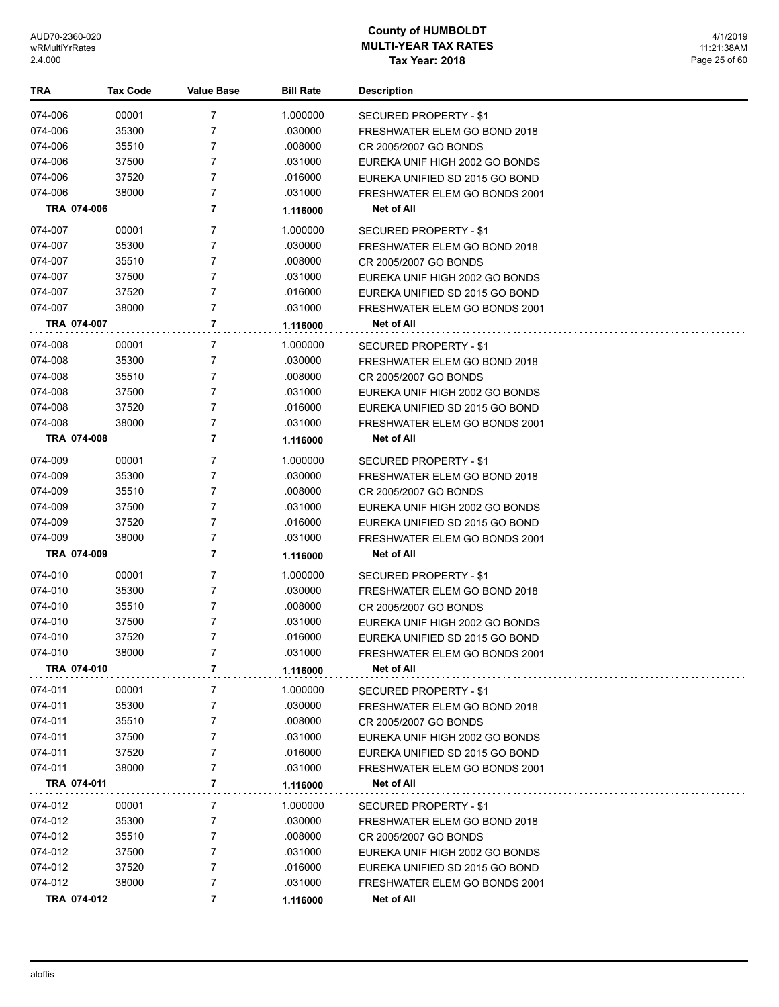| TRA                | <b>Tax Code</b> | <b>Value Base</b> | <b>Bill Rate</b>    | <b>Description</b>                          |
|--------------------|-----------------|-------------------|---------------------|---------------------------------------------|
| 074-006            | 00001           | 7                 | 1.000000            | SECURED PROPERTY - \$1                      |
| 074-006            | 35300           | 7                 | .030000             | FRESHWATER ELEM GO BOND 2018                |
| 074-006            | 35510           | $\overline{7}$    | .008000             | CR 2005/2007 GO BONDS                       |
| 074-006            | 37500           | $\overline{7}$    | .031000             | EUREKA UNIF HIGH 2002 GO BONDS              |
| 074-006            | 37520           | $\overline{7}$    | .016000             | EUREKA UNIFIED SD 2015 GO BOND              |
| 074-006            | 38000           | $\overline{7}$    | .031000             | FRESHWATER ELEM GO BONDS 2001               |
| TRA 074-006        |                 | 7                 | 1.116000            | Net of All                                  |
| 074-007            |                 |                   |                     |                                             |
| 074-007            | 00001<br>35300  | 7<br>7            | 1.000000<br>.030000 | <b>SECURED PROPERTY - \$1</b>               |
|                    | 35510           | 7                 | .008000             | FRESHWATER ELEM GO BOND 2018                |
| 074-007<br>074-007 | 37500           | 7                 | .031000             | CR 2005/2007 GO BONDS                       |
| 074-007            | 37520           | 7                 | .016000             | EUREKA UNIF HIGH 2002 GO BONDS              |
| 074-007            | 38000           | 7                 | .031000             | EUREKA UNIFIED SD 2015 GO BOND              |
| TRA 074-007        |                 | 7                 |                     | FRESHWATER ELEM GO BONDS 2001<br>Net of All |
|                    |                 |                   | 1.116000            |                                             |
| 074-008            | 00001           | $\overline{7}$    | 1.000000            | SECURED PROPERTY - \$1                      |
| 074-008            | 35300           | 7                 | .030000             | FRESHWATER ELEM GO BOND 2018                |
| 074-008            | 35510           | 7                 | .008000             | CR 2005/2007 GO BONDS                       |
| 074-008            | 37500           | 7                 | .031000             | EUREKA UNIF HIGH 2002 GO BONDS              |
| 074-008            | 37520           | 7                 | .016000             | EUREKA UNIFIED SD 2015 GO BOND              |
| 074-008            | 38000           | $\overline{7}$    | .031000             | <b>FRESHWATER ELEM GO BONDS 2001</b>        |
| TRA 074-008        |                 | 7                 | 1.116000            | <b>Net of All</b>                           |
| 074-009            | 00001           | 7                 | 1.000000            | SECURED PROPERTY - \$1                      |
| 074-009            | 35300           | 7                 | .030000             | FRESHWATER ELEM GO BOND 2018                |
| 074-009            | 35510           | 7                 | .008000             | CR 2005/2007 GO BONDS                       |
| 074-009            | 37500           | 7                 | .031000             | EUREKA UNIF HIGH 2002 GO BONDS              |
| 074-009            | 37520           | 7                 | .016000             | EUREKA UNIFIED SD 2015 GO BOND              |
| 074-009            | 38000           | $\overline{7}$    | .031000             | FRESHWATER ELEM GO BONDS 2001               |
| TRA 074-009        |                 | 7                 | 1.116000            | Net of All                                  |
| 074-010            | 00001           | 7                 | 1.000000            | SECURED PROPERTY - \$1                      |
| 074-010            | 35300           | 7                 | .030000             | FRESHWATER ELEM GO BOND 2018                |
| 074-010            | 35510           | 7                 | .008000             | CR 2005/2007 GO BONDS                       |
| 074-010            | 37500           | 7                 | .031000             | EUREKA UNIF HIGH 2002 GO BONDS              |
| 074-010            | 37520           | 7                 | .016000             | EUREKA UNIFIED SD 2015 GO BOND              |
| 074-010            | 38000           | 7                 | .031000             | FRESHWATER ELEM GO BONDS 2001               |
| TRA 074-010        |                 | 7                 | 1.116000            | Net of All                                  |
| 074-011            | 00001           | 7                 | 1.000000            | SECURED PROPERTY - \$1                      |
| 074-011            | 35300           | 7                 | .030000             | FRESHWATER ELEM GO BOND 2018                |
| 074-011            | 35510           | 7                 | .008000             | CR 2005/2007 GO BONDS                       |
| 074-011            | 37500           | 7                 | .031000             | EUREKA UNIF HIGH 2002 GO BONDS              |
| 074-011            | 37520           | 7                 | .016000             | EUREKA UNIFIED SD 2015 GO BOND              |
| 074-011            | 38000           | 7                 | .031000             | FRESHWATER ELEM GO BONDS 2001               |
| TRA 074-011        |                 | 7                 | 1.116000            | Net of All                                  |
| 074-012            | 00001           | 7                 | 1.000000            | SECURED PROPERTY - \$1                      |
| 074-012            | 35300           | 7                 | .030000             | FRESHWATER ELEM GO BOND 2018                |
| 074-012            | 35510           | 7                 | .008000             | CR 2005/2007 GO BONDS                       |
| 074-012            | 37500           | 7                 | .031000             | EUREKA UNIF HIGH 2002 GO BONDS              |
| 074-012            | 37520           | 7                 | .016000             | EUREKA UNIFIED SD 2015 GO BOND              |
| 074-012            | 38000           | 7                 | .031000             | FRESHWATER ELEM GO BONDS 2001               |
| TRA 074-012        |                 | 7                 | 1.116000            | Net of All                                  |
|                    |                 |                   |                     |                                             |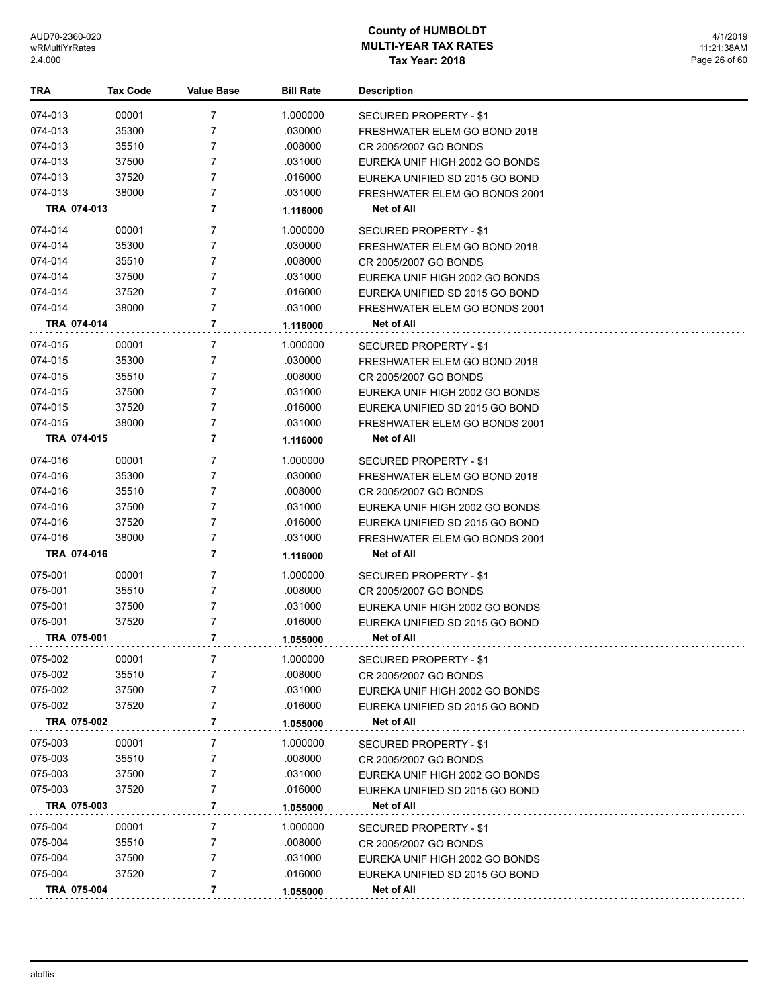| TRA                | <b>Tax Code</b> | <b>Value Base</b> | <b>Bill Rate</b>    | <b>Description</b>                                               |
|--------------------|-----------------|-------------------|---------------------|------------------------------------------------------------------|
| 074-013            | 00001           | $\overline{7}$    | 1.000000            | SECURED PROPERTY - \$1                                           |
| 074-013            | 35300           | 7                 | .030000             | FRESHWATER ELEM GO BOND 2018                                     |
| 074-013            | 35510           | 7                 | .008000             | CR 2005/2007 GO BONDS                                            |
| 074-013            | 37500           | $\overline{7}$    | .031000             | EUREKA UNIF HIGH 2002 GO BONDS                                   |
| 074-013            | 37520           | $\overline{7}$    | .016000             | EUREKA UNIFIED SD 2015 GO BOND                                   |
| 074-013            | 38000           | $\overline{7}$    | .031000             | FRESHWATER ELEM GO BONDS 2001                                    |
| TRA 074-013        |                 | 7                 | 1.116000            | Net of All                                                       |
|                    |                 | 7                 |                     |                                                                  |
| 074-014<br>074-014 | 00001<br>35300  | 7                 | 1.000000<br>.030000 | SECURED PROPERTY - \$1                                           |
|                    |                 | 7                 |                     | FRESHWATER ELEM GO BOND 2018                                     |
| 074-014<br>074-014 | 35510<br>37500  | $\overline{7}$    | .008000<br>.031000  | CR 2005/2007 GO BONDS                                            |
| 074-014            | 37520           | $\overline{7}$    | .016000             | EUREKA UNIF HIGH 2002 GO BONDS                                   |
| 074-014            | 38000           | $\overline{7}$    | .031000             | EUREKA UNIFIED SD 2015 GO BOND                                   |
| TRA 074-014        |                 | 7                 |                     | FRESHWATER ELEM GO BONDS 2001<br>Net of All                      |
|                    |                 |                   | 1.116000            |                                                                  |
| 074-015            | 00001           | 7                 | 1.000000            | <b>SECURED PROPERTY - \$1</b>                                    |
| 074-015            | 35300           | 7                 | .030000             | FRESHWATER ELEM GO BOND 2018                                     |
| 074-015            | 35510           | 7                 | .008000             | CR 2005/2007 GO BONDS                                            |
| 074-015            | 37500           | $\overline{7}$    | .031000             | EUREKA UNIF HIGH 2002 GO BONDS                                   |
| 074-015            | 37520           | 7                 | .016000             | EUREKA UNIFIED SD 2015 GO BOND                                   |
| 074-015            | 38000           | 7                 | .031000             | FRESHWATER ELEM GO BONDS 2001                                    |
| TRA 074-015        |                 | 7                 | 1.116000            | Net of All                                                       |
| 074-016            | 00001           | $\overline{7}$    | 1.000000            | SECURED PROPERTY - \$1                                           |
| 074-016            | 35300           | 7                 | .030000             | FRESHWATER ELEM GO BOND 2018                                     |
| 074-016            | 35510           | 7                 | .008000             | CR 2005/2007 GO BONDS                                            |
| 074-016            | 37500           | $\overline{7}$    | .031000             | EUREKA UNIF HIGH 2002 GO BONDS                                   |
| 074-016            | 37520           | $\overline{7}$    | .016000             | EUREKA UNIFIED SD 2015 GO BOND                                   |
| 074-016            | 38000           | 7                 | .031000             | FRESHWATER ELEM GO BONDS 2001                                    |
| TRA 074-016        |                 | 7                 | 1.116000            | Net of All                                                       |
| 075-001            | 00001           | 7                 | 1.000000            | SECURED PROPERTY - \$1                                           |
| 075-001            | 35510           | 7                 | .008000             | CR 2005/2007 GO BONDS                                            |
| 075-001            | 37500           | 7                 | .031000             | EUREKA UNIF HIGH 2002 GO BONDS                                   |
| 075-001            | 37520           | 7                 | .016000             | EUREKA UNIFIED SD 2015 GO BOND                                   |
| TRA 075-001        |                 | 7                 | 1.055000            | <b>Net of All</b>                                                |
| 075-002            | 00001           |                   | 1.000000            | SECURED PROPERTY - \$1                                           |
| 075-002            | 35510           | 7                 | .008000             | CR 2005/2007 GO BONDS                                            |
| 075-002            | 37500           | 7                 | .031000             | EUREKA UNIF HIGH 2002 GO BONDS                                   |
| 075-002            | 37520           | 7                 | .016000             | EUREKA UNIFIED SD 2015 GO BOND                                   |
| TRA 075-002        |                 | 7                 | 1.055000            | Net of All                                                       |
| 075-003            | 00001           | 7                 | 1.000000            | SECURED PROPERTY - \$1                                           |
| 075-003            | 35510           | 7                 | .008000             | CR 2005/2007 GO BONDS                                            |
| 075-003            | 37500           | 7                 | .031000             | EUREKA UNIF HIGH 2002 GO BONDS                                   |
| 075-003            | 37520           | 7                 | .016000             | EUREKA UNIFIED SD 2015 GO BOND                                   |
| TRA 075-003        |                 | 7                 | 1.055000            | <b>Net of All</b>                                                |
|                    |                 |                   |                     |                                                                  |
| 075-004<br>075-004 | 00001<br>35510  | 7<br>7            | 1.000000<br>.008000 | SECURED PROPERTY - \$1                                           |
| 075-004            | 37500           | 7                 | .031000             | CR 2005/2007 GO BONDS                                            |
| 075-004            | 37520           | $\overline{7}$    | .016000             | EUREKA UNIF HIGH 2002 GO BONDS<br>EUREKA UNIFIED SD 2015 GO BOND |
|                    |                 | 7                 |                     |                                                                  |
| TRA 075-004        |                 |                   | 1.055000            | Net of All                                                       |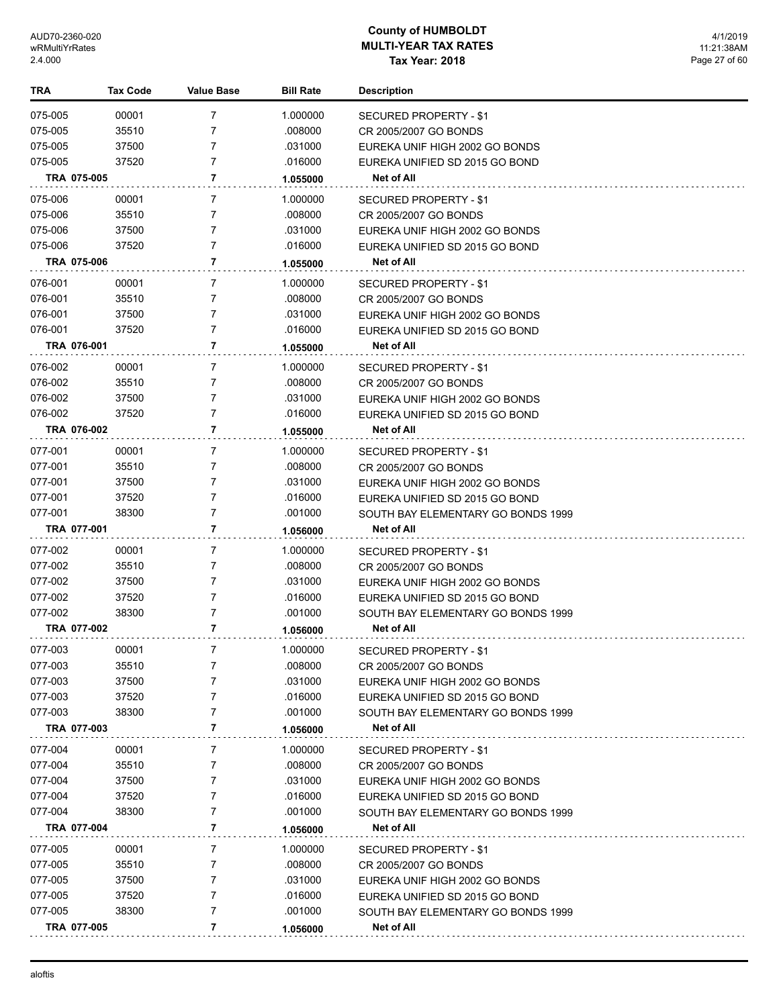| TRA         | Tax Code | <b>Value Base</b> | <b>Bill Rate</b> | <b>Description</b>                 |
|-------------|----------|-------------------|------------------|------------------------------------|
| 075-005     | 00001    | $\overline{7}$    | 1.000000         | SECURED PROPERTY - \$1             |
| 075-005     | 35510    | 7                 | .008000          | CR 2005/2007 GO BONDS              |
| 075-005     | 37500    | 7                 | .031000          | EUREKA UNIF HIGH 2002 GO BONDS     |
| 075-005     | 37520    | 7                 | .016000          | EUREKA UNIFIED SD 2015 GO BOND     |
| TRA 075-005 |          | 7                 | 1.055000         | Net of All                         |
| 075-006     | 00001    | 7                 | 1.000000         | <b>SECURED PROPERTY - \$1</b>      |
| 075-006     | 35510    | 7                 | .008000          | CR 2005/2007 GO BONDS              |
| 075-006     | 37500    | 7                 | .031000          | EUREKA UNIF HIGH 2002 GO BONDS     |
| 075-006     | 37520    | 7                 | .016000          | EUREKA UNIFIED SD 2015 GO BOND     |
| TRA 075-006 |          | 7                 | 1.055000         | <b>Net of All</b>                  |
| 076-001     | 00001    | 7                 | 1.000000         | SECURED PROPERTY - \$1             |
| 076-001     | 35510    | 7                 | .008000          | CR 2005/2007 GO BONDS              |
| 076-001     | 37500    | 7                 | .031000          | EUREKA UNIF HIGH 2002 GO BONDS     |
| 076-001     | 37520    | 7                 | .016000          | EUREKA UNIFIED SD 2015 GO BOND     |
| TRA 076-001 |          | 7                 | 1.055000         | <b>Net of All</b>                  |
| 076-002     | 00001    | 7                 | 1.000000         | SECURED PROPERTY - \$1             |
| 076-002     | 35510    | 7                 | .008000          | CR 2005/2007 GO BONDS              |
| 076-002     | 37500    | 7                 | .031000          | EUREKA UNIF HIGH 2002 GO BONDS     |
| 076-002     | 37520    | 7                 | .016000          | EUREKA UNIFIED SD 2015 GO BOND     |
| TRA 076-002 |          | 7                 | 1.055000         | Net of All                         |
| 077-001     | 00001    | 7                 | 1.000000         | SECURED PROPERTY - \$1             |
| 077-001     | 35510    | 7                 | .008000          | CR 2005/2007 GO BONDS              |
| 077-001     | 37500    | 7                 | .031000          | EUREKA UNIF HIGH 2002 GO BONDS     |
| 077-001     | 37520    | 7                 | .016000          | EUREKA UNIFIED SD 2015 GO BOND     |
| 077-001     | 38300    | 7                 | .001000          | SOUTH BAY ELEMENTARY GO BONDS 1999 |
| TRA 077-001 |          | $\overline{7}$    | 1.056000         | Net of All                         |
| 077-002     | 00001    | 7                 | 1.000000         | SECURED PROPERTY - \$1             |
| 077-002     | 35510    | 7                 | .008000          | CR 2005/2007 GO BONDS              |
| 077-002     | 37500    | 7                 | .031000          | EUREKA UNIF HIGH 2002 GO BONDS     |
| 077-002     | 37520    | 7                 | .016000          | EUREKA UNIFIED SD 2015 GO BOND     |
| 077-002     | 38300    | 7                 | .001000          | SOUTH BAY ELEMENTARY GO BONDS 1999 |
| TRA 077-002 |          | 7                 | 1.056000         | Net of All                         |
| 077-003     | 00001    | 7                 | 1.000000         | SECURED PROPERTY - \$1             |
| 077-003     | 35510    | 7                 | .008000          | CR 2005/2007 GO BONDS              |
| 077-003     | 37500    | 7                 | .031000          | EUREKA UNIF HIGH 2002 GO BONDS     |
| 077-003     | 37520    | 7                 | .016000          | EUREKA UNIFIED SD 2015 GO BOND     |
| 077-003     | 38300    | 7                 | .001000          | SOUTH BAY ELEMENTARY GO BONDS 1999 |
| TRA 077-003 |          | 7                 | 1.056000         | Net of All                         |
| 077-004     | 00001    | 7                 | 1.000000         | SECURED PROPERTY - \$1             |
| 077-004     | 35510    | 7                 | .008000          | CR 2005/2007 GO BONDS              |
| 077-004     | 37500    | 7                 | .031000          | EUREKA UNIF HIGH 2002 GO BONDS     |
| 077-004     | 37520    | 7                 | .016000          | EUREKA UNIFIED SD 2015 GO BOND     |
| 077-004     | 38300    | 7                 | .001000          | SOUTH BAY ELEMENTARY GO BONDS 1999 |
| TRA 077-004 |          | 7                 | 1.056000         | Net of All                         |
| 077-005     | 00001    | 7                 | 1.000000         | SECURED PROPERTY - \$1             |
| 077-005     | 35510    | 7                 | .008000          | CR 2005/2007 GO BONDS              |
| 077-005     | 37500    | 7                 | .031000          | EUREKA UNIF HIGH 2002 GO BONDS     |
| 077-005     | 37520    | 7                 | .016000          | EUREKA UNIFIED SD 2015 GO BOND     |
| 077-005     | 38300    | 7                 | .001000          | SOUTH BAY ELEMENTARY GO BONDS 1999 |
| TRA 077-005 |          | 7                 | 1.056000         | Net of All                         |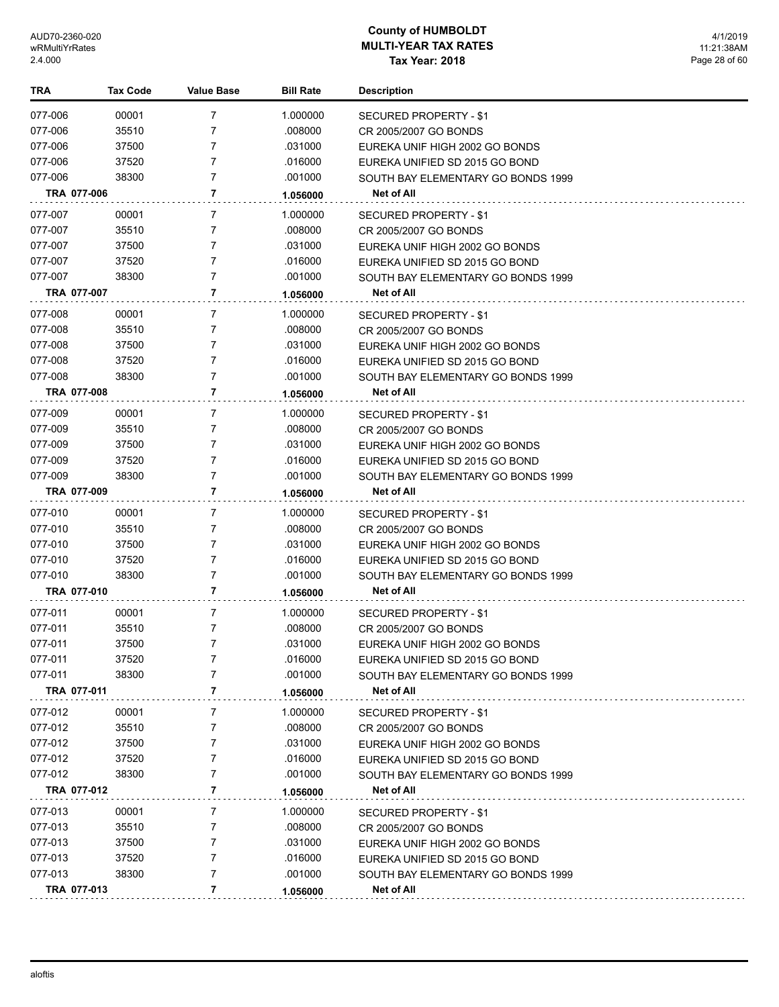| TRA         | <b>Tax Code</b> | <b>Value Base</b> | <b>Bill Rate</b> | <b>Description</b>                 |
|-------------|-----------------|-------------------|------------------|------------------------------------|
| 077-006     | 00001           | 7                 | 1.000000         | SECURED PROPERTY - \$1             |
| 077-006     | 35510           | 7                 | .008000          | CR 2005/2007 GO BONDS              |
| 077-006     | 37500           | 7                 | .031000          | EUREKA UNIF HIGH 2002 GO BONDS     |
| 077-006     | 37520           | 7                 | .016000          | EUREKA UNIFIED SD 2015 GO BOND     |
| 077-006     | 38300           | 7                 | .001000          | SOUTH BAY ELEMENTARY GO BONDS 1999 |
| TRA 077-006 |                 | 7                 | 1.056000         | Net of All                         |
| 077-007     | 00001           | 7                 | 1.000000         | SECURED PROPERTY - \$1             |
| 077-007     | 35510           | 7                 | .008000          | CR 2005/2007 GO BONDS              |
| 077-007     | 37500           | 7                 | .031000          | EUREKA UNIF HIGH 2002 GO BONDS     |
| 077-007     | 37520           | 7                 | .016000          | EUREKA UNIFIED SD 2015 GO BOND     |
| 077-007     | 38300           | 7                 | .001000          | SOUTH BAY ELEMENTARY GO BONDS 1999 |
| TRA 077-007 |                 | 7                 | 1.056000         | Net of All                         |
| 077-008     | 00001           | 7                 | 1.000000         | SECURED PROPERTY - \$1             |
| 077-008     | 35510           | 7                 | .008000          | CR 2005/2007 GO BONDS              |
| 077-008     | 37500           | 7                 | .031000          | EUREKA UNIF HIGH 2002 GO BONDS     |
| 077-008     | 37520           | 7                 | .016000          | EUREKA UNIFIED SD 2015 GO BOND     |
| 077-008     | 38300           | 7                 | .001000          | SOUTH BAY ELEMENTARY GO BONDS 1999 |
| TRA 077-008 |                 | 7                 | 1.056000         | Net of All                         |
| 077-009     | 00001           | 7                 | 1.000000         | SECURED PROPERTY - \$1             |
| 077-009     | 35510           | 7                 | .008000          | CR 2005/2007 GO BONDS              |
| 077-009     | 37500           | 7                 | .031000          | EUREKA UNIF HIGH 2002 GO BONDS     |
| 077-009     | 37520           | 7                 | .016000          | EUREKA UNIFIED SD 2015 GO BOND     |
| 077-009     | 38300           | 7                 | .001000          | SOUTH BAY ELEMENTARY GO BONDS 1999 |
| TRA 077-009 |                 | 7                 | 1.056000         | Net of All                         |
| 077-010     | 00001           | 7                 | 1.000000         | SECURED PROPERTY - \$1             |
| 077-010     | 35510           | 7                 | .008000          | CR 2005/2007 GO BONDS              |
| 077-010     | 37500           | 7                 | .031000          | EUREKA UNIF HIGH 2002 GO BONDS     |
| 077-010     | 37520           | 7                 | .016000          | EUREKA UNIFIED SD 2015 GO BOND     |
| 077-010     | 38300           | 7                 | .001000          | SOUTH BAY ELEMENTARY GO BONDS 1999 |
| TRA 077-010 |                 | 7                 | 1.056000         | Net of All                         |
| 077-011     | 00001           | 7                 | 1.000000         | <b>SECURED PROPERTY - \$1</b>      |
| 077-011     | 35510           | 7                 | .008000          | CR 2005/2007 GO BONDS              |
| 077-011     | 37500           | 7                 | .031000          | EUREKA UNIF HIGH 2002 GO BONDS     |
| 077-011     | 37520           |                   | .016000          | EUREKA UNIFIED SD 2015 GO BOND     |
| 077-011     | 38300           | 7                 | .001000          | SOUTH BAY ELEMENTARY GO BONDS 1999 |
| TRA 077-011 |                 | 7                 | 1.056000         | Net of All                         |
| 077-012     | 00001           | 7                 | 1.000000         | SECURED PROPERTY - \$1             |
| 077-012     | 35510           | 7                 | .008000          | CR 2005/2007 GO BONDS              |
| 077-012     | 37500           | 7                 | .031000          | EUREKA UNIF HIGH 2002 GO BONDS     |
| 077-012     | 37520           | 7                 | .016000          | EUREKA UNIFIED SD 2015 GO BOND     |
| 077-012     | 38300           | 7                 | .001000          | SOUTH BAY ELEMENTARY GO BONDS 1999 |
| TRA 077-012 |                 | 7                 | 1.056000         | Net of All                         |
| 077-013     | 00001           | 7                 | 1.000000         | SECURED PROPERTY - \$1             |
| 077-013     | 35510           | 7                 | .008000          | CR 2005/2007 GO BONDS              |
| 077-013     | 37500           | 7                 | .031000          | EUREKA UNIF HIGH 2002 GO BONDS     |
| 077-013     | 37520           | 7                 | .016000          | EUREKA UNIFIED SD 2015 GO BOND     |
| 077-013     | 38300           | 7                 | .001000          | SOUTH BAY ELEMENTARY GO BONDS 1999 |
| TRA 077-013 |                 | 7                 | 1.056000         | Net of All                         |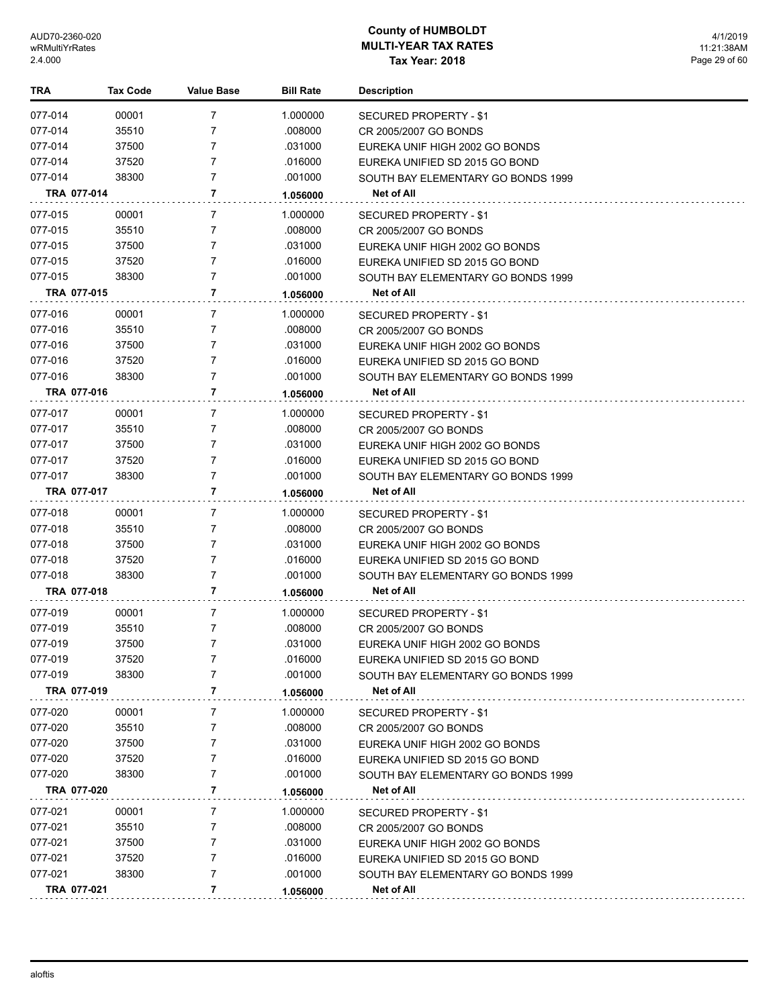| TRA                | <b>Tax Code</b> | <b>Value Base</b> | <b>Bill Rate</b>    | <b>Description</b>                                                   |
|--------------------|-----------------|-------------------|---------------------|----------------------------------------------------------------------|
| 077-014            | 00001           | 7                 | 1.000000            | SECURED PROPERTY - \$1                                               |
| 077-014            | 35510           | 7                 | .008000             | CR 2005/2007 GO BONDS                                                |
| 077-014            | 37500           | 7                 | .031000             | EUREKA UNIF HIGH 2002 GO BONDS                                       |
| 077-014            | 37520           | 7                 | .016000             | EUREKA UNIFIED SD 2015 GO BOND                                       |
| 077-014            | 38300           | 7                 | .001000             | SOUTH BAY ELEMENTARY GO BONDS 1999                                   |
| TRA 077-014        |                 | 7                 | 1.056000            | Net of All                                                           |
| 077-015            | 00001           | 7                 | 1.000000            | SECURED PROPERTY - \$1                                               |
| 077-015            | 35510           | 7                 | .008000             | CR 2005/2007 GO BONDS                                                |
| 077-015            | 37500           | 7                 | .031000             | EUREKA UNIF HIGH 2002 GO BONDS                                       |
| 077-015            | 37520           | 7                 | .016000             | EUREKA UNIFIED SD 2015 GO BOND                                       |
| 077-015            | 38300           | 7                 | .001000             | SOUTH BAY ELEMENTARY GO BONDS 1999                                   |
| TRA 077-015        |                 | 7                 | 1.056000            | Net of All                                                           |
|                    |                 |                   |                     |                                                                      |
| 077-016<br>077-016 | 00001<br>35510  | 7<br>7            | 1.000000<br>.008000 | SECURED PROPERTY - \$1                                               |
| 077-016            | 37500           | 7                 | .031000             | CR 2005/2007 GO BONDS                                                |
| 077-016            | 37520           | 7                 | .016000             | EUREKA UNIF HIGH 2002 GO BONDS<br>EUREKA UNIFIED SD 2015 GO BOND     |
| 077-016            | 38300           | 7                 | .001000             | SOUTH BAY ELEMENTARY GO BONDS 1999                                   |
| TRA 077-016        |                 | 7                 | 1.056000            | Net of All                                                           |
|                    |                 |                   |                     |                                                                      |
| 077-017            | 00001           | 7                 | 1.000000            | SECURED PROPERTY - \$1                                               |
| 077-017            | 35510           | 7                 | .008000             | CR 2005/2007 GO BONDS                                                |
| 077-017<br>077-017 | 37500<br>37520  | 7<br>7            | .031000<br>.016000  | EUREKA UNIF HIGH 2002 GO BONDS                                       |
| 077-017            | 38300           | 7                 | .001000             | EUREKA UNIFIED SD 2015 GO BOND<br>SOUTH BAY ELEMENTARY GO BONDS 1999 |
| TRA 077-017        |                 | 7                 | 1.056000            | Net of All                                                           |
|                    |                 |                   |                     |                                                                      |
| 077-018            | 00001           | 7                 | 1.000000            | SECURED PROPERTY - \$1                                               |
| 077-018            | 35510           | 7                 | .008000             | CR 2005/2007 GO BONDS                                                |
| 077-018            | 37500           | 7<br>7            | .031000             | EUREKA UNIF HIGH 2002 GO BONDS                                       |
| 077-018<br>077-018 | 37520<br>38300  | 7                 | .016000<br>.001000  | EUREKA UNIFIED SD 2015 GO BOND                                       |
| TRA 077-018        |                 | 7                 |                     | SOUTH BAY ELEMENTARY GO BONDS 1999<br>Net of All                     |
|                    |                 |                   | 1.056000            |                                                                      |
| 077-019            | 00001           | 7                 | 1.000000            | <b>SECURED PROPERTY - \$1</b>                                        |
| 077-019            | 35510           | 7                 | .008000             | CR 2005/2007 GO BONDS                                                |
| 077-019            | 37500           | 7                 | .031000             | EUREKA UNIF HIGH 2002 GO BONDS                                       |
| 077-019            | 37520           |                   | .016000             | EUREKA UNIFIED SD 2015 GO BOND                                       |
| 077-019            | 38300           | 7<br>7            | .001000             | SOUTH BAY ELEMENTARY GO BONDS 1999                                   |
| TRA 077-019        |                 |                   | 1.056000            | Net of All                                                           |
| 077-020            | 00001           | 7                 | 1.000000            | SECURED PROPERTY - \$1                                               |
| 077-020            | 35510           | 7                 | .008000             | CR 2005/2007 GO BONDS                                                |
| 077-020            | 37500           | 7                 | .031000             | EUREKA UNIF HIGH 2002 GO BONDS                                       |
| 077-020            | 37520           | 7                 | .016000             | EUREKA UNIFIED SD 2015 GO BOND                                       |
| 077-020            | 38300           | 7                 | .001000             | SOUTH BAY ELEMENTARY GO BONDS 1999                                   |
| TRA 077-020        |                 | 7                 | 1.056000            | Net of All                                                           |
| 077-021            | 00001           | 7                 | 1.000000            | SECURED PROPERTY - \$1                                               |
| 077-021            | 35510           | 7                 | .008000             | CR 2005/2007 GO BONDS                                                |
| 077-021            | 37500           | 7                 | .031000             | EUREKA UNIF HIGH 2002 GO BONDS                                       |
| 077-021            | 37520           | 7                 | .016000             | EUREKA UNIFIED SD 2015 GO BOND                                       |
| 077-021            | 38300           | 7                 | .001000             | SOUTH BAY ELEMENTARY GO BONDS 1999                                   |
| TRA 077-021        |                 | 7                 | 1.056000            | Net of All                                                           |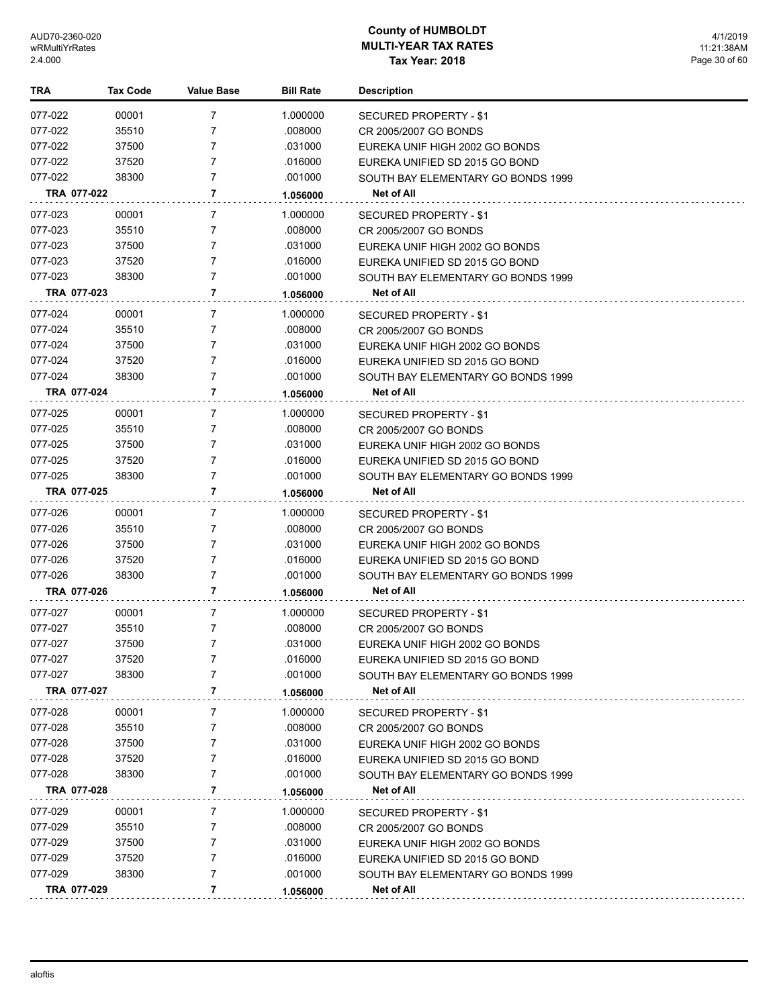| TRA         | Tax Code | <b>Value Base</b> | <b>Bill Rate</b> | <b>Description</b>                 |
|-------------|----------|-------------------|------------------|------------------------------------|
| 077-022     | 00001    | 7                 | 1.000000         | SECURED PROPERTY - \$1             |
| 077-022     | 35510    | 7                 | .008000          | CR 2005/2007 GO BONDS              |
| 077-022     | 37500    | 7                 | .031000          | EUREKA UNIF HIGH 2002 GO BONDS     |
| 077-022     | 37520    | $\overline{7}$    | .016000          | EUREKA UNIFIED SD 2015 GO BOND     |
| 077-022     | 38300    | 7                 | .001000          | SOUTH BAY ELEMENTARY GO BONDS 1999 |
| TRA 077-022 |          | 7                 | 1.056000         | Net of All                         |
| 077-023     | 00001    | 7                 | 1.000000         | SECURED PROPERTY - \$1             |
| 077-023     | 35510    | 7                 | .008000          | CR 2005/2007 GO BONDS              |
| 077-023     | 37500    | 7                 | .031000          | EUREKA UNIF HIGH 2002 GO BONDS     |
| 077-023     | 37520    | 7                 | .016000          | EUREKA UNIFIED SD 2015 GO BOND     |
| 077-023     | 38300    | 7                 | .001000          | SOUTH BAY ELEMENTARY GO BONDS 1999 |
| TRA 077-023 |          | 7                 | 1.056000         | Net of All                         |
| 077-024     | 00001    | 7                 | 1.000000         | SECURED PROPERTY - \$1             |
| 077-024     | 35510    | 7                 | .008000          | CR 2005/2007 GO BONDS              |
| 077-024     | 37500    | 7                 | .031000          | EUREKA UNIF HIGH 2002 GO BONDS     |
| 077-024     | 37520    | 7                 | .016000          | EUREKA UNIFIED SD 2015 GO BOND     |
| 077-024     | 38300    | 7                 | .001000          | SOUTH BAY ELEMENTARY GO BONDS 1999 |
| TRA 077-024 |          | 7                 | 1.056000         | Net of All                         |
| 077-025     | 00001    | 7                 | 1.000000         | SECURED PROPERTY - \$1             |
| 077-025     | 35510    | 7                 | .008000          | CR 2005/2007 GO BONDS              |
| 077-025     | 37500    | 7                 | .031000          | EUREKA UNIF HIGH 2002 GO BONDS     |
| 077-025     | 37520    | 7                 | .016000          | EUREKA UNIFIED SD 2015 GO BOND     |
| 077-025     | 38300    | 7                 | .001000          | SOUTH BAY ELEMENTARY GO BONDS 1999 |
| TRA 077-025 |          | 7                 | 1.056000         | Net of All                         |
| 077-026     | 00001    | 7                 | 1.000000         | SECURED PROPERTY - \$1             |
| 077-026     | 35510    | 7                 | .008000          | CR 2005/2007 GO BONDS              |
| 077-026     | 37500    | 7                 | .031000          | EUREKA UNIF HIGH 2002 GO BONDS     |
| 077-026     | 37520    | 7                 | .016000          | EUREKA UNIFIED SD 2015 GO BOND     |
| 077-026     | 38300    | 7                 | .001000          | SOUTH BAY ELEMENTARY GO BONDS 1999 |
| TRA 077-026 |          | 7                 | 1.056000         | Net of All                         |
| 077-027     | 00001    | 7                 | 1.000000         | SECURED PROPERTY - \$1             |
| 077-027     | 35510    | 7                 | .008000          | CR 2005/2007 GO BONDS              |
| 077-027     | 37500    | 7                 | .031000          | EUREKA UNIF HIGH 2002 GO BONDS     |
| 077-027     | 37520    |                   | .016000          | EUREKA UNIFIED SD 2015 GO BOND     |
| 077-027     | 38300    | 7                 | .001000          | SOUTH BAY ELEMENTARY GO BONDS 1999 |
| TRA 077-027 |          | 7                 | 1.056000         | Net of All                         |
| 077-028     | 00001    | 7                 | 1.000000         | <b>SECURED PROPERTY - \$1</b>      |
| 077-028     | 35510    | 7                 | .008000          | CR 2005/2007 GO BONDS              |
| 077-028     | 37500    | 7                 | .031000          | EUREKA UNIF HIGH 2002 GO BONDS     |
| 077-028     | 37520    | 7                 | .016000          | EUREKA UNIFIED SD 2015 GO BOND     |
| 077-028     | 38300    | 7                 | .001000          | SOUTH BAY ELEMENTARY GO BONDS 1999 |
| TRA 077-028 |          | 7                 | 1.056000         | Net of All                         |
| 077-029     | 00001    | 7                 | 1.000000         | SECURED PROPERTY - \$1             |
| 077-029     | 35510    | 7                 | .008000          | CR 2005/2007 GO BONDS              |
| 077-029     | 37500    | 7                 | .031000          | EUREKA UNIF HIGH 2002 GO BONDS     |
| 077-029     | 37520    | 7                 | .016000          | EUREKA UNIFIED SD 2015 GO BOND     |
| 077-029     | 38300    | 7                 | .001000          | SOUTH BAY ELEMENTARY GO BONDS 1999 |
| TRA 077-029 |          | 7                 | 1.056000         | Net of All                         |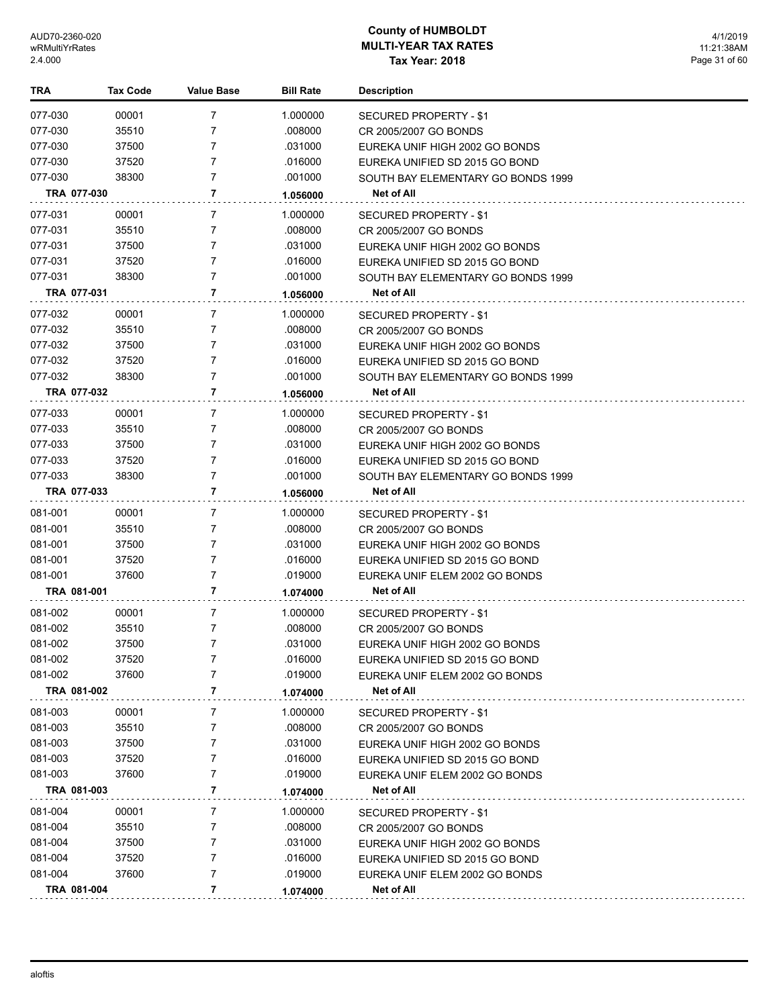| TRA         | Tax Code | <b>Value Base</b> | <b>Bill Rate</b> | <b>Description</b>                 |
|-------------|----------|-------------------|------------------|------------------------------------|
| 077-030     | 00001    | 7                 | 1.000000         | SECURED PROPERTY - \$1             |
| 077-030     | 35510    | 7                 | .008000          | CR 2005/2007 GO BONDS              |
| 077-030     | 37500    | 7                 | .031000          | EUREKA UNIF HIGH 2002 GO BONDS     |
| 077-030     | 37520    | $\overline{7}$    | .016000          | EUREKA UNIFIED SD 2015 GO BOND     |
| 077-030     | 38300    | 7                 | .001000          | SOUTH BAY ELEMENTARY GO BONDS 1999 |
| TRA 077-030 |          | 7                 | 1.056000         | Net of All                         |
| 077-031     | 00001    | 7                 | 1.000000         | SECURED PROPERTY - \$1             |
| 077-031     | 35510    | 7                 | .008000          | CR 2005/2007 GO BONDS              |
| 077-031     | 37500    | 7                 | .031000          | EUREKA UNIF HIGH 2002 GO BONDS     |
| 077-031     | 37520    | 7                 | .016000          | EUREKA UNIFIED SD 2015 GO BOND     |
| 077-031     | 38300    | 7                 | .001000          | SOUTH BAY ELEMENTARY GO BONDS 1999 |
| TRA 077-031 |          | 7                 | 1.056000         | Net of All                         |
| 077-032     | 00001    | 7                 | 1.000000         | SECURED PROPERTY - \$1             |
| 077-032     | 35510    | 7                 | .008000          | CR 2005/2007 GO BONDS              |
| 077-032     | 37500    | 7                 | .031000          | EUREKA UNIF HIGH 2002 GO BONDS     |
| 077-032     | 37520    | 7                 | .016000          | EUREKA UNIFIED SD 2015 GO BOND     |
| 077-032     | 38300    | 7                 | .001000          | SOUTH BAY ELEMENTARY GO BONDS 1999 |
| TRA 077-032 |          | 7                 | 1.056000         | Net of All                         |
| 077-033     | 00001    | 7                 | 1.000000         | <b>SECURED PROPERTY - \$1</b>      |
| 077-033     | 35510    | 7                 | .008000          | CR 2005/2007 GO BONDS              |
| 077-033     | 37500    | 7                 | .031000          | EUREKA UNIF HIGH 2002 GO BONDS     |
| 077-033     | 37520    | 7                 | .016000          | EUREKA UNIFIED SD 2015 GO BOND     |
| 077-033     | 38300    | 7                 | .001000          | SOUTH BAY ELEMENTARY GO BONDS 1999 |
| TRA 077-033 |          | 7                 | 1.056000         | Net of All                         |
| 081-001     | 00001    | 7                 | 1.000000         | SECURED PROPERTY - \$1             |
| 081-001     | 35510    | 7                 | .008000          | CR 2005/2007 GO BONDS              |
| 081-001     | 37500    | 7                 | .031000          | EUREKA UNIF HIGH 2002 GO BONDS     |
| 081-001     | 37520    | 7                 | .016000          | EUREKA UNIFIED SD 2015 GO BOND     |
| 081-001     | 37600    | 7                 | .019000          | EUREKA UNIF ELEM 2002 GO BONDS     |
| TRA 081-001 |          | 7                 | 1.074000         | <b>Net of All</b>                  |
| 081-002     | 00001    | 7                 | 1.000000         | SECURED PROPERTY - \$1             |
| 081-002     | 35510    | 7                 | .008000          | CR 2005/2007 GO BONDS              |
| 081-002     | 37500    | 7                 | .031000          | EUREKA UNIF HIGH 2002 GO BONDS     |
| 081-002     | 37520    |                   | .016000          | EUREKA UNIFIED SD 2015 GO BOND     |
| 081-002     | 37600    | 7                 | .019000          | EUREKA UNIF ELEM 2002 GO BONDS     |
| TRA 081-002 |          | 7                 | 1.074000         | Net of All                         |
| 081-003     | 00001    | 7                 | 1.000000         | SECURED PROPERTY - \$1             |
| 081-003     | 35510    | 7                 | .008000          | CR 2005/2007 GO BONDS              |
| 081-003     | 37500    | 7                 | .031000          | EUREKA UNIF HIGH 2002 GO BONDS     |
| 081-003     | 37520    | 7                 | .016000          | EUREKA UNIFIED SD 2015 GO BOND     |
| 081-003     | 37600    | 7                 | .019000          | EUREKA UNIF ELEM 2002 GO BONDS     |
| TRA 081-003 |          | 7                 | 1.074000         | Net of All                         |
| 081-004     | 00001    | 7                 | 1.000000         | SECURED PROPERTY - \$1             |
| 081-004     | 35510    | 7                 | .008000          | CR 2005/2007 GO BONDS              |
| 081-004     | 37500    | 7                 | .031000          | EUREKA UNIF HIGH 2002 GO BONDS     |
| 081-004     | 37520    | 7                 | .016000          | EUREKA UNIFIED SD 2015 GO BOND     |
| 081-004     | 37600    | 7                 | .019000          | EUREKA UNIF ELEM 2002 GO BONDS     |
| TRA 081-004 |          | 7                 | 1.074000         | Net of All                         |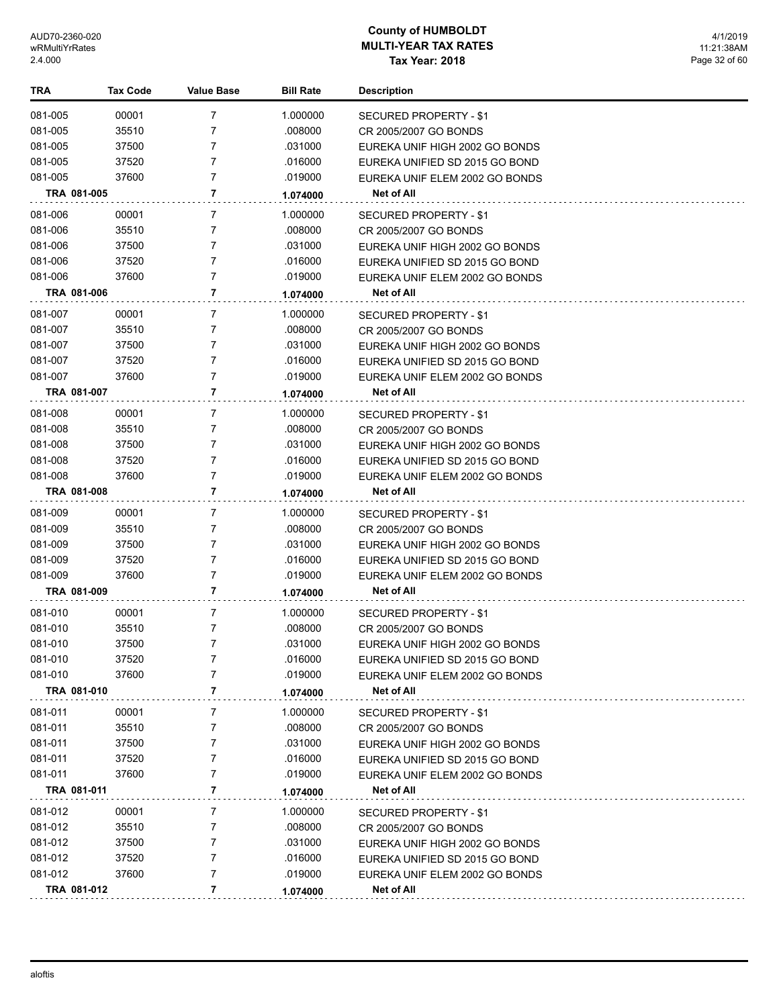| <b>TRA</b>  | <b>Tax Code</b> | <b>Value Base</b> | <b>Bill Rate</b> | <b>Description</b>             |
|-------------|-----------------|-------------------|------------------|--------------------------------|
| 081-005     | 00001           | 7                 | 1.000000         | SECURED PROPERTY - \$1         |
| 081-005     | 35510           | 7                 | .008000          | CR 2005/2007 GO BONDS          |
| 081-005     | 37500           | 7                 | .031000          | EUREKA UNIF HIGH 2002 GO BONDS |
| 081-005     | 37520           | 7                 | .016000          | EUREKA UNIFIED SD 2015 GO BOND |
| 081-005     | 37600           | $\overline{7}$    | .019000          | EUREKA UNIF ELEM 2002 GO BONDS |
| TRA 081-005 |                 | 7                 | 1.074000         | Net of All                     |
| 081-006     | 00001           | 7                 | 1.000000         | SECURED PROPERTY - \$1         |
| 081-006     | 35510           | 7                 | .008000          | CR 2005/2007 GO BONDS          |
| 081-006     | 37500           | 7                 | .031000          | EUREKA UNIF HIGH 2002 GO BONDS |
| 081-006     | 37520           | 7                 | .016000          | EUREKA UNIFIED SD 2015 GO BOND |
| 081-006     | 37600           | 7                 | .019000          | EUREKA UNIF ELEM 2002 GO BONDS |
| TRA 081-006 |                 | 7                 | 1.074000         | Net of All                     |
| 081-007     | 00001           | 7                 | 1.000000         | SECURED PROPERTY - \$1         |
| 081-007     | 35510           | 7                 | .008000          | CR 2005/2007 GO BONDS          |
| 081-007     | 37500           | 7                 | .031000          | EUREKA UNIF HIGH 2002 GO BONDS |
| 081-007     | 37520           | 7                 | .016000          | EUREKA UNIFIED SD 2015 GO BOND |
| 081-007     | 37600           | $\overline{7}$    | .019000          | EUREKA UNIF ELEM 2002 GO BONDS |
| TRA 081-007 |                 | 7                 | 1.074000         | Net of All                     |
| 081-008     | 00001           | 7                 | 1.000000         | <b>SECURED PROPERTY - \$1</b>  |
| 081-008     | 35510           | 7                 | .008000          | CR 2005/2007 GO BONDS          |
| 081-008     | 37500           | 7                 | .031000          | EUREKA UNIF HIGH 2002 GO BONDS |
| 081-008     | 37520           | 7                 | .016000          | EUREKA UNIFIED SD 2015 GO BOND |
| 081-008     | 37600           | 7                 | .019000          | EUREKA UNIF ELEM 2002 GO BONDS |
| TRA 081-008 |                 | 7                 | 1.074000         | Net of All                     |
| 081-009     | 00001           | 7                 | 1.000000         | SECURED PROPERTY - \$1         |
| 081-009     | 35510           | 7                 | .008000          | CR 2005/2007 GO BONDS          |
| 081-009     | 37500           | 7                 | .031000          | EUREKA UNIF HIGH 2002 GO BONDS |
| 081-009     | 37520           | 7                 | .016000          | EUREKA UNIFIED SD 2015 GO BOND |
| 081-009     | 37600           | 7                 | .019000          | EUREKA UNIF ELEM 2002 GO BONDS |
| TRA 081-009 |                 | 7                 | 1.074000         | Net of All                     |
| 081-010     | 00001           | 7                 | 1.000000         | <b>SECURED PROPERTY - \$1</b>  |
| 081-010     | 35510           | 7                 | .008000          | CR 2005/2007 GO BONDS          |
| 081-010     | 37500           | 7                 | .031000          | EUREKA UNIF HIGH 2002 GO BONDS |
| 081-010     | 37520           | 7                 | .016000          | EUREKA UNIFIED SD 2015 GO BOND |
| 081-010     | 37600           | 7                 | .019000          | EUREKA UNIF ELEM 2002 GO BONDS |
| TRA 081-010 |                 | 7                 | 1.074000         | Net of All                     |
| 081-011     | 00001           | 7                 | 1.000000         | SECURED PROPERTY - \$1         |
| 081-011     | 35510           | 7                 | .008000          | CR 2005/2007 GO BONDS          |
| 081-011     | 37500           | 7                 | .031000          | EUREKA UNIF HIGH 2002 GO BONDS |
| 081-011     | 37520           | 7                 | .016000          | EUREKA UNIFIED SD 2015 GO BOND |
| 081-011     | 37600           | 7                 | .019000          | EUREKA UNIF ELEM 2002 GO BONDS |
| TRA 081-011 |                 | 7                 | 1.074000         | Net of All                     |
| 081-012     | 00001           | 7                 | 1.000000         | SECURED PROPERTY - \$1         |
| 081-012     | 35510           | 7                 | .008000          | CR 2005/2007 GO BONDS          |
| 081-012     | 37500           | 7                 | .031000          | EUREKA UNIF HIGH 2002 GO BONDS |
| 081-012     | 37520           | 7                 | .016000          | EUREKA UNIFIED SD 2015 GO BOND |
| 081-012     | 37600           | 7                 | .019000          | EUREKA UNIF ELEM 2002 GO BONDS |
| TRA 081-012 |                 | 7                 | 1.074000         | Net of All                     |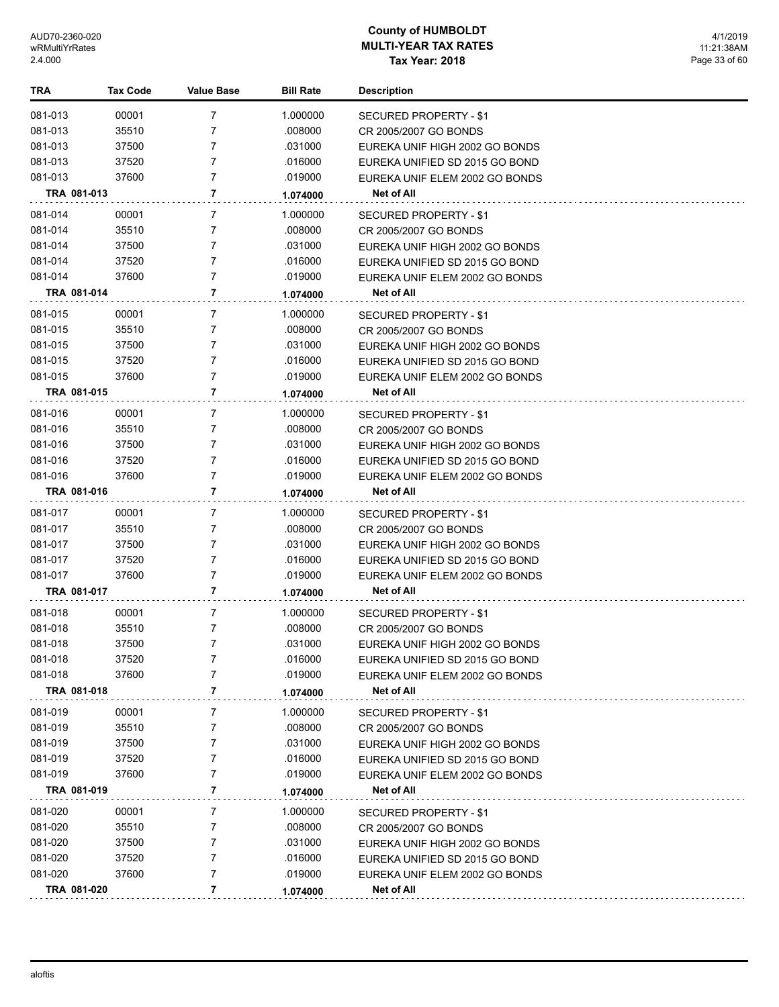| TRA         | <b>Tax Code</b> | <b>Value Base</b> | <b>Bill Rate</b> | <b>Description</b>             |
|-------------|-----------------|-------------------|------------------|--------------------------------|
| 081-013     | 00001           | 7                 | 1.000000         | SECURED PROPERTY - \$1         |
| 081-013     | 35510           | 7                 | .008000          | CR 2005/2007 GO BONDS          |
| 081-013     | 37500           | 7                 | .031000          | EUREKA UNIF HIGH 2002 GO BONDS |
| 081-013     | 37520           | 7                 | .016000          | EUREKA UNIFIED SD 2015 GO BOND |
| 081-013     | 37600           | $\overline{7}$    | .019000          | EUREKA UNIF ELEM 2002 GO BONDS |
| TRA 081-013 |                 | 7                 | 1.074000         | Net of All                     |
| 081-014     | 00001           | 7                 | 1.000000         | SECURED PROPERTY - \$1         |
| 081-014     | 35510           | 7                 | .008000          | CR 2005/2007 GO BONDS          |
| 081-014     | 37500           | 7                 | .031000          | EUREKA UNIF HIGH 2002 GO BONDS |
| 081-014     | 37520           | 7                 | .016000          | EUREKA UNIFIED SD 2015 GO BOND |
| 081-014     | 37600           | 7                 | .019000          | EUREKA UNIF ELEM 2002 GO BONDS |
| TRA 081-014 |                 | 7                 | 1.074000         | Net of All                     |
| 081-015     | 00001           | 7                 | 1.000000         | SECURED PROPERTY - \$1         |
| 081-015     | 35510           | 7                 | .008000          | CR 2005/2007 GO BONDS          |
| 081-015     | 37500           | 7                 | .031000          | EUREKA UNIF HIGH 2002 GO BONDS |
| 081-015     | 37520           | 7                 | .016000          | EUREKA UNIFIED SD 2015 GO BOND |
| 081-015     | 37600           | 7                 | .019000          | EUREKA UNIF ELEM 2002 GO BONDS |
| TRA 081-015 |                 | 7                 | 1.074000         | Net of All                     |
| 081-016     | 00001           | 7                 | 1.000000         | SECURED PROPERTY - \$1         |
| 081-016     | 35510           | 7                 | .008000          | CR 2005/2007 GO BONDS          |
| 081-016     | 37500           | 7                 | .031000          | EUREKA UNIF HIGH 2002 GO BONDS |
| 081-016     | 37520           | 7                 | .016000          | EUREKA UNIFIED SD 2015 GO BOND |
| 081-016     | 37600           | 7                 | .019000          | EUREKA UNIF ELEM 2002 GO BONDS |
| TRA 081-016 |                 | 7                 | 1.074000         | Net of All                     |
| 081-017     | 00001           | 7                 | 1.000000         | SECURED PROPERTY - \$1         |
| 081-017     | 35510           | 7                 | .008000          | CR 2005/2007 GO BONDS          |
| 081-017     | 37500           | 7                 | .031000          | EUREKA UNIF HIGH 2002 GO BONDS |
| 081-017     | 37520           | 7                 | .016000          | EUREKA UNIFIED SD 2015 GO BOND |
| 081-017     | 37600           | 7                 | .019000          | EUREKA UNIF ELEM 2002 GO BONDS |
| TRA 081-017 |                 | 7                 | 1.074000         | Net of All                     |
| 081-018     | 00001           | 7                 | 1.000000         | SECURED PROPERTY - \$1         |
| 081-018     | 35510           | 7                 | .008000          | CR 2005/2007 GO BONDS          |
| 081-018     | 37500           | 7                 | .031000          | EUREKA UNIF HIGH 2002 GO BONDS |
| 081-018     | 37520           | 7                 | .016000          | EUREKA UNIFIED SD 2015 GO BOND |
| 081-018     | 37600           | 7                 | .019000          | EUREKA UNIF ELEM 2002 GO BONDS |
| TRA 081-018 |                 | 7                 | 1.074000         | Net of All                     |
| 081-019     | 00001           | 7                 | 1.000000         | SECURED PROPERTY - \$1         |
| 081-019     | 35510           | 7                 | .008000          | CR 2005/2007 GO BONDS          |
| 081-019     | 37500           | 7                 | .031000          | EUREKA UNIF HIGH 2002 GO BONDS |
| 081-019     | 37520           | 7                 | .016000          | EUREKA UNIFIED SD 2015 GO BOND |
| 081-019     | 37600           | 7                 | .019000          | EUREKA UNIF ELEM 2002 GO BONDS |
| TRA 081-019 |                 | 7                 | 1.074000         | Net of All                     |
| 081-020     | 00001           | 7                 | 1.000000         | SECURED PROPERTY - \$1         |
| 081-020     | 35510           | 7                 | .008000          | CR 2005/2007 GO BONDS          |
| 081-020     | 37500           | 7                 | .031000          | EUREKA UNIF HIGH 2002 GO BONDS |
| 081-020     | 37520           | 7                 | .016000          | EUREKA UNIFIED SD 2015 GO BOND |
| 081-020     | 37600           | 7                 | .019000          | EUREKA UNIF ELEM 2002 GO BONDS |
| TRA 081-020 |                 | 7                 | 1.074000         | Net of All                     |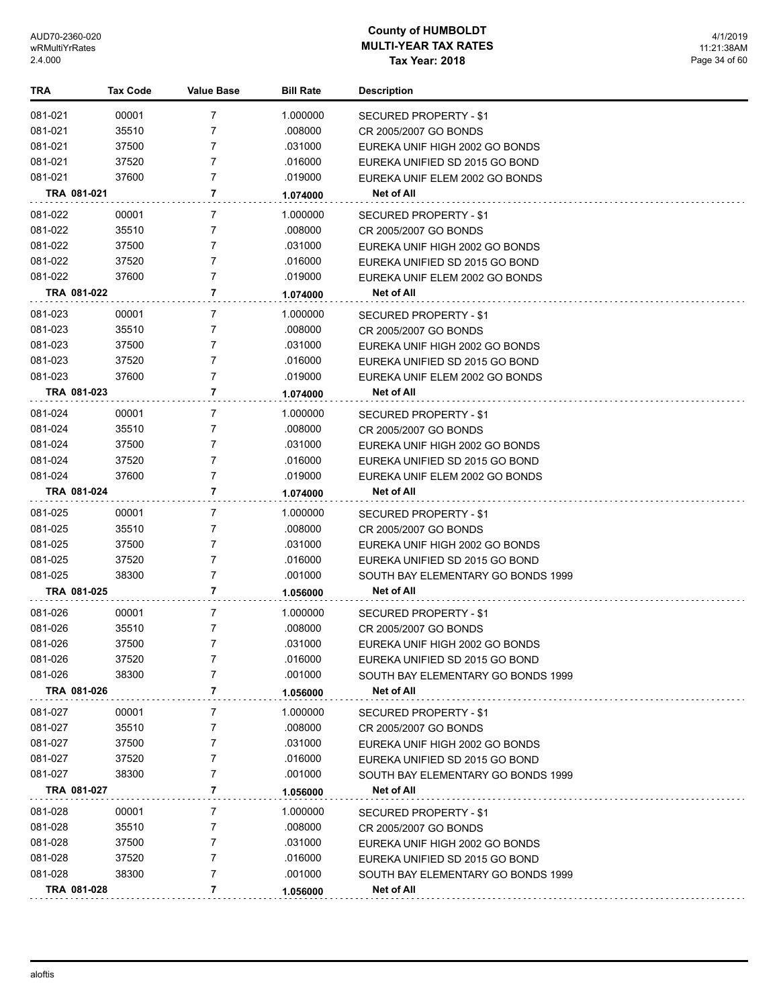| TRA         | <b>Tax Code</b> | <b>Value Base</b> | <b>Bill Rate</b> | <b>Description</b>                 |
|-------------|-----------------|-------------------|------------------|------------------------------------|
| 081-021     | 00001           | 7                 | 1.000000         | SECURED PROPERTY - \$1             |
| 081-021     | 35510           | 7                 | .008000          | CR 2005/2007 GO BONDS              |
| 081-021     | 37500           | 7                 | .031000          | EUREKA UNIF HIGH 2002 GO BONDS     |
| 081-021     | 37520           | 7                 | .016000          | EUREKA UNIFIED SD 2015 GO BOND     |
| 081-021     | 37600           | $\overline{7}$    | .019000          | EUREKA UNIF ELEM 2002 GO BONDS     |
| TRA 081-021 |                 | 7                 | 1.074000         | Net of All                         |
| 081-022     | 00001           | 7                 | 1.000000         | SECURED PROPERTY - \$1             |
| 081-022     | 35510           | 7                 | .008000          | CR 2005/2007 GO BONDS              |
| 081-022     | 37500           | 7                 | .031000          | EUREKA UNIF HIGH 2002 GO BONDS     |
| 081-022     | 37520           | 7                 | .016000          | EUREKA UNIFIED SD 2015 GO BOND     |
| 081-022     | 37600           | 7                 | .019000          | EUREKA UNIF ELEM 2002 GO BONDS     |
| TRA 081-022 |                 | 7                 | 1.074000         | Net of All                         |
| 081-023     | 00001           | 7                 | 1.000000         | SECURED PROPERTY - \$1             |
| 081-023     | 35510           | 7                 | .008000          | CR 2005/2007 GO BONDS              |
| 081-023     | 37500           | 7                 | .031000          | EUREKA UNIF HIGH 2002 GO BONDS     |
| 081-023     | 37520           | 7                 | .016000          | EUREKA UNIFIED SD 2015 GO BOND     |
| 081-023     | 37600           | 7                 | .019000          | EUREKA UNIF ELEM 2002 GO BONDS     |
| TRA 081-023 |                 | 7                 | 1.074000         | Net of All                         |
| 081-024     | 00001           | 7                 | 1.000000         | SECURED PROPERTY - \$1             |
| 081-024     | 35510           | 7                 | .008000          | CR 2005/2007 GO BONDS              |
| 081-024     | 37500           | 7                 | .031000          | EUREKA UNIF HIGH 2002 GO BONDS     |
| 081-024     | 37520           | 7                 | .016000          | EUREKA UNIFIED SD 2015 GO BOND     |
| 081-024     | 37600           | 7                 | .019000          | EUREKA UNIF ELEM 2002 GO BONDS     |
| TRA 081-024 |                 | 7                 | 1.074000         | Net of All                         |
| 081-025     | 00001           | 7                 | 1.000000         | SECURED PROPERTY - \$1             |
| 081-025     | 35510           | 7                 | .008000          | CR 2005/2007 GO BONDS              |
| 081-025     | 37500           | 7                 | .031000          | EUREKA UNIF HIGH 2002 GO BONDS     |
| 081-025     | 37520           | 7                 | .016000          | EUREKA UNIFIED SD 2015 GO BOND     |
| 081-025     | 38300           | 7                 | .001000          | SOUTH BAY ELEMENTARY GO BONDS 1999 |
| TRA 081-025 |                 | 7                 | 1.056000         | Net of All                         |
| 081-026     | 00001           | 7                 | 1.000000         | SECURED PROPERTY - \$1             |
| 081-026     | 35510           | 7                 | .008000          | CR 2005/2007 GO BONDS              |
| 081-026     | 37500           | 7                 | .031000          | EUREKA UNIF HIGH 2002 GO BONDS     |
| 081-026     | 37520           | 7                 | .016000          | EUREKA UNIFIED SD 2015 GO BOND     |
| 081-026     | 38300           | 7                 | .001000          | SOUTH BAY ELEMENTARY GO BONDS 1999 |
| TRA 081-026 |                 | 7                 | 1.056000         | Net of All                         |
| 081-027     | 00001           | 7                 | 1.000000         | SECURED PROPERTY - \$1             |
| 081-027     | 35510           | 7                 | .008000          | CR 2005/2007 GO BONDS              |
| 081-027     | 37500           | 7                 | .031000          | EUREKA UNIF HIGH 2002 GO BONDS     |
| 081-027     | 37520           | 7                 | .016000          | EUREKA UNIFIED SD 2015 GO BOND     |
| 081-027     | 38300           | 7                 | .001000          | SOUTH BAY ELEMENTARY GO BONDS 1999 |
| TRA 081-027 |                 | 7                 | 1.056000         | Net of All                         |
| 081-028     | 00001           | 7                 | 1.000000         | SECURED PROPERTY - \$1             |
| 081-028     | 35510           | 7                 | .008000          | CR 2005/2007 GO BONDS              |
| 081-028     | 37500           | 7                 | .031000          | EUREKA UNIF HIGH 2002 GO BONDS     |
| 081-028     | 37520           | 7                 | .016000          | EUREKA UNIFIED SD 2015 GO BOND     |
| 081-028     | 38300           | 7                 | .001000          | SOUTH BAY ELEMENTARY GO BONDS 1999 |
| TRA 081-028 |                 | 7                 | 1.056000         | Net of All                         |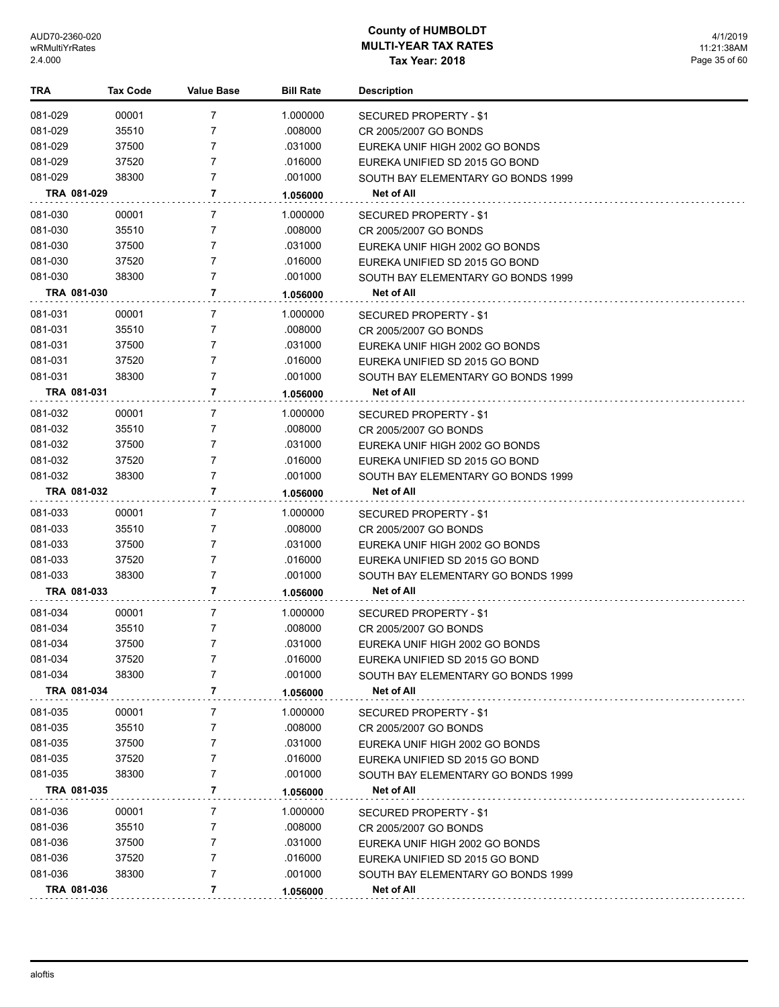| TRA                | <b>Tax Code</b> | <b>Value Base</b> | <b>Bill Rate</b>    | <b>Description</b>                                                   |
|--------------------|-----------------|-------------------|---------------------|----------------------------------------------------------------------|
| 081-029            | 00001           | 7                 | 1.000000            | SECURED PROPERTY - \$1                                               |
| 081-029            | 35510           | 7                 | .008000             | CR 2005/2007 GO BONDS                                                |
| 081-029            | 37500           | 7                 | .031000             | EUREKA UNIF HIGH 2002 GO BONDS                                       |
| 081-029            | 37520           | 7                 | .016000             | EUREKA UNIFIED SD 2015 GO BOND                                       |
| 081-029            | 38300           | 7                 | .001000             | SOUTH BAY ELEMENTARY GO BONDS 1999                                   |
| TRA 081-029        |                 | 7                 | 1.056000            | Net of All                                                           |
| 081-030            | 00001           | 7                 | 1.000000            | <b>SECURED PROPERTY - \$1</b>                                        |
| 081-030            | 35510           | 7                 | .008000             | CR 2005/2007 GO BONDS                                                |
| 081-030            | 37500           | 7                 | .031000             | EUREKA UNIF HIGH 2002 GO BONDS                                       |
| 081-030            | 37520           | $\overline{7}$    | .016000             | EUREKA UNIFIED SD 2015 GO BOND                                       |
| 081-030            | 38300           | 7                 | .001000             | SOUTH BAY ELEMENTARY GO BONDS 1999                                   |
| TRA 081-030        |                 | 7                 | 1.056000            | Net of All                                                           |
| 081-031            |                 | 7                 |                     |                                                                      |
| 081-031            | 00001<br>35510  | 7                 | 1.000000<br>.008000 | SECURED PROPERTY - \$1                                               |
| 081-031            | 37500           | 7                 | .031000             | CR 2005/2007 GO BONDS<br>EUREKA UNIF HIGH 2002 GO BONDS              |
| 081-031            | 37520           | $\overline{7}$    | .016000             | EUREKA UNIFIED SD 2015 GO BOND                                       |
| 081-031            | 38300           | $\overline{7}$    | .001000             | SOUTH BAY ELEMENTARY GO BONDS 1999                                   |
| TRA 081-031        |                 | 7                 | 1.056000            | <b>Net of All</b>                                                    |
|                    |                 |                   |                     |                                                                      |
| 081-032            | 00001           | 7                 | 1.000000            | SECURED PROPERTY - \$1                                               |
| 081-032            | 35510           | 7<br>7            | .008000             | CR 2005/2007 GO BONDS                                                |
| 081-032<br>081-032 | 37500<br>37520  | 7                 | .031000<br>.016000  | EUREKA UNIF HIGH 2002 GO BONDS<br>EUREKA UNIFIED SD 2015 GO BOND     |
| 081-032            | 38300           | $\overline{7}$    | .001000             | SOUTH BAY ELEMENTARY GO BONDS 1999                                   |
| TRA 081-032        |                 | 7                 | 1.056000            | Net of All                                                           |
|                    |                 |                   |                     |                                                                      |
| 081-033            | 00001           | 7                 | 1.000000            | SECURED PROPERTY - \$1                                               |
| 081-033            | 35510           | 7<br>7            | .008000             | CR 2005/2007 GO BONDS                                                |
| 081-033<br>081-033 | 37500<br>37520  | $\overline{7}$    | .031000<br>.016000  | EUREKA UNIF HIGH 2002 GO BONDS                                       |
| 081-033            | 38300           | $\overline{7}$    | .001000             | EUREKA UNIFIED SD 2015 GO BOND<br>SOUTH BAY ELEMENTARY GO BONDS 1999 |
| TRA 081-033        |                 | 7                 | 1.056000            | Net of All                                                           |
|                    |                 |                   |                     |                                                                      |
| 081-034            | 00001           | 7                 | 1.000000            | SECURED PROPERTY - \$1                                               |
| 081-034            | 35510           | 7                 | .008000             | CR 2005/2007 GO BONDS                                                |
| 081-034            | 37500           | $\overline{7}$    | .031000             | EUREKA UNIF HIGH 2002 GO BONDS                                       |
| 081-034<br>081-034 | 37520<br>38300  | 7                 | .016000<br>.001000  | EUREKA UNIFIED SD 2015 GO BOND                                       |
| TRA 081-034        |                 | 7                 |                     | SOUTH BAY ELEMENTARY GO BONDS 1999<br>Net of All                     |
|                    |                 |                   | 1.056000            |                                                                      |
| 081-035            | 00001           | 7                 | 1.000000            | SECURED PROPERTY - \$1                                               |
| 081-035            | 35510           | 7                 | .008000             | CR 2005/2007 GO BONDS                                                |
| 081-035            | 37500           | 7                 | .031000             | EUREKA UNIF HIGH 2002 GO BONDS                                       |
| 081-035            | 37520           | 7                 | .016000             | EUREKA UNIFIED SD 2015 GO BOND                                       |
| 081-035            | 38300           | 7<br>7            | .001000             | SOUTH BAY ELEMENTARY GO BONDS 1999                                   |
| TRA 081-035        |                 |                   | 1.056000            | Net of All                                                           |
| 081-036            | 00001           | 7                 | 1.000000            | SECURED PROPERTY - \$1                                               |
| 081-036            | 35510           | 7                 | .008000             | CR 2005/2007 GO BONDS                                                |
| 081-036            | 37500           | 7                 | .031000             | EUREKA UNIF HIGH 2002 GO BONDS                                       |
| 081-036            | 37520           | 7                 | .016000             | EUREKA UNIFIED SD 2015 GO BOND                                       |
| 081-036            | 38300           | 7                 | .001000             | SOUTH BAY ELEMENTARY GO BONDS 1999                                   |
| TRA 081-036        |                 | 7                 | 1.056000            | Net of All                                                           |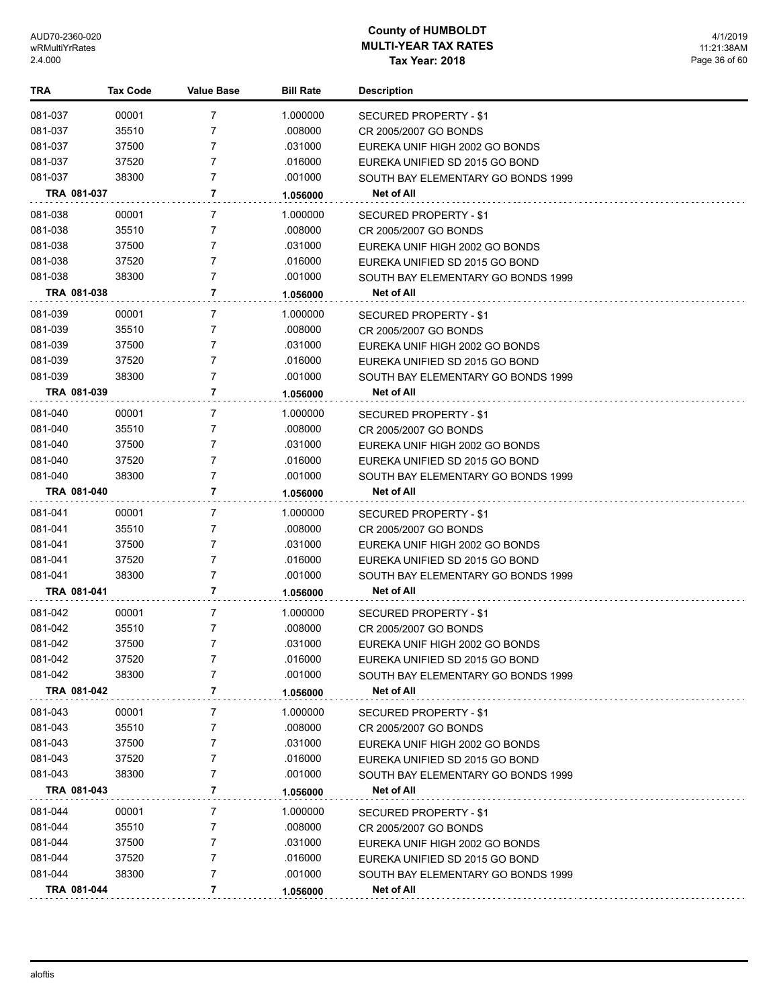| <b>TRA</b> | <b>Tax Code</b> | Value Base     | <b>Bill Rate</b> | Description                        |
|------------|-----------------|----------------|------------------|------------------------------------|
| 081-037    | 00001           | 7              | 1.000000         | SECURED PROPERTY - \$1             |
| 081-037    | 35510           | 7              | .008000          | CR 2005/2007 GO BONDS              |
| 081-037    | 37500           | 7              | .031000          | EUREKA UNIF HIGH 2002 GO BONDS     |
| 081-037    | 37520           | 7              | .016000          | EUREKA UNIFIED SD 2015 GO BOND     |
| 081-037    | 38300           | 7              | .001000          | SOUTH BAY ELEMENTARY GO BONDS 1999 |
|            | TRA 081-037     | 7              | 1.056000         | Net of All                         |
| 081-038    | 00001           | 7              | 1.000000         | SECURED PROPERTY - \$1             |
| 081-038    | 35510           | 7              | .008000          | CR 2005/2007 GO BONDS              |
| 081-038    | 37500           | 7              | .031000          | EUREKA UNIF HIGH 2002 GO BONDS     |
| 081-038    | 37520           | 7              | .016000          | EUREKA UNIFIED SD 2015 GO BOND     |
| 081-038    | 38300           | 7              | .001000          | SOUTH BAY ELEMENTARY GO BONDS 1999 |
|            | TRA 081-038     | 7              | 1.056000         | Net of All                         |
| 081-039    | 00001           | 7              | 1.000000         | SECURED PROPERTY - \$1             |
| 081-039    | 35510           | 7              | .008000          | CR 2005/2007 GO BONDS              |
| 081-039    | 37500           | 7              | .031000          | EUREKA UNIF HIGH 2002 GO BONDS     |
| 081-039    | 37520           | 7              | .016000          | EUREKA UNIFIED SD 2015 GO BOND     |
| 081-039    | 38300           | $\overline{7}$ | .001000          | SOUTH BAY ELEMENTARY GO BONDS 1999 |
|            | TRA 081-039     | 7              | 1.056000         | Net of All                         |
| 081-040    | 00001           | 7              | 1.000000         | <b>SECURED PROPERTY - \$1</b>      |
| 081-040    | 35510           | 7              | .008000          | CR 2005/2007 GO BONDS              |
| 081-040    | 37500           | $\overline{7}$ | .031000          | EUREKA UNIF HIGH 2002 GO BONDS     |
| 081-040    | 37520           | $\overline{7}$ | .016000          | EUREKA UNIFIED SD 2015 GO BOND     |
| 081-040    | 38300           | 7              | .001000          | SOUTH BAY ELEMENTARY GO BONDS 1999 |
|            | TRA 081-040     | 7              | 1.056000         | Net of All                         |
| 081-041    | 00001           | 7              | 1.000000         | SECURED PROPERTY - \$1             |
| 081-041    | 35510           | 7              | .008000          | CR 2005/2007 GO BONDS              |
| 081-041    | 37500           | 7              | .031000          | EUREKA UNIF HIGH 2002 GO BONDS     |
| 081-041    | 37520           | 7              | .016000          | EUREKA UNIFIED SD 2015 GO BOND     |
| 081-041    | 38300           | 7              | .001000          | SOUTH BAY ELEMENTARY GO BONDS 1999 |
|            | TRA 081-041     | 7              | 1.056000         | Net of All                         |
| 081-042    | 00001           | 7              | 1.000000         | SECURED PROPERTY - \$1             |
| 081-042    | 35510           | 7              | .008000          | CR 2005/2007 GO BONDS              |
| 081-042    | 37500           | 7              | .031000          | EUREKA UNIF HIGH 2002 GO BONDS     |
| 081-042    | 37520           | 7              | .016000          | EUREKA UNIFIED SD 2015 GO BOND     |
| 081-042    | 38300           | 7              | .001000          | SOUTH BAY ELEMENTARY GO BONDS 1999 |
|            | TRA 081-042     | 7              | 1.056000         | Net of All                         |
| 081-043    | 00001           | 7              | 1.000000         | SECURED PROPERTY - \$1             |
| 081-043    | 35510           | 7              | .008000          | CR 2005/2007 GO BONDS              |
| 081-043    | 37500           | 7              | .031000          | EUREKA UNIF HIGH 2002 GO BONDS     |
| 081-043    | 37520           | 7              | .016000          | EUREKA UNIFIED SD 2015 GO BOND     |
| 081-043    | 38300           | 7              | .001000          | SOUTH BAY ELEMENTARY GO BONDS 1999 |
|            | TRA 081-043     | 7              | 1.056000         | Net of All                         |
| 081-044    | 00001           | 7              | 1.000000         | SECURED PROPERTY - \$1             |
| 081-044    | 35510           | 7              | .008000          | CR 2005/2007 GO BONDS              |
| 081-044    | 37500           | 7              | .031000          | EUREKA UNIF HIGH 2002 GO BONDS     |
| 081-044    | 37520           | 7              | .016000          | EUREKA UNIFIED SD 2015 GO BOND     |
| 081-044    | 38300           | 7              | .001000          | SOUTH BAY ELEMENTARY GO BONDS 1999 |
|            | TRA 081-044     | 7              | 1.056000         | Net of All                         |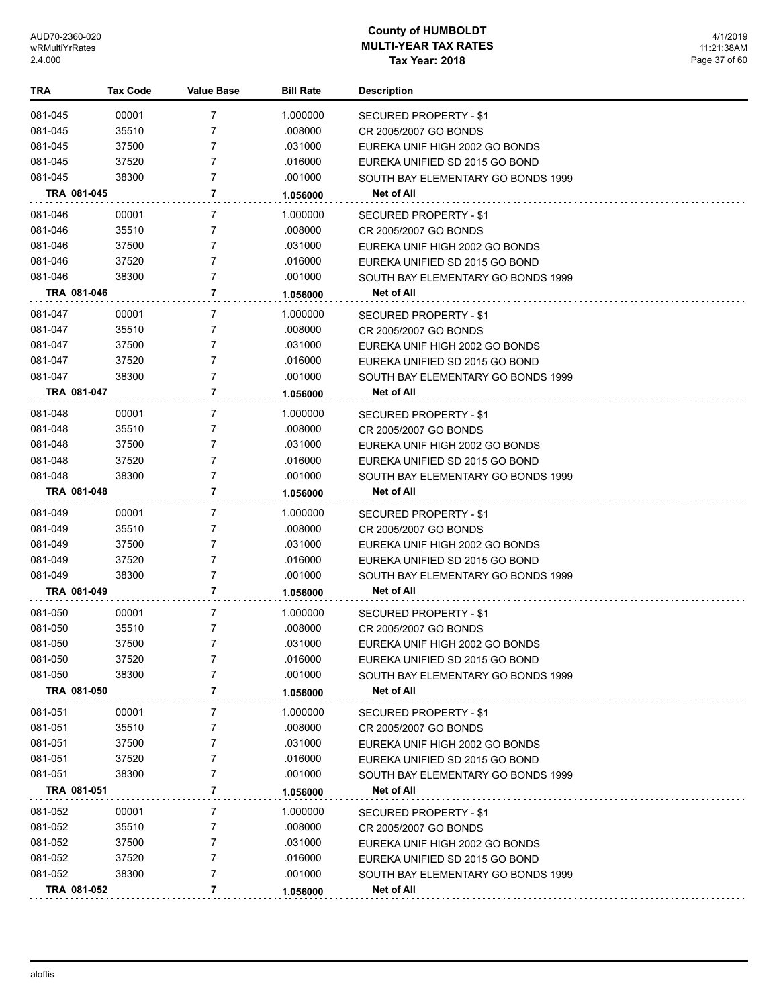4/1/2019 11:21:38AM Page 37 of 60

| TRA         | <b>Tax Code</b> | <b>Value Base</b> | <b>Bill Rate</b> | <b>Description</b>                 |
|-------------|-----------------|-------------------|------------------|------------------------------------|
| 081-045     | 00001           | 7                 | 1.000000         | SECURED PROPERTY - \$1             |
| 081-045     | 35510           | 7                 | .008000          | CR 2005/2007 GO BONDS              |
| 081-045     | 37500           | 7                 | .031000          | EUREKA UNIF HIGH 2002 GO BONDS     |
| 081-045     | 37520           | 7                 | .016000          | EUREKA UNIFIED SD 2015 GO BOND     |
| 081-045     | 38300           | 7                 | .001000          | SOUTH BAY ELEMENTARY GO BONDS 1999 |
| TRA 081-045 |                 | $\overline{7}$    | 1.056000         | Net of All                         |
| 081-046     | 00001           | 7                 | 1.000000         | SECURED PROPERTY - \$1             |
| 081-046     | 35510           | 7                 | .008000          | CR 2005/2007 GO BONDS              |
| 081-046     | 37500           | 7                 | .031000          | EUREKA UNIF HIGH 2002 GO BONDS     |
| 081-046     | 37520           | 7                 | .016000          | EUREKA UNIFIED SD 2015 GO BOND     |
| 081-046     | 38300           | 7                 | .001000          | SOUTH BAY ELEMENTARY GO BONDS 1999 |
| TRA 081-046 |                 | 7                 | 1.056000         | Net of All                         |
| 081-047     | 00001           | 7                 | 1.000000         | SECURED PROPERTY - \$1             |
| 081-047     | 35510           | 7                 | .008000          | CR 2005/2007 GO BONDS              |
| 081-047     | 37500           | 7                 | .031000          | EUREKA UNIF HIGH 2002 GO BONDS     |
| 081-047     | 37520           | 7                 | .016000          | EUREKA UNIFIED SD 2015 GO BOND     |
| 081-047     | 38300           | 7                 | .001000          | SOUTH BAY ELEMENTARY GO BONDS 1999 |
| TRA 081-047 |                 | 7                 | 1.056000         | Net of All                         |
| 081-048     | 00001           | 7                 | 1.000000         | <b>SECURED PROPERTY - \$1</b>      |
| 081-048     | 35510           | 7                 | .008000          | CR 2005/2007 GO BONDS              |
| 081-048     | 37500           | 7                 | .031000          | EUREKA UNIF HIGH 2002 GO BONDS     |
| 081-048     | 37520           | 7                 | .016000          | EUREKA UNIFIED SD 2015 GO BOND     |
| 081-048     | 38300           | 7                 | .001000          | SOUTH BAY ELEMENTARY GO BONDS 1999 |
| TRA 081-048 |                 | 7                 | 1.056000         | Net of All                         |
| 081-049     | 00001           | 7                 | 1.000000         | SECURED PROPERTY - \$1             |
| 081-049     | 35510           | 7                 | .008000          | CR 2005/2007 GO BONDS              |
| 081-049     | 37500           | 7                 | .031000          | EUREKA UNIF HIGH 2002 GO BONDS     |
| 081-049     | 37520           | 7                 | .016000          | EUREKA UNIFIED SD 2015 GO BOND     |
| 081-049     | 38300           | 7                 | .001000          | SOUTH BAY ELEMENTARY GO BONDS 1999 |
| TRA 081-049 |                 | 7                 | 1.056000         | Net of All                         |
| 081-050     | 00001           | 7                 | 1.000000         | SECURED PROPERTY - \$1             |
| 081-050     | 35510           | 7                 | .008000          | CR 2005/2007 GO BONDS              |
| 081-050     | 37500           | 7                 | .031000          | EUREKA UNIF HIGH 2002 GO BONDS     |
| 081-050     | 37520           | 7                 | .016000          | EUREKA UNIFIED SD 2015 GO BOND     |
| 081-050     | 38300           | 7                 | .001000          | SOUTH BAY ELEMENTARY GO BONDS 1999 |
| TRA 081-050 |                 | $\overline{7}$    | 1.056000         | Net of All                         |
| 081-051     | 00001           | 7                 | 1.000000         | SECURED PROPERTY - \$1             |
| 081-051     | 35510           | 7                 | .008000          | CR 2005/2007 GO BONDS              |
| 081-051     | 37500           | 7                 | .031000          | EUREKA UNIF HIGH 2002 GO BONDS     |
| 081-051     | 37520           | 7                 | .016000          | EUREKA UNIFIED SD 2015 GO BOND     |
| 081-051     | 38300           | 7                 | .001000          | SOUTH BAY ELEMENTARY GO BONDS 1999 |
| TRA 081-051 |                 | $\overline{7}$    | 1.056000         | Net of All                         |
| 081-052     | 00001           | 7                 | 1.000000         | SECURED PROPERTY - \$1             |
| 081-052     | 35510           | 7                 | .008000          | CR 2005/2007 GO BONDS              |
| 081-052     | 37500           | 7                 | .031000          | EUREKA UNIF HIGH 2002 GO BONDS     |
| 081-052     | 37520           | 7                 | .016000          | EUREKA UNIFIED SD 2015 GO BOND     |
| 081-052     | 38300           | 7                 | .001000          | SOUTH BAY ELEMENTARY GO BONDS 1999 |
| TRA 081-052 |                 | $\overline{7}$    | 1.056000         | Net of All                         |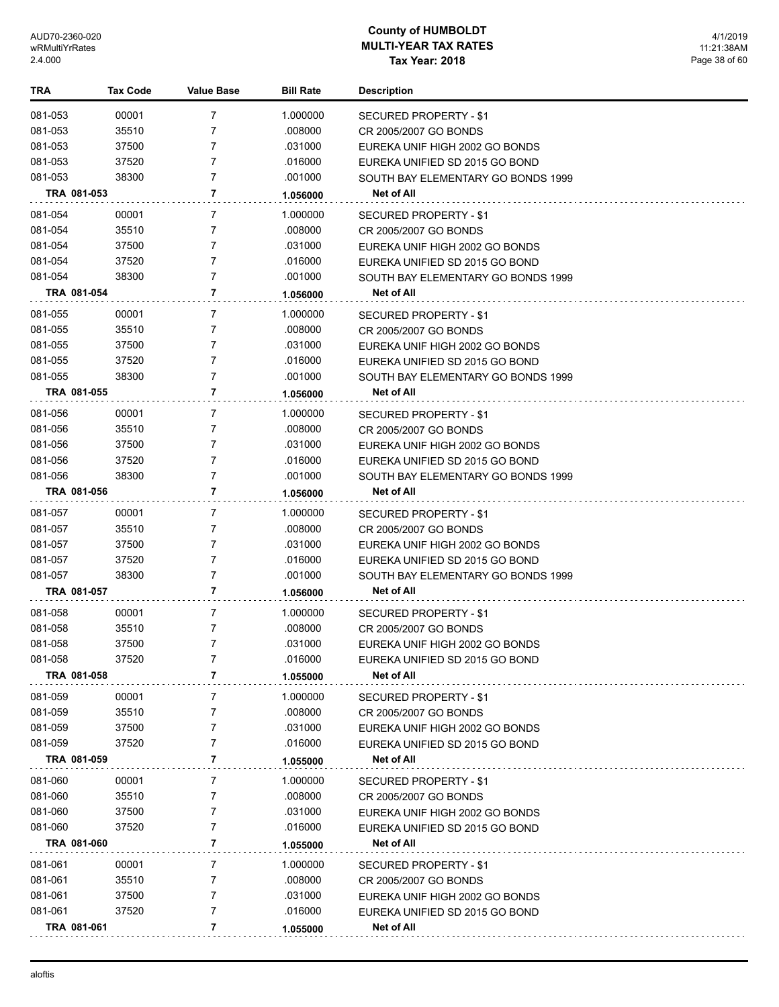| TRA                | <b>Tax Code</b> | <b>Value Base</b>                | <b>Bill Rate</b>    | <b>Description</b>                                     |
|--------------------|-----------------|----------------------------------|---------------------|--------------------------------------------------------|
| 081-053            | 00001           | 7                                | 1.000000            | SECURED PROPERTY - \$1                                 |
| 081-053            | 35510           | 7                                | .008000             | CR 2005/2007 GO BONDS                                  |
| 081-053            | 37500           | 7                                | .031000             | EUREKA UNIF HIGH 2002 GO BONDS                         |
| 081-053            | 37520           | 7                                | .016000             | EUREKA UNIFIED SD 2015 GO BOND                         |
| 081-053            | 38300           | $\overline{7}$                   | .001000             | SOUTH BAY ELEMENTARY GO BONDS 1999                     |
| TRA 081-053        |                 | 7                                | 1.056000            | Net of All                                             |
|                    |                 |                                  |                     |                                                        |
| 081-054            | 00001           | 7                                | 1.000000            | SECURED PROPERTY - \$1                                 |
| 081-054            | 35510           | $\overline{7}$                   | .008000             | CR 2005/2007 GO BONDS                                  |
| 081-054            | 37500           | 7                                | .031000             | EUREKA UNIF HIGH 2002 GO BONDS                         |
| 081-054            | 37520           | $\overline{7}$<br>$\overline{7}$ | .016000             | EUREKA UNIFIED SD 2015 GO BOND                         |
| 081-054            | 38300           |                                  | .001000             | SOUTH BAY ELEMENTARY GO BONDS 1999                     |
| TRA 081-054        |                 | 7                                | 1.056000            | Net of All                                             |
| 081-055            | 00001           | 7                                | 1.000000            | SECURED PROPERTY - \$1                                 |
| 081-055            | 35510           | 7                                | .008000             | CR 2005/2007 GO BONDS                                  |
| 081-055            | 37500           | $\overline{7}$                   | .031000             | EUREKA UNIF HIGH 2002 GO BONDS                         |
| 081-055            | 37520           | $\overline{7}$                   | .016000             | EUREKA UNIFIED SD 2015 GO BOND                         |
| 081-055            | 38300           | 7                                | .001000             | SOUTH BAY ELEMENTARY GO BONDS 1999                     |
| TRA 081-055        |                 | 7                                | 1.056000            | <b>Net of All</b>                                      |
| 081-056            | 00001           | 7                                | 1.000000            | SECURED PROPERTY - \$1                                 |
| 081-056            | 35510           | $\overline{7}$                   | .008000             | CR 2005/2007 GO BONDS                                  |
| 081-056            | 37500           | 7                                | .031000             | EUREKA UNIF HIGH 2002 GO BONDS                         |
| 081-056            | 37520           | 7                                | .016000             | EUREKA UNIFIED SD 2015 GO BOND                         |
| 081-056            | 38300           | 7                                | .001000             | SOUTH BAY ELEMENTARY GO BONDS 1999                     |
| TRA 081-056        |                 | 7                                | 1.056000            | Net of All                                             |
| 081-057            | 00001           | 7                                | 1.000000            | SECURED PROPERTY - \$1                                 |
| 081-057            | 35510           | 7                                | .008000             | CR 2005/2007 GO BONDS                                  |
| 081-057            | 37500           | 7                                | .031000             | EUREKA UNIF HIGH 2002 GO BONDS                         |
| 081-057            | 37520           | 7                                | .016000             | EUREKA UNIFIED SD 2015 GO BOND                         |
| 081-057            | 38300           | $\overline{7}$                   | .001000             | SOUTH BAY ELEMENTARY GO BONDS 1999                     |
| TRA 081-057        |                 | 7                                | 1.056000            | Net of All                                             |
|                    | 00001           | 7                                |                     |                                                        |
| 081-058<br>081-058 | 35510           | 7                                | 1.000000<br>.008000 | <b>SECURED PROPERTY - \$1</b><br>CR 2005/2007 GO BONDS |
| 081-058            | 37500           | $\overline{7}$                   | .031000             | EUREKA UNIF HIGH 2002 GO BONDS                         |
| 081-058            | 37520           | 7                                | .016000             | EUREKA UNIFIED SD 2015 GO BOND                         |
| TRA 081-058        |                 | 7                                | 1.055000            | Net of All                                             |
|                    |                 |                                  |                     |                                                        |
| 081-059            | 00001           | 7                                | 1.000000            | <b>SECURED PROPERTY - \$1</b>                          |
| 081-059            | 35510           | 7                                | .008000             | CR 2005/2007 GO BONDS                                  |
| 081-059            | 37500           | 7                                | .031000             | EUREKA UNIF HIGH 2002 GO BONDS                         |
| 081-059            | 37520           | 7                                | .016000             | EUREKA UNIFIED SD 2015 GO BOND                         |
| TRA 081-059        |                 | 7                                | 1.055000            | Net of All                                             |
| 081-060            | 00001           | 7                                | 1.000000            | <b>SECURED PROPERTY - \$1</b>                          |
| 081-060            | 35510           | 7                                | .008000             | CR 2005/2007 GO BONDS                                  |
| 081-060            | 37500           | 7                                | .031000             | EUREKA UNIF HIGH 2002 GO BONDS                         |
| 081-060            | 37520           | 7                                | .016000             | EUREKA UNIFIED SD 2015 GO BOND                         |
| TRA 081-060        |                 | 7                                | 1.055000            | Net of All                                             |
| 081-061            | 00001           | 7                                | 1.000000            | SECURED PROPERTY - \$1                                 |
| 081-061            | 35510           | 7                                | .008000             | CR 2005/2007 GO BONDS                                  |
| 081-061            | 37500           | 7                                | .031000             | EUREKA UNIF HIGH 2002 GO BONDS                         |
| 081-061            | 37520           | 7                                | .016000             | EUREKA UNIFIED SD 2015 GO BOND                         |
| TRA 081-061        |                 | 7                                | 1.055000            | Net of All                                             |
|                    |                 |                                  |                     |                                                        |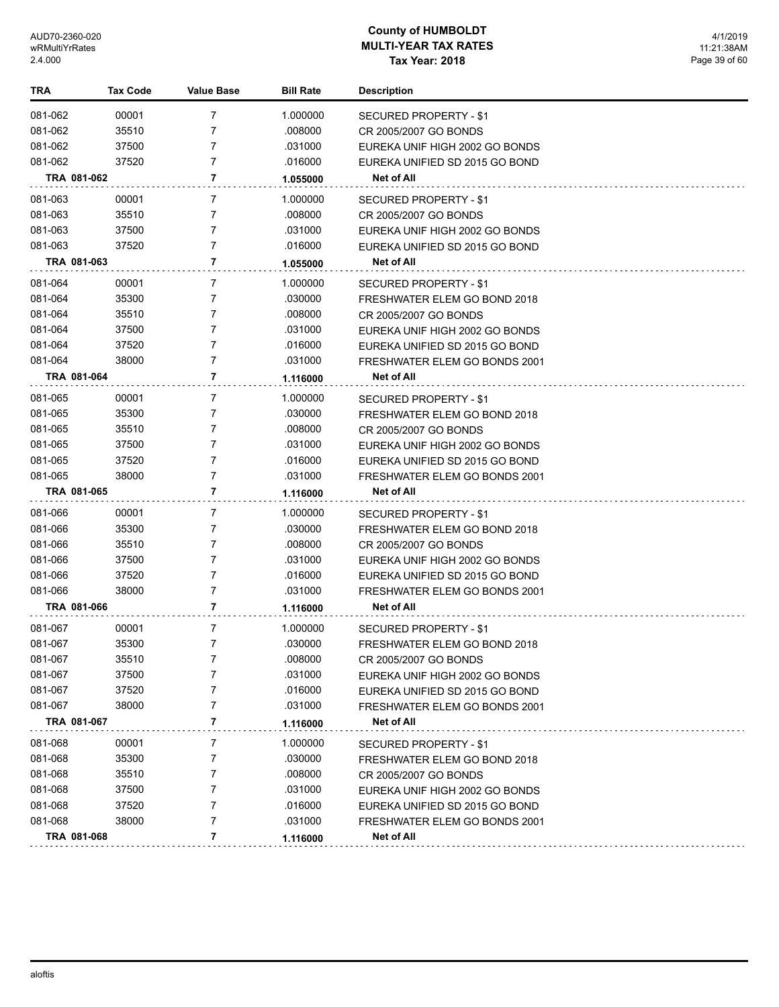| TRA         | Tax Code | <b>Value Base</b> | <b>Bill Rate</b> | <b>Description</b>             |
|-------------|----------|-------------------|------------------|--------------------------------|
| 081-062     | 00001    | 7                 | 1.000000         | SECURED PROPERTY - \$1         |
| 081-062     | 35510    | 7                 | .008000          | CR 2005/2007 GO BONDS          |
| 081-062     | 37500    | 7                 | .031000          | EUREKA UNIF HIGH 2002 GO BONDS |
| 081-062     | 37520    | 7                 | .016000          | EUREKA UNIFIED SD 2015 GO BOND |
| TRA 081-062 |          | 7                 | 1.055000         | Net of All                     |
| 081-063     | 00001    | 7                 | 1.000000         | SECURED PROPERTY - \$1         |
| 081-063     | 35510    | 7                 | .008000          | CR 2005/2007 GO BONDS          |
| 081-063     | 37500    | 7                 | .031000          | EUREKA UNIF HIGH 2002 GO BONDS |
| 081-063     | 37520    | 7                 | .016000          | EUREKA UNIFIED SD 2015 GO BOND |
| TRA 081-063 |          | 7                 | 1.055000         | Net of All                     |
| 081-064     | 00001    | 7                 | 1.000000         | SECURED PROPERTY - \$1         |
| 081-064     | 35300    | 7                 | .030000          | FRESHWATER ELEM GO BOND 2018   |
| 081-064     | 35510    | 7                 | .008000          | CR 2005/2007 GO BONDS          |
| 081-064     | 37500    | 7                 | .031000          | EUREKA UNIF HIGH 2002 GO BONDS |
| 081-064     | 37520    | 7                 | .016000          | EUREKA UNIFIED SD 2015 GO BOND |
| 081-064     | 38000    | 7                 | .031000          | FRESHWATER ELEM GO BONDS 2001  |
| TRA 081-064 |          | 7                 | 1.116000         | Net of All                     |
| 081-065     | 00001    | 7                 | 1.000000         | SECURED PROPERTY - \$1         |
| 081-065     | 35300    | 7                 | .030000          | FRESHWATER ELEM GO BOND 2018   |
| 081-065     | 35510    | 7                 | .008000          | CR 2005/2007 GO BONDS          |
| 081-065     | 37500    | 7                 | .031000          | EUREKA UNIF HIGH 2002 GO BONDS |
| 081-065     | 37520    | 7                 | .016000          | EUREKA UNIFIED SD 2015 GO BOND |
| 081-065     | 38000    | 7                 | .031000          | FRESHWATER ELEM GO BONDS 2001  |
| TRA 081-065 |          | 7                 | 1.116000         | Net of All                     |
| 081-066     | 00001    | 7                 | 1.000000         | SECURED PROPERTY - \$1         |
| 081-066     | 35300    | 7                 | .030000          | FRESHWATER ELEM GO BOND 2018   |
| 081-066     | 35510    | 7                 | .008000          | CR 2005/2007 GO BONDS          |
| 081-066     | 37500    | 7                 | .031000          | EUREKA UNIF HIGH 2002 GO BONDS |
| 081-066     | 37520    | 7                 | .016000          | EUREKA UNIFIED SD 2015 GO BOND |
| 081-066     | 38000    | 7                 | .031000          | FRESHWATER ELEM GO BONDS 2001  |
| TRA 081-066 |          | 7                 | 1.116000         | Net of All                     |
| 081-067     | 00001    | 7                 | 1.000000         | SECURED PROPERTY - \$1         |
| 081-067     | 35300    | 7                 | .030000          | FRESHWATER ELEM GO BOND 2018   |
| 081-067     | 35510    | 7                 | .008000          | CR 2005/2007 GO BONDS          |
| 081-067     | 37500    | 7                 | .031000          | EUREKA UNIF HIGH 2002 GO BONDS |
| 081-067     | 37520    | 7                 | .016000          | EUREKA UNIFIED SD 2015 GO BOND |
| 081-067     | 38000    | 7                 | .031000          | FRESHWATER ELEM GO BONDS 2001  |
| TRA 081-067 |          | 7                 | 1.116000         | Net of All                     |
| 081-068     | 00001    | 7                 | 1.000000         | <b>SECURED PROPERTY - \$1</b>  |
| 081-068     | 35300    | 7                 | .030000          | FRESHWATER ELEM GO BOND 2018   |
| 081-068     | 35510    | 7                 | .008000          | CR 2005/2007 GO BONDS          |
| 081-068     | 37500    | 7                 | .031000          | EUREKA UNIF HIGH 2002 GO BONDS |
| 081-068     | 37520    | 7                 | .016000          | EUREKA UNIFIED SD 2015 GO BOND |
| 081-068     | 38000    | 7                 | .031000          | FRESHWATER ELEM GO BONDS 2001  |
| TRA 081-068 |          | 7                 | 1.116000         | Net of All                     |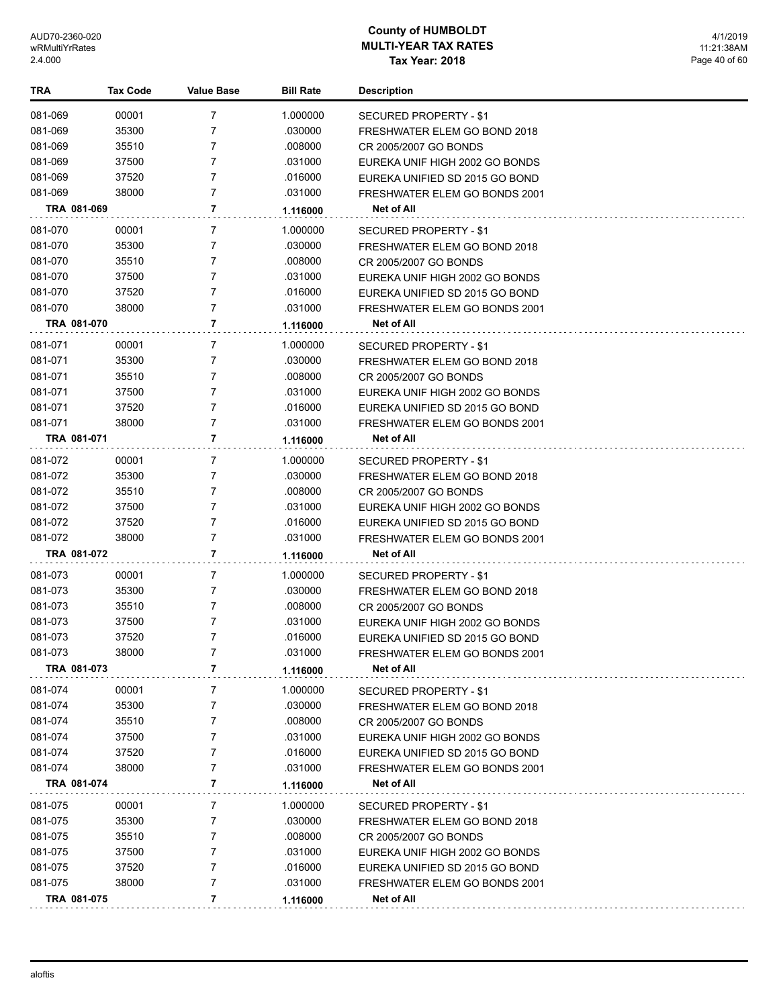| TRA                | <b>Tax Code</b> | <b>Value Base</b> | <b>Bill Rate</b>    | <b>Description</b>                                            |
|--------------------|-----------------|-------------------|---------------------|---------------------------------------------------------------|
| 081-069            | 00001           | $\overline{7}$    | 1.000000            | SECURED PROPERTY - \$1                                        |
| 081-069            | 35300           | 7                 | .030000             | FRESHWATER ELEM GO BOND 2018                                  |
| 081-069            | 35510           | 7                 | .008000             | CR 2005/2007 GO BONDS                                         |
| 081-069            | 37500           | $\overline{7}$    | .031000             | EUREKA UNIF HIGH 2002 GO BONDS                                |
| 081-069            | 37520           | $\overline{7}$    | .016000             | EUREKA UNIFIED SD 2015 GO BOND                                |
| 081-069            | 38000           | $\overline{7}$    | .031000             | FRESHWATER ELEM GO BONDS 2001                                 |
| TRA 081-069        |                 | 7                 | 1.116000            | Net of All                                                    |
| 081-070            | 00001           | 7                 | 1.000000            | <b>SECURED PROPERTY - \$1</b>                                 |
| 081-070            | 35300           | 7                 | .030000             | FRESHWATER ELEM GO BOND 2018                                  |
| 081-070            | 35510           | 7                 | .008000             | CR 2005/2007 GO BONDS                                         |
| 081-070            | 37500           | $\overline{7}$    | .031000             | EUREKA UNIF HIGH 2002 GO BONDS                                |
| 081-070            | 37520           | $\overline{7}$    | .016000             | EUREKA UNIFIED SD 2015 GO BOND                                |
| 081-070            | 38000           | $\overline{7}$    | .031000             | FRESHWATER ELEM GO BONDS 2001                                 |
| TRA 081-070        |                 | 7                 | 1.116000            | Net of All                                                    |
|                    |                 |                   |                     |                                                               |
| 081-071<br>081-071 | 00001<br>35300  | 7<br>7            | 1.000000<br>.030000 | <b>SECURED PROPERTY - \$1</b><br>FRESHWATER ELEM GO BOND 2018 |
| 081-071            | 35510           | 7                 | .008000             |                                                               |
| 081-071            | 37500           | 7                 | .031000             | CR 2005/2007 GO BONDS<br>EUREKA UNIF HIGH 2002 GO BONDS       |
| 081-071            | 37520           | 7                 | .016000             | EUREKA UNIFIED SD 2015 GO BOND                                |
| 081-071            | 38000           | $\overline{7}$    | .031000             | FRESHWATER ELEM GO BONDS 2001                                 |
| TRA 081-071        |                 | 7                 | 1.116000            | Net of All                                                    |
|                    |                 |                   |                     |                                                               |
| 081-072            | 00001           | $\overline{7}$    | 1.000000            | SECURED PROPERTY - \$1                                        |
| 081-072            | 35300           | 7                 | .030000             | FRESHWATER ELEM GO BOND 2018                                  |
| 081-072            | 35510           | 7                 | .008000             | CR 2005/2007 GO BONDS                                         |
| 081-072            | 37500           | 7                 | .031000             | EUREKA UNIF HIGH 2002 GO BONDS                                |
| 081-072            | 37520           | $\overline{7}$    | .016000             | EUREKA UNIFIED SD 2015 GO BOND                                |
| 081-072            | 38000           | 7                 | .031000             | FRESHWATER ELEM GO BONDS 2001                                 |
| TRA 081-072        |                 | 7                 | 1.116000            | Net of All                                                    |
| 081-073            | 00001           | 7                 | 1.000000            | SECURED PROPERTY - \$1                                        |
| 081-073            | 35300           | 7                 | .030000             | FRESHWATER ELEM GO BOND 2018                                  |
| 081-073            | 35510           | 7                 | .008000             | CR 2005/2007 GO BONDS                                         |
| 081-073            | 37500           | 7                 | .031000             | EUREKA UNIF HIGH 2002 GO BONDS                                |
| 081-073            | 37520           | $\overline{7}$    | .016000             | EUREKA UNIFIED SD 2015 GO BOND                                |
| 081-073            | 38000           | 7                 | .031000             | FRESHWATER ELEM GO BONDS 2001                                 |
| TRA 081-073        |                 | 7                 | 1.116000            | Net of All                                                    |
| 081-074            | 00001           | 7                 | 1.000000            | SECURED PROPERTY - \$1                                        |
| 081-074            | 35300           | 7                 | .030000             | FRESHWATER ELEM GO BOND 2018                                  |
| 081-074            | 35510           | 7                 | .008000             | CR 2005/2007 GO BONDS                                         |
| 081-074            | 37500           | 7                 | .031000             | EUREKA UNIF HIGH 2002 GO BONDS                                |
| 081-074            | 37520           | 7                 | .016000             | EUREKA UNIFIED SD 2015 GO BOND                                |
| 081-074            | 38000           | 7                 | .031000             | FRESHWATER ELEM GO BONDS 2001                                 |
| TRA 081-074        |                 | 7                 | 1.116000            | Net of All                                                    |
| 081-075            | 00001           | 7                 | 1.000000            | SECURED PROPERTY - \$1                                        |
| 081-075            | 35300           | 7                 | .030000             | FRESHWATER ELEM GO BOND 2018                                  |
| 081-075            | 35510           | 7                 | .008000             | CR 2005/2007 GO BONDS                                         |
| 081-075            | 37500           | 7                 | .031000             | EUREKA UNIF HIGH 2002 GO BONDS                                |
| 081-075            | 37520           | 7                 | .016000             | EUREKA UNIFIED SD 2015 GO BOND                                |
| 081-075            | 38000           | 7                 | .031000             | FRESHWATER ELEM GO BONDS 2001                                 |
| TRA 081-075        |                 | 7                 | 1.116000            | Net of All                                                    |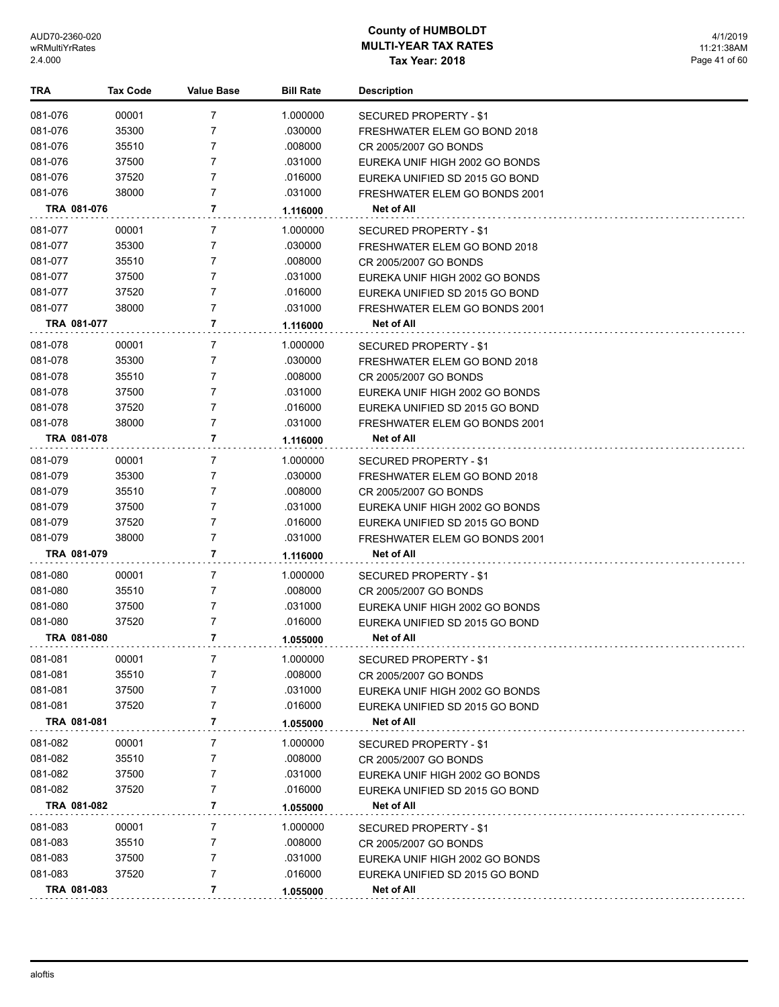| TRA         | <b>Tax Code</b> | <b>Value Base</b> | <b>Bill Rate</b>    | <b>Description</b>                                      |
|-------------|-----------------|-------------------|---------------------|---------------------------------------------------------|
| 081-076     | 00001           | $\overline{7}$    | 1.000000            | SECURED PROPERTY - \$1                                  |
| 081-076     | 35300           | 7                 | .030000             | FRESHWATER ELEM GO BOND 2018                            |
| 081-076     | 35510           | 7                 | .008000             | CR 2005/2007 GO BONDS                                   |
| 081-076     | 37500           | $\overline{7}$    | .031000             | EUREKA UNIF HIGH 2002 GO BONDS                          |
| 081-076     | 37520           | $\overline{7}$    | .016000             | EUREKA UNIFIED SD 2015 GO BOND                          |
| 081-076     | 38000           | $\overline{7}$    | .031000             | FRESHWATER ELEM GO BONDS 2001                           |
| TRA 081-076 |                 | 7                 | 1.116000            | Net of All                                              |
| 081-077     | 00001           | 7                 | 1.000000            |                                                         |
| 081-077     | 35300           | 7                 | .030000             | <b>SECURED PROPERTY - \$1</b>                           |
| 081-077     | 35510           | 7                 | .008000             | FRESHWATER ELEM GO BOND 2018                            |
| 081-077     | 37500           | $\overline{7}$    | .031000             | CR 2005/2007 GO BONDS<br>EUREKA UNIF HIGH 2002 GO BONDS |
| 081-077     | 37520           | $\overline{7}$    | .016000             | EUREKA UNIFIED SD 2015 GO BOND                          |
| 081-077     | 38000           | $\overline{7}$    | .031000             | FRESHWATER ELEM GO BONDS 2001                           |
| TRA 081-077 |                 | 7                 |                     | Net of All                                              |
|             |                 |                   | 1.116000            |                                                         |
| 081-078     | 00001           | 7                 | 1.000000            | <b>SECURED PROPERTY - \$1</b>                           |
| 081-078     | 35300           | 7                 | .030000             | FRESHWATER ELEM GO BOND 2018                            |
| 081-078     | 35510           | 7                 | .008000             | CR 2005/2007 GO BONDS                                   |
| 081-078     | 37500           | $\overline{7}$    | .031000             | EUREKA UNIF HIGH 2002 GO BONDS                          |
| 081-078     | 37520           | 7                 | .016000             | EUREKA UNIFIED SD 2015 GO BOND                          |
| 081-078     | 38000           | 7                 | .031000             | FRESHWATER ELEM GO BONDS 2001                           |
| TRA 081-078 |                 | 7                 | 1.116000            | Net of All                                              |
| 081-079     | 00001           | $\overline{7}$    | 1.000000            | SECURED PROPERTY - \$1                                  |
| 081-079     | 35300           | 7                 | .030000             | FRESHWATER ELEM GO BOND 2018                            |
| 081-079     | 35510           | 7                 | .008000             | CR 2005/2007 GO BONDS                                   |
| 081-079     | 37500           | $\overline{7}$    | .031000             | EUREKA UNIF HIGH 2002 GO BONDS                          |
| 081-079     | 37520           | $\overline{7}$    | .016000             | EUREKA UNIFIED SD 2015 GO BOND                          |
| 081-079     | 38000           | 7                 | .031000             | FRESHWATER ELEM GO BONDS 2001                           |
| TRA 081-079 |                 | 7                 | 1.116000            | Net of All                                              |
| 081-080     | 00001           | 7                 | 1.000000            | SECURED PROPERTY - \$1                                  |
| 081-080     | 35510           | 7                 | .008000             | CR 2005/2007 GO BONDS                                   |
| 081-080     | 37500           | 7                 | .031000             | EUREKA UNIF HIGH 2002 GO BONDS                          |
| 081-080     | 37520           | 7                 | .016000             | EUREKA UNIFIED SD 2015 GO BOND                          |
| TRA 081-080 |                 | 7                 | 1.055000            | <b>Net of All</b>                                       |
| 081-081     | 00001           |                   | 1.000000            | SECURED PROPERTY - \$1                                  |
| 081-081     | 35510           | 7                 | .008000             | CR 2005/2007 GO BONDS                                   |
| 081-081     | 37500           | 7                 | .031000             | EUREKA UNIF HIGH 2002 GO BONDS                          |
| 081-081     | 37520           | 7                 | .016000             | EUREKA UNIFIED SD 2015 GO BOND                          |
| TRA 081-081 |                 | 7                 | 1.055000            | Net of All                                              |
| 081-082     | 00001           | 7                 | 1.000000            | SECURED PROPERTY - \$1                                  |
| 081-082     | 35510           | 7                 | .008000             | CR 2005/2007 GO BONDS                                   |
| 081-082     | 37500           | 7                 | .031000             | EUREKA UNIF HIGH 2002 GO BONDS                          |
| 081-082     | 37520           | 7                 | .016000             | EUREKA UNIFIED SD 2015 GO BOND                          |
| TRA 081-082 |                 | 7                 | 1.055000            | Net of All                                              |
| 081-083     |                 |                   |                     |                                                         |
| 081-083     | 00001<br>35510  | 7<br>7            | 1.000000<br>.008000 | SECURED PROPERTY - \$1<br>CR 2005/2007 GO BONDS         |
| 081-083     | 37500           | 7                 | .031000             | EUREKA UNIF HIGH 2002 GO BONDS                          |
| 081-083     | 37520           | $\overline{7}$    | .016000             | EUREKA UNIFIED SD 2015 GO BOND                          |
| TRA 081-083 |                 | 7                 | 1.055000            | Net of All                                              |
|             |                 |                   |                     |                                                         |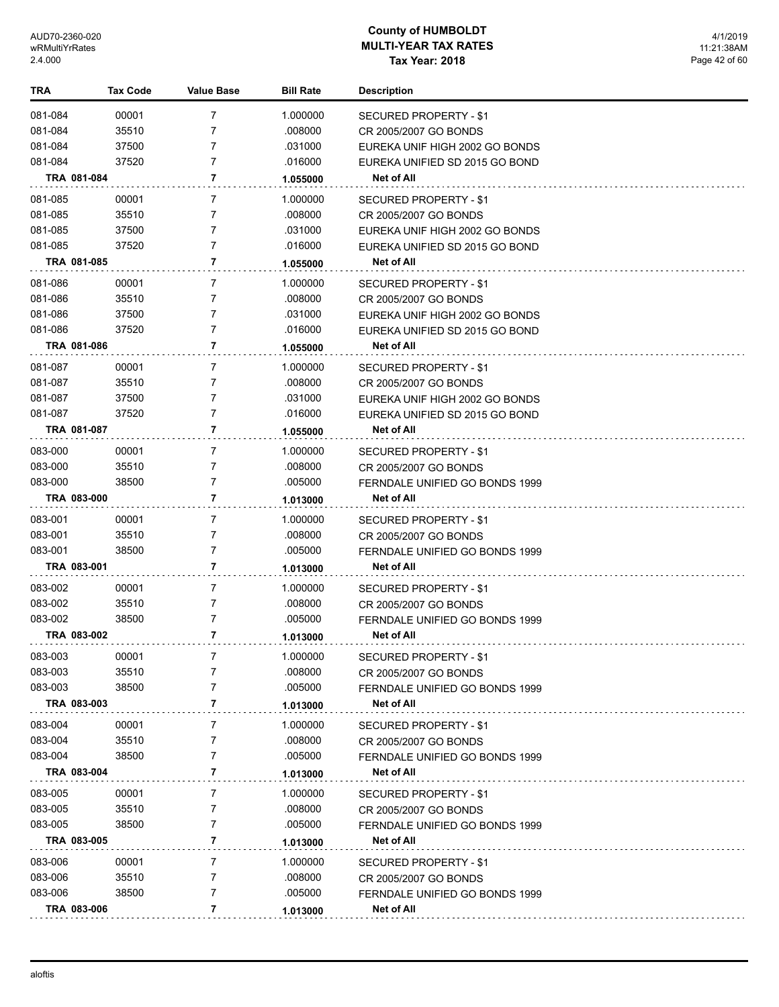| TRA         | <b>Tax Code</b> | <b>Value Base</b> | <b>Bill Rate</b> | <b>Description</b>             |
|-------------|-----------------|-------------------|------------------|--------------------------------|
| 081-084     | 00001           | $\overline{7}$    | 1.000000         | <b>SECURED PROPERTY - \$1</b>  |
| 081-084     | 35510           | 7                 | .008000          | CR 2005/2007 GO BONDS          |
| 081-084     | 37500           | 7                 | .031000          | EUREKA UNIF HIGH 2002 GO BONDS |
| 081-084     | 37520           | $\overline{7}$    | .016000          | EUREKA UNIFIED SD 2015 GO BOND |
| TRA 081-084 |                 | 7                 | 1.055000         | <b>Net of All</b>              |
| 081-085     | 00001           | 7                 | 1.000000         | SECURED PROPERTY - \$1         |
| 081-085     | 35510           | 7                 | .008000          | CR 2005/2007 GO BONDS          |
| 081-085     | 37500           | 7                 | .031000          | EUREKA UNIF HIGH 2002 GO BONDS |
| 081-085     | 37520           | $\overline{7}$    | .016000          | EUREKA UNIFIED SD 2015 GO BOND |
| TRA 081-085 |                 | 7                 | 1.055000         | Net of All                     |
| 081-086     | 00001           | 7                 | 1.000000         | SECURED PROPERTY - \$1         |
| 081-086     | 35510           | 7                 | .008000          | CR 2005/2007 GO BONDS          |
| 081-086     | 37500           | 7                 | .031000          | EUREKA UNIF HIGH 2002 GO BONDS |
| 081-086     | 37520           | $\overline{7}$    | .016000          | EUREKA UNIFIED SD 2015 GO BOND |
| TRA 081-086 |                 | 7                 | 1.055000         | <b>Net of All</b>              |
| 081-087     | 00001           | 7                 | 1.000000         | SECURED PROPERTY - \$1         |
| 081-087     | 35510           | 7                 | .008000          | CR 2005/2007 GO BONDS          |
| 081-087     | 37500           | 7                 | .031000          | EUREKA UNIF HIGH 2002 GO BONDS |
| 081-087     | 37520           | $\overline{7}$    | .016000          | EUREKA UNIFIED SD 2015 GO BOND |
| TRA 081-087 |                 | 7                 | 1.055000         | Net of All                     |
| 083-000     | 00001           | 7                 | 1.000000         | SECURED PROPERTY - \$1         |
| 083-000     | 35510           | $\overline{7}$    | .008000          | CR 2005/2007 GO BONDS          |
| 083-000     | 38500           | $\overline{7}$    | .005000          | FERNDALE UNIFIED GO BONDS 1999 |
| TRA 083-000 |                 | 7                 | 1.013000         | Net of All                     |
| 083-001     | 00001           | 7                 | 1.000000         | SECURED PROPERTY - \$1         |
| 083-001     | 35510           | 7                 | .008000          | CR 2005/2007 GO BONDS          |
| 083-001     | 38500           | $\overline{7}$    | .005000          | FERNDALE UNIFIED GO BONDS 1999 |
| TRA 083-001 |                 | 7                 | 1.013000         | Net of All                     |
| 083-002     | 00001           | 7                 | 1.000000         | SECURED PROPERTY - \$1         |
| 083-002     | 35510           | 7                 | .008000          | CR 2005/2007 GO BONDS          |
| 083-002     | 38500           | 7                 | .005000          | FERNDALE UNIFIED GO BONDS 1999 |
| TRA 083-002 |                 | 7                 | 1.013000         | <b>Net of All</b>              |
| 083-003     | 00001           |                   | 1.000000         | <b>SECURED PROPERTY - \$1</b>  |
| 083-003     | 35510           | 7                 | .008000          | CR 2005/2007 GO BONDS          |
| 083-003     | 38500           | 7                 | .005000          | FERNDALE UNIFIED GO BONDS 1999 |
| TRA 083-003 |                 | 7                 | 1.013000         | Net of All                     |
| 083-004     | 00001           | 7                 | 1.000000         | SECURED PROPERTY - \$1         |
| 083-004     | 35510           | 7                 | .008000          | CR 2005/2007 GO BONDS          |
| 083-004     | 38500           | 7                 | .005000          | FERNDALE UNIFIED GO BONDS 1999 |
| TRA 083-004 |                 | 7                 | 1.013000         | <b>Net of All</b>              |
| 083-005     | 00001           | 7                 | 1.000000         | SECURED PROPERTY - \$1         |
| 083-005     | 35510           | 7                 | .008000          | CR 2005/2007 GO BONDS          |
| 083-005     | 38500           | 7                 | .005000          | FERNDALE UNIFIED GO BONDS 1999 |
| TRA 083-005 |                 | 7                 | 1.013000         | Net of All                     |
| 083-006     | 00001           | 7                 | 1.000000         | SECURED PROPERTY - \$1         |
| 083-006     | 35510           | 7                 | .008000          | CR 2005/2007 GO BONDS          |
| 083-006     | 38500           | 7                 | .005000          | FERNDALE UNIFIED GO BONDS 1999 |
| TRA 083-006 |                 | 7                 | 1.013000         | Net of All                     |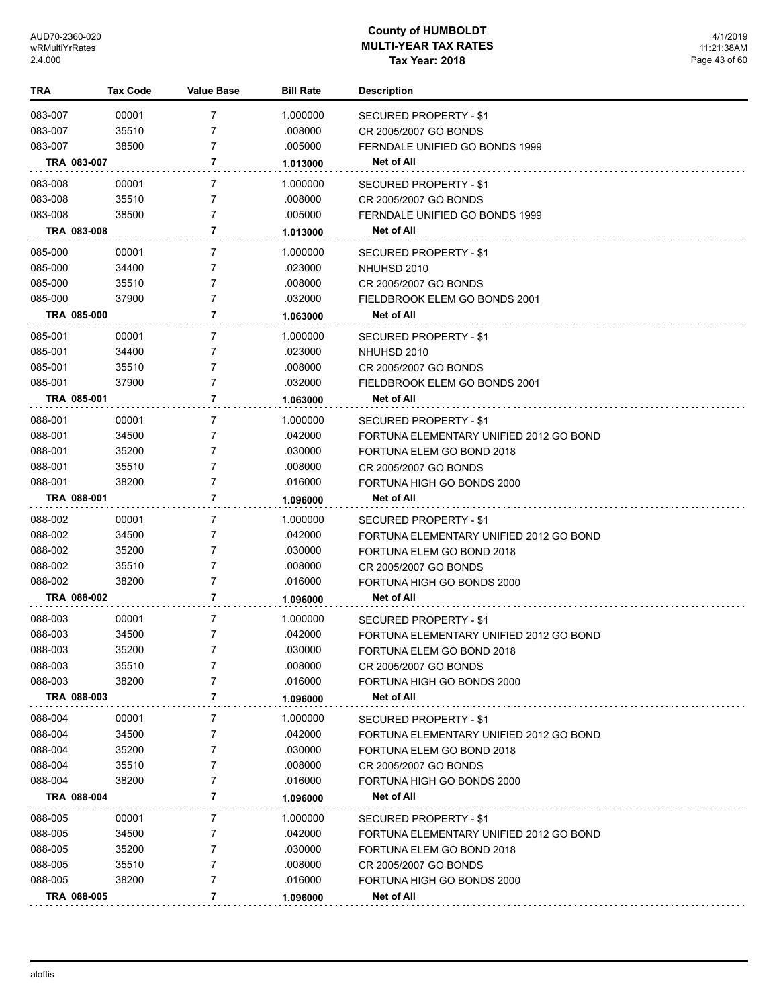| TRA         | <b>Tax Code</b> | <b>Value Base</b> | <b>Bill Rate</b> | <b>Description</b>                      |
|-------------|-----------------|-------------------|------------------|-----------------------------------------|
| 083-007     | 00001           | 7                 | 1.000000         | SECURED PROPERTY - \$1                  |
| 083-007     | 35510           | 7                 | .008000          | CR 2005/2007 GO BONDS                   |
| 083-007     | 38500           | 7                 | .005000          | FERNDALE UNIFIED GO BONDS 1999          |
| TRA 083-007 |                 | 7                 | 1.013000         | Net of All                              |
| 083-008     | 00001           | 7                 | 1.000000         | SECURED PROPERTY - \$1                  |
| 083-008     | 35510           | 7                 | .008000          | CR 2005/2007 GO BONDS                   |
| 083-008     | 38500           | 7                 | .005000          | FERNDALE UNIFIED GO BONDS 1999          |
| TRA 083-008 |                 | 7                 | 1.013000         | Net of All                              |
| 085-000     | 00001           | 7                 | 1.000000         | SECURED PROPERTY - \$1                  |
| 085-000     | 34400           | 7                 | .023000          | NHUHSD 2010                             |
| 085-000     | 35510           | 7                 | .008000          | CR 2005/2007 GO BONDS                   |
| 085-000     | 37900           | 7                 | .032000          | FIELDBROOK ELEM GO BONDS 2001           |
| TRA 085-000 |                 | 7                 | 1.063000         | Net of All                              |
| 085-001     | 00001           | 7                 | 1.000000         | SECURED PROPERTY - \$1                  |
| 085-001     | 34400           | 7                 | .023000          | NHUHSD 2010                             |
| 085-001     | 35510           | 7                 | .008000          | CR 2005/2007 GO BONDS                   |
| 085-001     | 37900           | 7                 | .032000          | FIELDBROOK ELEM GO BONDS 2001           |
| TRA 085-001 |                 | 7                 | 1.063000         | Net of All                              |
| 088-001     | 00001           | 7                 | 1.000000         | SECURED PROPERTY - \$1                  |
| 088-001     | 34500           | 7                 | .042000          | FORTUNA ELEMENTARY UNIFIED 2012 GO BOND |
| 088-001     | 35200           | 7                 | .030000          | FORTUNA ELEM GO BOND 2018               |
| 088-001     | 35510           | 7                 | .008000          | CR 2005/2007 GO BONDS                   |
| 088-001     | 38200           | 7                 | .016000          | FORTUNA HIGH GO BONDS 2000              |
| TRA 088-001 |                 | 7                 | 1.096000         | Net of All                              |
| 088-002     | 00001           | 7                 | 1.000000         | SECURED PROPERTY - \$1                  |
| 088-002     | 34500           | 7                 | .042000          | FORTUNA ELEMENTARY UNIFIED 2012 GO BOND |
| 088-002     | 35200           | 7                 | .030000          | FORTUNA ELEM GO BOND 2018               |
| 088-002     | 35510           | 7                 | .008000          | CR 2005/2007 GO BONDS                   |
| 088-002     | 38200           | 7                 | .016000          | FORTUNA HIGH GO BONDS 2000              |
| TRA 088-002 |                 | 7                 | 1.096000         | Net of All                              |
| 088-003     | 00001           | 7                 | 1.000000         | SECURED PROPERTY - \$1                  |
| 088-003     | 34500           | 7                 | .042000          | FORTUNA ELEMENTARY UNIFIED 2012 GO BOND |
| 088-003     | 35200           | 7                 | .030000          | FORTUNA ELEM GO BOND 2018               |
| 088-003     | 35510           | 7                 | .008000          | CR 2005/2007 GO BONDS                   |
| 088-003     | 38200           | 7                 | .016000          | FORTUNA HIGH GO BONDS 2000              |
| TRA 088-003 |                 | 7                 | 1.096000         | Net of All                              |
| 088-004     | 00001           | 7                 | 1.000000         | SECURED PROPERTY - \$1                  |
| 088-004     | 34500           | 7                 | .042000          | FORTUNA ELEMENTARY UNIFIED 2012 GO BOND |
| 088-004     | 35200           | 7                 | .030000          | FORTUNA ELEM GO BOND 2018               |
| 088-004     | 35510           | 7                 | .008000          | CR 2005/2007 GO BONDS                   |
| 088-004     | 38200           | 7                 | .016000          | FORTUNA HIGH GO BONDS 2000              |
| TRA 088-004 |                 | 7                 | 1.096000         | Net of All                              |
| 088-005     | 00001           | 7                 | 1.000000         | SECURED PROPERTY - \$1                  |
| 088-005     | 34500           | 7                 | .042000          | FORTUNA ELEMENTARY UNIFIED 2012 GO BOND |
| 088-005     | 35200           | 7                 | .030000          | FORTUNA ELEM GO BOND 2018               |
| 088-005     | 35510           | 7                 | .008000          | CR 2005/2007 GO BONDS                   |
| 088-005     | 38200           | 7                 | .016000          | FORTUNA HIGH GO BONDS 2000              |
| TRA 088-005 |                 | 7                 | 1.096000         | Net of All                              |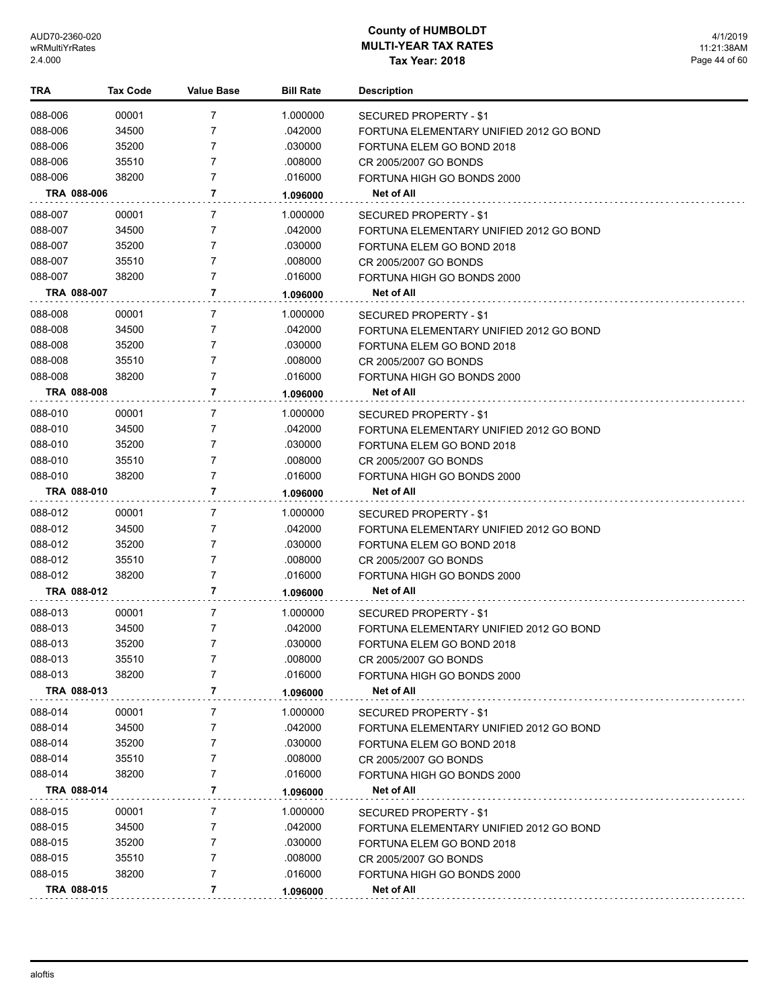| 088-006<br>00001<br>7<br>1.000000<br>SECURED PROPERTY - \$1<br>7<br>088-006<br>34500<br>.042000<br>FORTUNA ELEMENTARY UNIFIED 2012 GO BOND<br>088-006<br>35200<br>7<br>.030000<br>FORTUNA ELEM GO BOND 2018<br>088-006<br>7<br>35510<br>.008000<br>CR 2005/2007 GO BONDS<br>088-006<br>38200<br>7<br>.016000<br>FORTUNA HIGH GO BONDS 2000<br>TRA 088-006<br>7<br>Net of All<br>1.096000<br>088-007<br>00001<br>7<br>1.000000<br><b>SECURED PROPERTY - \$1</b><br>088-007<br>34500<br>7<br>.042000<br>FORTUNA ELEMENTARY UNIFIED 2012 GO BOND<br>088-007<br>7<br>35200<br>.030000<br>FORTUNA ELEM GO BOND 2018<br>088-007<br>35510<br>7<br>.008000<br>CR 2005/2007 GO BONDS<br>088-007<br>7<br>38200<br>.016000<br>FORTUNA HIGH GO BONDS 2000<br>7<br>TRA 088-007<br>Net of All<br>1.096000<br>088-008<br>00001<br>7<br>1.000000<br>SECURED PROPERTY - \$1<br>088-008<br>34500<br>7<br>.042000<br>FORTUNA ELEMENTARY UNIFIED 2012 GO BOND<br>088-008<br>35200<br>7<br>.030000<br>FORTUNA ELEM GO BOND 2018<br>7<br>088-008<br>35510<br>.008000<br>CR 2005/2007 GO BONDS<br>7<br>088-008<br>38200<br>.016000<br>FORTUNA HIGH GO BONDS 2000<br>7<br><b>TRA 088-008</b><br>Net of All<br>1.096000<br>088-010<br>00001<br>7<br>1.000000<br>SECURED PROPERTY - \$1<br>088-010<br>34500<br>7<br>.042000<br>FORTUNA ELEMENTARY UNIFIED 2012 GO BOND<br>088-010<br>35200<br>7<br>.030000<br>FORTUNA ELEM GO BOND 2018<br>088-010<br>35510<br>7<br>.008000<br>CR 2005/2007 GO BONDS<br>088-010<br>38200<br>7<br>.016000<br>FORTUNA HIGH GO BONDS 2000<br>TRA 088-010<br>7<br>Net of All<br>1.096000<br>088-012<br>00001<br>7<br>1.000000<br>SECURED PROPERTY - \$1<br>088-012<br>34500<br>7<br>.042000<br>FORTUNA ELEMENTARY UNIFIED 2012 GO BOND<br>088-012<br>35200<br>7<br>.030000<br>FORTUNA ELEM GO BOND 2018<br>088-012<br>35510<br>7<br>.008000<br>CR 2005/2007 GO BONDS<br>088-012<br>7<br>38200<br>.016000<br>FORTUNA HIGH GO BONDS 2000<br>7<br>TRA 088-012<br>Net of All<br>1.096000<br>088-013<br>00001<br>7<br>1.000000<br>SECURED PROPERTY - \$1<br>088-013<br>34500<br>7<br>.042000<br>FORTUNA ELEMENTARY UNIFIED 2012 GO BOND<br>7<br>088-013<br>35200<br>.030000<br>FORTUNA ELEM GO BOND 2018<br>088-013<br>.008000<br>35510<br>7<br>CR 2005/2007 GO BONDS<br>088-013<br>38200<br>7<br>.016000<br>FORTUNA HIGH GO BONDS 2000<br>TRA 088-013<br>7<br>Net of All<br>1.096000<br>088-014<br>1.000000<br>00001<br>7<br>SECURED PROPERTY - \$1<br>088-014<br>34500<br>.042000<br>7<br>FORTUNA ELEMENTARY UNIFIED 2012 GO BOND<br>088-014<br>35200<br>7<br>.030000<br>FORTUNA ELEM GO BOND 2018<br>088-014<br>35510<br>7<br>.008000<br>CR 2005/2007 GO BONDS<br>088-014<br>38200<br>.016000<br>7<br>FORTUNA HIGH GO BONDS 2000<br>7<br>TRA 088-014<br>Net of All<br>1.096000<br>088-015<br>00001<br>1.000000<br>7<br>SECURED PROPERTY - \$1<br>088-015<br>34500<br>.042000<br>7<br>FORTUNA ELEMENTARY UNIFIED 2012 GO BOND<br>088-015<br>35200<br>7<br>.030000<br>FORTUNA ELEM GO BOND 2018<br>088-015<br>35510<br>.008000<br>7<br>CR 2005/2007 GO BONDS<br>088-015<br>38200<br>7<br>.016000<br>FORTUNA HIGH GO BONDS 2000<br>7<br>Net of All<br>TRA 088-015<br>1.096000 | TRA | Tax Code | <b>Value Base</b> | <b>Bill Rate</b> | <b>Description</b> |
|----------------------------------------------------------------------------------------------------------------------------------------------------------------------------------------------------------------------------------------------------------------------------------------------------------------------------------------------------------------------------------------------------------------------------------------------------------------------------------------------------------------------------------------------------------------------------------------------------------------------------------------------------------------------------------------------------------------------------------------------------------------------------------------------------------------------------------------------------------------------------------------------------------------------------------------------------------------------------------------------------------------------------------------------------------------------------------------------------------------------------------------------------------------------------------------------------------------------------------------------------------------------------------------------------------------------------------------------------------------------------------------------------------------------------------------------------------------------------------------------------------------------------------------------------------------------------------------------------------------------------------------------------------------------------------------------------------------------------------------------------------------------------------------------------------------------------------------------------------------------------------------------------------------------------------------------------------------------------------------------------------------------------------------------------------------------------------------------------------------------------------------------------------------------------------------------------------------------------------------------------------------------------------------------------------------------------------------------------------------------------------------------------------------------------------------------------------------------------------------------------------------------------------------------------------------------------------------------------------------------------------------------------------------------------------------------------------------------------------------------------------------------------------------------------------------------------------------------------------------------------------------------------------------------------------------------------------------------------------------------------------------------------------------------------------------------------------------------------------------------------------------------------------------------------|-----|----------|-------------------|------------------|--------------------|
|                                                                                                                                                                                                                                                                                                                                                                                                                                                                                                                                                                                                                                                                                                                                                                                                                                                                                                                                                                                                                                                                                                                                                                                                                                                                                                                                                                                                                                                                                                                                                                                                                                                                                                                                                                                                                                                                                                                                                                                                                                                                                                                                                                                                                                                                                                                                                                                                                                                                                                                                                                                                                                                                                                                                                                                                                                                                                                                                                                                                                                                                                                                                                                            |     |          |                   |                  |                    |
|                                                                                                                                                                                                                                                                                                                                                                                                                                                                                                                                                                                                                                                                                                                                                                                                                                                                                                                                                                                                                                                                                                                                                                                                                                                                                                                                                                                                                                                                                                                                                                                                                                                                                                                                                                                                                                                                                                                                                                                                                                                                                                                                                                                                                                                                                                                                                                                                                                                                                                                                                                                                                                                                                                                                                                                                                                                                                                                                                                                                                                                                                                                                                                            |     |          |                   |                  |                    |
|                                                                                                                                                                                                                                                                                                                                                                                                                                                                                                                                                                                                                                                                                                                                                                                                                                                                                                                                                                                                                                                                                                                                                                                                                                                                                                                                                                                                                                                                                                                                                                                                                                                                                                                                                                                                                                                                                                                                                                                                                                                                                                                                                                                                                                                                                                                                                                                                                                                                                                                                                                                                                                                                                                                                                                                                                                                                                                                                                                                                                                                                                                                                                                            |     |          |                   |                  |                    |
|                                                                                                                                                                                                                                                                                                                                                                                                                                                                                                                                                                                                                                                                                                                                                                                                                                                                                                                                                                                                                                                                                                                                                                                                                                                                                                                                                                                                                                                                                                                                                                                                                                                                                                                                                                                                                                                                                                                                                                                                                                                                                                                                                                                                                                                                                                                                                                                                                                                                                                                                                                                                                                                                                                                                                                                                                                                                                                                                                                                                                                                                                                                                                                            |     |          |                   |                  |                    |
|                                                                                                                                                                                                                                                                                                                                                                                                                                                                                                                                                                                                                                                                                                                                                                                                                                                                                                                                                                                                                                                                                                                                                                                                                                                                                                                                                                                                                                                                                                                                                                                                                                                                                                                                                                                                                                                                                                                                                                                                                                                                                                                                                                                                                                                                                                                                                                                                                                                                                                                                                                                                                                                                                                                                                                                                                                                                                                                                                                                                                                                                                                                                                                            |     |          |                   |                  |                    |
|                                                                                                                                                                                                                                                                                                                                                                                                                                                                                                                                                                                                                                                                                                                                                                                                                                                                                                                                                                                                                                                                                                                                                                                                                                                                                                                                                                                                                                                                                                                                                                                                                                                                                                                                                                                                                                                                                                                                                                                                                                                                                                                                                                                                                                                                                                                                                                                                                                                                                                                                                                                                                                                                                                                                                                                                                                                                                                                                                                                                                                                                                                                                                                            |     |          |                   |                  |                    |
|                                                                                                                                                                                                                                                                                                                                                                                                                                                                                                                                                                                                                                                                                                                                                                                                                                                                                                                                                                                                                                                                                                                                                                                                                                                                                                                                                                                                                                                                                                                                                                                                                                                                                                                                                                                                                                                                                                                                                                                                                                                                                                                                                                                                                                                                                                                                                                                                                                                                                                                                                                                                                                                                                                                                                                                                                                                                                                                                                                                                                                                                                                                                                                            |     |          |                   |                  |                    |
|                                                                                                                                                                                                                                                                                                                                                                                                                                                                                                                                                                                                                                                                                                                                                                                                                                                                                                                                                                                                                                                                                                                                                                                                                                                                                                                                                                                                                                                                                                                                                                                                                                                                                                                                                                                                                                                                                                                                                                                                                                                                                                                                                                                                                                                                                                                                                                                                                                                                                                                                                                                                                                                                                                                                                                                                                                                                                                                                                                                                                                                                                                                                                                            |     |          |                   |                  |                    |
|                                                                                                                                                                                                                                                                                                                                                                                                                                                                                                                                                                                                                                                                                                                                                                                                                                                                                                                                                                                                                                                                                                                                                                                                                                                                                                                                                                                                                                                                                                                                                                                                                                                                                                                                                                                                                                                                                                                                                                                                                                                                                                                                                                                                                                                                                                                                                                                                                                                                                                                                                                                                                                                                                                                                                                                                                                                                                                                                                                                                                                                                                                                                                                            |     |          |                   |                  |                    |
|                                                                                                                                                                                                                                                                                                                                                                                                                                                                                                                                                                                                                                                                                                                                                                                                                                                                                                                                                                                                                                                                                                                                                                                                                                                                                                                                                                                                                                                                                                                                                                                                                                                                                                                                                                                                                                                                                                                                                                                                                                                                                                                                                                                                                                                                                                                                                                                                                                                                                                                                                                                                                                                                                                                                                                                                                                                                                                                                                                                                                                                                                                                                                                            |     |          |                   |                  |                    |
|                                                                                                                                                                                                                                                                                                                                                                                                                                                                                                                                                                                                                                                                                                                                                                                                                                                                                                                                                                                                                                                                                                                                                                                                                                                                                                                                                                                                                                                                                                                                                                                                                                                                                                                                                                                                                                                                                                                                                                                                                                                                                                                                                                                                                                                                                                                                                                                                                                                                                                                                                                                                                                                                                                                                                                                                                                                                                                                                                                                                                                                                                                                                                                            |     |          |                   |                  |                    |
|                                                                                                                                                                                                                                                                                                                                                                                                                                                                                                                                                                                                                                                                                                                                                                                                                                                                                                                                                                                                                                                                                                                                                                                                                                                                                                                                                                                                                                                                                                                                                                                                                                                                                                                                                                                                                                                                                                                                                                                                                                                                                                                                                                                                                                                                                                                                                                                                                                                                                                                                                                                                                                                                                                                                                                                                                                                                                                                                                                                                                                                                                                                                                                            |     |          |                   |                  |                    |
|                                                                                                                                                                                                                                                                                                                                                                                                                                                                                                                                                                                                                                                                                                                                                                                                                                                                                                                                                                                                                                                                                                                                                                                                                                                                                                                                                                                                                                                                                                                                                                                                                                                                                                                                                                                                                                                                                                                                                                                                                                                                                                                                                                                                                                                                                                                                                                                                                                                                                                                                                                                                                                                                                                                                                                                                                                                                                                                                                                                                                                                                                                                                                                            |     |          |                   |                  |                    |
|                                                                                                                                                                                                                                                                                                                                                                                                                                                                                                                                                                                                                                                                                                                                                                                                                                                                                                                                                                                                                                                                                                                                                                                                                                                                                                                                                                                                                                                                                                                                                                                                                                                                                                                                                                                                                                                                                                                                                                                                                                                                                                                                                                                                                                                                                                                                                                                                                                                                                                                                                                                                                                                                                                                                                                                                                                                                                                                                                                                                                                                                                                                                                                            |     |          |                   |                  |                    |
|                                                                                                                                                                                                                                                                                                                                                                                                                                                                                                                                                                                                                                                                                                                                                                                                                                                                                                                                                                                                                                                                                                                                                                                                                                                                                                                                                                                                                                                                                                                                                                                                                                                                                                                                                                                                                                                                                                                                                                                                                                                                                                                                                                                                                                                                                                                                                                                                                                                                                                                                                                                                                                                                                                                                                                                                                                                                                                                                                                                                                                                                                                                                                                            |     |          |                   |                  |                    |
|                                                                                                                                                                                                                                                                                                                                                                                                                                                                                                                                                                                                                                                                                                                                                                                                                                                                                                                                                                                                                                                                                                                                                                                                                                                                                                                                                                                                                                                                                                                                                                                                                                                                                                                                                                                                                                                                                                                                                                                                                                                                                                                                                                                                                                                                                                                                                                                                                                                                                                                                                                                                                                                                                                                                                                                                                                                                                                                                                                                                                                                                                                                                                                            |     |          |                   |                  |                    |
|                                                                                                                                                                                                                                                                                                                                                                                                                                                                                                                                                                                                                                                                                                                                                                                                                                                                                                                                                                                                                                                                                                                                                                                                                                                                                                                                                                                                                                                                                                                                                                                                                                                                                                                                                                                                                                                                                                                                                                                                                                                                                                                                                                                                                                                                                                                                                                                                                                                                                                                                                                                                                                                                                                                                                                                                                                                                                                                                                                                                                                                                                                                                                                            |     |          |                   |                  |                    |
|                                                                                                                                                                                                                                                                                                                                                                                                                                                                                                                                                                                                                                                                                                                                                                                                                                                                                                                                                                                                                                                                                                                                                                                                                                                                                                                                                                                                                                                                                                                                                                                                                                                                                                                                                                                                                                                                                                                                                                                                                                                                                                                                                                                                                                                                                                                                                                                                                                                                                                                                                                                                                                                                                                                                                                                                                                                                                                                                                                                                                                                                                                                                                                            |     |          |                   |                  |                    |
|                                                                                                                                                                                                                                                                                                                                                                                                                                                                                                                                                                                                                                                                                                                                                                                                                                                                                                                                                                                                                                                                                                                                                                                                                                                                                                                                                                                                                                                                                                                                                                                                                                                                                                                                                                                                                                                                                                                                                                                                                                                                                                                                                                                                                                                                                                                                                                                                                                                                                                                                                                                                                                                                                                                                                                                                                                                                                                                                                                                                                                                                                                                                                                            |     |          |                   |                  |                    |
|                                                                                                                                                                                                                                                                                                                                                                                                                                                                                                                                                                                                                                                                                                                                                                                                                                                                                                                                                                                                                                                                                                                                                                                                                                                                                                                                                                                                                                                                                                                                                                                                                                                                                                                                                                                                                                                                                                                                                                                                                                                                                                                                                                                                                                                                                                                                                                                                                                                                                                                                                                                                                                                                                                                                                                                                                                                                                                                                                                                                                                                                                                                                                                            |     |          |                   |                  |                    |
|                                                                                                                                                                                                                                                                                                                                                                                                                                                                                                                                                                                                                                                                                                                                                                                                                                                                                                                                                                                                                                                                                                                                                                                                                                                                                                                                                                                                                                                                                                                                                                                                                                                                                                                                                                                                                                                                                                                                                                                                                                                                                                                                                                                                                                                                                                                                                                                                                                                                                                                                                                                                                                                                                                                                                                                                                                                                                                                                                                                                                                                                                                                                                                            |     |          |                   |                  |                    |
|                                                                                                                                                                                                                                                                                                                                                                                                                                                                                                                                                                                                                                                                                                                                                                                                                                                                                                                                                                                                                                                                                                                                                                                                                                                                                                                                                                                                                                                                                                                                                                                                                                                                                                                                                                                                                                                                                                                                                                                                                                                                                                                                                                                                                                                                                                                                                                                                                                                                                                                                                                                                                                                                                                                                                                                                                                                                                                                                                                                                                                                                                                                                                                            |     |          |                   |                  |                    |
|                                                                                                                                                                                                                                                                                                                                                                                                                                                                                                                                                                                                                                                                                                                                                                                                                                                                                                                                                                                                                                                                                                                                                                                                                                                                                                                                                                                                                                                                                                                                                                                                                                                                                                                                                                                                                                                                                                                                                                                                                                                                                                                                                                                                                                                                                                                                                                                                                                                                                                                                                                                                                                                                                                                                                                                                                                                                                                                                                                                                                                                                                                                                                                            |     |          |                   |                  |                    |
|                                                                                                                                                                                                                                                                                                                                                                                                                                                                                                                                                                                                                                                                                                                                                                                                                                                                                                                                                                                                                                                                                                                                                                                                                                                                                                                                                                                                                                                                                                                                                                                                                                                                                                                                                                                                                                                                                                                                                                                                                                                                                                                                                                                                                                                                                                                                                                                                                                                                                                                                                                                                                                                                                                                                                                                                                                                                                                                                                                                                                                                                                                                                                                            |     |          |                   |                  |                    |
|                                                                                                                                                                                                                                                                                                                                                                                                                                                                                                                                                                                                                                                                                                                                                                                                                                                                                                                                                                                                                                                                                                                                                                                                                                                                                                                                                                                                                                                                                                                                                                                                                                                                                                                                                                                                                                                                                                                                                                                                                                                                                                                                                                                                                                                                                                                                                                                                                                                                                                                                                                                                                                                                                                                                                                                                                                                                                                                                                                                                                                                                                                                                                                            |     |          |                   |                  |                    |
|                                                                                                                                                                                                                                                                                                                                                                                                                                                                                                                                                                                                                                                                                                                                                                                                                                                                                                                                                                                                                                                                                                                                                                                                                                                                                                                                                                                                                                                                                                                                                                                                                                                                                                                                                                                                                                                                                                                                                                                                                                                                                                                                                                                                                                                                                                                                                                                                                                                                                                                                                                                                                                                                                                                                                                                                                                                                                                                                                                                                                                                                                                                                                                            |     |          |                   |                  |                    |
|                                                                                                                                                                                                                                                                                                                                                                                                                                                                                                                                                                                                                                                                                                                                                                                                                                                                                                                                                                                                                                                                                                                                                                                                                                                                                                                                                                                                                                                                                                                                                                                                                                                                                                                                                                                                                                                                                                                                                                                                                                                                                                                                                                                                                                                                                                                                                                                                                                                                                                                                                                                                                                                                                                                                                                                                                                                                                                                                                                                                                                                                                                                                                                            |     |          |                   |                  |                    |
|                                                                                                                                                                                                                                                                                                                                                                                                                                                                                                                                                                                                                                                                                                                                                                                                                                                                                                                                                                                                                                                                                                                                                                                                                                                                                                                                                                                                                                                                                                                                                                                                                                                                                                                                                                                                                                                                                                                                                                                                                                                                                                                                                                                                                                                                                                                                                                                                                                                                                                                                                                                                                                                                                                                                                                                                                                                                                                                                                                                                                                                                                                                                                                            |     |          |                   |                  |                    |
|                                                                                                                                                                                                                                                                                                                                                                                                                                                                                                                                                                                                                                                                                                                                                                                                                                                                                                                                                                                                                                                                                                                                                                                                                                                                                                                                                                                                                                                                                                                                                                                                                                                                                                                                                                                                                                                                                                                                                                                                                                                                                                                                                                                                                                                                                                                                                                                                                                                                                                                                                                                                                                                                                                                                                                                                                                                                                                                                                                                                                                                                                                                                                                            |     |          |                   |                  |                    |
|                                                                                                                                                                                                                                                                                                                                                                                                                                                                                                                                                                                                                                                                                                                                                                                                                                                                                                                                                                                                                                                                                                                                                                                                                                                                                                                                                                                                                                                                                                                                                                                                                                                                                                                                                                                                                                                                                                                                                                                                                                                                                                                                                                                                                                                                                                                                                                                                                                                                                                                                                                                                                                                                                                                                                                                                                                                                                                                                                                                                                                                                                                                                                                            |     |          |                   |                  |                    |
|                                                                                                                                                                                                                                                                                                                                                                                                                                                                                                                                                                                                                                                                                                                                                                                                                                                                                                                                                                                                                                                                                                                                                                                                                                                                                                                                                                                                                                                                                                                                                                                                                                                                                                                                                                                                                                                                                                                                                                                                                                                                                                                                                                                                                                                                                                                                                                                                                                                                                                                                                                                                                                                                                                                                                                                                                                                                                                                                                                                                                                                                                                                                                                            |     |          |                   |                  |                    |
|                                                                                                                                                                                                                                                                                                                                                                                                                                                                                                                                                                                                                                                                                                                                                                                                                                                                                                                                                                                                                                                                                                                                                                                                                                                                                                                                                                                                                                                                                                                                                                                                                                                                                                                                                                                                                                                                                                                                                                                                                                                                                                                                                                                                                                                                                                                                                                                                                                                                                                                                                                                                                                                                                                                                                                                                                                                                                                                                                                                                                                                                                                                                                                            |     |          |                   |                  |                    |
|                                                                                                                                                                                                                                                                                                                                                                                                                                                                                                                                                                                                                                                                                                                                                                                                                                                                                                                                                                                                                                                                                                                                                                                                                                                                                                                                                                                                                                                                                                                                                                                                                                                                                                                                                                                                                                                                                                                                                                                                                                                                                                                                                                                                                                                                                                                                                                                                                                                                                                                                                                                                                                                                                                                                                                                                                                                                                                                                                                                                                                                                                                                                                                            |     |          |                   |                  |                    |
|                                                                                                                                                                                                                                                                                                                                                                                                                                                                                                                                                                                                                                                                                                                                                                                                                                                                                                                                                                                                                                                                                                                                                                                                                                                                                                                                                                                                                                                                                                                                                                                                                                                                                                                                                                                                                                                                                                                                                                                                                                                                                                                                                                                                                                                                                                                                                                                                                                                                                                                                                                                                                                                                                                                                                                                                                                                                                                                                                                                                                                                                                                                                                                            |     |          |                   |                  |                    |
|                                                                                                                                                                                                                                                                                                                                                                                                                                                                                                                                                                                                                                                                                                                                                                                                                                                                                                                                                                                                                                                                                                                                                                                                                                                                                                                                                                                                                                                                                                                                                                                                                                                                                                                                                                                                                                                                                                                                                                                                                                                                                                                                                                                                                                                                                                                                                                                                                                                                                                                                                                                                                                                                                                                                                                                                                                                                                                                                                                                                                                                                                                                                                                            |     |          |                   |                  |                    |
|                                                                                                                                                                                                                                                                                                                                                                                                                                                                                                                                                                                                                                                                                                                                                                                                                                                                                                                                                                                                                                                                                                                                                                                                                                                                                                                                                                                                                                                                                                                                                                                                                                                                                                                                                                                                                                                                                                                                                                                                                                                                                                                                                                                                                                                                                                                                                                                                                                                                                                                                                                                                                                                                                                                                                                                                                                                                                                                                                                                                                                                                                                                                                                            |     |          |                   |                  |                    |
|                                                                                                                                                                                                                                                                                                                                                                                                                                                                                                                                                                                                                                                                                                                                                                                                                                                                                                                                                                                                                                                                                                                                                                                                                                                                                                                                                                                                                                                                                                                                                                                                                                                                                                                                                                                                                                                                                                                                                                                                                                                                                                                                                                                                                                                                                                                                                                                                                                                                                                                                                                                                                                                                                                                                                                                                                                                                                                                                                                                                                                                                                                                                                                            |     |          |                   |                  |                    |
|                                                                                                                                                                                                                                                                                                                                                                                                                                                                                                                                                                                                                                                                                                                                                                                                                                                                                                                                                                                                                                                                                                                                                                                                                                                                                                                                                                                                                                                                                                                                                                                                                                                                                                                                                                                                                                                                                                                                                                                                                                                                                                                                                                                                                                                                                                                                                                                                                                                                                                                                                                                                                                                                                                                                                                                                                                                                                                                                                                                                                                                                                                                                                                            |     |          |                   |                  |                    |
|                                                                                                                                                                                                                                                                                                                                                                                                                                                                                                                                                                                                                                                                                                                                                                                                                                                                                                                                                                                                                                                                                                                                                                                                                                                                                                                                                                                                                                                                                                                                                                                                                                                                                                                                                                                                                                                                                                                                                                                                                                                                                                                                                                                                                                                                                                                                                                                                                                                                                                                                                                                                                                                                                                                                                                                                                                                                                                                                                                                                                                                                                                                                                                            |     |          |                   |                  |                    |
|                                                                                                                                                                                                                                                                                                                                                                                                                                                                                                                                                                                                                                                                                                                                                                                                                                                                                                                                                                                                                                                                                                                                                                                                                                                                                                                                                                                                                                                                                                                                                                                                                                                                                                                                                                                                                                                                                                                                                                                                                                                                                                                                                                                                                                                                                                                                                                                                                                                                                                                                                                                                                                                                                                                                                                                                                                                                                                                                                                                                                                                                                                                                                                            |     |          |                   |                  |                    |
|                                                                                                                                                                                                                                                                                                                                                                                                                                                                                                                                                                                                                                                                                                                                                                                                                                                                                                                                                                                                                                                                                                                                                                                                                                                                                                                                                                                                                                                                                                                                                                                                                                                                                                                                                                                                                                                                                                                                                                                                                                                                                                                                                                                                                                                                                                                                                                                                                                                                                                                                                                                                                                                                                                                                                                                                                                                                                                                                                                                                                                                                                                                                                                            |     |          |                   |                  |                    |
|                                                                                                                                                                                                                                                                                                                                                                                                                                                                                                                                                                                                                                                                                                                                                                                                                                                                                                                                                                                                                                                                                                                                                                                                                                                                                                                                                                                                                                                                                                                                                                                                                                                                                                                                                                                                                                                                                                                                                                                                                                                                                                                                                                                                                                                                                                                                                                                                                                                                                                                                                                                                                                                                                                                                                                                                                                                                                                                                                                                                                                                                                                                                                                            |     |          |                   |                  |                    |
|                                                                                                                                                                                                                                                                                                                                                                                                                                                                                                                                                                                                                                                                                                                                                                                                                                                                                                                                                                                                                                                                                                                                                                                                                                                                                                                                                                                                                                                                                                                                                                                                                                                                                                                                                                                                                                                                                                                                                                                                                                                                                                                                                                                                                                                                                                                                                                                                                                                                                                                                                                                                                                                                                                                                                                                                                                                                                                                                                                                                                                                                                                                                                                            |     |          |                   |                  |                    |
|                                                                                                                                                                                                                                                                                                                                                                                                                                                                                                                                                                                                                                                                                                                                                                                                                                                                                                                                                                                                                                                                                                                                                                                                                                                                                                                                                                                                                                                                                                                                                                                                                                                                                                                                                                                                                                                                                                                                                                                                                                                                                                                                                                                                                                                                                                                                                                                                                                                                                                                                                                                                                                                                                                                                                                                                                                                                                                                                                                                                                                                                                                                                                                            |     |          |                   |                  |                    |
|                                                                                                                                                                                                                                                                                                                                                                                                                                                                                                                                                                                                                                                                                                                                                                                                                                                                                                                                                                                                                                                                                                                                                                                                                                                                                                                                                                                                                                                                                                                                                                                                                                                                                                                                                                                                                                                                                                                                                                                                                                                                                                                                                                                                                                                                                                                                                                                                                                                                                                                                                                                                                                                                                                                                                                                                                                                                                                                                                                                                                                                                                                                                                                            |     |          |                   |                  |                    |
|                                                                                                                                                                                                                                                                                                                                                                                                                                                                                                                                                                                                                                                                                                                                                                                                                                                                                                                                                                                                                                                                                                                                                                                                                                                                                                                                                                                                                                                                                                                                                                                                                                                                                                                                                                                                                                                                                                                                                                                                                                                                                                                                                                                                                                                                                                                                                                                                                                                                                                                                                                                                                                                                                                                                                                                                                                                                                                                                                                                                                                                                                                                                                                            |     |          |                   |                  |                    |
|                                                                                                                                                                                                                                                                                                                                                                                                                                                                                                                                                                                                                                                                                                                                                                                                                                                                                                                                                                                                                                                                                                                                                                                                                                                                                                                                                                                                                                                                                                                                                                                                                                                                                                                                                                                                                                                                                                                                                                                                                                                                                                                                                                                                                                                                                                                                                                                                                                                                                                                                                                                                                                                                                                                                                                                                                                                                                                                                                                                                                                                                                                                                                                            |     |          |                   |                  |                    |
|                                                                                                                                                                                                                                                                                                                                                                                                                                                                                                                                                                                                                                                                                                                                                                                                                                                                                                                                                                                                                                                                                                                                                                                                                                                                                                                                                                                                                                                                                                                                                                                                                                                                                                                                                                                                                                                                                                                                                                                                                                                                                                                                                                                                                                                                                                                                                                                                                                                                                                                                                                                                                                                                                                                                                                                                                                                                                                                                                                                                                                                                                                                                                                            |     |          |                   |                  |                    |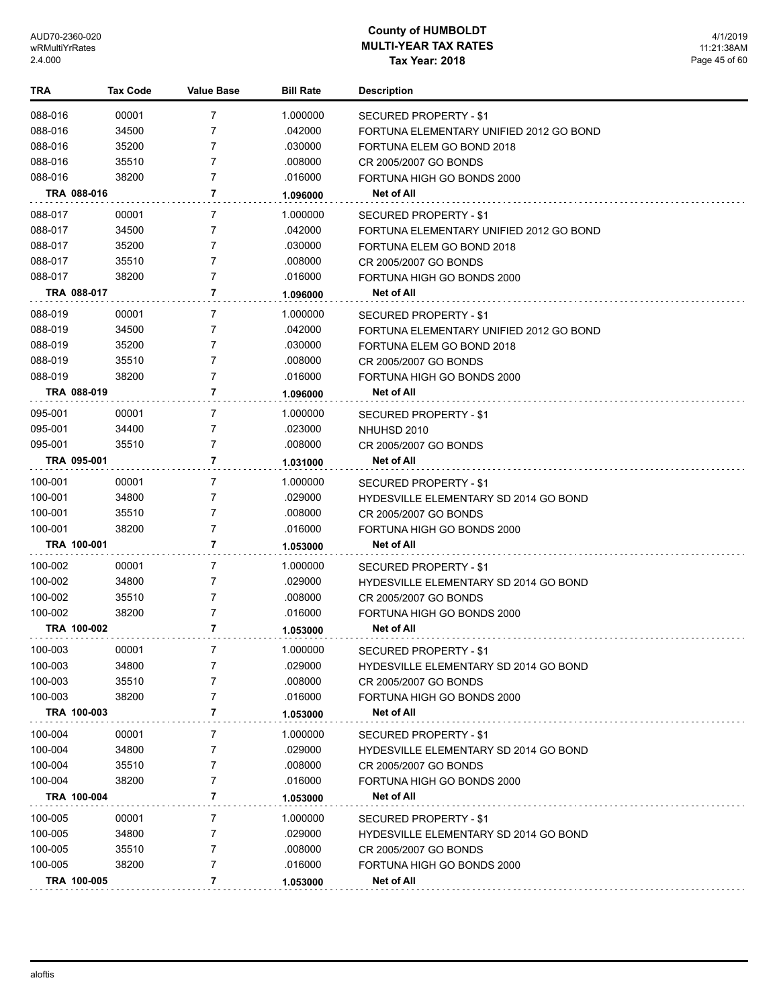| TRA         | <b>Tax Code</b> | <b>Value Base</b> | <b>Bill Rate</b> | <b>Description</b>                           |
|-------------|-----------------|-------------------|------------------|----------------------------------------------|
| 088-016     | 00001           | 7                 | 1.000000         | SECURED PROPERTY - \$1                       |
| 088-016     | 34500           | 7                 | .042000          | FORTUNA ELEMENTARY UNIFIED 2012 GO BOND      |
| 088-016     | 35200           | 7                 | .030000          | FORTUNA ELEM GO BOND 2018                    |
| 088-016     | 35510           | 7                 | .008000          | CR 2005/2007 GO BONDS                        |
| 088-016     | 38200           | $\overline{7}$    | .016000          | FORTUNA HIGH GO BONDS 2000                   |
| TRA 088-016 |                 | 7                 | 1.096000         | Net of All                                   |
| 088-017     | 00001           | 7                 | 1.000000         | SECURED PROPERTY - \$1                       |
| 088-017     | 34500           | 7                 | .042000          | FORTUNA ELEMENTARY UNIFIED 2012 GO BOND      |
| 088-017     | 35200           | 7                 | .030000          | FORTUNA ELEM GO BOND 2018                    |
| 088-017     | 35510           | $\overline{7}$    | .008000          | CR 2005/2007 GO BONDS                        |
| 088-017     | 38200           | $\overline{7}$    | .016000          | FORTUNA HIGH GO BONDS 2000                   |
| TRA 088-017 |                 | 7                 | 1.096000         | Net of All                                   |
| 088-019     | 00001           | 7                 | 1.000000         | SECURED PROPERTY - \$1                       |
| 088-019     | 34500           | 7                 | .042000          | FORTUNA ELEMENTARY UNIFIED 2012 GO BOND      |
| 088-019     | 35200           | 7                 | .030000          | FORTUNA ELEM GO BOND 2018                    |
| 088-019     | 35510           | $\overline{7}$    | .008000          | CR 2005/2007 GO BONDS                        |
| 088-019     | 38200           | 7                 | .016000          | FORTUNA HIGH GO BONDS 2000                   |
| TRA 088-019 |                 | 7                 | 1.096000         | <b>Net of All</b>                            |
| 095-001     | 00001           | 7                 | 1.000000         | <b>SECURED PROPERTY - \$1</b>                |
| 095-001     | 34400           | $\overline{7}$    | .023000          | NHUHSD 2010                                  |
| 095-001     | 35510           | 7                 | .008000          | CR 2005/2007 GO BONDS                        |
| TRA 095-001 |                 | 7                 | 1.031000         | Net of All                                   |
| 100-001     | 00001           | 7                 | 1.000000         | SECURED PROPERTY - \$1                       |
| 100-001     | 34800           | $\overline{7}$    | .029000          | <b>HYDESVILLE ELEMENTARY SD 2014 GO BOND</b> |
| 100-001     | 35510           | 7                 | .008000          | CR 2005/2007 GO BONDS                        |
| 100-001     | 38200           | 7                 | .016000          | FORTUNA HIGH GO BONDS 2000                   |
| TRA 100-001 |                 | 7                 | 1.053000         | Net of All                                   |
| 100-002     | 00001           | 7                 | 1.000000         | SECURED PROPERTY - \$1                       |
| 100-002     | 34800           | 7                 | .029000          | <b>HYDESVILLE ELEMENTARY SD 2014 GO BOND</b> |
| 100-002     | 35510           | 7                 | .008000          | CR 2005/2007 GO BONDS                        |
| 100-002     | 38200           | 7                 | .016000          | FORTUNA HIGH GO BONDS 2000                   |
| TRA 100-002 |                 | 7                 | 1.053000         | Net of All                                   |
| 100-003     | 00001           | 7                 | 1.000000         | SECURED PROPERTY - \$1                       |
| 100-003     | 34800           | 7                 | .029000          | HYDESVILLE ELEMENTARY SD 2014 GO BOND        |
| 100-003     | 35510           | 7                 | .008000          | CR 2005/2007 GO BONDS                        |
| 100-003     | 38200           | 7                 | .016000          | FORTUNA HIGH GO BONDS 2000                   |
| TRA 100-003 |                 | 7                 | 1.053000         | Net of All                                   |
| 100-004     | 00001           | 7                 | 1.000000         | SECURED PROPERTY - \$1                       |
| 100-004     | 34800           | 7                 | .029000          | <b>HYDESVILLE ELEMENTARY SD 2014 GO BOND</b> |
| 100-004     | 35510           | 7                 | .008000          | CR 2005/2007 GO BONDS                        |
| 100-004     | 38200           | 7                 | .016000          | FORTUNA HIGH GO BONDS 2000                   |
| TRA 100-004 |                 | 7                 | 1.053000         | Net of All                                   |
| 100-005     | 00001           | 7                 | 1.000000         | SECURED PROPERTY - \$1                       |
| 100-005     | 34800           | 7                 | .029000          | <b>HYDESVILLE ELEMENTARY SD 2014 GO BOND</b> |
| 100-005     | 35510           | 7                 | .008000          | CR 2005/2007 GO BONDS                        |
| 100-005     | 38200           | 7                 | .016000          | FORTUNA HIGH GO BONDS 2000                   |
| TRA 100-005 |                 | 7                 | 1.053000         | Net of All                                   |
|             |                 |                   |                  |                                              |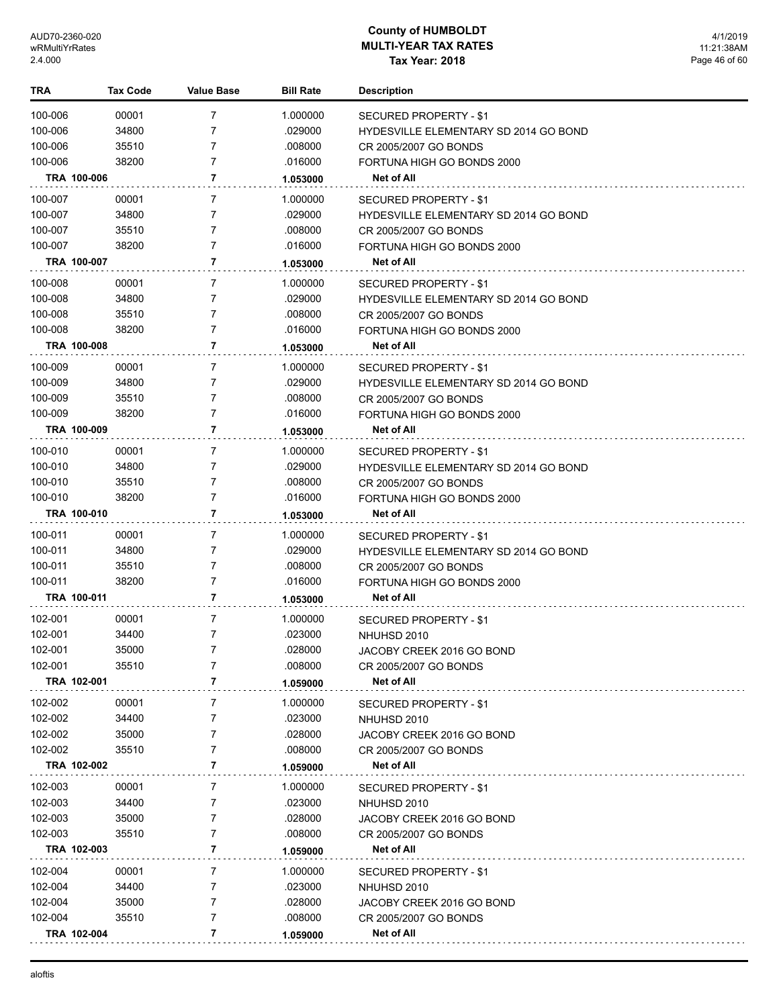| <b>TRA</b>  | <b>Tax Code</b> | <b>Value Base</b> | <b>Bill Rate</b> | <b>Description</b>                                              |
|-------------|-----------------|-------------------|------------------|-----------------------------------------------------------------|
| 100-006     | 00001           | 7                 | 1.000000         | SECURED PROPERTY - \$1                                          |
| 100-006     | 34800           | 7                 | .029000          | HYDESVILLE ELEMENTARY SD 2014 GO BOND                           |
| 100-006     | 35510           | 7                 | .008000          | CR 2005/2007 GO BONDS                                           |
| 100-006     | 38200           | 7                 | .016000          | FORTUNA HIGH GO BONDS 2000                                      |
| TRA 100-006 |                 | 7                 | 1.053000         | Net of All                                                      |
|             |                 |                   |                  |                                                                 |
| 100-007     | 00001           | 7                 | 1.000000         | SECURED PROPERTY - \$1                                          |
| 100-007     | 34800           | 7                 | .029000          | <b>HYDESVILLE ELEMENTARY SD 2014 GO BOND</b>                    |
| 100-007     | 35510           | 7                 | .008000          | CR 2005/2007 GO BONDS                                           |
| 100-007     | 38200           | 7                 | .016000          | FORTUNA HIGH GO BONDS 2000                                      |
| TRA 100-007 |                 | 7                 | 1.053000         | Net of All                                                      |
| 100-008     | 00001           | 7                 | 1.000000         | SECURED PROPERTY - \$1                                          |
| 100-008     | 34800           | 7                 | .029000          | HYDESVILLE ELEMENTARY SD 2014 GO BOND                           |
| 100-008     | 35510           | 7                 | .008000          | CR 2005/2007 GO BONDS                                           |
| 100-008     | 38200           | 7                 | .016000          | FORTUNA HIGH GO BONDS 2000                                      |
| TRA 100-008 |                 | 7                 | 1.053000         | Net of All                                                      |
| 100-009     | 00001           | 7                 | 1.000000         | SECURED PROPERTY - \$1                                          |
| 100-009     | 34800           | 7                 | .029000          | <b>HYDESVILLE ELEMENTARY SD 2014 GO BOND</b>                    |
| 100-009     | 35510           | 7                 | .008000          | CR 2005/2007 GO BONDS                                           |
| 100-009     | 38200           | 7                 | .016000          | FORTUNA HIGH GO BONDS 2000                                      |
| TRA 100-009 |                 | 7                 | 1.053000         | <b>Net of All</b>                                               |
| 100-010     | 00001           | 7                 | 1.000000         | SECURED PROPERTY - \$1                                          |
| 100-010     | 34800           | 7                 | .029000          | <b>HYDESVILLE ELEMENTARY SD 2014 GO BOND</b>                    |
| 100-010     | 35510           | 7                 | .008000          | CR 2005/2007 GO BONDS                                           |
| 100-010     | 38200           | 7                 | .016000          | FORTUNA HIGH GO BONDS 2000                                      |
| TRA 100-010 |                 | 7                 | 1.053000         | Net of All                                                      |
| 100-011     | 00001           | 7                 | 1.000000         |                                                                 |
| 100-011     | 34800           | 7                 | .029000          | SECURED PROPERTY - \$1<br>HYDESVILLE ELEMENTARY SD 2014 GO BOND |
| 100-011     | 35510           | 7                 | .008000          | CR 2005/2007 GO BONDS                                           |
| 100-011     | 38200           | 7                 | .016000          | FORTUNA HIGH GO BONDS 2000                                      |
| TRA 100-011 |                 | 7                 | 1.053000         | <b>Net of All</b>                                               |
|             |                 |                   |                  |                                                                 |
| 102-001     | 00001           | 7                 | 1.000000         | SECURED PROPERTY - \$1                                          |
| 102-001     | 34400           | 7                 | .023000          | NHUHSD 2010                                                     |
| 102-001     | 35000           | 7                 | .028000          | JACOBY CREEK 2016 GO BOND                                       |
| 102-001     | 35510           | 7                 | .008000          | CR 2005/2007 GO BONDS                                           |
| TRA 102-001 |                 | 7                 | 1.059000         | Net of All                                                      |
| 102-002     | 00001           | 7                 | 1.000000         | SECURED PROPERTY - \$1                                          |
| 102-002     | 34400           | 7                 | .023000          | NHUHSD 2010                                                     |
| 102-002     | 35000           | 7                 | .028000          | JACOBY CREEK 2016 GO BOND                                       |
| 102-002     | 35510           | 7                 | .008000          | CR 2005/2007 GO BONDS                                           |
| TRA 102-002 |                 | 7                 | 1.059000         | Net of All                                                      |
| 102-003     | 00001           | 7                 | 1.000000         | SECURED PROPERTY - \$1                                          |
| 102-003     | 34400           | 7                 | .023000          | NHUHSD 2010                                                     |
| 102-003     | 35000           | 7                 | .028000          | JACOBY CREEK 2016 GO BOND                                       |
| 102-003     | 35510           | 7                 | .008000          | CR 2005/2007 GO BONDS                                           |
| TRA 102-003 |                 | 7                 | 1.059000         | Net of All                                                      |
| 102-004     | 00001           | 7                 | 1.000000         | SECURED PROPERTY - \$1                                          |
| 102-004     | 34400           | 7                 | .023000          | NHUHSD 2010                                                     |
| 102-004     | 35000           | 7                 | .028000          | JACOBY CREEK 2016 GO BOND                                       |
| 102-004     | 35510           | 7                 | .008000          | CR 2005/2007 GO BONDS                                           |
| TRA 102-004 |                 | 7                 | 1.059000         | <b>Net of All</b>                                               |
|             |                 |                   |                  |                                                                 |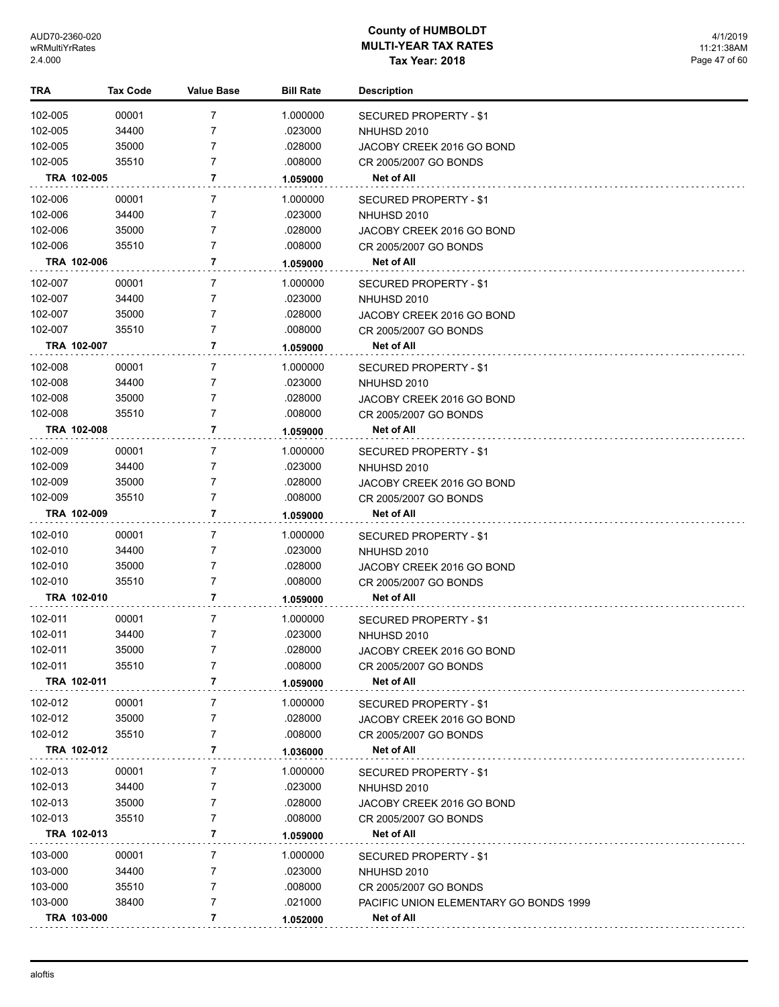| TRA     | <b>Tax Code</b> | Value Base | <b>Bill Rate</b> | <b>Description</b>                     |
|---------|-----------------|------------|------------------|----------------------------------------|
| 102-005 | 00001           | 7          | 1.000000         | <b>SECURED PROPERTY - \$1</b>          |
| 102-005 | 34400           | 7          | .023000          | NHUHSD 2010                            |
| 102-005 | 35000           | 7          | .028000          | JACOBY CREEK 2016 GO BOND              |
| 102-005 | 35510           | 7          | .008000          | CR 2005/2007 GO BONDS                  |
|         | TRA 102-005     | 7          | 1.059000         | Net of All                             |
| 102-006 | 00001           | 7          | 1.000000         | SECURED PROPERTY - \$1                 |
| 102-006 | 34400           | 7          | .023000          | NHUHSD 2010                            |
| 102-006 | 35000           | 7          | .028000          | JACOBY CREEK 2016 GO BOND              |
| 102-006 | 35510           | 7          | .008000          | CR 2005/2007 GO BONDS                  |
|         | TRA 102-006     | 7          | 1.059000         | Net of All                             |
| 102-007 | 00001           | 7          | 1.000000         | SECURED PROPERTY - \$1                 |
| 102-007 | 34400           | 7          | .023000          | NHUHSD 2010                            |
| 102-007 | 35000           | 7          | .028000          | JACOBY CREEK 2016 GO BOND              |
| 102-007 | 35510           | 7          | .008000          | CR 2005/2007 GO BONDS                  |
|         | TRA 102-007     | 7          | 1.059000         | Net of All                             |
| 102-008 | 00001           | 7          | 1.000000         | SECURED PROPERTY - \$1                 |
| 102-008 | 34400           | 7          | .023000          | NHUHSD 2010                            |
| 102-008 | 35000           | 7          | .028000          | JACOBY CREEK 2016 GO BOND              |
| 102-008 | 35510           | 7          | .008000          | CR 2005/2007 GO BONDS                  |
|         | TRA 102-008     | 7          | 1.059000         | <b>Net of All</b>                      |
| 102-009 | 00001           | 7          | 1.000000         | SECURED PROPERTY - \$1                 |
| 102-009 | 34400           | 7          | .023000          | NHUHSD 2010                            |
| 102-009 | 35000           | 7          | .028000          | JACOBY CREEK 2016 GO BOND              |
| 102-009 | 35510           | 7          | .008000          | CR 2005/2007 GO BONDS                  |
|         | TRA 102-009     | 7          | 1.059000         | Net of All                             |
| 102-010 | 00001           | 7          | 1.000000         | SECURED PROPERTY - \$1                 |
| 102-010 | 34400           | 7          | .023000          | NHUHSD 2010                            |
| 102-010 | 35000           | 7          | .028000          | JACOBY CREEK 2016 GO BOND              |
| 102-010 | 35510           | 7          | .008000          | CR 2005/2007 GO BONDS                  |
|         | TRA 102-010     | 7          | 1.059000         | Net of All                             |
| 102-011 | 00001           | 7          | 1.000000         | SECURED PROPERTY - \$1                 |
| 102-011 | 34400           | 7          | .023000          | NHUHSD 2010                            |
| 102-011 | 35000           | 7          | .028000          | JACOBY CREEK 2016 GO BOND              |
| 102-011 | 35510           | 7          | .008000          | CR 2005/2007 GO BONDS                  |
|         | TRA 102-011     | 7          | 1.059000         | Net of All                             |
| 102-012 | 00001           | 7          | 1.000000         | SECURED PROPERTY - \$1                 |
| 102-012 | 35000           | 7          | .028000          | JACOBY CREEK 2016 GO BOND              |
| 102-012 | 35510           | 7          | .008000          | CR 2005/2007 GO BONDS                  |
|         | TRA 102-012     | 7          | 1.036000         | Net of All                             |
| 102-013 | 00001           | 7          | 1.000000         | <b>SECURED PROPERTY - \$1</b>          |
| 102-013 | 34400           | 7          | .023000          | NHUHSD 2010                            |
| 102-013 | 35000           | 7          | .028000          | JACOBY CREEK 2016 GO BOND              |
| 102-013 | 35510           | 7          | .008000          | CR 2005/2007 GO BONDS                  |
|         | TRA 102-013     | 7          | 1.059000         | Net of All                             |
| 103-000 | 00001           | 7          | 1.000000         | SECURED PROPERTY - \$1                 |
| 103-000 | 34400           | 7          | .023000          | NHUHSD 2010                            |
| 103-000 | 35510           | 7          | .008000          | CR 2005/2007 GO BONDS                  |
| 103-000 | 38400           | 7          | .021000          | PACIFIC UNION ELEMENTARY GO BONDS 1999 |
|         | TRA 103-000     | 7          | 1.052000         | Net of All                             |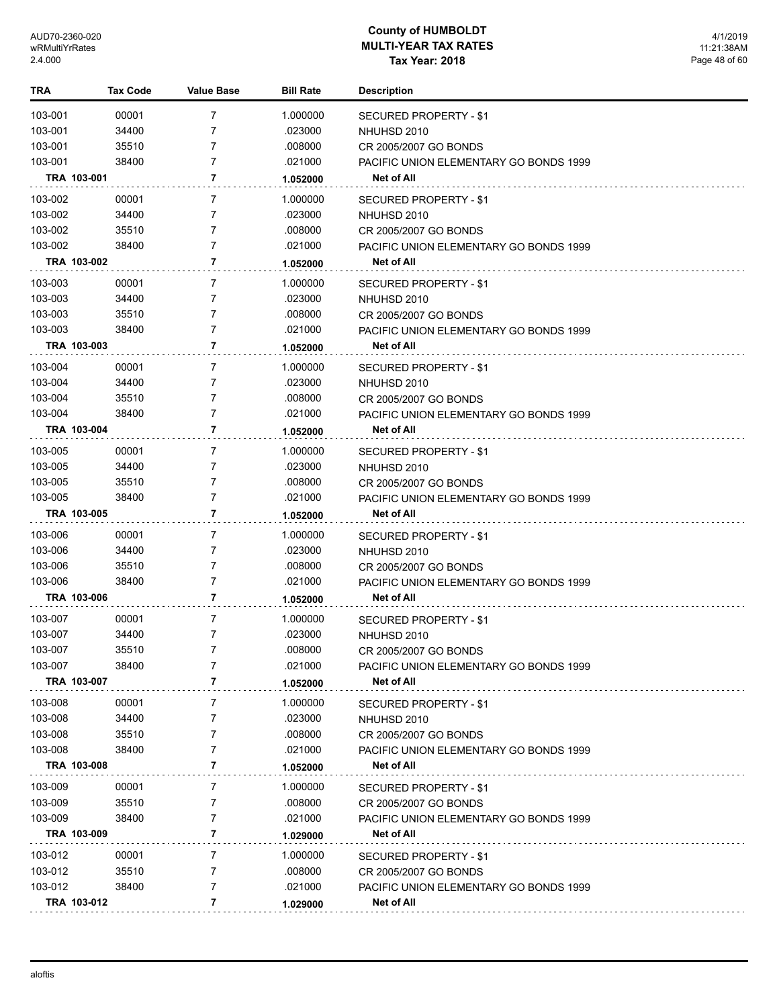| TRA                | Tax Code             | <b>Value Base</b> | <b>Bill Rate</b>    | <b>Description</b>                                   |
|--------------------|----------------------|-------------------|---------------------|------------------------------------------------------|
| 103-001            | 00001                | $\overline{7}$    | 1.000000            | <b>SECURED PROPERTY - \$1</b>                        |
| 103-001            | 34400                | 7                 | .023000             | NHUHSD 2010                                          |
| 103-001            | 35510                | 7                 | .008000             | CR 2005/2007 GO BONDS                                |
| 103-001            | 38400                | 7                 | .021000             | PACIFIC UNION ELEMENTARY GO BONDS 1999               |
|                    | TRA 103-001          | 7                 | 1.052000            | Net of All                                           |
| 103-002            | 00001                | 7                 | 1.000000            | SECURED PROPERTY - \$1                               |
| 103-002            | 34400                | 7                 | .023000             | NHUHSD 2010                                          |
| 103-002            | 35510                | 7                 | .008000             | CR 2005/2007 GO BONDS                                |
| 103-002            | 38400                | 7                 | .021000             | PACIFIC UNION ELEMENTARY GO BONDS 1999               |
|                    | TRA 103-002          | 7                 | 1.052000            | Net of All                                           |
| 103-003            | 00001                | 7                 | 1.000000            | SECURED PROPERTY - \$1                               |
| 103-003            | 34400                | 7                 | .023000             | NHUHSD 2010                                          |
| 103-003            | 35510                | 7                 | .008000             | CR 2005/2007 GO BONDS                                |
| 103-003            | 38400                | 7                 | .021000             | PACIFIC UNION ELEMENTARY GO BONDS 1999               |
|                    | TRA 103-003          | $\overline{7}$    | 1.052000            | <b>Net of All</b>                                    |
|                    |                      | 7                 |                     |                                                      |
| 103-004<br>103-004 | 00001<br>34400       | 7                 | 1.000000<br>.023000 | SECURED PROPERTY - \$1                               |
| 103-004            | 35510                | 7                 | .008000             | NHUHSD 2010<br>CR 2005/2007 GO BONDS                 |
| 103-004            | 38400                | 7                 | .021000             | <b>PACIFIC UNION ELEMENTARY GO BONDS 1999</b>        |
|                    | TRA 103-004          | 7                 | 1.052000            | Net of All                                           |
|                    |                      |                   |                     |                                                      |
| 103-005            | 00001                | 7                 | 1.000000            | SECURED PROPERTY - \$1                               |
| 103-005            | 34400                | 7                 | .023000             | NHUHSD 2010                                          |
| 103-005            | 35510                | 7<br>7            | .008000             | CR 2005/2007 GO BONDS                                |
| 103-005            | 38400<br>TRA 103-005 | 7                 | .021000             | PACIFIC UNION ELEMENTARY GO BONDS 1999<br>Net of All |
|                    |                      |                   | 1.052000            |                                                      |
| 103-006            | 00001                | 7                 | 1.000000            | SECURED PROPERTY - \$1                               |
| 103-006            | 34400                | 7                 | .023000             | NHUHSD 2010                                          |
| 103-006            | 35510                | 7                 | .008000             | CR 2005/2007 GO BONDS                                |
| 103-006            | 38400                | 7                 | .021000             | <b>PACIFIC UNION ELEMENTARY GO BONDS 1999</b>        |
|                    | TRA 103-006          | $\overline{7}$    | 1.052000            | Net of All                                           |
| 103-007            | 00001                | 7                 | 1.000000            | SECURED PROPERTY - \$1                               |
| 103-007            | 34400                | 7                 | .023000             | NHUHSD 2010                                          |
| 103-007            | 35510                | 7                 | .008000             | CR 2005/2007 GO BONDS                                |
| 103-007            | 38400                | 7                 | .021000             | PACIFIC UNION ELEMENTARY GO BONDS 1999               |
|                    | TRA 103-007          | 7                 | 1.052000            | Net of All                                           |
| 103-008            | 00001                | 7                 | 1.000000            | SECURED PROPERTY - \$1                               |
| 103-008            | 34400                | 7                 | .023000             | NHUHSD 2010                                          |
| 103-008            | 35510                | 7                 | .008000             | CR 2005/2007 GO BONDS                                |
| 103-008            | 38400                | 7                 | .021000             | <b>PACIFIC UNION ELEMENTARY GO BONDS 1999</b>        |
|                    | TRA 103-008          | 7                 | 1.052000            | Net of All                                           |
| 103-009            | 00001                | 7                 | 1.000000            | SECURED PROPERTY - \$1                               |
| 103-009            | 35510                | 7                 | .008000             | CR 2005/2007 GO BONDS                                |
| 103-009            | 38400                | 7                 | .021000             | PACIFIC UNION ELEMENTARY GO BONDS 1999               |
|                    | TRA 103-009          | 7                 | 1.029000            | Net of All                                           |
| 103-012            | 00001                | 7                 | 1.000000            | SECURED PROPERTY - \$1                               |
| 103-012            | 35510                | 7                 | .008000             | CR 2005/2007 GO BONDS                                |
| 103-012            | 38400                | 7                 | .021000             | PACIFIC UNION ELEMENTARY GO BONDS 1999               |
|                    | TRA 103-012          | 7                 | 1.029000            | Net of All                                           |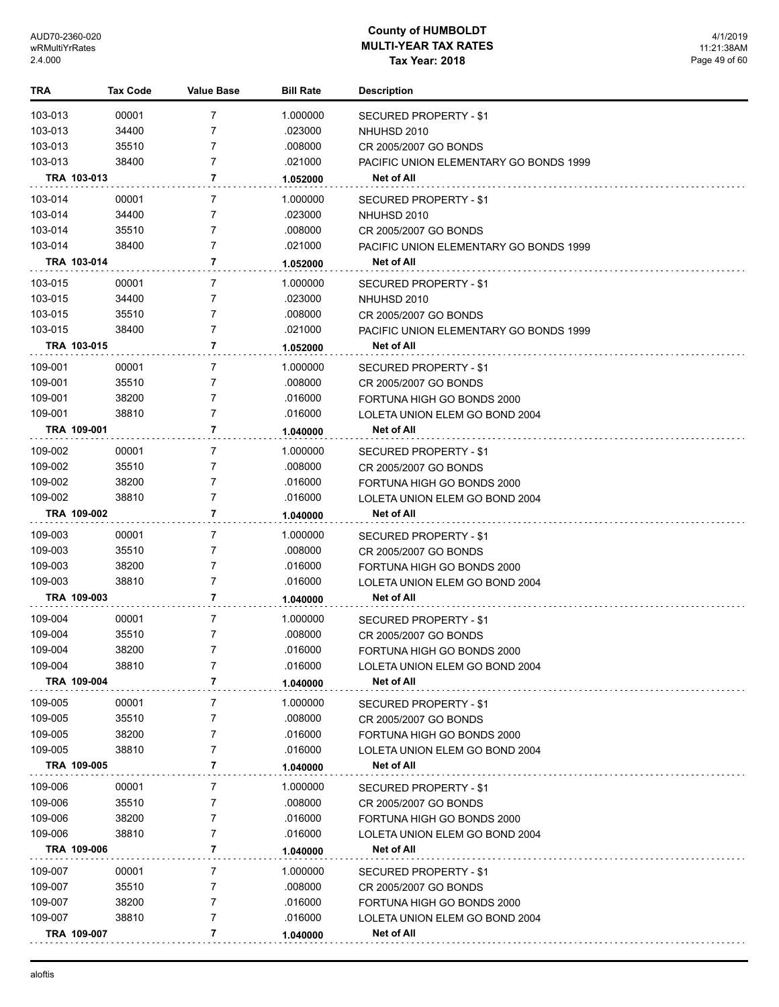| TRA     | Tax Code    | Value Base     | <b>Bill Rate</b> | <b>Description</b>                     |
|---------|-------------|----------------|------------------|----------------------------------------|
| 103-013 | 00001       | $\overline{7}$ | 1.000000         | <b>SECURED PROPERTY - \$1</b>          |
| 103-013 | 34400       | 7              | .023000          | NHUHSD 2010                            |
| 103-013 | 35510       | 7              | .008000          | CR 2005/2007 GO BONDS                  |
| 103-013 | 38400       | $\overline{7}$ | .021000          | PACIFIC UNION ELEMENTARY GO BONDS 1999 |
|         | TRA 103-013 | 7              | 1.052000         | Net of All                             |
| 103-014 | 00001       | 7              | 1.000000         | SECURED PROPERTY - \$1                 |
| 103-014 | 34400       | 7              | .023000          | NHUHSD 2010                            |
| 103-014 | 35510       | $\overline{7}$ | .008000          | CR 2005/2007 GO BONDS                  |
| 103-014 | 38400       | $\overline{7}$ | .021000          | PACIFIC UNION ELEMENTARY GO BONDS 1999 |
|         | TRA 103-014 | 7              | 1.052000         | Net of All                             |
| 103-015 | 00001       | 7              | 1.000000         | SECURED PROPERTY - \$1                 |
| 103-015 | 34400       | 7              | .023000          | NHUHSD 2010                            |
| 103-015 | 35510       | $\overline{7}$ | .008000          | CR 2005/2007 GO BONDS                  |
| 103-015 | 38400       | $\overline{7}$ | .021000          | PACIFIC UNION ELEMENTARY GO BONDS 1999 |
|         | TRA 103-015 | 7              | 1.052000         | Net of All                             |
| 109-001 | 00001       | 7              | 1.000000         | SECURED PROPERTY - \$1                 |
| 109-001 | 35510       | 7              | .008000          | CR 2005/2007 GO BONDS                  |
| 109-001 | 38200       | $\overline{7}$ | .016000          | FORTUNA HIGH GO BONDS 2000             |
| 109-001 | 38810       | $\overline{7}$ | .016000          | LOLETA UNION ELEM GO BOND 2004         |
|         | TRA 109-001 | 7              | 1.040000         | Net of All                             |
| 109-002 | 00001       | 7              | 1.000000         | SECURED PROPERTY - \$1                 |
| 109-002 | 35510       | 7              | .008000          | CR 2005/2007 GO BONDS                  |
| 109-002 | 38200       | $\overline{7}$ | .016000          | FORTUNA HIGH GO BONDS 2000             |
| 109-002 | 38810       | 7              | .016000          | LOLETA UNION ELEM GO BOND 2004         |
|         | TRA 109-002 | 7              | 1.040000         | Net of All                             |
| 109-003 | 00001       | 7              | 1.000000         | SECURED PROPERTY - \$1                 |
| 109-003 | 35510       | 7              | .008000          | CR 2005/2007 GO BONDS                  |
| 109-003 | 38200       | $\overline{7}$ | .016000          | FORTUNA HIGH GO BONDS 2000             |
| 109-003 | 38810       | 7              | .016000          | LOLETA UNION ELEM GO BOND 2004         |
|         | TRA 109-003 | 7              | 1.040000         | Net of All                             |
| 109-004 | 00001       | 7              | 1.000000         | <b>SECURED PROPERTY - \$1</b>          |
| 109-004 | 35510       | $\overline{7}$ | .008000          | CR 2005/2007 GO BONDS                  |
| 109-004 | 38200       | 7              | .016000          | FORTUNA HIGH GO BONDS 2000             |
| 109-004 | 38810       | 7              | .016000          | LOLETA UNION ELEM GO BOND 2004         |
|         | TRA 109-004 | 7              | 1.040000         | Net of All                             |
| 109-005 | 00001       | 7              | 1.000000         | <b>SECURED PROPERTY - \$1</b>          |
| 109-005 | 35510       | 7              | .008000          | CR 2005/2007 GO BONDS                  |
| 109-005 | 38200       | 7              | .016000          | FORTUNA HIGH GO BONDS 2000             |
| 109-005 | 38810       | 7              | .016000          | LOLETA UNION ELEM GO BOND 2004         |
|         | TRA 109-005 | 7              | 1.040000         | Net of All                             |
| 109-006 | 00001       | 7              | 1.000000         | SECURED PROPERTY - \$1                 |
| 109-006 | 35510       | 7              | .008000          | CR 2005/2007 GO BONDS                  |
| 109-006 | 38200       | 7              | .016000          | FORTUNA HIGH GO BONDS 2000             |
| 109-006 | 38810       | 7              | .016000          | LOLETA UNION ELEM GO BOND 2004         |
|         | TRA 109-006 | 7              | 1.040000         | Net of All                             |
| 109-007 | 00001       | 7              | 1.000000         | SECURED PROPERTY - \$1                 |
| 109-007 | 35510       | 7              | .008000          | CR 2005/2007 GO BONDS                  |
| 109-007 | 38200       | 7              | .016000          | FORTUNA HIGH GO BONDS 2000             |
| 109-007 | 38810       | 7              | .016000          | LOLETA UNION ELEM GO BOND 2004         |
|         | TRA 109-007 | 7              | 1.040000         | Net of All                             |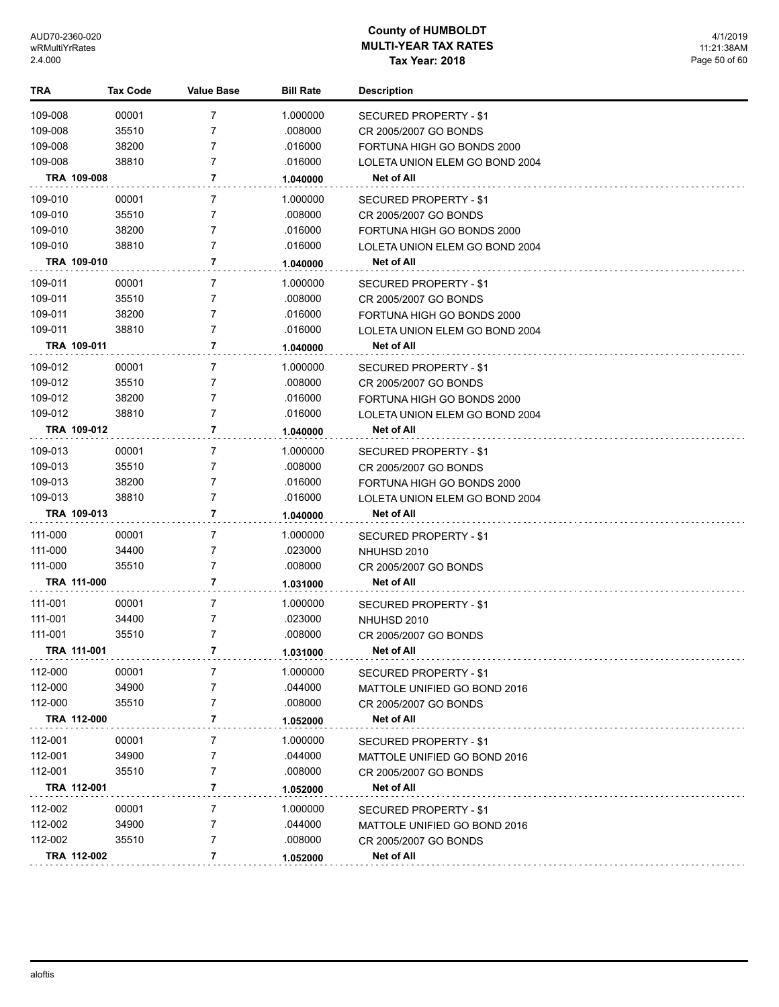| TRA         | Tax Code | <b>Value Base</b> | <b>Bill Rate</b> | <b>Description</b>             |
|-------------|----------|-------------------|------------------|--------------------------------|
| 109-008     | 00001    | 7                 | 1.000000         | SECURED PROPERTY - \$1         |
| 109-008     | 35510    | 7                 | .008000          | CR 2005/2007 GO BONDS          |
| 109-008     | 38200    | 7                 | .016000          | FORTUNA HIGH GO BONDS 2000     |
| 109-008     | 38810    | 7                 | .016000          | LOLETA UNION ELEM GO BOND 2004 |
| TRA 109-008 |          | 7                 | 1.040000         | Net of All                     |
| 109-010     | 00001    | 7                 | 1.000000         | SECURED PROPERTY - \$1         |
| 109-010     | 35510    | 7                 | .008000          | CR 2005/2007 GO BONDS          |
| 109-010     | 38200    | 7                 | .016000          | FORTUNA HIGH GO BONDS 2000     |
| 109-010     | 38810    | 7                 | .016000          | LOLETA UNION ELEM GO BOND 2004 |
| TRA 109-010 |          | 7                 | 1.040000         | Net of All                     |
| 109-011     | 00001    | 7                 | 1.000000         | SECURED PROPERTY - \$1         |
| 109-011     | 35510    | 7                 | .008000          | CR 2005/2007 GO BONDS          |
| 109-011     | 38200    | 7                 | .016000          | FORTUNA HIGH GO BONDS 2000     |
| 109-011     | 38810    | 7                 | .016000          | LOLETA UNION ELEM GO BOND 2004 |
| TRA 109-011 |          | 7                 | 1.040000         | Net of All                     |
| 109-012     | 00001    | 7                 | 1.000000         | SECURED PROPERTY - \$1         |
| 109-012     | 35510    | 7                 | .008000          | CR 2005/2007 GO BONDS          |
| 109-012     | 38200    | 7                 | .016000          | FORTUNA HIGH GO BONDS 2000     |
| 109-012     | 38810    | 7                 | .016000          | LOLETA UNION ELEM GO BOND 2004 |
| TRA 109-012 |          | 7                 | 1.040000         | Net of All                     |
| 109-013     | 00001    | 7                 | 1.000000         | SECURED PROPERTY - \$1         |
| 109-013     | 35510    | 7                 | .008000          | CR 2005/2007 GO BONDS          |
| 109-013     | 38200    | 7                 | .016000          | FORTUNA HIGH GO BONDS 2000     |
| 109-013     | 38810    | 7                 | .016000          | LOLETA UNION ELEM GO BOND 2004 |
| TRA 109-013 |          | 7                 | 1.040000         | Net of All                     |
| 111-000     | 00001    | 7                 | 1.000000         | SECURED PROPERTY - \$1         |
| 111-000     | 34400    | 7                 | .023000          | NHUHSD 2010                    |
| 111-000     | 35510    | 7                 | .008000          | CR 2005/2007 GO BONDS          |
| TRA 111-000 |          | 7                 | 1.031000         | Net of All                     |
| 111-001     | 00001    | 7                 | 1.000000         | SECURED PROPERTY - \$1         |
| 111-001     | 34400    | 7                 | .023000          | NHUHSD 2010                    |
| 111-001     | 35510    | 7                 | .008000          | CR 2005/2007 GO BONDS          |
| TRA 111-001 |          | 7                 | 1.031000         | Net of All                     |
| 112-000     | 00001    | 7                 | 1.000000         | SECURED PROPERTY - \$1         |
| 112-000     | 34900    | 7                 | .044000          | MATTOLE UNIFIED GO BOND 2016   |
| 112-000     | 35510    | 7                 | .008000          | CR 2005/2007 GO BONDS          |
| TRA 112-000 |          | 7                 | 1.052000         | Net of All                     |
| 112-001     | 00001    | 7                 | 1.000000         | SECURED PROPERTY - \$1         |
| 112-001     | 34900    | 7                 | .044000          | MATTOLE UNIFIED GO BOND 2016   |
| 112-001     | 35510    | 7                 | .008000          | CR 2005/2007 GO BONDS          |
| TRA 112-001 |          | 7                 | 1.052000         | Net of All                     |
| 112-002     | 00001    | 7                 | 1.000000         | SECURED PROPERTY - \$1         |
| 112-002     | 34900    | 7                 | .044000          | MATTOLE UNIFIED GO BOND 2016   |
| 112-002     | 35510    | 7                 | .008000          | CR 2005/2007 GO BONDS          |
| TRA 112-002 |          | 7                 | 1.052000         | Net of All                     |
|             |          |                   |                  |                                |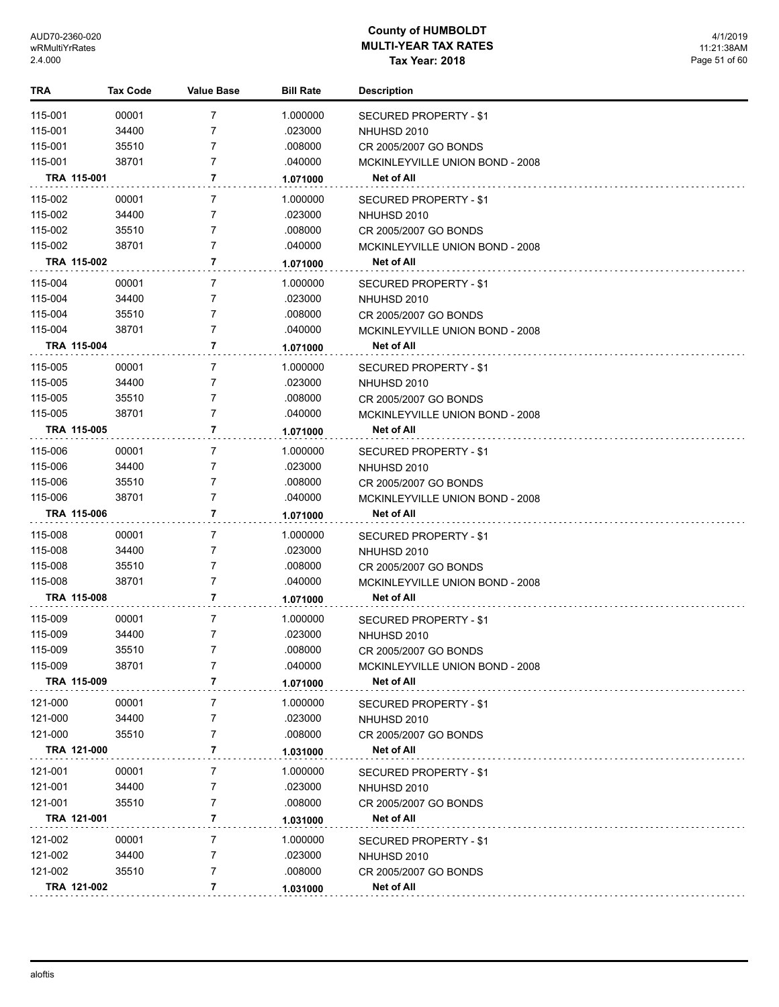| TRA         | <b>Tax Code</b> | <b>Value Base</b> | <b>Bill Rate</b> | <b>Description</b>              |
|-------------|-----------------|-------------------|------------------|---------------------------------|
| 115-001     | 00001           | 7                 | 1.000000         | <b>SECURED PROPERTY - \$1</b>   |
| 115-001     | 34400           | 7                 | .023000          | NHUHSD 2010                     |
| 115-001     | 35510           | 7                 | .008000          | CR 2005/2007 GO BONDS           |
| 115-001     | 38701           | 7                 | .040000          | MCKINLEYVILLE UNION BOND - 2008 |
| TRA 115-001 |                 | 7                 | 1.071000         | Net of All                      |
| 115-002     | 00001           | 7                 | 1.000000         | SECURED PROPERTY - \$1          |
| 115-002     | 34400           | 7                 | .023000          | NHUHSD 2010                     |
| 115-002     | 35510           | 7                 | .008000          | CR 2005/2007 GO BONDS           |
| 115-002     | 38701           | $\overline{7}$    | .040000          | MCKINLEYVILLE UNION BOND - 2008 |
| TRA 115-002 |                 | 7                 | 1.071000         | Net of All                      |
| 115-004     | 00001           | 7                 | 1.000000         | SECURED PROPERTY - \$1          |
| 115-004     | 34400           | 7                 | .023000          | NHUHSD 2010                     |
| 115-004     | 35510           | $\overline{7}$    | .008000          | CR 2005/2007 GO BONDS           |
| 115-004     | 38701           | $\overline{7}$    | .040000          | MCKINLEYVILLE UNION BOND - 2008 |
| TRA 115-004 |                 | 7                 | 1.071000         | Net of All                      |
|             |                 |                   |                  |                                 |
| 115-005     | 00001           | 7                 | 1.000000         | SECURED PROPERTY - \$1          |
| 115-005     | 34400           | 7                 | .023000          | NHUHSD 2010                     |
| 115-005     | 35510           | 7                 | .008000          | CR 2005/2007 GO BONDS           |
| 115-005     | 38701           | 7                 | .040000          | MCKINLEYVILLE UNION BOND - 2008 |
| TRA 115-005 |                 | 7                 | 1.071000         | Net of All                      |
| 115-006     | 00001           | 7                 | 1.000000         | SECURED PROPERTY - \$1          |
| 115-006     | 34400           | 7                 | .023000          | NHUHSD 2010                     |
| 115-006     | 35510           | $\overline{7}$    | .008000          | CR 2005/2007 GO BONDS           |
| 115-006     | 38701           | 7                 | .040000          | MCKINLEYVILLE UNION BOND - 2008 |
| TRA 115-006 |                 | 7                 | 1.071000         | Net of All                      |
| 115-008     | 00001           | 7                 | 1.000000         | SECURED PROPERTY - \$1          |
| 115-008     | 34400           | 7                 | .023000          | NHUHSD 2010                     |
| 115-008     | 35510           | 7                 | .008000          | CR 2005/2007 GO BONDS           |
| 115-008     | 38701           | 7                 | .040000          | MCKINLEYVILLE UNION BOND - 2008 |
| TRA 115-008 |                 | 7                 | 1.071000         | Net of All                      |
| 115-009     | 00001           | 7                 | 1.000000         | SECURED PROPERTY - \$1          |
| 115-009     | 34400           | $\overline{7}$    | .023000          | NHUHSD 2010                     |
| 115-009     | 35510           | 7                 | .008000          | CR 2005/2007 GO BONDS           |
| 115-009     | 38701           | 7                 | .040000          | MCKINLEYVILLE UNION BOND - 2008 |
| TRA 115-009 |                 | 7                 | 1.071000         | Net of All                      |
|             |                 |                   |                  |                                 |
| 121-000     | 00001           | 7                 | 1.000000         | SECURED PROPERTY - \$1          |
| 121-000     | 34400           | 7                 | .023000          | NHUHSD 2010                     |
| 121-000     | 35510           | 7                 | .008000          | CR 2005/2007 GO BONDS           |
| TRA 121-000 |                 | 7                 | 1.031000         | Net of All                      |
| 121-001     | 00001           | 7                 | 1.000000         | <b>SECURED PROPERTY - \$1</b>   |
| 121-001     | 34400           | 7                 | .023000          | NHUHSD 2010                     |
| 121-001     | 35510           | 7                 | .008000          | CR 2005/2007 GO BONDS           |
| TRA 121-001 |                 | 7                 | 1.031000         | Net of All                      |
| 121-002     | 00001           | 7                 | 1.000000         | SECURED PROPERTY - \$1          |
| 121-002     | 34400           | 7                 | .023000          | NHUHSD 2010                     |
| 121-002     | 35510           | 7                 | .008000          | CR 2005/2007 GO BONDS           |
| TRA 121-002 |                 | 7                 | 1.031000         | Net of All                      |
|             |                 |                   |                  |                                 |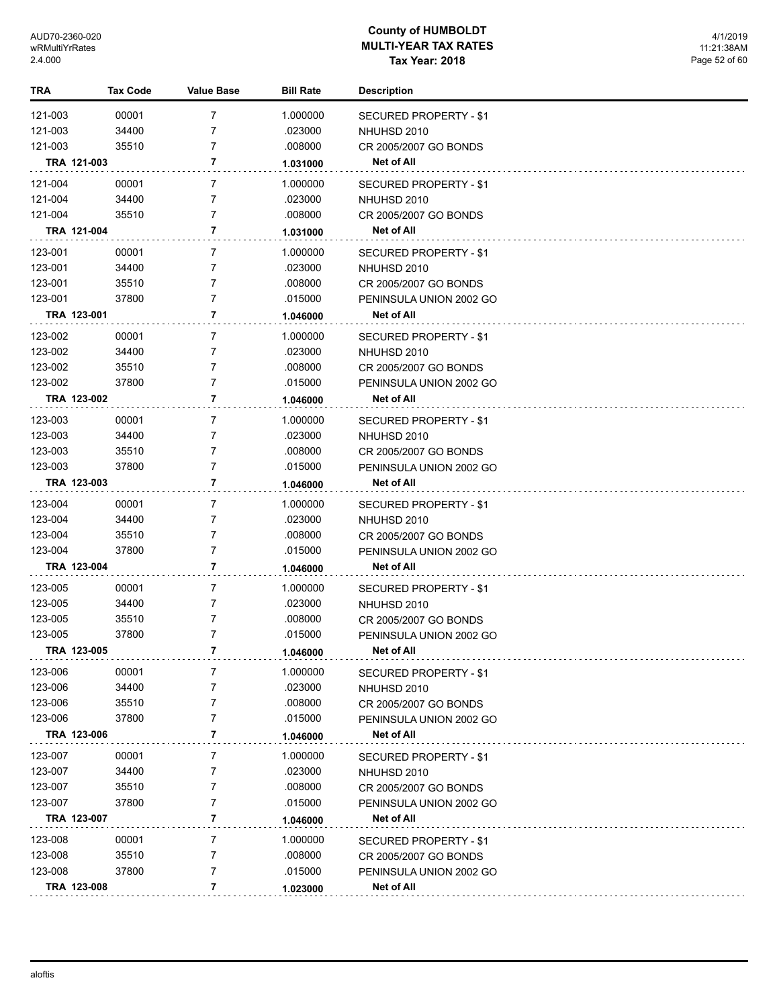| TRA     | Tax Code    | <b>Value Base</b> | <b>Bill Rate</b> | <b>Description</b>            |
|---------|-------------|-------------------|------------------|-------------------------------|
| 121-003 | 00001       | $\overline{7}$    | 1.000000         | <b>SECURED PROPERTY - \$1</b> |
| 121-003 | 34400       | 7                 | .023000          | NHUHSD 2010                   |
| 121-003 | 35510       | 7                 | .008000          | CR 2005/2007 GO BONDS         |
|         | TRA 121-003 | 7                 | 1.031000         | <b>Net of All</b>             |
| 121-004 | 00001       | 7                 | 1.000000         | SECURED PROPERTY - \$1        |
| 121-004 | 34400       | $\overline{7}$    | .023000          | NHUHSD 2010                   |
| 121-004 | 35510       | 7                 | .008000          | CR 2005/2007 GO BONDS         |
|         | TRA 121-004 | 7                 | 1.031000         | Net of All                    |
| 123-001 | 00001       | 7                 | 1.000000         | SECURED PROPERTY - \$1        |
| 123-001 | 34400       | 7                 | .023000          | NHUHSD 2010                   |
| 123-001 | 35510       | 7                 | .008000          | CR 2005/2007 GO BONDS         |
| 123-001 | 37800       | 7                 | .015000          | PENINSULA UNION 2002 GO       |
|         | TRA 123-001 | 7                 | 1.046000         | Net of All                    |
| 123-002 | 00001       | 7                 | 1.000000         | SECURED PROPERTY - \$1        |
| 123-002 | 34400       | 7                 | .023000          | NHUHSD 2010                   |
| 123-002 | 35510       | 7                 | .008000          | CR 2005/2007 GO BONDS         |
| 123-002 | 37800       | 7                 | .015000          | PENINSULA UNION 2002 GO       |
|         | TRA 123-002 | 7                 | 1.046000         | Net of All                    |
| 123-003 | 00001       | 7                 | 1.000000         | SECURED PROPERTY - \$1        |
| 123-003 | 34400       | 7                 | .023000          | NHUHSD 2010                   |
| 123-003 | 35510       | 7                 | .008000          | CR 2005/2007 GO BONDS         |
| 123-003 | 37800       | 7                 | .015000          | PENINSULA UNION 2002 GO       |
|         | TRA 123-003 | 7                 | 1.046000         | Net of All                    |
| 123-004 | 00001       | 7                 | 1.000000         | SECURED PROPERTY - \$1        |
| 123-004 | 34400       | 7                 | .023000          | NHUHSD 2010                   |
| 123-004 | 35510       | 7                 | .008000          | CR 2005/2007 GO BONDS         |
| 123-004 | 37800       | 7                 | .015000          | PENINSULA UNION 2002 GO       |
|         | TRA 123-004 | 7                 | 1.046000         | Net of All                    |
| 123-005 | 00001       | 7                 | 1.000000         | SECURED PROPERTY - \$1        |
| 123-005 | 34400       | 7                 | .023000          | NHUHSD 2010                   |
| 123-005 | 35510       | 7                 | .008000          | CR 2005/2007 GO BONDS         |
| 123-005 | 37800       | 7                 | .015000          | PENINSULA UNION 2002 GO       |
|         | TRA 123-005 | 7                 | 1.046000         | Net of All                    |
| 123-006 | 00001       | 7                 | 1.000000         | SECURED PROPERTY - \$1        |
| 123-006 | 34400       | 7                 | .023000          | NHUHSD 2010                   |
| 123-006 | 35510       | 7                 | .008000          | CR 2005/2007 GO BONDS         |
| 123-006 | 37800       | 7                 | .015000          | PENINSULA UNION 2002 GO       |
|         | TRA 123-006 | 7                 | 1.046000         | Net of All                    |
| 123-007 | 00001       | 7                 | 1.000000         | <b>SECURED PROPERTY - \$1</b> |
| 123-007 | 34400       | 7                 | .023000          | NHUHSD 2010                   |
| 123-007 | 35510       | 7                 | .008000          | CR 2005/2007 GO BONDS         |
| 123-007 | 37800       | 7                 | .015000          | PENINSULA UNION 2002 GO       |
|         | TRA 123-007 | 7                 | 1.046000         | Net of All                    |
| 123-008 | 00001       | 7                 | 1.000000         | SECURED PROPERTY - \$1        |
| 123-008 | 35510       | 7                 | .008000          | CR 2005/2007 GO BONDS         |
| 123-008 | 37800       | 7                 | .015000          | PENINSULA UNION 2002 GO       |
|         | TRA 123-008 | 7                 | 1.023000         | Net of All                    |
|         |             |                   |                  |                               |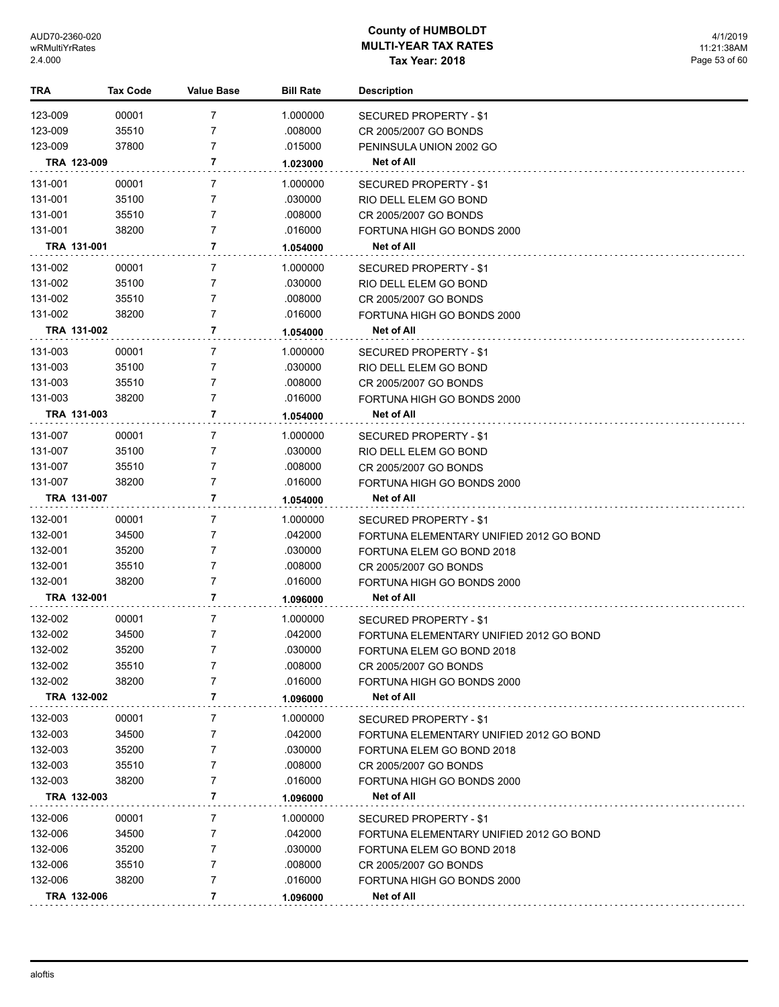| TRA         | <b>Tax Code</b> | Value Base | <b>Bill Rate</b> | <b>Description</b>                      |
|-------------|-----------------|------------|------------------|-----------------------------------------|
| 123-009     | 00001           | 7          | 1.000000         | <b>SECURED PROPERTY - \$1</b>           |
| 123-009     | 35510           | 7          | .008000          | CR 2005/2007 GO BONDS                   |
| 123-009     | 37800           | 7          | .015000          | PENINSULA UNION 2002 GO                 |
| TRA 123-009 |                 | 7          | 1.023000         | Net of All                              |
| 131-001     | 00001           | 7          | 1.000000         | SECURED PROPERTY - \$1                  |
| 131-001     | 35100           | 7          | .030000          | RIO DELL ELEM GO BOND                   |
| 131-001     | 35510           | 7          | .008000          | CR 2005/2007 GO BONDS                   |
| 131-001     | 38200           | 7          | .016000          | FORTUNA HIGH GO BONDS 2000              |
| TRA 131-001 |                 | 7          | 1.054000         | Net of All                              |
| 131-002     | 00001           | 7          | 1.000000         | SECURED PROPERTY - \$1                  |
| 131-002     | 35100           | 7          | .030000          | RIO DELL ELEM GO BOND                   |
| 131-002     | 35510           | 7          | .008000          | CR 2005/2007 GO BONDS                   |
| 131-002     | 38200           | 7          | .016000          | FORTUNA HIGH GO BONDS 2000              |
| TRA 131-002 |                 | 7          | 1.054000         | Net of All                              |
| 131-003     | 00001           | 7          | 1.000000         | SECURED PROPERTY - \$1                  |
| 131-003     | 35100           | 7          | .030000          | RIO DELL ELEM GO BOND                   |
| 131-003     | 35510           | 7          | .008000          | CR 2005/2007 GO BONDS                   |
| 131-003     | 38200           | 7          | .016000          | FORTUNA HIGH GO BONDS 2000              |
| TRA 131-003 |                 | 7          | 1.054000         | Net of All                              |
| 131-007     | 00001           | 7          | 1.000000         | SECURED PROPERTY - \$1                  |
| 131-007     | 35100           | 7          | .030000          | RIO DELL ELEM GO BOND                   |
| 131-007     | 35510           | 7          | .008000          | CR 2005/2007 GO BONDS                   |
| 131-007     | 38200           | 7          | .016000          | FORTUNA HIGH GO BONDS 2000              |
| TRA 131-007 |                 | 7          | 1.054000         | Net of All                              |
| 132-001     | 00001           | 7          | 1.000000         | SECURED PROPERTY - \$1                  |
| 132-001     | 34500           | 7          | .042000          | FORTUNA ELEMENTARY UNIFIED 2012 GO BOND |
| 132-001     | 35200           | 7          | .030000          | FORTUNA ELEM GO BOND 2018               |
| 132-001     | 35510           | 7          | .008000          | CR 2005/2007 GO BONDS                   |
| 132-001     | 38200           | 7          | .016000          | FORTUNA HIGH GO BONDS 2000              |
| TRA 132-001 |                 | 7          | 1.096000         | Net of All                              |
| 132-002     | 00001           | 7          | 1.000000         | SECURED PROPERTY - \$1                  |
| 132-002     | 34500           | 7          | .042000          | FORTUNA ELEMENTARY UNIFIED 2012 GO BOND |
| 132-002     | 35200           | 7          | 030000           | FORTUNA ELEM GO BOND 2018               |
| 132-002     | 35510           | 7          | .008000          | CR 2005/2007 GO BONDS                   |
| 132-002     | 38200           | 7          | .016000          | FORTUNA HIGH GO BONDS 2000              |
| TRA 132-002 |                 | 7          | 1.096000         | Net of All                              |
| 132-003     | 00001           | 7          | 1.000000         | SECURED PROPERTY - \$1                  |
| 132-003     | 34500           | 7          | .042000          | FORTUNA ELEMENTARY UNIFIED 2012 GO BOND |
| 132-003     | 35200           | 7          | .030000          | FORTUNA ELEM GO BOND 2018               |
| 132-003     | 35510           | 7          | .008000          | CR 2005/2007 GO BONDS                   |
| 132-003     | 38200           | 7          | .016000          | FORTUNA HIGH GO BONDS 2000              |
| TRA 132-003 |                 | 7          | 1.096000         | Net of All                              |
| 132-006     | 00001           | 7          | 1.000000         | SECURED PROPERTY - \$1                  |
| 132-006     | 34500           | 7          | .042000          | FORTUNA ELEMENTARY UNIFIED 2012 GO BOND |
| 132-006     | 35200           | 7          | .030000          | FORTUNA ELEM GO BOND 2018               |
| 132-006     | 35510           | 7          | .008000          | CR 2005/2007 GO BONDS                   |
| 132-006     | 38200           | 7          | .016000          | FORTUNA HIGH GO BONDS 2000              |
| TRA 132-006 |                 | 7          | 1.096000         | Net of All                              |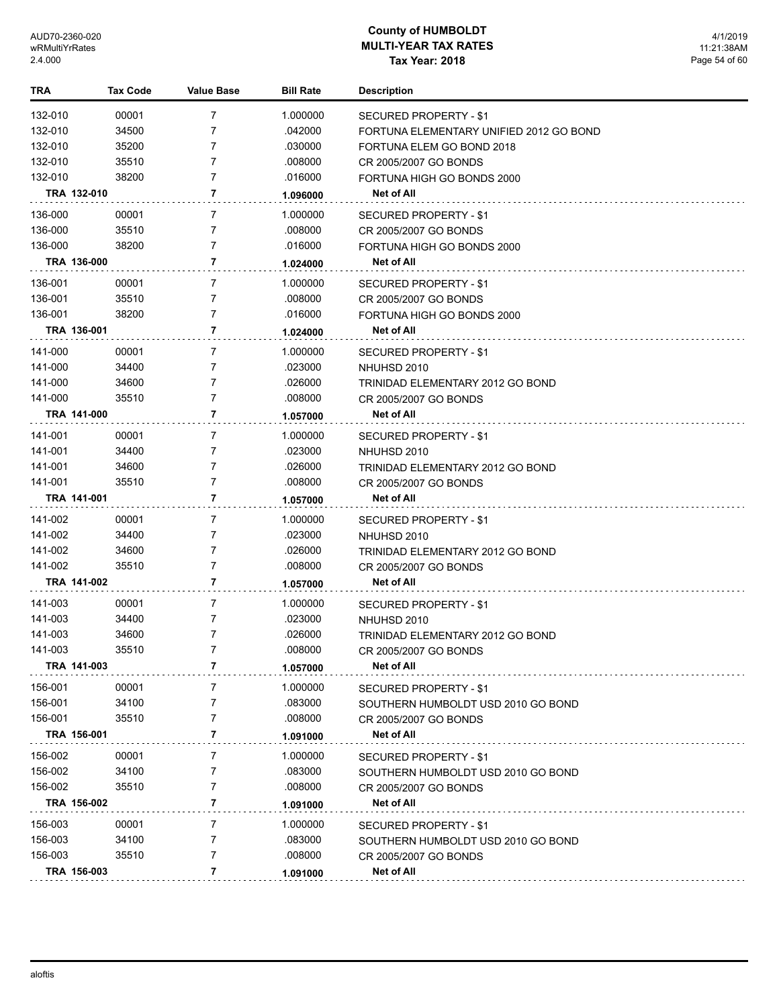| TRA         | <b>Tax Code</b> | <b>Value Base</b> | <b>Bill Rate</b> | <b>Description</b>                      |
|-------------|-----------------|-------------------|------------------|-----------------------------------------|
| 132-010     | 00001           | 7                 | 1.000000         | SECURED PROPERTY - \$1                  |
| 132-010     | 34500           | 7                 | .042000          | FORTUNA ELEMENTARY UNIFIED 2012 GO BOND |
| 132-010     | 35200           | 7                 | .030000          | FORTUNA ELEM GO BOND 2018               |
| 132-010     | 35510           | 7                 | .008000          | CR 2005/2007 GO BONDS                   |
| 132-010     | 38200           | 7                 | .016000          | FORTUNA HIGH GO BONDS 2000              |
| TRA 132-010 |                 | 7                 | 1.096000         | Net of All                              |
| 136-000     | 00001           | 7                 | 1.000000         | SECURED PROPERTY - \$1                  |
| 136-000     | 35510           | 7                 | .008000          | CR 2005/2007 GO BONDS                   |
| 136-000     | 38200           | 7                 | .016000          | FORTUNA HIGH GO BONDS 2000              |
| TRA 136-000 |                 | 7                 | 1.024000         | Net of All                              |
| 136-001     | 00001           | 7                 | 1.000000         | SECURED PROPERTY - \$1                  |
| 136-001     | 35510           | 7                 | .008000          | CR 2005/2007 GO BONDS                   |
| 136-001     | 38200           | 7                 | .016000          | FORTUNA HIGH GO BONDS 2000              |
| TRA 136-001 |                 | 7                 | 1.024000         | Net of All                              |
| 141-000     | 00001           | 7                 | 1.000000         | SECURED PROPERTY - \$1                  |
| 141-000     | 34400           | 7                 | .023000          | NHUHSD 2010                             |
| 141-000     | 34600           | 7                 | .026000          | TRINIDAD ELEMENTARY 2012 GO BOND        |
| 141-000     | 35510           | 7                 | .008000          | CR 2005/2007 GO BONDS                   |
| TRA 141-000 |                 | 7                 | 1.057000         | Net of All                              |
| 141-001     | 00001           | 7                 | 1.000000         | SECURED PROPERTY - \$1                  |
| 141-001     | 34400           | 7                 | .023000          | NHUHSD 2010                             |
| 141-001     | 34600           | 7                 | .026000          | TRINIDAD ELEMENTARY 2012 GO BOND        |
| 141-001     | 35510           | 7                 | .008000          | CR 2005/2007 GO BONDS                   |
| TRA 141-001 |                 | 7                 | 1.057000         | Net of All                              |
| 141-002     | 00001           | 7                 | 1.000000         | SECURED PROPERTY - \$1                  |
| 141-002     | 34400           | 7                 | .023000          | NHUHSD 2010                             |
| 141-002     | 34600           | 7                 | .026000          | TRINIDAD ELEMENTARY 2012 GO BOND        |
| 141-002     | 35510           | 7                 | .008000          | CR 2005/2007 GO BONDS                   |
| TRA 141-002 |                 | 7                 | 1.057000         | Net of All                              |
| 141-003     | 00001           | 7                 | 1.000000         | SECURED PROPERTY - \$1                  |
| 141-003     | 34400           | 7                 | .023000          | NHUHSD 2010                             |
| 141-003     | 34600           | 7                 | .026000          | TRINIDAD ELEMENTARY 2012 GO BOND        |
| 141-003     | 35510           | 7                 | .008000          | CR 2005/2007 GO BONDS                   |
| TRA 141-003 |                 | 7                 | 1.057000         | Net of All                              |
| 156-001     | 00001           | 7                 | 1.000000         | SECURED PROPERTY - \$1                  |
| 156-001     | 34100           | 7                 | .083000          | SOUTHERN HUMBOLDT USD 2010 GO BOND      |
| 156-001     | 35510           | 7                 | .008000          | CR 2005/2007 GO BONDS                   |
| TRA 156-001 |                 | 7                 | 1.091000         | Net of All                              |
| 156-002     | 00001           | 7                 | 1.000000         | SECURED PROPERTY - \$1                  |
| 156-002     | 34100           | 7                 | .083000          | SOUTHERN HUMBOLDT USD 2010 GO BOND      |
| 156-002     | 35510           | 7                 | .008000          | CR 2005/2007 GO BONDS                   |
| TRA 156-002 |                 | 7                 | 1.091000         | Net of All                              |
| 156-003     | 00001           | 7                 | 1.000000         | SECURED PROPERTY - \$1                  |
| 156-003     | 34100           | 7                 | .083000          | SOUTHERN HUMBOLDT USD 2010 GO BOND      |
| 156-003     | 35510           | 7                 | .008000          | CR 2005/2007 GO BONDS                   |
| TRA 156-003 |                 | 7                 | 1.091000         | Net of All                              |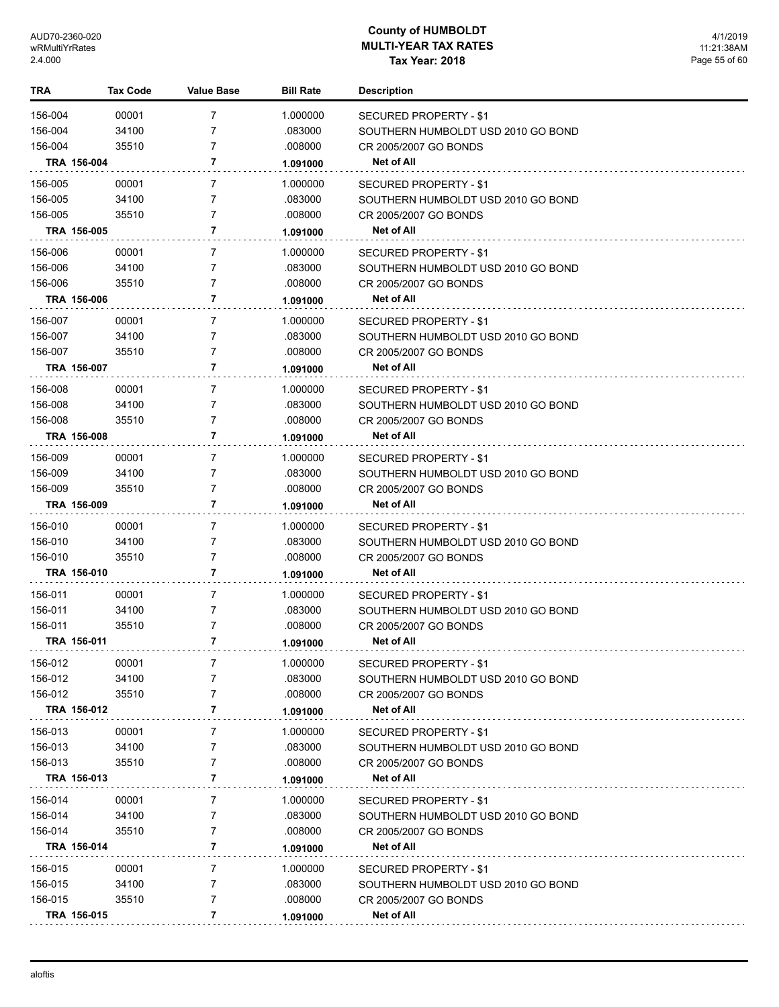| TRA         | <b>Tax Code</b> | <b>Value Base</b> | <b>Bill Rate</b> | <b>Description</b>                 |
|-------------|-----------------|-------------------|------------------|------------------------------------|
| 156-004     | 00001           | 7                 | 1.000000         | SECURED PROPERTY - \$1             |
| 156-004     | 34100           | 7                 | .083000          | SOUTHERN HUMBOLDT USD 2010 GO BOND |
| 156-004     | 35510           | 7                 | .008000          | CR 2005/2007 GO BONDS              |
| TRA 156-004 |                 | 7                 | 1.091000         | Net of All                         |
| 156-005     | 00001           | 7                 | 1.000000         | SECURED PROPERTY - \$1             |
| 156-005     | 34100           | 7                 | .083000          | SOUTHERN HUMBOLDT USD 2010 GO BOND |
| 156-005     | 35510           | 7                 | .008000          | CR 2005/2007 GO BONDS              |
| TRA 156-005 |                 | 7                 | 1.091000         | Net of All                         |
| 156-006     | 00001           | 7                 | 1.000000         | SECURED PROPERTY - \$1             |
| 156-006     | 34100           | 7                 | .083000          | SOUTHERN HUMBOLDT USD 2010 GO BOND |
| 156-006     | 35510           | 7                 | .008000          | CR 2005/2007 GO BONDS              |
| TRA 156-006 |                 | 7                 | 1.091000         | Net of All                         |
| 156-007     | 00001           | 7                 | 1.000000         | SECURED PROPERTY - \$1             |
| 156-007     | 34100           | 7                 | .083000          | SOUTHERN HUMBOLDT USD 2010 GO BOND |
| 156-007     | 35510           | 7                 | .008000          | CR 2005/2007 GO BONDS              |
| TRA 156-007 |                 | 7                 | 1.091000         | Net of All                         |
| 156-008     | 00001           | 7                 | 1.000000         | SECURED PROPERTY - \$1             |
| 156-008     | 34100           | 7                 | .083000          | SOUTHERN HUMBOLDT USD 2010 GO BOND |
| 156-008     | 35510           | 7                 | .008000          | CR 2005/2007 GO BONDS              |
| TRA 156-008 |                 | 7                 | 1.091000         | Net of All                         |
| 156-009     | 00001           | 7                 | 1.000000         | SECURED PROPERTY - \$1             |
| 156-009     | 34100           | 7                 | .083000          | SOUTHERN HUMBOLDT USD 2010 GO BOND |
| 156-009     | 35510           | 7                 | .008000          | CR 2005/2007 GO BONDS              |
| TRA 156-009 |                 | 7                 | 1.091000         | Net of All                         |
| 156-010     | 00001           | 7                 | 1.000000         | SECURED PROPERTY - \$1             |
| 156-010     | 34100           | 7                 | .083000          | SOUTHERN HUMBOLDT USD 2010 GO BOND |
| 156-010     | 35510           | 7                 | .008000          | CR 2005/2007 GO BONDS              |
| TRA 156-010 |                 | 7                 | 1.091000         | Net of All                         |
| 156-011     | 00001           | 7                 | 1.000000         | SECURED PROPERTY - \$1             |
| 156-011     | 34100           | 7                 | .083000          | SOUTHERN HUMBOLDT USD 2010 GO BOND |
| 156-011     | 35510           | 7                 | .008000          | CR 2005/2007 GO BONDS              |
| TRA 156-011 |                 | 7                 | 1.091000         | <b>Net of All</b>                  |
| 156-012     | 00001           | 7                 | 1.000000         | <b>SECURED PROPERTY - \$1</b>      |
| 156-012     | 34100           | 7                 | .083000          | SOUTHERN HUMBOLDT USD 2010 GO BOND |
| 156-012     | 35510           | 7                 | .008000          | CR 2005/2007 GO BONDS              |
| TRA 156-012 |                 | 7                 | 1.091000         | Net of All                         |
| 156-013     | 00001           | 7                 | 1.000000         | SECURED PROPERTY - \$1             |
| 156-013     | 34100           | 7                 | .083000          | SOUTHERN HUMBOLDT USD 2010 GO BOND |
| 156-013     | 35510           | 7                 | .008000          | CR 2005/2007 GO BONDS              |
| TRA 156-013 |                 | 7                 | 1.091000         | Net of All                         |
| 156-014     | 00001           | 7                 | 1.000000         | SECURED PROPERTY - \$1             |
| 156-014     | 34100           | 7                 | .083000          | SOUTHERN HUMBOLDT USD 2010 GO BOND |
| 156-014     | 35510           | 7                 | .008000          | CR 2005/2007 GO BONDS              |
| TRA 156-014 |                 | 7                 | 1.091000         | Net of All                         |
| 156-015     | 00001           | 7                 | 1.000000         | SECURED PROPERTY - \$1             |
| 156-015     | 34100           | 7                 | .083000          | SOUTHERN HUMBOLDT USD 2010 GO BOND |
| 156-015     | 35510           | 7                 | .008000          | CR 2005/2007 GO BONDS              |
| TRA 156-015 |                 | 7                 | 1.091000         | Net of All                         |
|             |                 |                   |                  |                                    |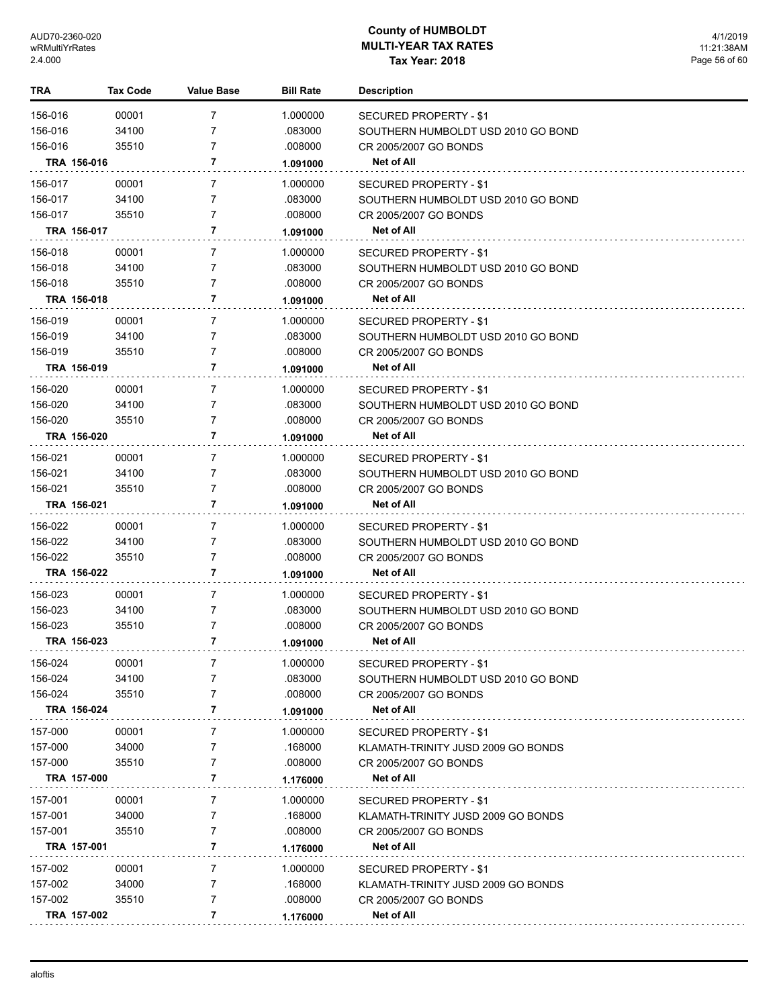| TRA         | <b>Tax Code</b> | Value Base     | <b>Bill Rate</b> | <b>Description</b>                 |
|-------------|-----------------|----------------|------------------|------------------------------------|
| 156-016     | 00001           | 7              | 1.000000         | SECURED PROPERTY - \$1             |
| 156-016     | 34100           | 7              | .083000          | SOUTHERN HUMBOLDT USD 2010 GO BOND |
| 156-016     | 35510           | $\overline{7}$ | .008000          | CR 2005/2007 GO BONDS              |
| TRA 156-016 |                 | 7              | 1.091000         | <b>Net of All</b>                  |
| 156-017     | 00001           | 7              | 1.000000         | SECURED PROPERTY - \$1             |
| 156-017     | 34100           | $\overline{7}$ | .083000          | SOUTHERN HUMBOLDT USD 2010 GO BOND |
| 156-017     | 35510           | 7              | .008000          | CR 2005/2007 GO BONDS              |
| TRA 156-017 |                 | 7              | 1.091000         | <b>Net of All</b>                  |
| 156-018     | 00001           | 7              | 1.000000         | SECURED PROPERTY - \$1             |
| 156-018     | 34100           | $\overline{7}$ | .083000          | SOUTHERN HUMBOLDT USD 2010 GO BOND |
| 156-018     | 35510           | 7              | .008000          | CR 2005/2007 GO BONDS              |
| TRA 156-018 |                 | 7              | 1.091000         | Net of All                         |
| 156-019     | 00001           | 7              | 1.000000         | <b>SECURED PROPERTY - \$1</b>      |
| 156-019     | 34100           | $\overline{7}$ | .083000          | SOUTHERN HUMBOLDT USD 2010 GO BOND |
| 156-019     | 35510           | $\overline{7}$ | .008000          | CR 2005/2007 GO BONDS              |
| TRA 156-019 |                 | 7              | 1.091000         | <b>Net of All</b>                  |
| 156-020     | 00001           | 7              | 1.000000         | SECURED PROPERTY - \$1             |
| 156-020     | 34100           | 7              | .083000          | SOUTHERN HUMBOLDT USD 2010 GO BOND |
| 156-020     | 35510           | $\overline{7}$ | .008000          | CR 2005/2007 GO BONDS              |
| TRA 156-020 |                 | 7              | 1.091000         | Net of All                         |
| 156-021     | 00001           | 7              | 1.000000         | SECURED PROPERTY - \$1             |
| 156-021     | 34100           | 7              | .083000          | SOUTHERN HUMBOLDT USD 2010 GO BOND |
| 156-021     | 35510           | $\overline{7}$ | .008000          | CR 2005/2007 GO BONDS              |
| TRA 156-021 |                 | 7              | 1.091000         | <b>Net of All</b>                  |
| 156-022     | 00001           | 7              | 1.000000         | SECURED PROPERTY - \$1             |
| 156-022     | 34100           | 7              | .083000          | SOUTHERN HUMBOLDT USD 2010 GO BOND |
| 156-022     | 35510           | $\overline{7}$ | .008000          | CR 2005/2007 GO BONDS              |
| TRA 156-022 |                 | 7              | 1.091000         | Net of All                         |
| 156-023     | 00001           | 7              | 1.000000         | SECURED PROPERTY - \$1             |
| 156-023     | 34100           | 7              | .083000          | SOUTHERN HUMBOLDT USD 2010 GO BOND |
| 156-023     | 35510           | 7              | .008000          | CR 2005/2007 GO BONDS              |
| TRA 156-023 |                 | 7              | 1.091000         | <b>Net of All</b>                  |
| 156-024     | 00001           | 7              | 1.000000         | SECURED PROPERTY - \$1             |
| 156-024     | 34100           | 7              | .083000          | SOUTHERN HUMBOLDT USD 2010 GO BOND |
| 156-024     | 35510           | 7              | .008000          | CR 2005/2007 GO BONDS              |
| TRA 156-024 |                 | 7              | 1.091000         | Net of All                         |
| 157-000     | 00001           | 7              | 1.000000         | SECURED PROPERTY - \$1             |
| 157-000     | 34000           | 7              | .168000          | KLAMATH-TRINITY JUSD 2009 GO BONDS |
| 157-000     | 35510           | 7              | .008000          | CR 2005/2007 GO BONDS              |
| TRA 157-000 |                 | 7              | 1.176000         | Net of All                         |
| 157-001     | 00001           | 7              | 1.000000         | <b>SECURED PROPERTY - \$1</b>      |
| 157-001     | 34000           | 7              | .168000          | KLAMATH-TRINITY JUSD 2009 GO BONDS |
| 157-001     | 35510           | 7              | .008000          | CR 2005/2007 GO BONDS              |
| TRA 157-001 |                 | 7              | 1.176000         | Net of All                         |
| 157-002     | 00001           | 7              | 1.000000         | <b>SECURED PROPERTY - \$1</b>      |
| 157-002     | 34000           | 7              | .168000          | KLAMATH-TRINITY JUSD 2009 GO BONDS |
| 157-002     | 35510           | 7              | .008000          | CR 2005/2007 GO BONDS              |
| TRA 157-002 |                 | 7              | 1.176000         | Net of All                         |
|             |                 |                |                  |                                    |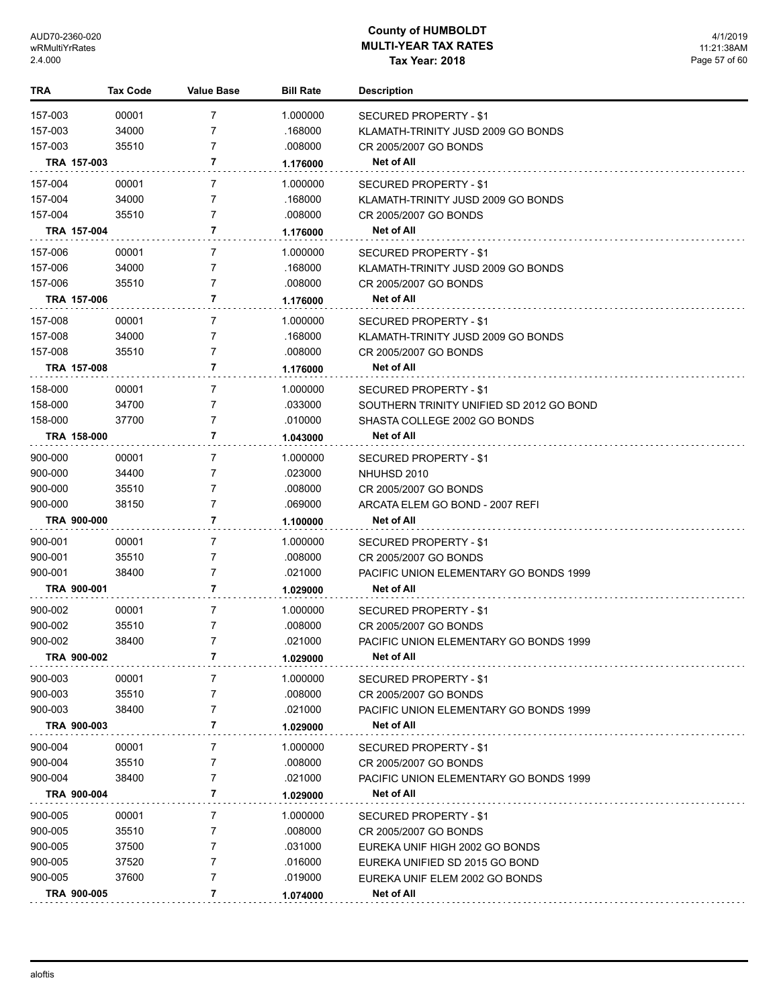| <b>TRA</b>         | <b>Tax Code</b> | <b>Value Base</b>   | <b>Bill Rate</b>   | <b>Description</b>                            |
|--------------------|-----------------|---------------------|--------------------|-----------------------------------------------|
| 157-003            | 00001           | 7                   | 1.000000           | SECURED PROPERTY - \$1                        |
| 157-003            | 34000           | 7                   | .168000            | KLAMATH-TRINITY JUSD 2009 GO BONDS            |
| 157-003            | 35510           | 7                   | .008000            | CR 2005/2007 GO BONDS                         |
|                    | TRA 157-003     | 7                   | 1.176000           | Net of All                                    |
| 157-004            | 00001           | 7                   | 1.000000           | SECURED PROPERTY - \$1                        |
| 157-004            | 34000           | 7                   | .168000            | KLAMATH-TRINITY JUSD 2009 GO BONDS            |
| 157-004            | 35510           | 7                   | .008000            | CR 2005/2007 GO BONDS                         |
|                    | TRA 157-004     | 7                   | 1.176000           | <b>Net of All</b>                             |
| 157-006            | 00001           | 7                   | 1.000000           | SECURED PROPERTY - \$1                        |
| 157-006            | 34000           | 7                   | .168000            | KLAMATH-TRINITY JUSD 2009 GO BONDS            |
| 157-006            | 35510           | 7                   | .008000            | CR 2005/2007 GO BONDS                         |
|                    | TRA 157-006     | 7                   | 1.176000           | Net of All                                    |
| 157-008            | 00001           | $\overline{7}$      | 1.000000           | <b>SECURED PROPERTY - \$1</b>                 |
| 157-008            | 34000           | 7                   | .168000            | KLAMATH-TRINITY JUSD 2009 GO BONDS            |
| 157-008            | 35510           | 7                   | .008000            | CR 2005/2007 GO BONDS                         |
|                    | TRA 157-008     | 7                   | 1.176000           | Net of All                                    |
| 158-000            | 00001           | $\overline{7}$      | 1.000000           | <b>SECURED PROPERTY - \$1</b>                 |
| 158-000            | 34700           | 7                   | .033000            | SOUTHERN TRINITY UNIFIED SD 2012 GO BOND      |
| 158-000            | 37700           | 7                   | .010000            | SHASTA COLLEGE 2002 GO BONDS                  |
|                    | TRA 158-000     | 7                   | 1.043000           | Net of All                                    |
| 900-000            | 00001           | $\overline{7}$      | 1.000000           |                                               |
|                    |                 | 7                   |                    | <b>SECURED PROPERTY - \$1</b>                 |
| 900-000            | 34400<br>35510  | 7                   | .023000<br>.008000 | NHUHSD 2010                                   |
| 900-000<br>900-000 | 38150           | 7                   | .069000            | CR 2005/2007 GO BONDS                         |
|                    | TRA 900-000     | 7                   |                    | ARCATA ELEM GO BOND - 2007 REFI<br>Net of All |
|                    |                 |                     | 1.100000           |                                               |
| 900-001            | 00001           | $\overline{7}$      | 1.000000           | SECURED PROPERTY - \$1                        |
| 900-001            | 35510           | 7                   | .008000            | CR 2005/2007 GO BONDS                         |
| 900-001            | 38400           | $\overline{7}$<br>7 | .021000            | PACIFIC UNION ELEMENTARY GO BONDS 1999        |
|                    | TRA 900-001     |                     | 1.029000           | Net of All                                    |
| 900-002            | 00001           | $\overline{7}$      | 1.000000           | SECURED PROPERTY - \$1                        |
| 900-002            | 35510           | 7                   | .008000            | CR 2005/2007 GO BONDS                         |
| 900-002            | 38400           | 7                   | .021000            | PACIFIC UNION ELEMENTARY GO BONDS 1999        |
|                    | TRA 900-002     | 7                   | 1.029000           | <b>Net of All</b>                             |
| 900-003            | 00001           | 7                   | 1.000000           | <b>SECURED PROPERTY - \$1</b>                 |
| 900-003            | 35510           | 7                   | .008000            | CR 2005/2007 GO BONDS                         |
| 900-003            | 38400           | 7                   | .021000            | PACIFIC UNION ELEMENTARY GO BONDS 1999        |
|                    | TRA 900-003     | 7                   | 1.029000           | <b>Net of All</b>                             |
| 900-004            | 00001           | 7                   | 1.000000           | <b>SECURED PROPERTY - \$1</b>                 |
| 900-004            | 35510           | 7                   | .008000            | CR 2005/2007 GO BONDS                         |
| 900-004            | 38400           | 7                   | .021000            | PACIFIC UNION ELEMENTARY GO BONDS 1999        |
|                    | TRA 900-004     | 7                   | 1.029000           | Net of All                                    |
| 900-005            | 00001           | 7                   | 1.000000           | SECURED PROPERTY - \$1                        |
| 900-005            | 35510           | 7                   | .008000            | CR 2005/2007 GO BONDS                         |
| 900-005            | 37500           | 7                   | .031000            | EUREKA UNIF HIGH 2002 GO BONDS                |
| 900-005            | 37520           | 7                   | .016000            | EUREKA UNIFIED SD 2015 GO BOND                |
| 900-005            | 37600           | 7                   | .019000            | EUREKA UNIF ELEM 2002 GO BONDS                |
|                    | TRA 900-005     | 7                   | 1.074000           | Net of All                                    |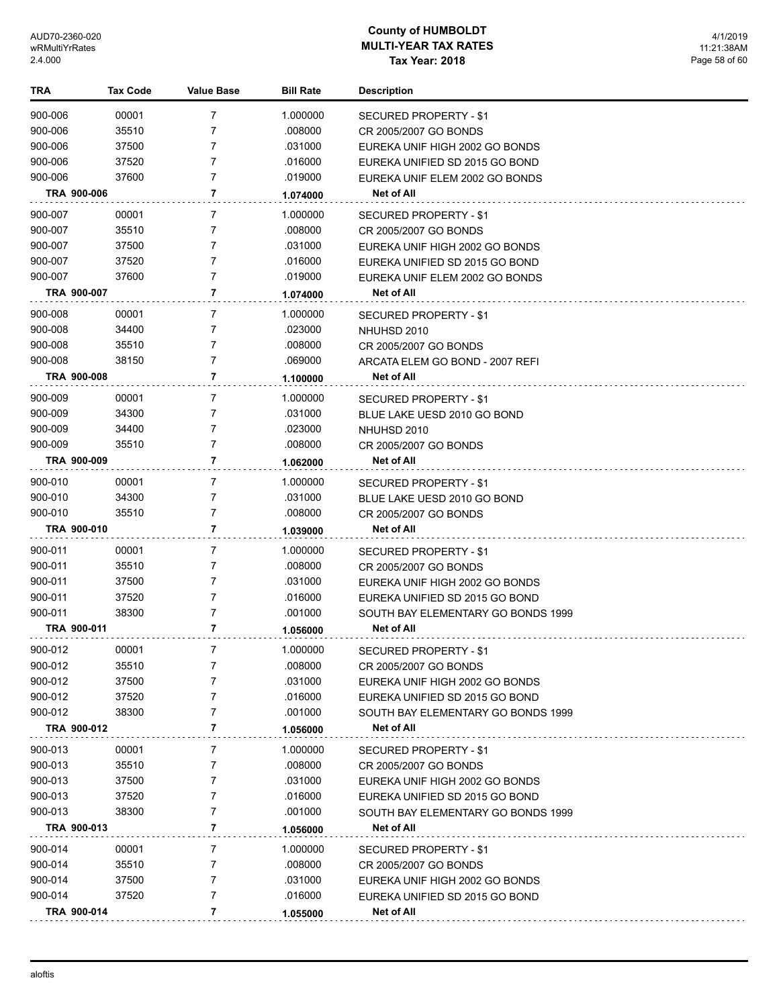| TRA                | <b>Tax Code</b> | Value Base     | <b>Bill Rate</b>    | <b>Description</b>                                               |
|--------------------|-----------------|----------------|---------------------|------------------------------------------------------------------|
| 900-006            | 00001           | 7              | 1.000000            | SECURED PROPERTY - \$1                                           |
| 900-006            | 35510           | 7              | .008000             | CR 2005/2007 GO BONDS                                            |
| 900-006            | 37500           | 7              | .031000             | EUREKA UNIF HIGH 2002 GO BONDS                                   |
| 900-006            | 37520           | 7              | .016000             | EUREKA UNIFIED SD 2015 GO BOND                                   |
| 900-006            | 37600           | 7              | .019000             | EUREKA UNIF ELEM 2002 GO BONDS                                   |
| TRA 900-006        |                 | 7              | 1.074000            | Net of All                                                       |
| 900-007            | 00001           | 7              | 1.000000            | SECURED PROPERTY - \$1                                           |
| 900-007            | 35510           | 7              | .008000             | CR 2005/2007 GO BONDS                                            |
| 900-007            | 37500           | 7              | .031000             | EUREKA UNIF HIGH 2002 GO BONDS                                   |
| 900-007            | 37520           | 7              | .016000             | EUREKA UNIFIED SD 2015 GO BOND                                   |
| 900-007            | 37600           | 7              | .019000             | EUREKA UNIF ELEM 2002 GO BONDS                                   |
| TRA 900-007        |                 | 7              | 1.074000            | <b>Net of All</b>                                                |
| 900-008            | 00001           | 7              | 1.000000            | SECURED PROPERTY - \$1                                           |
| 900-008            | 34400           | 7              | .023000             | NHUHSD 2010                                                      |
| 900-008            | 35510           | 7              | .008000             | CR 2005/2007 GO BONDS                                            |
| 900-008            | 38150           | 7              | .069000             | ARCATA ELEM GO BOND - 2007 REFI                                  |
| <b>TRA 900-008</b> |                 | 7              | 1.100000            | <b>Net of All</b>                                                |
| 900-009            | 00001           | 7              | 1.000000            | <b>SECURED PROPERTY - \$1</b>                                    |
| 900-009            | 34300           | 7              | .031000             | BLUE LAKE UESD 2010 GO BOND                                      |
| 900-009            | 34400           | 7              | .023000             | NHUHSD 2010                                                      |
| 900-009            | 35510           | 7              | .008000             | CR 2005/2007 GO BONDS                                            |
| TRA 900-009        |                 | 7              | 1.062000            | <b>Net of All</b>                                                |
| 900-010            | 00001           | 7              | 1.000000            | SECURED PROPERTY - \$1                                           |
| 900-010            | 34300           | 7              | .031000             | BLUE LAKE UESD 2010 GO BOND                                      |
| 900-010            | 35510           | 7              | .008000             | CR 2005/2007 GO BONDS                                            |
| TRA 900-010        |                 | 7              | 1.039000            | Net of All                                                       |
|                    |                 |                |                     |                                                                  |
| 900-011<br>900-011 | 00001<br>35510  | 7<br>7         | 1.000000<br>.008000 | SECURED PROPERTY - \$1                                           |
| 900-011            | 37500           | 7              | .031000             | CR 2005/2007 GO BONDS                                            |
| 900-011            | 37520           | 7              | .016000             | EUREKA UNIF HIGH 2002 GO BONDS<br>EUREKA UNIFIED SD 2015 GO BOND |
| 900-011            | 38300           | 7              | .001000             | SOUTH BAY ELEMENTARY GO BONDS 1999                               |
| TRA 900-011        |                 | 7              | 1.056000            | Net of All                                                       |
| 900-012            |                 |                |                     |                                                                  |
|                    | 00001           | 7<br>7         | 1.000000            | SECURED PROPERTY - \$1                                           |
| 900-012<br>900-012 | 35510<br>37500  | 7              | .008000<br>.031000  | CR 2005/2007 GO BONDS<br>EUREKA UNIF HIGH 2002 GO BONDS          |
| 900-012            | 37520           | 7              | .016000             | EUREKA UNIFIED SD 2015 GO BOND                                   |
| 900-012            | 38300           | 7              | .001000             | SOUTH BAY ELEMENTARY GO BONDS 1999                               |
| TRA 900-012        |                 | 7              | 1.056000            | Net of All                                                       |
| 900-013            | 00001           | 7              | 1.000000            |                                                                  |
| 900-013            | 35510           | 7              | .008000             | SECURED PROPERTY - \$1<br>CR 2005/2007 GO BONDS                  |
| 900-013            | 37500           | 7              | .031000             | EUREKA UNIF HIGH 2002 GO BONDS                                   |
| 900-013            | 37520           | 7              | .016000             | EUREKA UNIFIED SD 2015 GO BOND                                   |
| 900-013            | 38300           | 7              | .001000             | SOUTH BAY ELEMENTARY GO BONDS 1999                               |
| TRA 900-013        |                 | $\overline{7}$ | 1.056000            | Net of All                                                       |
| 900-014            | 00001           | 7              | 1.000000            | SECURED PROPERTY - \$1                                           |
| 900-014            | 35510           | 7              | .008000             | CR 2005/2007 GO BONDS                                            |
| 900-014            | 37500           | 7              | .031000             | EUREKA UNIF HIGH 2002 GO BONDS                                   |
| 900-014            | 37520           | 7              | .016000             | EUREKA UNIFIED SD 2015 GO BOND                                   |
| TRA 900-014        |                 | 7              | 1.055000            | Net of All                                                       |
|                    |                 |                |                     |                                                                  |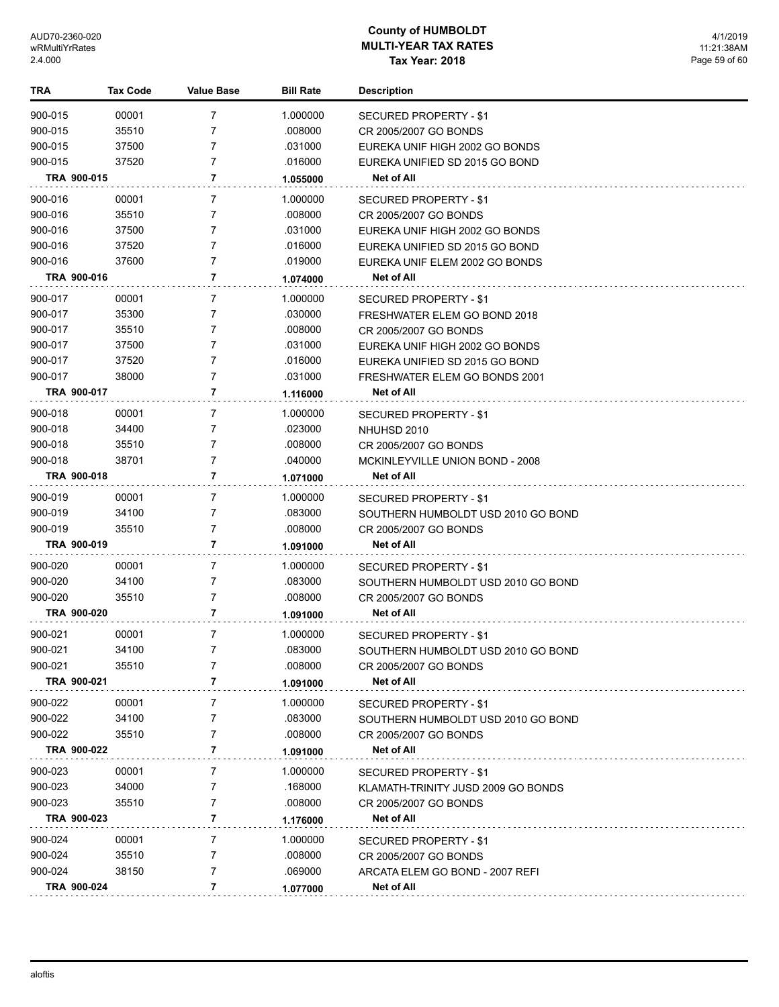| TRA                | <b>Tax Code</b> | <b>Value Base</b> | <b>Bill Rate</b>   | <b>Description</b>                            |
|--------------------|-----------------|-------------------|--------------------|-----------------------------------------------|
| 900-015            | 00001           | $\overline{7}$    | 1.000000           | <b>SECURED PROPERTY - \$1</b>                 |
| 900-015            | 35510           | 7                 | .008000            | CR 2005/2007 GO BONDS                         |
| 900-015            | 37500           | 7                 | .031000            | EUREKA UNIF HIGH 2002 GO BONDS                |
| 900-015            | 37520           | $\overline{7}$    | .016000            | EUREKA UNIFIED SD 2015 GO BOND                |
| TRA 900-015        |                 | 7                 | 1.055000           | <b>Net of All</b>                             |
| 900-016            | 00001           | 7                 | 1.000000           | <b>SECURED PROPERTY - \$1</b>                 |
| 900-016            | 35510           | 7                 | .008000            | CR 2005/2007 GO BONDS                         |
| 900-016            | 37500           | 7                 | .031000            | EUREKA UNIF HIGH 2002 GO BONDS                |
| 900-016            | 37520           | 7                 | .016000            | EUREKA UNIFIED SD 2015 GO BOND                |
| 900-016            | 37600           | 7                 | .019000            | EUREKA UNIF ELEM 2002 GO BONDS                |
| TRA 900-016        |                 | 7                 | 1.074000           | Net of All                                    |
| 900-017            | 00001           | 7                 | 1.000000           | SECURED PROPERTY - \$1                        |
| 900-017            | 35300           | 7                 | .030000            | FRESHWATER ELEM GO BOND 2018                  |
| 900-017            | 35510           | 7                 | .008000            | CR 2005/2007 GO BONDS                         |
| 900-017            | 37500           | 7                 | .031000            | EUREKA UNIF HIGH 2002 GO BONDS                |
| 900-017            | 37520           | 7                 | .016000            | EUREKA UNIFIED SD 2015 GO BOND                |
| 900-017            | 38000           | 7                 | .031000            | FRESHWATER ELEM GO BONDS 2001                 |
| TRA 900-017        |                 | 7                 | 1.116000           | Net of All                                    |
| 900-018            | 00001           | 7                 | 1.000000           | SECURED PROPERTY - \$1                        |
| 900-018            | 34400           | 7                 | .023000            | NHUHSD 2010                                   |
| 900-018            | 35510           | 7                 | .008000            | CR 2005/2007 GO BONDS                         |
| 900-018            | 38701           | 7                 | .040000            | MCKINLEYVILLE UNION BOND - 2008               |
| TRA 900-018        |                 | 7                 | 1.071000           | <b>Net of All</b>                             |
|                    |                 |                   |                    |                                               |
| 900-019            | 00001           | 7                 | 1.000000           | SECURED PROPERTY - \$1                        |
| 900-019            | 34100           | 7                 | .083000            | SOUTHERN HUMBOLDT USD 2010 GO BOND            |
| 900-019            | 35510           | 7                 | .008000            | CR 2005/2007 GO BONDS                         |
| TRA 900-019        |                 | 7                 | 1.091000           | <b>Net of All</b>                             |
| 900-020            | 00001           | 7                 | 1.000000           | SECURED PROPERTY - \$1                        |
| 900-020            | 34100           | 7                 | .083000            | SOUTHERN HUMBOLDT USD 2010 GO BOND            |
| 900-020            | 35510           | 7                 | .008000            | CR 2005/2007 GO BONDS                         |
| TRA 900-020        |                 | 7                 | 1.091000           | Net of All                                    |
| 900-021            | 00001           | 7                 | 1.000000           | SECURED PROPERTY - \$1                        |
| 900-021            | 34100           | 7                 | .083000            | SOUTHERN HUMBOLDT USD 2010 GO BOND            |
| 900-021            | 35510           | 7                 | .008000            | CR 2005/2007 GO BONDS                         |
| TRA 900-021        |                 | 7                 | 1.091000           | Net of All                                    |
| 900-022            | 00001           | 7                 | 1.000000           | SECURED PROPERTY - \$1                        |
| 900-022            | 34100           | 7                 | .083000            | SOUTHERN HUMBOLDT USD 2010 GO BOND            |
| 900-022            | 35510           | 7                 | .008000            | CR 2005/2007 GO BONDS                         |
| TRA 900-022        |                 | 7                 | 1.091000           | <b>Net of All</b>                             |
| 900-023            | 00001           | 7                 | 1.000000           | <b>SECURED PROPERTY - \$1</b>                 |
| 900-023            | 34000           | 7                 | .168000            | KLAMATH-TRINITY JUSD 2009 GO BONDS            |
| 900-023            | 35510           | 7                 | .008000            | CR 2005/2007 GO BONDS                         |
| TRA 900-023        |                 | 7                 | 1.176000           | Net of All                                    |
|                    |                 |                   |                    |                                               |
| 900-024<br>900-024 | 00001<br>35510  | 7<br>7            | 1.000000           | SECURED PROPERTY - \$1                        |
| 900-024            |                 | $\overline{7}$    | .008000<br>.069000 | CR 2005/2007 GO BONDS                         |
| TRA 900-024        | 38150           | 7                 |                    | ARCATA ELEM GO BOND - 2007 REFI<br>Net of All |
|                    |                 |                   | 1.077000           |                                               |